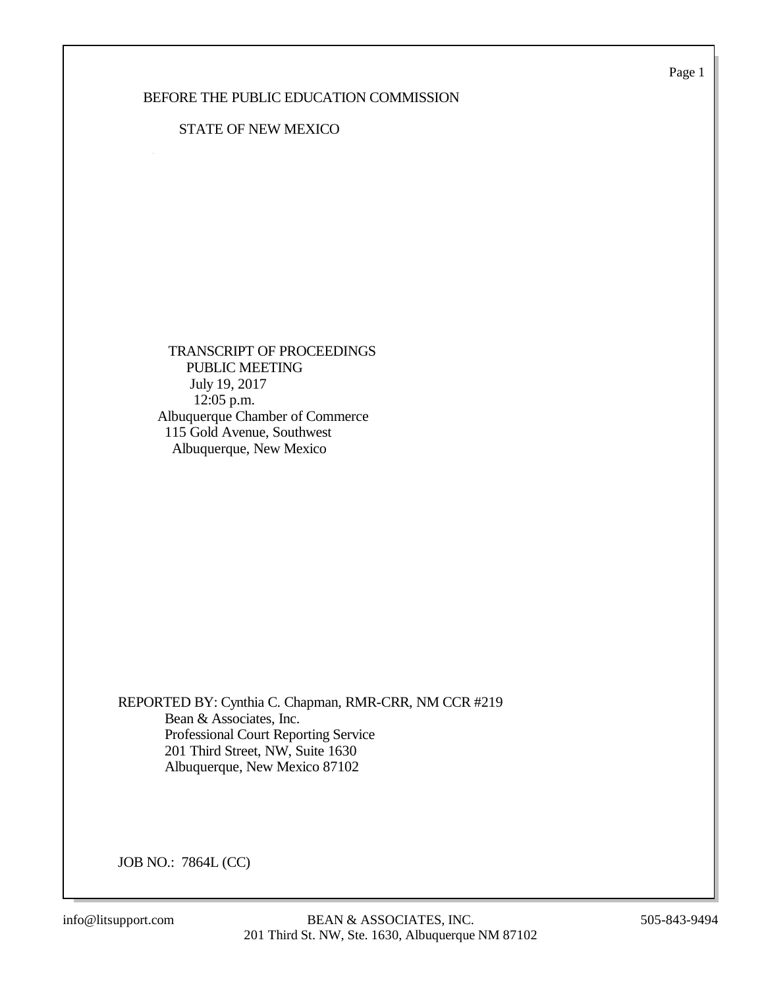Page 1

## BEFORE THE PUBLIC EDUCATION COMMISSION

#### STATE OF NEW MEXICO

 TRANSCRIPT OF PROCEEDINGS PUBLIC MEETING July 19, 2017 12:05 p.m. Albuquerque Chamber of Commerce 115 Gold Avenue, Southwest Albuquerque, New Mexico

REPORTED BY: Cynthia C. Chapman, RMR-CRR, NM CCR #219 Bean & Associates, Inc. Professional Court Reporting Service 201 Third Street, NW, Suite 1630 Albuquerque, New Mexico 87102

JOB NO.: 7864L (CC)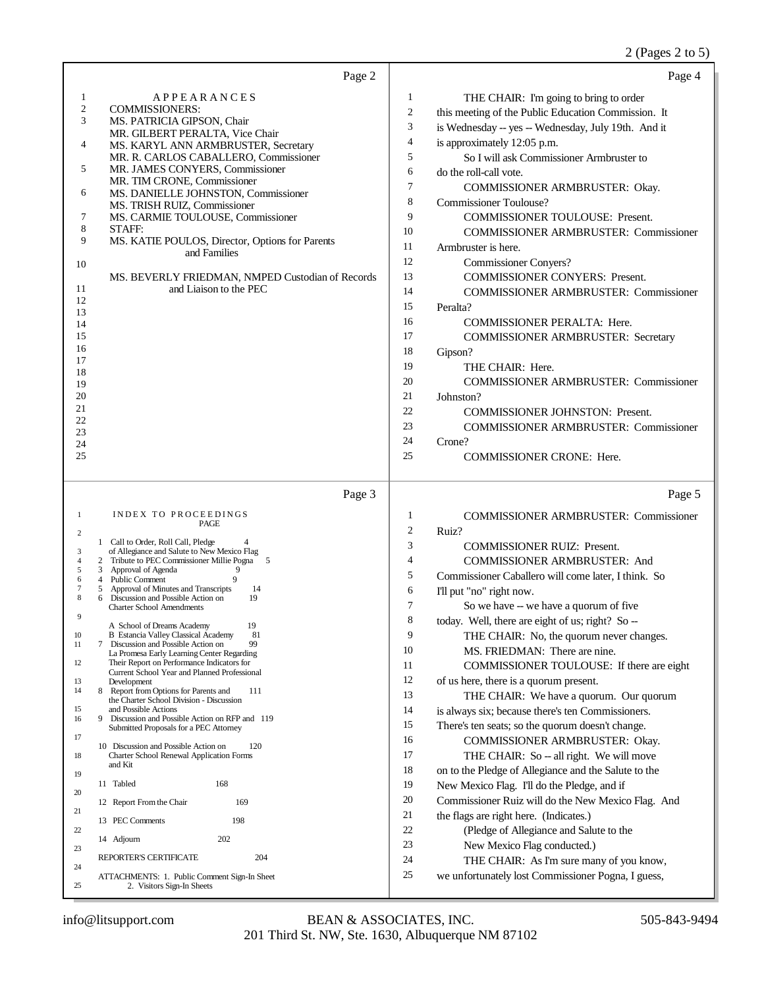#### 2 (Pages 2 to 5)

| Page 2                                                                                                    | Page 4                                                                                   |
|-----------------------------------------------------------------------------------------------------------|------------------------------------------------------------------------------------------|
| APPEARANCES<br>1                                                                                          | 1<br>THE CHAIR: I'm going to bring to order                                              |
| $\mathfrak{2}$<br><b>COMMISSIONERS:</b>                                                                   | 2<br>this meeting of the Public Education Commission. It                                 |
| 3<br>MS. PATRICIA GIPSON, Chair                                                                           | 3<br>is Wednesday -- yes -- Wednesday, July 19th. And it                                 |
| MR. GILBERT PERALTA, Vice Chair<br>4<br>MS. KARYL ANN ARMBRUSTER, Secretary                               | 4<br>is approximately 12:05 p.m.                                                         |
| MR. R. CARLOS CABALLERO, Commissioner                                                                     | 5<br>So I will ask Commissioner Armbruster to                                            |
| 5<br>MR. JAMES CONYERS, Commissioner                                                                      | 6<br>do the roll-call vote.                                                              |
| MR. TIM CRONE, Commissioner                                                                               | 7<br>COMMISSIONER ARMBRUSTER: Okay.                                                      |
| 6<br>MS. DANIELLE JOHNSTON, Commissioner<br>MS. TRISH RUIZ, Commissioner                                  | 8<br><b>Commissioner Toulouse?</b>                                                       |
| 7<br>MS. CARMIE TOULOUSE, Commissioner                                                                    | 9<br><b>COMMISSIONER TOULOUSE: Present.</b>                                              |
| 8<br>STAFF:                                                                                               | 10<br><b>COMMISSIONER ARMBRUSTER: Commissioner</b>                                       |
| 9<br>MS. KATIE POULOS, Director, Options for Parents<br>and Families                                      | 11<br>Armbruster is here.                                                                |
| 10                                                                                                        | 12<br><b>Commissioner Conyers?</b>                                                       |
| MS. BEVERLY FRIEDMAN, NMPED Custodian of Records                                                          | 13<br><b>COMMISSIONER CONYERS: Present.</b>                                              |
| and Liaison to the PEC<br>11                                                                              | 14<br><b>COMMISSIONER ARMBRUSTER: Commissioner</b>                                       |
| 12<br>13                                                                                                  | 15<br>Peralta?                                                                           |
| 14                                                                                                        | 16<br><b>COMMISSIONER PERALTA: Here.</b>                                                 |
| 15                                                                                                        | 17<br><b>COMMISSIONER ARMBRUSTER: Secretary</b>                                          |
| 16<br>17                                                                                                  | 18<br>Gipson?                                                                            |
| 18                                                                                                        | 19<br>THE CHAIR: Here.                                                                   |
| 19                                                                                                        | 20<br><b>COMMISSIONER ARMBRUSTER: Commissioner</b>                                       |
| 20                                                                                                        | 21<br>Johnston?                                                                          |
| 21<br>22                                                                                                  | 22<br><b>COMMISSIONER JOHNSTON: Present.</b>                                             |
| 23                                                                                                        | 23<br><b>COMMISSIONER ARMBRUSTER: Commissioner</b>                                       |
| 24                                                                                                        | 24<br>Crone?                                                                             |
| 25                                                                                                        | 25<br><b>COMMISSIONER CRONE: Here.</b>                                                   |
| Page 3                                                                                                    | Page 5                                                                                   |
| INDEX TO PROCEEDINGS<br>1                                                                                 | 1<br><b>COMMISSIONER ARMBRUSTER: Commissioner</b>                                        |
| PAGE<br>2                                                                                                 | 2<br>Ruiz?                                                                               |
| 1 Call to Order, Roll Call, Pledge<br>of Allegiance and Salute to New Mexico Flag<br>3                    | 3<br><b>COMMISSIONER RUIZ: Present.</b>                                                  |
| Tribute to PEC Commissioner Millie Pogna 5<br>$\overline{4}$<br>2                                         | 4<br><b>COMMISSIONER ARMBRUSTER: And</b>                                                 |
| 5<br>Approval of Agenda<br>9<br>3<br>9<br><b>Public Comment</b><br>6<br>4                                 | 5<br>Commissioner Caballero will come later, I think. So                                 |
| Approval of Minutes and Transcripts<br>7<br>14<br>5<br>Discussion and Possible Action on<br>19<br>8       | 6<br>I'll put "no" right now.                                                            |
| <b>Charter School Amendments</b><br>9                                                                     | 7<br>So we have -- we have a quorum of five                                              |
| 19<br>A School of Dreams Academy                                                                          | today. Well, there are eight of us; right? So --<br>8                                    |
| 81<br>10<br><b>B</b> Estancia Valley Classical Academy<br>7 Discussion and Possible Action on<br>99<br>11 | 9<br>THE CHAIR: No, the quorum never changes.                                            |
| La Promesa Early Learning Center Regarding<br>Their Report on Performance Indicators for<br>12            | 10<br>MS. FRIEDMAN: There are nine.                                                      |
| Current School Year and Planned Professional                                                              | 11<br>COMMISSIONER TOULOUSE: If there are eight                                          |
| 13<br>Development<br>8 Report from Options for Parents and<br>111<br>14                                   | 12<br>of us here, there is a quorum present.<br>13                                       |
| the Charter School Division - Discussion<br>15<br>and Possible Actions                                    | THE CHAIR: We have a quorum. Our quorum<br>14                                            |
| Discussion and Possible Action on RFP and 119<br>9<br>16                                                  | is always six; because there's ten Commissioners.<br>15                                  |
| Submitted Proposals for a PEC Attorney<br>17                                                              | There's ten seats; so the quorum doesn't change.<br>16<br>COMMISSIONER ARMBRUSTER: Okay. |
| 10 Discussion and Possible Action on<br>120<br>18<br>Charter School Renewal Application Forms             | 17<br>THE CHAIR: So -- all right. We will move                                           |
| and Kit                                                                                                   | 18<br>on to the Pledge of Allegiance and the Salute to the                               |
| 19<br>11 Tabled<br>168                                                                                    | 19<br>New Mexico Flag. I'll do the Pledge, and if                                        |
| 20<br>169                                                                                                 | 20<br>Commissioner Ruiz will do the New Mexico Flag. And                                 |
| 12 Report From the Chair<br>21                                                                            | 21<br>the flags are right here. (Indicates.)                                             |
| 198<br>13 PEC Comments<br>22                                                                              | 22<br>(Pledge of Allegiance and Salute to the                                            |
| 202<br>14 Adjourn                                                                                         | 23<br>New Mexico Flag conducted.)                                                        |
| 23<br>204<br>REPORTER'S CERTIFICATE                                                                       | 24<br>THE CHAIR: As I'm sure many of you know,                                           |
| 24<br>ATTACHMENTS: 1. Public Comment Sign-In Sheet                                                        | 25<br>we unfortunately lost Commissioner Pogna, I guess,                                 |
| 25<br>2. Visitors Sign-In Sheets                                                                          |                                                                                          |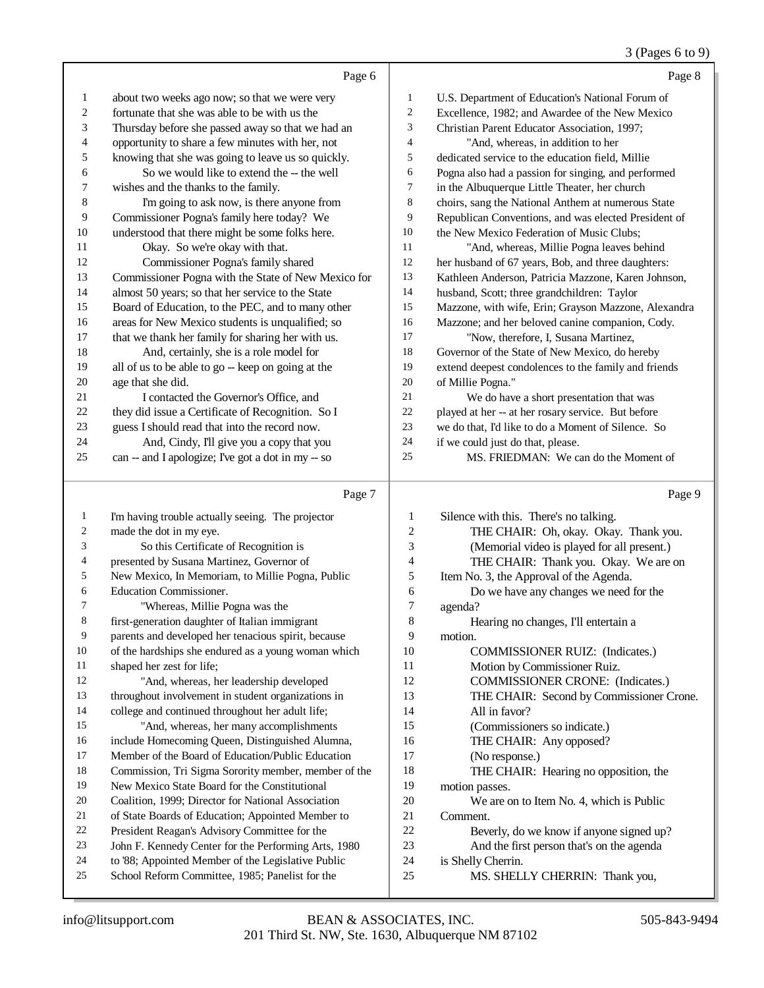## 3 (Pages 6 to 9)

| about two weeks ago now; so that we were very<br>U.S. Department of Education's National Forum of<br>1<br>1<br>2<br>fortunate that she was able to be with us the<br>2<br>Excellence, 1982; and Awardee of the New Mexico<br>3<br>3<br>Thursday before she passed away so that we had an<br>Christian Parent Educator Association, 1997;<br>opportunity to share a few minutes with her, not<br>4<br>$\overline{4}$<br>"And, whereas, in addition to her<br>5<br>knowing that she was going to leave us so quickly.<br>5<br>dedicated service to the education field, Millie<br>So we would like to extend the -- the well<br>6<br>6<br>Pogna also had a passion for singing, and performed<br>7<br>7<br>wishes and the thanks to the family.<br>in the Albuquerque Little Theater, her church<br>8<br>I'm going to ask now, is there anyone from<br>8<br>choirs, sang the National Anthem at numerous State<br>9<br>Commissioner Pogna's family here today? We<br>9<br>Republican Conventions, and was elected President of<br>understood that there might be some folks here.<br>10<br>10<br>the New Mexico Federation of Music Clubs;<br>11<br>Okay. So we're okay with that.<br>11<br>"And, whereas, Millie Pogna leaves behind<br>12<br>Commissioner Pogna's family shared<br>12<br>her husband of 67 years, Bob, and three daughters:<br>13<br>Commissioner Pogna with the State of New Mexico for<br>13<br>Kathleen Anderson, Patricia Mazzone, Karen Johnson,<br>14<br>almost 50 years; so that her service to the State<br>14<br>husband, Scott; three grandchildren: Taylor<br>15<br>Board of Education, to the PEC, and to many other<br>15<br>Mazzone, with wife, Erin; Grayson Mazzone, Alexandra<br>16<br>areas for New Mexico students is unqualified; so<br>16<br>Mazzone; and her beloved canine companion, Cody.<br>17<br>that we thank her family for sharing her with us.<br>17<br>"Now, therefore, I, Susana Martinez,<br>18<br>And, certainly, she is a role model for<br>18<br>Governor of the State of New Mexico, do hereby<br>19<br>all of us to be able to go -- keep on going at the<br>19<br>extend deepest condolences to the family and friends<br>20<br>20<br>age that she did.<br>of Millie Pogna."<br>21<br>21<br>I contacted the Governor's Office, and<br>We do have a short presentation that was<br>they did issue a Certificate of Recognition. So I<br>22<br>22<br>played at her -- at her rosary service. But before<br>23<br>guess I should read that into the record now.<br>23<br>we do that, I'd like to do a Moment of Silence. So<br>24<br>24<br>And, Cindy, I'll give you a copy that you<br>if we could just do that, please. |    | Page 6                                             |    | Page 8                                |
|--------------------------------------------------------------------------------------------------------------------------------------------------------------------------------------------------------------------------------------------------------------------------------------------------------------------------------------------------------------------------------------------------------------------------------------------------------------------------------------------------------------------------------------------------------------------------------------------------------------------------------------------------------------------------------------------------------------------------------------------------------------------------------------------------------------------------------------------------------------------------------------------------------------------------------------------------------------------------------------------------------------------------------------------------------------------------------------------------------------------------------------------------------------------------------------------------------------------------------------------------------------------------------------------------------------------------------------------------------------------------------------------------------------------------------------------------------------------------------------------------------------------------------------------------------------------------------------------------------------------------------------------------------------------------------------------------------------------------------------------------------------------------------------------------------------------------------------------------------------------------------------------------------------------------------------------------------------------------------------------------------------------------------------------------------------------------------------------------------------------------------------------------------------------------------------------------------------------------------------------------------------------------------------------------------------------------------------------------------------------------------------------------------------------------------------------------------------------------------------------------------------------------------------------------------------------------------------------------------------------------------------------------------------------------------|----|----------------------------------------------------|----|---------------------------------------|
|                                                                                                                                                                                                                                                                                                                                                                                                                                                                                                                                                                                                                                                                                                                                                                                                                                                                                                                                                                                                                                                                                                                                                                                                                                                                                                                                                                                                                                                                                                                                                                                                                                                                                                                                                                                                                                                                                                                                                                                                                                                                                                                                                                                                                                                                                                                                                                                                                                                                                                                                                                                                                                                                                |    |                                                    |    |                                       |
|                                                                                                                                                                                                                                                                                                                                                                                                                                                                                                                                                                                                                                                                                                                                                                                                                                                                                                                                                                                                                                                                                                                                                                                                                                                                                                                                                                                                                                                                                                                                                                                                                                                                                                                                                                                                                                                                                                                                                                                                                                                                                                                                                                                                                                                                                                                                                                                                                                                                                                                                                                                                                                                                                |    |                                                    |    |                                       |
|                                                                                                                                                                                                                                                                                                                                                                                                                                                                                                                                                                                                                                                                                                                                                                                                                                                                                                                                                                                                                                                                                                                                                                                                                                                                                                                                                                                                                                                                                                                                                                                                                                                                                                                                                                                                                                                                                                                                                                                                                                                                                                                                                                                                                                                                                                                                                                                                                                                                                                                                                                                                                                                                                |    |                                                    |    |                                       |
|                                                                                                                                                                                                                                                                                                                                                                                                                                                                                                                                                                                                                                                                                                                                                                                                                                                                                                                                                                                                                                                                                                                                                                                                                                                                                                                                                                                                                                                                                                                                                                                                                                                                                                                                                                                                                                                                                                                                                                                                                                                                                                                                                                                                                                                                                                                                                                                                                                                                                                                                                                                                                                                                                |    |                                                    |    |                                       |
|                                                                                                                                                                                                                                                                                                                                                                                                                                                                                                                                                                                                                                                                                                                                                                                                                                                                                                                                                                                                                                                                                                                                                                                                                                                                                                                                                                                                                                                                                                                                                                                                                                                                                                                                                                                                                                                                                                                                                                                                                                                                                                                                                                                                                                                                                                                                                                                                                                                                                                                                                                                                                                                                                |    |                                                    |    |                                       |
|                                                                                                                                                                                                                                                                                                                                                                                                                                                                                                                                                                                                                                                                                                                                                                                                                                                                                                                                                                                                                                                                                                                                                                                                                                                                                                                                                                                                                                                                                                                                                                                                                                                                                                                                                                                                                                                                                                                                                                                                                                                                                                                                                                                                                                                                                                                                                                                                                                                                                                                                                                                                                                                                                |    |                                                    |    |                                       |
|                                                                                                                                                                                                                                                                                                                                                                                                                                                                                                                                                                                                                                                                                                                                                                                                                                                                                                                                                                                                                                                                                                                                                                                                                                                                                                                                                                                                                                                                                                                                                                                                                                                                                                                                                                                                                                                                                                                                                                                                                                                                                                                                                                                                                                                                                                                                                                                                                                                                                                                                                                                                                                                                                |    |                                                    |    |                                       |
|                                                                                                                                                                                                                                                                                                                                                                                                                                                                                                                                                                                                                                                                                                                                                                                                                                                                                                                                                                                                                                                                                                                                                                                                                                                                                                                                                                                                                                                                                                                                                                                                                                                                                                                                                                                                                                                                                                                                                                                                                                                                                                                                                                                                                                                                                                                                                                                                                                                                                                                                                                                                                                                                                |    |                                                    |    |                                       |
|                                                                                                                                                                                                                                                                                                                                                                                                                                                                                                                                                                                                                                                                                                                                                                                                                                                                                                                                                                                                                                                                                                                                                                                                                                                                                                                                                                                                                                                                                                                                                                                                                                                                                                                                                                                                                                                                                                                                                                                                                                                                                                                                                                                                                                                                                                                                                                                                                                                                                                                                                                                                                                                                                |    |                                                    |    |                                       |
|                                                                                                                                                                                                                                                                                                                                                                                                                                                                                                                                                                                                                                                                                                                                                                                                                                                                                                                                                                                                                                                                                                                                                                                                                                                                                                                                                                                                                                                                                                                                                                                                                                                                                                                                                                                                                                                                                                                                                                                                                                                                                                                                                                                                                                                                                                                                                                                                                                                                                                                                                                                                                                                                                |    |                                                    |    |                                       |
|                                                                                                                                                                                                                                                                                                                                                                                                                                                                                                                                                                                                                                                                                                                                                                                                                                                                                                                                                                                                                                                                                                                                                                                                                                                                                                                                                                                                                                                                                                                                                                                                                                                                                                                                                                                                                                                                                                                                                                                                                                                                                                                                                                                                                                                                                                                                                                                                                                                                                                                                                                                                                                                                                |    |                                                    |    |                                       |
|                                                                                                                                                                                                                                                                                                                                                                                                                                                                                                                                                                                                                                                                                                                                                                                                                                                                                                                                                                                                                                                                                                                                                                                                                                                                                                                                                                                                                                                                                                                                                                                                                                                                                                                                                                                                                                                                                                                                                                                                                                                                                                                                                                                                                                                                                                                                                                                                                                                                                                                                                                                                                                                                                |    |                                                    |    |                                       |
|                                                                                                                                                                                                                                                                                                                                                                                                                                                                                                                                                                                                                                                                                                                                                                                                                                                                                                                                                                                                                                                                                                                                                                                                                                                                                                                                                                                                                                                                                                                                                                                                                                                                                                                                                                                                                                                                                                                                                                                                                                                                                                                                                                                                                                                                                                                                                                                                                                                                                                                                                                                                                                                                                |    |                                                    |    |                                       |
|                                                                                                                                                                                                                                                                                                                                                                                                                                                                                                                                                                                                                                                                                                                                                                                                                                                                                                                                                                                                                                                                                                                                                                                                                                                                                                                                                                                                                                                                                                                                                                                                                                                                                                                                                                                                                                                                                                                                                                                                                                                                                                                                                                                                                                                                                                                                                                                                                                                                                                                                                                                                                                                                                |    |                                                    |    |                                       |
|                                                                                                                                                                                                                                                                                                                                                                                                                                                                                                                                                                                                                                                                                                                                                                                                                                                                                                                                                                                                                                                                                                                                                                                                                                                                                                                                                                                                                                                                                                                                                                                                                                                                                                                                                                                                                                                                                                                                                                                                                                                                                                                                                                                                                                                                                                                                                                                                                                                                                                                                                                                                                                                                                |    |                                                    |    |                                       |
|                                                                                                                                                                                                                                                                                                                                                                                                                                                                                                                                                                                                                                                                                                                                                                                                                                                                                                                                                                                                                                                                                                                                                                                                                                                                                                                                                                                                                                                                                                                                                                                                                                                                                                                                                                                                                                                                                                                                                                                                                                                                                                                                                                                                                                                                                                                                                                                                                                                                                                                                                                                                                                                                                |    |                                                    |    |                                       |
|                                                                                                                                                                                                                                                                                                                                                                                                                                                                                                                                                                                                                                                                                                                                                                                                                                                                                                                                                                                                                                                                                                                                                                                                                                                                                                                                                                                                                                                                                                                                                                                                                                                                                                                                                                                                                                                                                                                                                                                                                                                                                                                                                                                                                                                                                                                                                                                                                                                                                                                                                                                                                                                                                |    |                                                    |    |                                       |
|                                                                                                                                                                                                                                                                                                                                                                                                                                                                                                                                                                                                                                                                                                                                                                                                                                                                                                                                                                                                                                                                                                                                                                                                                                                                                                                                                                                                                                                                                                                                                                                                                                                                                                                                                                                                                                                                                                                                                                                                                                                                                                                                                                                                                                                                                                                                                                                                                                                                                                                                                                                                                                                                                |    |                                                    |    |                                       |
|                                                                                                                                                                                                                                                                                                                                                                                                                                                                                                                                                                                                                                                                                                                                                                                                                                                                                                                                                                                                                                                                                                                                                                                                                                                                                                                                                                                                                                                                                                                                                                                                                                                                                                                                                                                                                                                                                                                                                                                                                                                                                                                                                                                                                                                                                                                                                                                                                                                                                                                                                                                                                                                                                |    |                                                    |    |                                       |
|                                                                                                                                                                                                                                                                                                                                                                                                                                                                                                                                                                                                                                                                                                                                                                                                                                                                                                                                                                                                                                                                                                                                                                                                                                                                                                                                                                                                                                                                                                                                                                                                                                                                                                                                                                                                                                                                                                                                                                                                                                                                                                                                                                                                                                                                                                                                                                                                                                                                                                                                                                                                                                                                                |    |                                                    |    |                                       |
|                                                                                                                                                                                                                                                                                                                                                                                                                                                                                                                                                                                                                                                                                                                                                                                                                                                                                                                                                                                                                                                                                                                                                                                                                                                                                                                                                                                                                                                                                                                                                                                                                                                                                                                                                                                                                                                                                                                                                                                                                                                                                                                                                                                                                                                                                                                                                                                                                                                                                                                                                                                                                                                                                |    |                                                    |    |                                       |
|                                                                                                                                                                                                                                                                                                                                                                                                                                                                                                                                                                                                                                                                                                                                                                                                                                                                                                                                                                                                                                                                                                                                                                                                                                                                                                                                                                                                                                                                                                                                                                                                                                                                                                                                                                                                                                                                                                                                                                                                                                                                                                                                                                                                                                                                                                                                                                                                                                                                                                                                                                                                                                                                                |    |                                                    |    |                                       |
|                                                                                                                                                                                                                                                                                                                                                                                                                                                                                                                                                                                                                                                                                                                                                                                                                                                                                                                                                                                                                                                                                                                                                                                                                                                                                                                                                                                                                                                                                                                                                                                                                                                                                                                                                                                                                                                                                                                                                                                                                                                                                                                                                                                                                                                                                                                                                                                                                                                                                                                                                                                                                                                                                |    |                                                    |    |                                       |
|                                                                                                                                                                                                                                                                                                                                                                                                                                                                                                                                                                                                                                                                                                                                                                                                                                                                                                                                                                                                                                                                                                                                                                                                                                                                                                                                                                                                                                                                                                                                                                                                                                                                                                                                                                                                                                                                                                                                                                                                                                                                                                                                                                                                                                                                                                                                                                                                                                                                                                                                                                                                                                                                                |    |                                                    |    |                                       |
|                                                                                                                                                                                                                                                                                                                                                                                                                                                                                                                                                                                                                                                                                                                                                                                                                                                                                                                                                                                                                                                                                                                                                                                                                                                                                                                                                                                                                                                                                                                                                                                                                                                                                                                                                                                                                                                                                                                                                                                                                                                                                                                                                                                                                                                                                                                                                                                                                                                                                                                                                                                                                                                                                | 25 | can -- and I apologize; I've got a dot in my -- so | 25 | MS. FRIEDMAN: We can do the Moment of |

## Page 7

| 1  | I'm having trouble actually seeing. The projector    | $\mathbf{1}$   | Silence with this. There's no talking.      |
|----|------------------------------------------------------|----------------|---------------------------------------------|
| 2  | made the dot in my eye.                              | $\overline{c}$ | THE CHAIR: Oh, okay. Okay. Thank you.       |
| 3  | So this Certificate of Recognition is                | 3              | (Memorial video is played for all present.) |
| 4  | presented by Susana Martinez, Governor of            | 4              | THE CHAIR: Thank you. Okay. We are on       |
| 5  | New Mexico, In Memoriam, to Millie Pogna, Public     | 5              | Item No. 3, the Approval of the Agenda.     |
| 6  | <b>Education Commissioner.</b>                       | 6              | Do we have any changes we need for the      |
| 7  | "Whereas, Millie Pogna was the                       | 7              | agenda?                                     |
| 8  | first-generation daughter of Italian immigrant       | 8              | Hearing no changes, I'll entertain a        |
| 9  | parents and developed her tenacious spirit, because  | 9              | motion.                                     |
| 10 | of the hardships she endured as a young woman which  | 10             | <b>COMMISSIONER RUIZ:</b> (Indicates.)      |
| 11 | shaped her zest for life;                            | 11             | Motion by Commissioner Ruiz.                |
| 12 | "And, whereas, her leadership developed              | 12             | <b>COMMISSIONER CRONE:</b> (Indicates.)     |
| 13 | throughout involvement in student organizations in   | 13             | THE CHAIR: Second by Commissioner Crone.    |
| 14 | college and continued throughout her adult life;     | 14             | All in favor?                               |
| 15 | "And, whereas, her many accomplishments              | 15             | (Commissioners so indicate.)                |
| 16 | include Homecoming Queen, Distinguished Alumna,      | 16             | THE CHAIR: Any opposed?                     |
| 17 | Member of the Board of Education/Public Education    | 17             | (No response.)                              |
| 18 | Commission, Tri Sigma Sorority member, member of the | 18             | THE CHAIR: Hearing no opposition, the       |
| 19 | New Mexico State Board for the Constitutional        | 19             | motion passes.                              |
| 20 | Coalition, 1999; Director for National Association   | 20             | We are on to Item No. 4, which is Public    |
| 21 | of State Boards of Education; Appointed Member to    | 21             | Comment.                                    |
| 22 | President Reagan's Advisory Committee for the        | 22             | Beverly, do we know if anyone signed up?    |
| 23 | John F. Kennedy Center for the Performing Arts, 1980 | 23             | And the first person that's on the agenda   |
| 24 | to '88; Appointed Member of the Legislative Public   | 24             | is Shelly Cherrin.                          |
| 25 | School Reform Committee, 1985; Panelist for the      | 25             | MS. SHELLY CHERRIN: Thank you,              |
|    |                                                      |                |                                             |

Page 9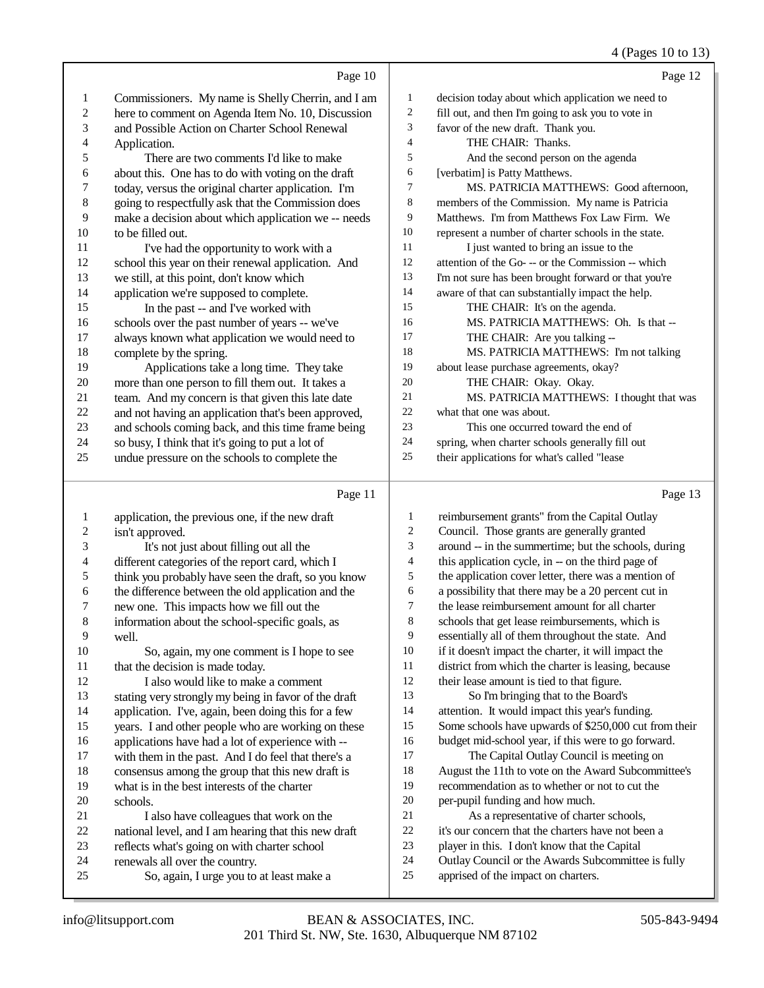|                         |                                                       |                | 4 (Pages 10 to 13)                                   |
|-------------------------|-------------------------------------------------------|----------------|------------------------------------------------------|
|                         | Page 10                                               |                | Page 12                                              |
| 1                       | Commissioners. My name is Shelly Cherrin, and I am    | 1              | decision today about which application we need to    |
| 2                       | here to comment on Agenda Item No. 10, Discussion     | $\overline{c}$ | fill out, and then I'm going to ask you to vote in   |
| 3                       | and Possible Action on Charter School Renewal         | 3              | favor of the new draft. Thank you.                   |
| 4                       | Application.                                          | 4              | THE CHAIR: Thanks.                                   |
| 5                       | There are two comments I'd like to make               | 5              | And the second person on the agenda                  |
| 6                       | about this. One has to do with voting on the draft    | 6              | [verbatim] is Patty Matthews.                        |
| 7                       | today, versus the original charter application. I'm   | 7              | MS. PATRICIA MATTHEWS: Good afternoon,               |
| 8                       | going to respectfully ask that the Commission does    | 8              | members of the Commission. My name is Patricia       |
| 9                       | make a decision about which application we -- needs   | 9              | Matthews. I'm from Matthews Fox Law Firm. We         |
| 10                      | to be filled out.                                     | $10\,$         | represent a number of charter schools in the state.  |
| 11                      | I've had the opportunity to work with a               | 11             | I just wanted to bring an issue to the               |
| 12                      | school this year on their renewal application. And    | 12             | attention of the Go--- or the Commission -- which    |
| 13                      | we still, at this point, don't know which             | 13             | I'm not sure has been brought forward or that you're |
| 14                      | application we're supposed to complete.               | 14             | aware of that can substantially impact the help.     |
| 15                      | In the past -- and I've worked with                   | 15             | THE CHAIR: It's on the agenda.                       |
| 16                      | schools over the past number of years -- we've        | 16             | MS. PATRICIA MATTHEWS: Oh. Is that --                |
| 17                      | always known what application we would need to        | 17             | THE CHAIR: Are you talking --                        |
| 18                      | complete by the spring.                               | 18             | MS. PATRICIA MATTHEWS: I'm not talking               |
| 19                      | Applications take a long time. They take              | 19             | about lease purchase agreements, okay?               |
| 20                      | more than one person to fill them out. It takes a     | $20\,$         | THE CHAIR: Okay. Okay.                               |
| 21                      | team. And my concern is that given this late date     | 21             | MS. PATRICIA MATTHEWS: I thought that was            |
| $22\,$                  | and not having an application that's been approved,   | 22             | what that one was about.                             |
| 23                      | and schools coming back, and this time frame being    | 23             | This one occurred toward the end of                  |
| 24                      | so busy, I think that it's going to put a lot of      | 24             | spring, when charter schools generally fill out      |
| 25                      | undue pressure on the schools to complete the         | 25             | their applications for what's called "lease          |
|                         |                                                       |                |                                                      |
|                         | Page 11                                               |                | Page 13                                              |
| 1                       | application, the previous one, if the new draft       | $\mathbf{1}$   | reimbursement grants" from the Capital Outlay        |
| $\overline{\mathbf{c}}$ | isn't approved.                                       | 2              | Council. Those grants are generally granted          |
| 3                       | It's not just about filling out all the               | 3              | around -- in the summertime; but the schools, during |
| 4                       | different categories of the report card, which I      | 4              | this application cycle, in -- on the third page of   |
| 5                       | think you probably have seen the draft, so you know   | 5              | the application cover letter, there was a mention of |
| 6                       | the difference between the old application and the    | 6              | a possibility that there may be a 20 percent cut in  |
| 7                       | new one. This impacts how we fill out the             | 7              | the lease reimbursement amount for all charter       |
| 8                       | information about the school-specific goals, as       | 8              | schools that get lease reimbursements, which is      |
| 9                       | well.                                                 | 9              | essentially all of them throughout the state. And    |
| 10                      | So, again, my one comment is I hope to see            | 10             | if it doesn't impact the charter, it will impact the |
| 11                      | that the decision is made today.                      | 11             | district from which the charter is leasing, because  |
| 12                      | I also would like to make a comment                   | 12             | their lease amount is tied to that figure.           |
| 13                      | stating very strongly my being in favor of the draft  | 13             | So I'm bringing that to the Board's                  |
| 1 <sub>A</sub>          | Provided Theory of the Trade defect different Company | 1 <sub>A</sub> | ettention It would impect this year's funding        |

- application. I've, again, been doing this for a few years. I and other people who are working on these
- 16 applications have had a lot of experience with --<br>17 with them in the past. And I do feel that there's a
- 17 with them in the past. And I do feel that there's a<br>18 consensus among the group that this new draft is 18 consensus among the group that this new draft is<br>19 what is in the best interests of the charter
- what is in the best interests of the charter 20 schools.<br>21 Ia
- 21 I also have colleagues that work on the<br>22 national level, and I am hearing that this new
- 22 national level, and I am hearing that this new draft<br>23 reflects what's going on with charter school 23 reflects what's going on with charter school<br>24 renewals all over the country.
- 24 renewals all over the country.<br>25 So. again. I urge you to
- So, again, I urge you to at least make a
- attention. It would impact this year's funding. Some schools have upwards of \$250,000 cut from their
- budget mid-school year, if this were to go forward.
- 17 The Capital Outlay Council is meeting on August the 11th to vote on the Award Subcommittee's recommendation as to whether or not to cut the
- per-pupil funding and how much. As a representative of charter schools,
- it's our concern that the charters have not been a
- player in this. I don't know that the Capital
- Outlay Council or the Awards Subcommittee is fully
- apprised of the impact on charters.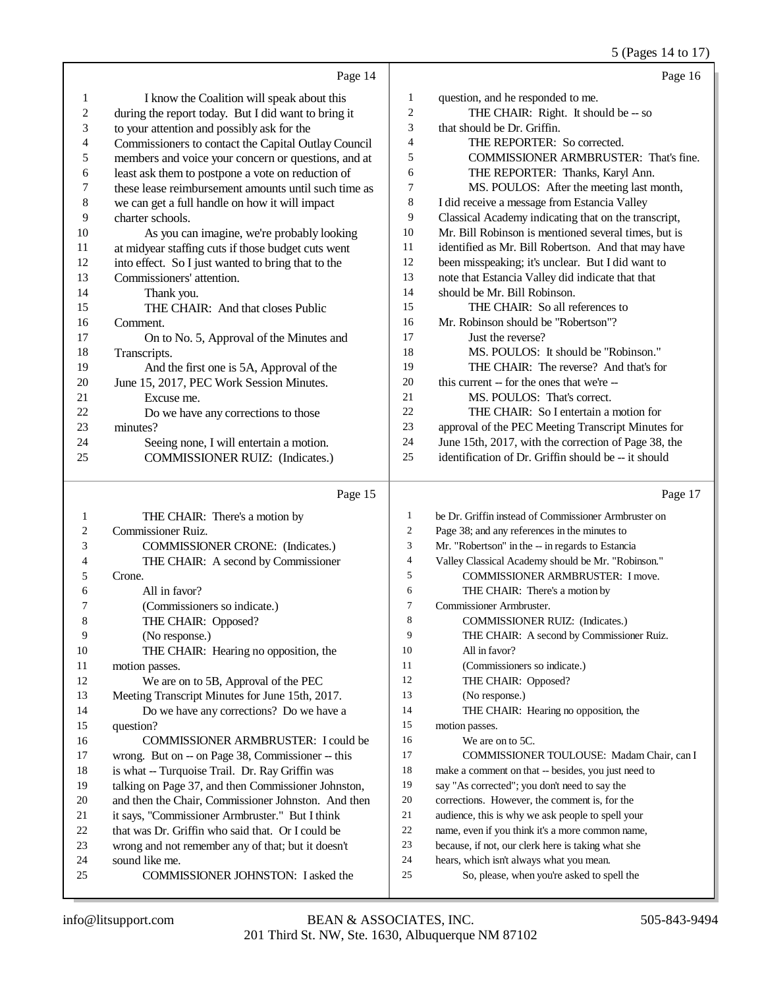## 5 (Pages 14 to 17)

|    | Page 14                                              |                | Page 16                                              |
|----|------------------------------------------------------|----------------|------------------------------------------------------|
| 1  | I know the Coalition will speak about this           | 1              | question, and he responded to me.                    |
| 2  | during the report today. But I did want to bring it  | $\overline{c}$ | THE CHAIR: Right. It should be -- so                 |
| 3  | to your attention and possibly ask for the           | 3              | that should be Dr. Griffin.                          |
| 4  | Commissioners to contact the Capital Outlay Council  | $\overline{4}$ | THE REPORTER: So corrected.                          |
| 5  | members and voice your concern or questions, and at  | 5              | <b>COMMISSIONER ARMBRUSTER: That's fine.</b>         |
| 6  | least ask them to postpone a vote on reduction of    | 6              | THE REPORTER: Thanks, Karyl Ann.                     |
| 7  | these lease reimbursement amounts until such time as | 7              | MS. POULOS: After the meeting last month,            |
| 8  | we can get a full handle on how it will impact       | 8              | I did receive a message from Estancia Valley         |
| 9  | charter schools.                                     | 9              | Classical Academy indicating that on the transcript, |
| 10 | As you can imagine, we're probably looking           | 10             | Mr. Bill Robinson is mentioned several times, but is |
| 11 | at midyear staffing cuts if those budget cuts went   | 11             | identified as Mr. Bill Robertson. And that may have  |
| 12 | into effect. So I just wanted to bring that to the   | 12             | been misspeaking; it's unclear. But I did want to    |
| 13 | Commissioners' attention.                            | 13             | note that Estancia Valley did indicate that that     |
| 14 | Thank you.                                           | 14             | should be Mr. Bill Robinson.                         |
| 15 | THE CHAIR: And that closes Public                    | 15             | THE CHAIR: So all references to                      |
| 16 | Comment.                                             | 16             | Mr. Robinson should be "Robertson"?                  |
| 17 | On to No. 5, Approval of the Minutes and             | 17             | Just the reverse?                                    |
| 18 | Transcripts.                                         | 18             | MS. POULOS: It should be "Robinson."                 |
| 19 | And the first one is 5A, Approval of the             | 19             | THE CHAIR: The reverse? And that's for               |
| 20 | June 15, 2017, PEC Work Session Minutes.             | 20             | this current -- for the ones that we're --           |
| 21 | Excuse me.                                           | 21             | MS. POULOS: That's correct.                          |
| 22 | Do we have any corrections to those                  | 22             | THE CHAIR: So I entertain a motion for               |
| 23 | minutes?                                             | 23             | approval of the PEC Meeting Transcript Minutes for   |
| 24 | Seeing none, I will entertain a motion.              | 24             | June 15th, 2017, with the correction of Page 38, the |
| 25 | <b>COMMISSIONER RUIZ:</b> (Indicates.)               | 25             | identification of Dr. Griffin should be -- it should |
|    | Page 15                                              |                | Page 17                                              |

#### Page 15  $\vert$

| 1  | THE CHAIR: There's a motion by                      | $\mathbf{1}$ | be Dr. Griffin instead of Commissioner Armbruster on |
|----|-----------------------------------------------------|--------------|------------------------------------------------------|
| 2  | Commissioner Ruiz.                                  | 2            | Page 38; and any references in the minutes to        |
| 3  | <b>COMMISSIONER CRONE:</b> (Indicates.)             | 3            | Mr. "Robertson" in the -- in regards to Estancia     |
| 4  | THE CHAIR: A second by Commissioner                 | 4            | Valley Classical Academy should be Mr. "Robinson."   |
| 5  | Crone.                                              | 5            | <b>COMMISSIONER ARMBRUSTER: I move.</b>              |
| 6  | All in favor?                                       | 6            | THE CHAIR: There's a motion by                       |
|    | (Commissioners so indicate.)                        | 7            | Commissioner Armbruster.                             |
| 8  | THE CHAIR: Opposed?                                 | 8            | <b>COMMISSIONER RUIZ:</b> (Indicates.)               |
| 9  | (No response.)                                      | 9            | THE CHAIR: A second by Commissioner Ruiz.            |
| 10 | THE CHAIR: Hearing no opposition, the               | 10           | All in favor?                                        |
| 11 | motion passes.                                      | 11           | (Commissioners so indicate.)                         |
| 12 | We are on to 5B, Approval of the PEC                | 12           | THE CHAIR: Opposed?                                  |
| 13 | Meeting Transcript Minutes for June 15th, 2017.     | 13           | (No response.)                                       |
| 14 | Do we have any corrections? Do we have a            | 14           | THE CHAIR: Hearing no opposition, the                |
| 15 | question?                                           | 15           | motion passes.                                       |
| 16 | COMMISSIONER ARMBRUSTER: I could be                 | 16           | We are on to 5C.                                     |
| 17 | wrong. But on -- on Page 38, Commissioner -- this   | 17           | COMMISSIONER TOULOUSE: Madam Chair, can I            |
| 18 | is what -- Turquoise Trail. Dr. Ray Griffin was     | 18           | make a comment on that -- besides, you just need to  |
| 19 | talking on Page 37, and then Commissioner Johnston, | 19           | say "As corrected"; you don't need to say the        |
| 20 | and then the Chair, Commissioner Johnston. And then | 20           | corrections. However, the comment is, for the        |
| 21 | it says, "Commissioner Armbruster." But I think     | 21           | audience, this is why we ask people to spell your    |
| 22 | that was Dr. Griffin who said that. Or I could be   | 22           | name, even if you think it's a more common name,     |
| 23 | wrong and not remember any of that; but it doesn't  | 23           | because, if not, our clerk here is taking what she   |
| 24 | sound like me.                                      | 24           | hears, which isn't always what you mean.             |
| 25 | COMMISSIONER JOHNSTON: I asked the                  | 25           | So, please, when you're asked to spell the           |
|    |                                                     |              |                                                      |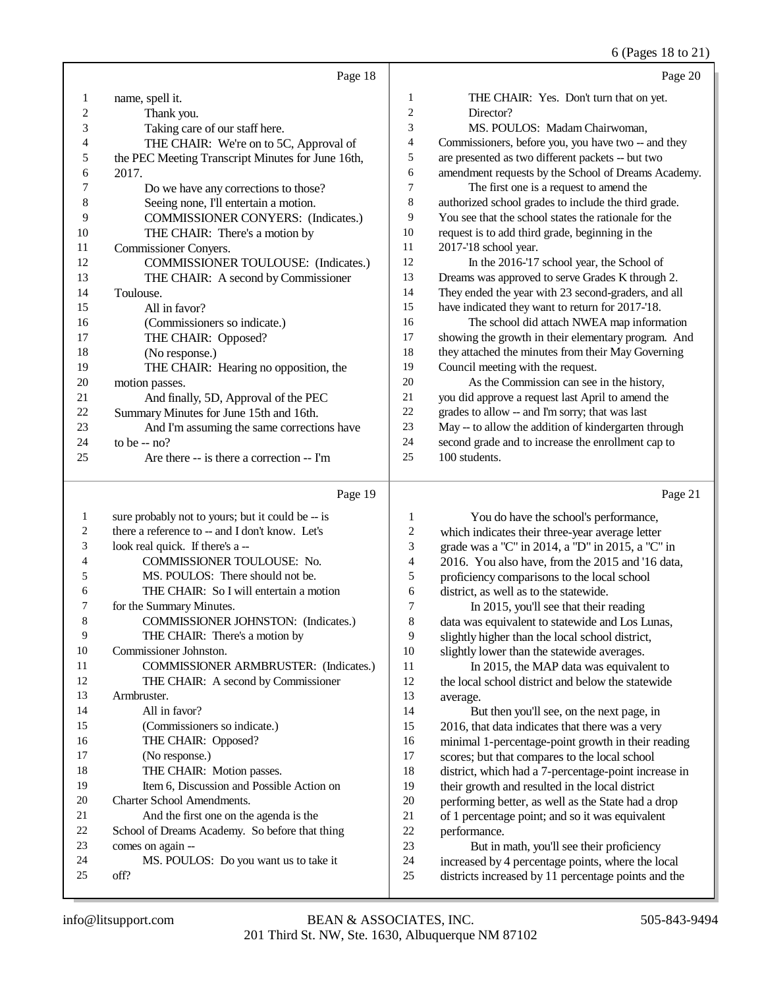6 (Pages 18 to 21)

Page 20

|--|--|

| 1              | name, spell it.                                   |
|----------------|---------------------------------------------------|
| 2              | Thank you.                                        |
| 3              | Taking care of our staff here.                    |
| $\overline{4}$ | THE CHAIR: We're on to 5C, Approval of            |
| 5              | the PEC Meeting Transcript Minutes for June 16th, |
| 6              | 2017.                                             |
| 7              | Do we have any corrections to those?              |
| 8              | Seeing none, I'll entertain a motion.             |
| 9              | <b>COMMISSIONER CONYERS:</b> (Indicates.)         |
| 10             | THE CHAIR: There's a motion by                    |
| 11             | Commissioner Conyers.                             |
| 12             | <b>COMMISSIONER TOULOUSE:</b> (Indicates.)        |
| 13             | THE CHAIR: A second by Commissioner               |
| 14             | Toulouse.                                         |
| 15             | All in favor?                                     |
| 16             | (Commissioners so indicate.)                      |
| 17             | THE CHAIR: Opposed?                               |
| 18             | (No response.)                                    |
| 19             | THE CHAIR: Hearing no opposition, the             |
| 20             | motion passes.                                    |
| 21             | And finally, 5D, Approval of the PEC              |
| 22             | Summary Minutes for June 15th and 16th.           |
| 23             | And I'm assuming the same corrections have        |
| 24             | to be $-$ no?                                     |
| 25             | Are there -- is there a correction -- I'm         |

| 1              | THE CHAIR: Yes. Don't turn that on yet.              |
|----------------|------------------------------------------------------|
| 2              | Director?                                            |
| 3              | MS. POULOS: Madam Chairwoman,                        |
| $\overline{4}$ | Commissioners, before you, you have two -- and they  |
| 5              | are presented as two different packets -- but two    |
| 6              | amendment requests by the School of Dreams Academy.  |
| 7              | The first one is a request to amend the              |
| 8              | authorized school grades to include the third grade. |
| 9              | You see that the school states the rationale for the |
| 10             | request is to add third grade, beginning in the      |
| 11             | 2017-'18 school year.                                |
| 12             | In the 2016-'17 school year, the School of           |
| 13             | Dreams was approved to serve Grades K through 2.     |
| 14             | They ended the year with 23 second-graders, and all  |
| 15             | have indicated they want to return for 2017-'18.     |
| 16             | The school did attach NWEA map information           |
| 17             | showing the growth in their elementary program. And  |
| 18             | they attached the minutes from their May Governing   |
| 19             | Council meeting with the request.                    |
| 20             | As the Commission can see in the history,            |
| 21             | you did approve a request last April to amend the    |
| 22             | grades to allow -- and I'm sorry; that was last      |
| 23             | May -- to allow the addition of kindergarten through |
| 24             | second grade and to increase the enrollment cap to   |
| 25             | 100 students.                                        |

## Page 19

| 1  | sure probably not to yours; but it could be -- is |
|----|---------------------------------------------------|
| 2  | there a reference to -- and I don't know. Let's   |
| 3  | look real quick. If there's a --                  |
| 4  | COMMISSIONER TOULOUSE: No.                        |
| 5  | MS. POULOS: There should not be.                  |
| 6  | THE CHAIR: So I will entertain a motion           |
| 7  | for the Summary Minutes.                          |
| 8  | COMMISSIONER JOHNSTON: (Indicates.)               |
| 9  | THE CHAIR: There's a motion by                    |
| 10 | Commissioner Johnston.                            |
| 11 | COMMISSIONER ARMBRUSTER: (Indicates.)             |
| 12 | THE CHAIR: A second by Commissioner               |
| 13 | Armbruster.                                       |
| 14 | All in favor?                                     |
| 15 | (Commissioners so indicate.)                      |
| 16 | THE CHAIR: Opposed?                               |
| 17 | (No response.)                                    |
| 18 | THE CHAIR: Motion passes.                         |
| 19 | Item 6, Discussion and Possible Action on         |
| 20 | Charter School Amendments.                        |
| 21 | And the first one on the agenda is the            |
| 22 | School of Dreams Academy. So before that thing    |
| 23 | comes on again --                                 |
| 24 | MS. POULOS: Do you want us to take it             |
| 25 | off?                                              |

Page 21

| 1              | You do have the school's performance,                |
|----------------|------------------------------------------------------|
| $\overline{c}$ | which indicates their three-year average letter      |
| 3              | grade was a "C" in 2014, a "D" in 2015, a "C" in     |
| $\overline{4}$ | 2016. You also have, from the 2015 and '16 data,     |
| 5              | proficiency comparisons to the local school          |
| 6              | district, as well as to the statewide.               |
| 7              | In 2015, you'll see that their reading               |
| 8              | data was equivalent to statewide and Los Lunas,      |
| 9              | slightly higher than the local school district,      |
| 10             | slightly lower than the statewide averages.          |
| 11             | In 2015, the MAP data was equivalent to              |
| 12             | the local school district and below the statewide    |
| 13             | average.                                             |
| 14             | But then you'll see, on the next page, in            |
| 15             | 2016, that data indicates that there was a very      |
| 16             | minimal 1-percentage-point growth in their reading   |
| 17             | scores; but that compares to the local school        |
| 18             | district, which had a 7-percentage-point increase in |
| 19             | their growth and resulted in the local district      |
| 20             | performing better, as well as the State had a drop   |
| 21             | of 1 percentage point; and so it was equivalent      |
| 22             | performance.                                         |
| 23             | But in math, you'll see their proficiency            |
| 24             | increased by 4 percentage points, where the local    |
| 25             | districts increased by 11 percentage points and the  |
|                |                                                      |
|                |                                                      |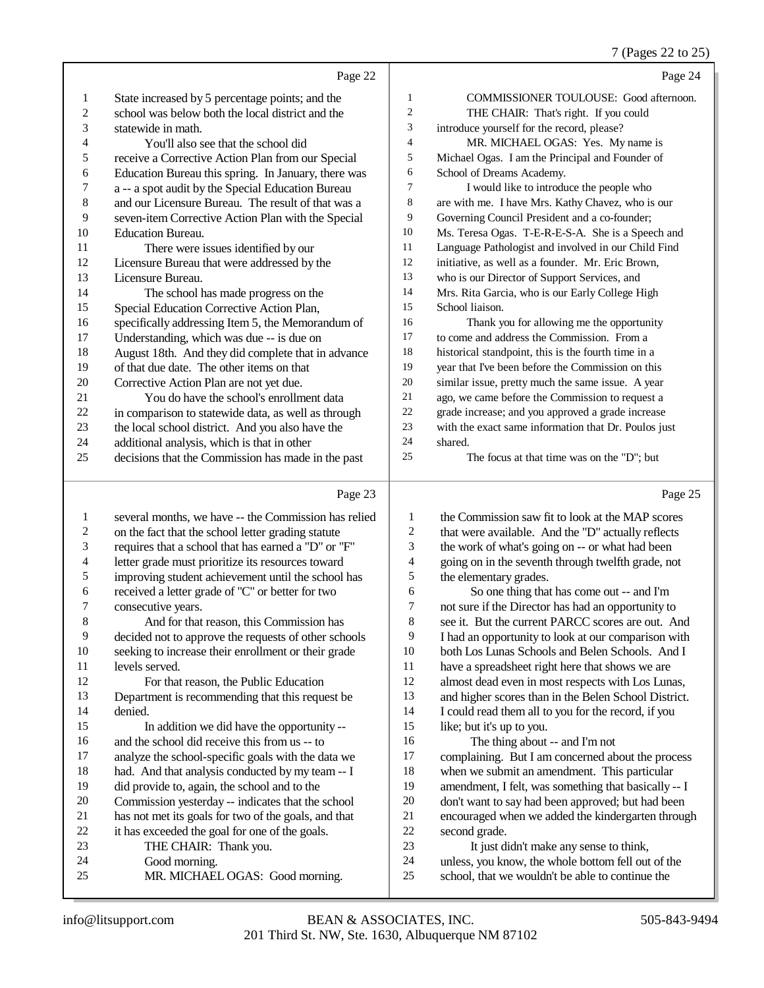#### 7 (Pages 22 to 25)

|                | Page 22                                             |                | Page 24                                              |
|----------------|-----------------------------------------------------|----------------|------------------------------------------------------|
| 1              | State increased by 5 percentage points; and the     | 1              | <b>COMMISSIONER TOULOUSE:</b> Good afternoon.        |
| $\overline{c}$ | school was below both the local district and the    | $\mathfrak{2}$ | THE CHAIR: That's right. If you could                |
| 3              | statewide in math.                                  | 3              | introduce yourself for the record, please?           |
| 4              | You'll also see that the school did                 | $\overline{4}$ | MR. MICHAEL OGAS: Yes. My name is                    |
| 5              | receive a Corrective Action Plan from our Special   | 5              | Michael Ogas. I am the Principal and Founder of      |
| 6              | Education Bureau this spring. In January, there was | 6              | School of Dreams Academy.                            |
| 7              | a -- a spot audit by the Special Education Bureau   | $\tau$         | I would like to introduce the people who             |
| 8              | and our Licensure Bureau. The result of that was a  | 8              | are with me. I have Mrs. Kathy Chavez, who is our    |
| 9              | seven-item Corrective Action Plan with the Special  | 9              | Governing Council President and a co-founder;        |
| 10             | <b>Education Bureau.</b>                            | 10             | Ms. Teresa Ogas. T-E-R-E-S-A. She is a Speech and    |
| 11             | There were issues identified by our                 | 11             | Language Pathologist and involved in our Child Find  |
| 12             | Licensure Bureau that were addressed by the         | 12             | initiative, as well as a founder. Mr. Eric Brown,    |
| 13             | Licensure Bureau.                                   | 13             | who is our Director of Support Services, and         |
| 14             | The school has made progress on the                 | 14             | Mrs. Rita Garcia, who is our Early College High      |
| 15             | Special Education Corrective Action Plan,           | 15             | School liaison.                                      |
| 16             | specifically addressing Item 5, the Memorandum of   | 16             | Thank you for allowing me the opportunity            |
| 17             | Understanding, which was due -- is due on           | 17             | to come and address the Commission. From a           |
| 18             | August 18th. And they did complete that in advance  | 18             | historical standpoint, this is the fourth time in a  |
| 19             | of that due date. The other items on that           | 19             | year that I've been before the Commission on this    |
| 20             | Corrective Action Plan are not yet due.             | 20             | similar issue, pretty much the same issue. A year    |
| 21             | You do have the school's enrollment data            | 21             | ago, we came before the Commission to request a      |
| 22             | in comparison to statewide data, as well as through | 22             | grade increase; and you approved a grade increase    |
| 23             | the local school district. And you also have the    | 23             | with the exact same information that Dr. Poulos just |
| 24             | additional analysis, which is that in other         | 24             | shared.                                              |
| 25             | decisions that the Commission has made in the past  | 25             | The focus at that time was on the "D"; but           |
|                | Page 23                                             |                | Page 25                                              |

#### Page 23  $\parallel$

| 1              | several months, we have -- the Commission has relied | 1              | the Commission saw fit to look at the MAP scores     |
|----------------|------------------------------------------------------|----------------|------------------------------------------------------|
| 2              | on the fact that the school letter grading statute   | $\mathfrak{2}$ | that were available. And the "D" actually reflects   |
| 3              | requires that a school that has earned a "D" or "F"  | 3              | the work of what's going on -- or what had been      |
| $\overline{4}$ | letter grade must prioritize its resources toward    | 4              | going on in the seventh through twelfth grade, not   |
| 5              | improving student achievement until the school has   | 5              | the elementary grades.                               |
| 6              | received a letter grade of "C" or better for two     | 6              | So one thing that has come out -- and I'm            |
| 7              | consecutive years.                                   | 7              | not sure if the Director has had an opportunity to   |
| 8              | And for that reason, this Commission has             | 8              | see it. But the current PARCC scores are out. And    |
| 9              | decided not to approve the requests of other schools | 9              | I had an opportunity to look at our comparison with  |
| 10             | seeking to increase their enrollment or their grade  | 10             | both Los Lunas Schools and Belen Schools. And I      |
| 11             | levels served.                                       | 11             | have a spreadsheet right here that shows we are      |
| 12             | For that reason, the Public Education                | 12             | almost dead even in most respects with Los Lunas,    |
| 13             | Department is recommending that this request be      | 13             | and higher scores than in the Belen School District. |
| 14             | denied.                                              | 14             | I could read them all to you for the record, if you  |
| 15             | In addition we did have the opportunity --           | 15             | like; but it's up to you.                            |
| 16             | and the school did receive this from us -- to        | 16             | The thing about -- and I'm not                       |
| 17             | analyze the school-specific goals with the data we   | 17             | complaining. But I am concerned about the process    |
| 18             | had. And that analysis conducted by my team -- I     | 18             | when we submit an amendment. This particular         |
| 19             | did provide to, again, the school and to the         | 19             | amendment, I felt, was something that basically -- I |
| 20             | Commission yesterday -- indicates that the school    | 20             | don't want to say had been approved; but had been    |
| 21             | has not met its goals for two of the goals, and that | 21             | encouraged when we added the kindergarten through    |
| 22             | it has exceeded the goal for one of the goals.       | 22             | second grade.                                        |
| 23             | THE CHAIR: Thank you.                                | 23             | It just didn't make any sense to think,              |
| 24             | Good morning.                                        | 24             | unless, you know, the whole bottom fell out of the   |
| 25             | MR. MICHAEL OGAS: Good morning.                      | 25             | school, that we wouldn't be able to continue the     |
|                |                                                      |                |                                                      |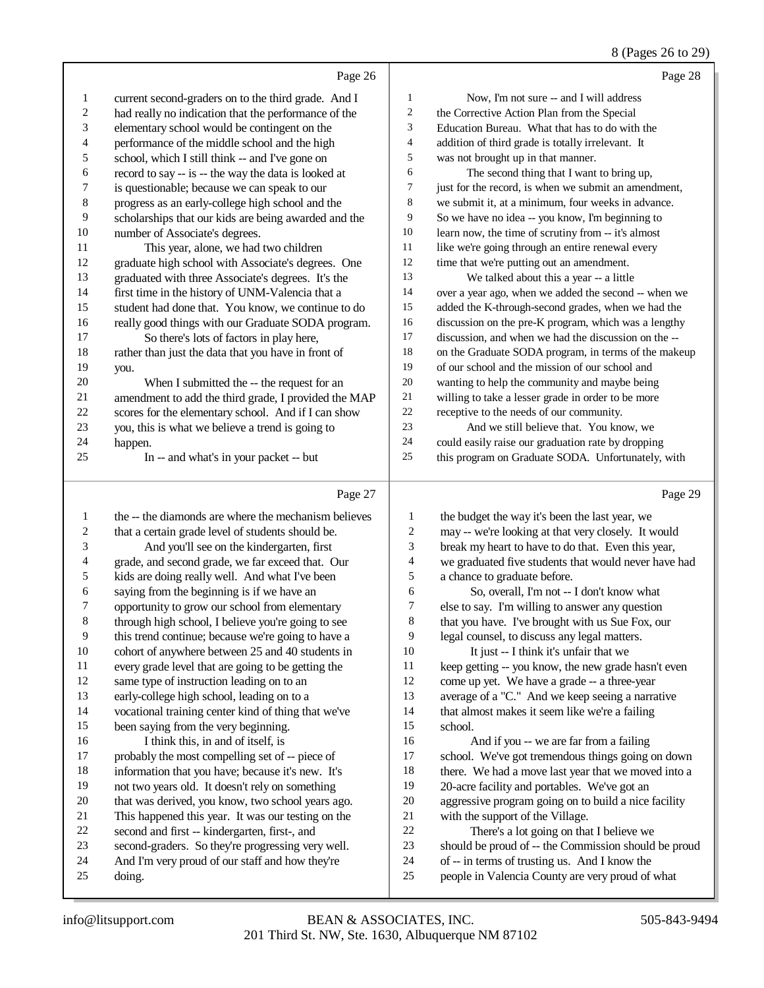#### 8 (Pages 26 to 29)

|    | Page 26                                              |                | Page 28                                              |
|----|------------------------------------------------------|----------------|------------------------------------------------------|
| 1  | current second-graders on to the third grade. And I  | $\mathbf{1}$   | Now, I'm not sure -- and I will address              |
| 2  | had really no indication that the performance of the | 2              | the Corrective Action Plan from the Special          |
| 3  | elementary school would be contingent on the         | 3              | Education Bureau. What that has to do with the       |
| 4  | performance of the middle school and the high        | $\overline{4}$ | addition of third grade is totally irrelevant. It    |
| 5  | school, which I still think -- and I've gone on      | 5              | was not brought up in that manner.                   |
| 6  | record to say -- is -- the way the data is looked at | 6              | The second thing that I want to bring up,            |
| 7  | is questionable; because we can speak to our         | 7              | just for the record, is when we submit an amendment, |
| 8  | progress as an early-college high school and the     | 8              | we submit it, at a minimum, four weeks in advance.   |
| 9  | scholarships that our kids are being awarded and the | 9              | So we have no idea -- you know, I'm beginning to     |
| 10 | number of Associate's degrees.                       | 10             | learn now, the time of scrutiny from -- it's almost  |
| 11 | This year, alone, we had two children                | 11             | like we're going through an entire renewal every     |
| 12 | graduate high school with Associate's degrees. One   | 12             | time that we're putting out an amendment.            |
| 13 | graduated with three Associate's degrees. It's the   | 13             | We talked about this a year -- a little              |
| 14 | first time in the history of UNM-Valencia that a     | 14             | over a year ago, when we added the second -- when we |
| 15 | student had done that. You know, we continue to do   | 15             | added the K-through-second grades, when we had the   |
| 16 | really good things with our Graduate SODA program.   | 16             | discussion on the pre-K program, which was a lengthy |
| 17 | So there's lots of factors in play here,             | 17             | discussion, and when we had the discussion on the -- |
| 18 | rather than just the data that you have in front of  | 18             | on the Graduate SODA program, in terms of the makeup |
| 19 | you.                                                 | 19             | of our school and the mission of our school and      |
| 20 | When I submitted the -- the request for an           | 20             | wanting to help the community and maybe being        |
| 21 | amendment to add the third grade, I provided the MAP | 21             | willing to take a lesser grade in order to be more   |
| 22 | scores for the elementary school. And if I can show  | 22             | receptive to the needs of our community.             |
| 23 | you, this is what we believe a trend is going to     | 23             | And we still believe that. You know, we              |
| 24 | happen.                                              | 24             | could easily raise our graduation rate by dropping   |
| 25 | In -- and what's in your packet -- but               | 25             | this program on Graduate SODA. Unfortunately, with   |
|    | Page 27                                              |                | Page 29                                              |

#### Page 27 |

| $\mathbf{1}$   | the -- the diamonds are where the mechanism believes | $\mathbf{1}$ | the budget the way it's been the last year, we       |
|----------------|------------------------------------------------------|--------------|------------------------------------------------------|
| $\mathfrak{2}$ | that a certain grade level of students should be.    | 2            | may -- we're looking at that very closely. It would  |
| 3              | And you'll see on the kindergarten, first            | 3            | break my heart to have to do that. Even this year,   |
| 4              | grade, and second grade, we far exceed that. Our     | 4            | we graduated five students that would never have had |
| 5              | kids are doing really well. And what I've been       | 5            | a chance to graduate before.                         |
| 6              | saying from the beginning is if we have an           | 6            | So, overall, I'm not -- I don't know what            |
| 7              | opportunity to grow our school from elementary       | 7            | else to say. I'm willing to answer any question      |
| $\,$ 8 $\,$    | through high school, I believe you're going to see   | 8            | that you have. I've brought with us Sue Fox, our     |
| 9              | this trend continue; because we're going to have a   | 9            | legal counsel, to discuss any legal matters.         |
| 10             | cohort of anywhere between 25 and 40 students in     | 10           | It just -- I think it's unfair that we               |
| 11             | every grade level that are going to be getting the   | 11           | keep getting -- you know, the new grade hasn't even  |
| 12             | same type of instruction leading on to an            | 12           | come up yet. We have a grade -- a three-year         |
| 13             | early-college high school, leading on to a           | 13           | average of a "C." And we keep seeing a narrative     |
| 14             | vocational training center kind of thing that we've  | 14           | that almost makes it seem like we're a failing       |
| 15             | been saying from the very beginning.                 | 15           | school.                                              |
| 16             | I think this, in and of itself, is                   | 16           | And if you -- we are far from a failing              |
| 17             | probably the most compelling set of -- piece of      | 17           | school. We've got tremendous things going on down    |
| 18             | information that you have; because it's new. It's    | 18           | there. We had a move last year that we moved into a  |
| 19             | not two years old. It doesn't rely on something      | 19           | 20-acre facility and portables. We've got an         |
| 20             | that was derived, you know, two school years ago.    | 20           | aggressive program going on to build a nice facility |
| 21             | This happened this year. It was our testing on the   | 21           | with the support of the Village.                     |
| 22             | second and first -- kindergarten, first-, and        | 22           | There's a lot going on that I believe we             |
| 23             | second-graders. So they're progressing very well.    | 23           | should be proud of -- the Commission should be proud |
| 24             | And I'm very proud of our staff and how they're      | 24           | of -- in terms of trusting us. And I know the        |
| 25             | doing.                                               | 25           | people in Valencia County are very proud of what     |
|                |                                                      |              |                                                      |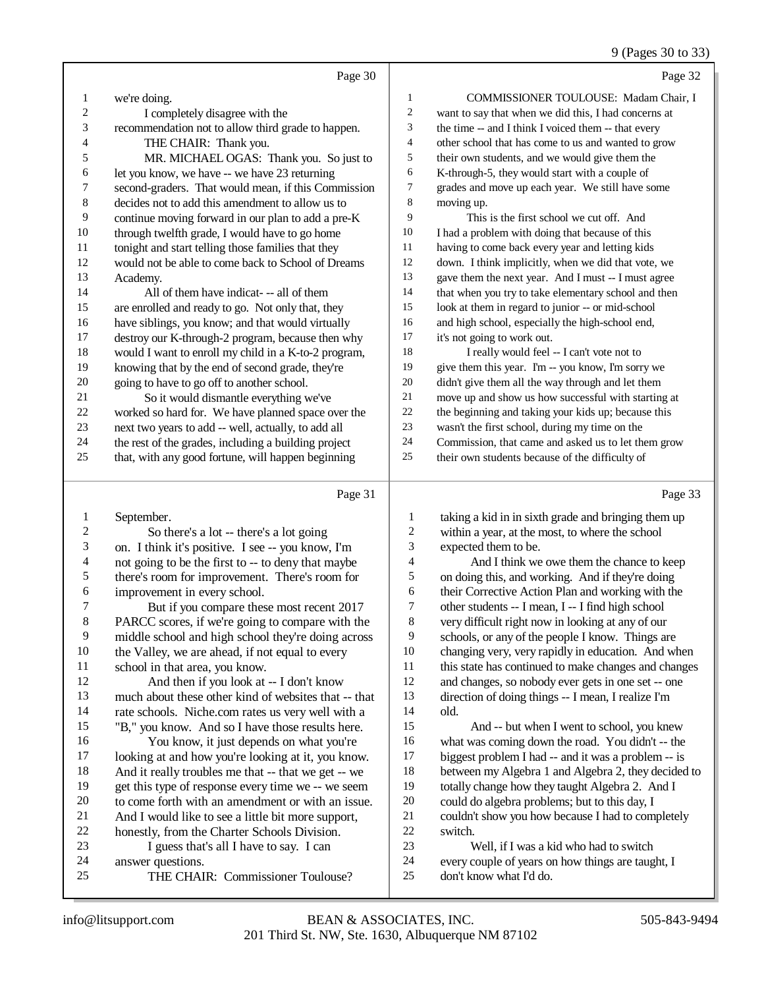## 9 (Pages 30 to 33)

|                          | Page 30                                                                                               |                          | Page 32                                                                                                  |
|--------------------------|-------------------------------------------------------------------------------------------------------|--------------------------|----------------------------------------------------------------------------------------------------------|
| $\mathbf{1}$             | we're doing.                                                                                          | 1                        | COMMISSIONER TOULOUSE: Madam Chair, I                                                                    |
| $\overline{c}$           | I completely disagree with the                                                                        | $\boldsymbol{2}$         | want to say that when we did this, I had concerns at                                                     |
| 3                        | recommendation not to allow third grade to happen.                                                    | 3                        | the time -- and I think I voiced them -- that every                                                      |
| 4                        | THE CHAIR: Thank you.                                                                                 | $\overline{\mathcal{A}}$ | other school that has come to us and wanted to grow                                                      |
| 5                        | MR. MICHAEL OGAS: Thank you. So just to                                                               | 5                        | their own students, and we would give them the                                                           |
| 6                        | let you know, we have -- we have 23 returning                                                         | 6                        | K-through-5, they would start with a couple of                                                           |
| $\overline{7}$           | second-graders. That would mean, if this Commission                                                   | 7                        | grades and move up each year. We still have some                                                         |
| 8                        | decides not to add this amendment to allow us to                                                      | 8                        | moving up.                                                                                               |
| 9                        | continue moving forward in our plan to add a pre-K                                                    | 9                        | This is the first school we cut off. And                                                                 |
| $10\,$                   | through twelfth grade, I would have to go home                                                        | 10                       | I had a problem with doing that because of this                                                          |
| $11\,$                   | tonight and start telling those families that they                                                    | 11                       | having to come back every year and letting kids                                                          |
| 12                       | would not be able to come back to School of Dreams                                                    | 12                       | down. I think implicitly, when we did that vote, we                                                      |
| 13                       | Academy.                                                                                              | 13                       | gave them the next year. And I must -- I must agree                                                      |
| 14                       | All of them have indicat--- all of them                                                               | 14                       | that when you try to take elementary school and then                                                     |
| 15                       | are enrolled and ready to go. Not only that, they                                                     | 15                       | look at them in regard to junior -- or mid-school                                                        |
| 16                       | have siblings, you know; and that would virtually                                                     | 16                       | and high school, especially the high-school end,                                                         |
| 17                       | destroy our K-through-2 program, because then why                                                     | 17                       | it's not going to work out.                                                                              |
| 18                       | would I want to enroll my child in a K-to-2 program,                                                  | 18                       | I really would feel -- I can't vote not to                                                               |
| 19                       | knowing that by the end of second grade, they're                                                      | 19                       | give them this year. I'm -- you know, I'm sorry we                                                       |
| $20\,$                   | going to have to go off to another school.                                                            | $20\,$                   | didn't give them all the way through and let them                                                        |
| $21\,$                   | So it would dismantle everything we've                                                                | $21\,$                   | move up and show us how successful with starting at                                                      |
| $22\,$                   | worked so hard for. We have planned space over the                                                    | $22\,$                   | the beginning and taking your kids up; because this                                                      |
| $23\,$                   | next two years to add -- well, actually, to add all                                                   | $23\,$                   | wasn't the first school, during my time on the                                                           |
| 24<br>$25\,$             | the rest of the grades, including a building project                                                  | $24\,$<br>25             | Commission, that came and asked us to let them grow                                                      |
|                          | that, with any good fortune, will happen beginning                                                    |                          | their own students because of the difficulty of                                                          |
|                          | Page 31                                                                                               |                          | Page 33                                                                                                  |
| $\mathbf{1}$             | September.                                                                                            | $\mathbf{1}$             | taking a kid in in sixth grade and bringing them up                                                      |
| $\boldsymbol{2}$         | So there's a lot -- there's a lot going                                                               | $\boldsymbol{2}$         | within a year, at the most, to where the school                                                          |
| 3                        | on. I think it's positive. I see -- you know, I'm                                                     | 3                        | expected them to be.                                                                                     |
| $\overline{\mathcal{L}}$ | not going to be the first to -- to deny that maybe                                                    | $\overline{4}$           | And I think we owe them the chance to keep                                                               |
| 5                        | there's room for improvement. There's room for                                                        | 5                        | on doing this, and working. And if they're doing                                                         |
| 6                        | improvement in every school.                                                                          | 6                        | their Corrective Action Plan and working with the                                                        |
| 7                        | But if you compare these most recent 2017                                                             | 7                        | other students -- I mean, I -- I find high school                                                        |
| $\,8$                    | PARCC scores, if we're going to compare with the                                                      | $\,8\,$                  | very difficult right now in looking at any of our                                                        |
| 9                        | middle school and high school they're doing across                                                    | 9                        | schools, or any of the people I know. Things are                                                         |
| 10                       | the Valley, we are ahead, if not equal to every                                                       | $10\,$                   | changing very, very rapidly in education. And when                                                       |
| 11<br>12                 | school in that area, you know.                                                                        | 11<br>12                 | this state has continued to make changes and changes                                                     |
| 13                       | And then if you look at -- I don't know                                                               | 13                       | and changes, so nobody ever gets in one set -- one<br>direction of doing things -- I mean, I realize I'm |
| 14                       | much about these other kind of websites that -- that                                                  | 14                       | old.                                                                                                     |
| 15                       | rate schools. Niche.com rates us very well with a<br>"B," you know. And so I have those results here. | 15                       | And -- but when I went to school, you knew                                                               |
| 16                       | You know, it just depends on what you're                                                              | 16                       | what was coming down the road. You didn't -- the                                                         |
| 17                       | looking at and how you're looking at it, you know.                                                    | 17                       | biggest problem I had -- and it was a problem -- is                                                      |
| 18                       | And it really troubles me that -- that we get -- we                                                   | 18                       | between my Algebra 1 and Algebra 2, they decided to                                                      |
| 19                       | get this type of response every time we -- we seem                                                    | 19                       | totally change how they taught Algebra 2. And I                                                          |
| $20\,$                   | to come forth with an amendment or with an issue.                                                     | $20\,$                   | could do algebra problems; but to this day, I                                                            |
| 21                       | And I would like to see a little bit more support,                                                    | 21                       | couldn't show you how because I had to completely                                                        |
| $22\,$                   | honestly, from the Charter Schools Division.                                                          | $22\,$                   | switch.                                                                                                  |
| 23                       | I guess that's all I have to say. I can                                                               | 23                       | Well, if I was a kid who had to switch                                                                   |
| 24                       | answer questions.                                                                                     | 24                       | every couple of years on how things are taught, I                                                        |
| 25                       | THE CHAIR: Commissioner Toulouse?                                                                     | 25                       | don't know what I'd do.                                                                                  |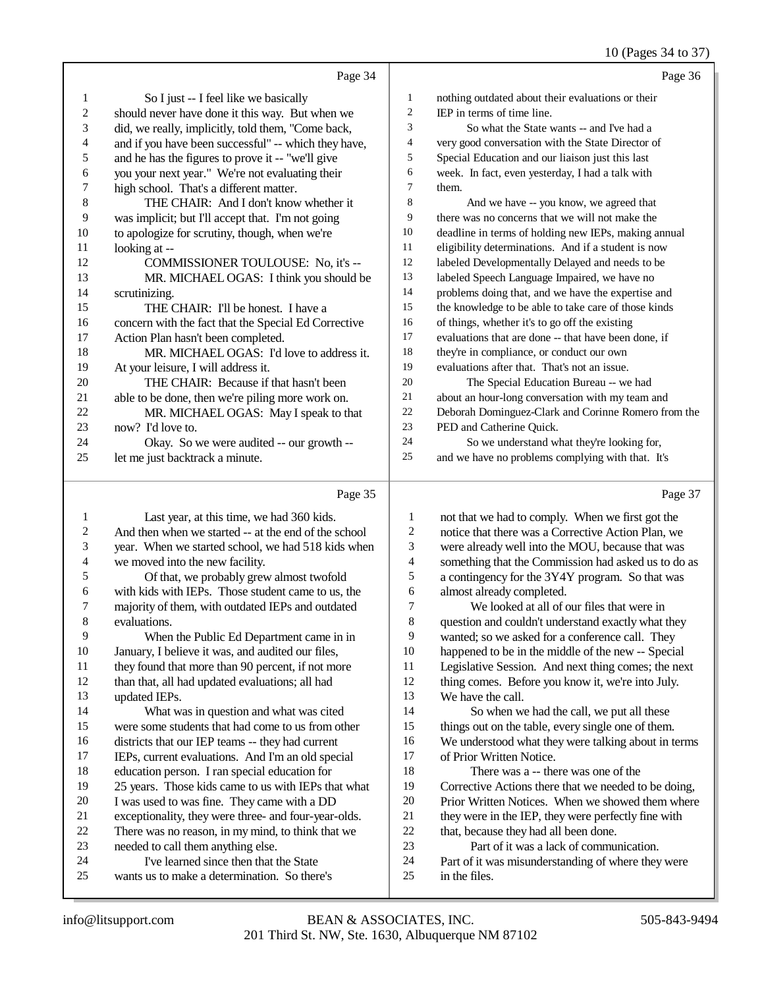#### 10 (Pages 34 to 37)

|    | Page 34                                              |    | Page 36                                              |
|----|------------------------------------------------------|----|------------------------------------------------------|
| 1  | So I just -- I feel like we basically                | 1  | nothing outdated about their evaluations or their    |
| 2  | should never have done it this way. But when we      | 2  | IEP in terms of time line.                           |
| 3  | did, we really, implicitly, told them, "Come back,   | 3  | So what the State wants -- and I've had a            |
| 4  | and if you have been successful" -- which they have, | 4  | very good conversation with the State Director of    |
| 5  | and he has the figures to prove it -- "we'll give    | 5  | Special Education and our liaison just this last     |
| 6  | you your next year." We're not evaluating their      | 6  | week. In fact, even yesterday, I had a talk with     |
| 7  | high school. That's a different matter.              | 7  | them.                                                |
| 8  | THE CHAIR: And I don't know whether it               | 8  | And we have -- you know, we agreed that              |
| 9  | was implicit; but I'll accept that. I'm not going    | 9  | there was no concerns that we will not make the      |
| 10 | to apologize for scrutiny, though, when we're        | 10 | deadline in terms of holding new IEPs, making annual |
| 11 | looking at --                                        | 11 | eligibility determinations. And if a student is now  |
| 12 | COMMISSIONER TOULOUSE: No, it's --                   | 12 | labeled Developmentally Delayed and needs to be      |
| 13 | MR. MICHAEL OGAS: I think you should be              | 13 | labeled Speech Language Impaired, we have no         |
| 14 | scrutinizing.                                        | 14 | problems doing that, and we have the expertise and   |
| 15 | THE CHAIR: I'll be honest. I have a                  | 15 | the knowledge to be able to take care of those kinds |
| 16 | concern with the fact that the Special Ed Corrective | 16 | of things, whether it's to go off the existing       |
| 17 | Action Plan hasn't been completed.                   | 17 | evaluations that are done -- that have been done, if |
| 18 | MR. MICHAEL OGAS: I'd love to address it.            | 18 | they're in compliance, or conduct our own            |
| 19 | At your leisure, I will address it.                  | 19 | evaluations after that. That's not an issue.         |
| 20 | THE CHAIR: Because if that hasn't been               | 20 | The Special Education Bureau -- we had               |
| 21 | able to be done, then we're piling more work on.     | 21 | about an hour-long conversation with my team and     |
| 22 | MR. MICHAEL OGAS: May I speak to that                | 22 | Deborah Dominguez-Clark and Corinne Romero from the  |
| 23 | now? I'd love to.                                    | 23 | PED and Catherine Quick.                             |
| 24 | Okay. So we were audited -- our growth --            | 24 | So we understand what they're looking for,           |
| 25 | let me just backtrack a minute.                      | 25 | and we have no problems complying with that. It's    |
|    | Page 35                                              |    | Page 37                                              |

#### Last year, at this time, we had 360 kids. 2 And then when we started -- at the end of the school<br>3 vear. When we started school, we had 518 kids when year. When we started school, we had 518 kids when 5 Of that, we probably grew almost twofold<br>6 with kids with IEPs. Those student came to us. t with kids with IEPs. Those student came to us, the majority of them, with outdated IEPs and outdated 9 When the Public Ed Department came in in<br>10 January. I believe it was, and audited our files. January, I believe it was, and audited our files, they found that more than 90 percent, if not more than that, all had updated evaluations; all had What was in question and what was cited were some students that had come to us from other 16 districts that our IEP teams -- they had current<br>17 IEPs. current evaluations. And I'm an old spec IEPs, current evaluations. And I'm an old special 18 education person. I ran special education for<br>19 25 years. Those kids came to us with IEPs th 25 years. Those kids came to us with IEPs that what 20 I was used to was fine. They came with a DD<br>21 exceptionality, they were three- and four-vear-21 exceptionality, they were three- and four-year-olds.<br>22 There was no reason, in my mind, to think that we 22 There was no reason, in my mind, to think that we<br>23 needed to call them anything else. 24 I've learned since then that the State<br>25 wants us to make a determination. So then wants us to make a determination. So there's 1 not that we had to comply. When we first got the<br>2 notice that there was a Corrective Action Plan, we 2 notice that there was a Corrective Action Plan, we<br>3 were already well into the MOU, because that was were already well into the MOU, because that was something that the Commission had asked us to do as 5 a contingency for the 3Y4Y program. So that was<br>6 almost already completed. 6 almost already completed.<br>7 We looked at all of c 7 We looked at all of our files that were in<br>8 question and couldn't understand exactly what question and couldn't understand exactly what they 9 wanted; so we asked for a conference call. They<br>10 happened to be in the middle of the new -- Special 10 happened to be in the middle of the new -- Special<br>11 Legislative Session. And next thing comes: the new Legislative Session. And next thing comes; the next thing comes. Before you know it, we're into July. We have the call. So when we had the call, we put all these things out on the table, every single one of them. 16 We understood what they were talking about in terms<br>17 of Prior Written Notice. of Prior Written Notice. 18 There was a -- there was one of the<br>19 Corrective Actions there that we needed to Corrective Actions there that we needed to be doing. 20 Prior Written Notices. When we showed them where<br>21 they were in the IEP, they were perfectly fine with 21 they were in the IEP, they were perfectly fine with<br>22 that, because they had all been done. 22 that, because they had all been done.<br>23 Part of it was a lack of commun Part of it was a lack of communication. Part of it was misunderstanding of where they were in the files.

4 we moved into the new facility.<br>5 Of that, we probably grev

23 needed to call them anything else.<br>24 I've learned since then that t

evaluations.

updated IEPs.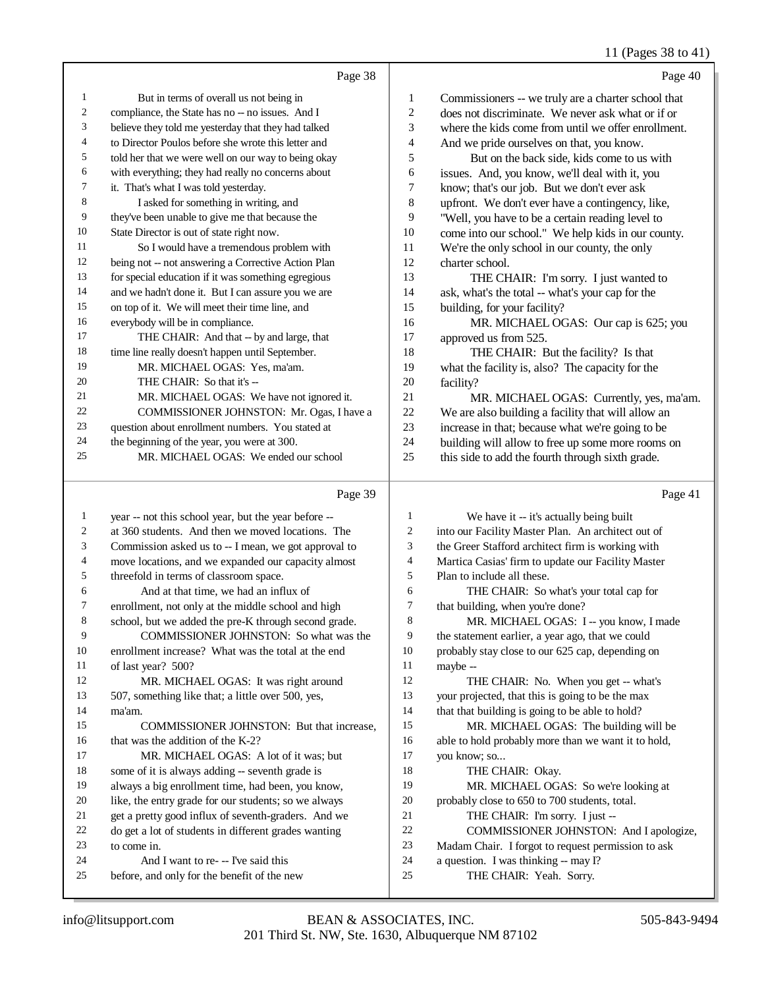#### 11 (Pages 38 to 41)

|    | Page 38                                             |                | Page 40                                             |
|----|-----------------------------------------------------|----------------|-----------------------------------------------------|
| 1  | But in terms of overall us not being in             | 1              | Commissioners -- we truly are a charter school that |
| 2  | compliance, the State has no -- no issues. And I    | $\overline{2}$ | does not discriminate. We never ask what or if or   |
| 3  | believe they told me yesterday that they had talked | 3              | where the kids come from until we offer enrollment. |
| 4  | to Director Poulos before she wrote this letter and | $\overline{4}$ | And we pride ourselves on that, you know.           |
| 5  | told her that we were well on our way to being okay | 5              | But on the back side, kids come to us with          |
| 6  | with everything; they had really no concerns about  | 6              | issues. And, you know, we'll deal with it, you      |
| 7  | it. That's what I was told yesterday.               | $\overline{7}$ | know; that's our job. But we don't ever ask         |
| 8  | I asked for something in writing, and               | 8              | upfront. We don't ever have a contingency, like,    |
| 9  | they've been unable to give me that because the     | 9              | "Well, you have to be a certain reading level to    |
| 10 | State Director is out of state right now.           | 10             | come into our school." We help kids in our county.  |
| 11 | So I would have a tremendous problem with           | 11             | We're the only school in our county, the only       |
| 12 | being not -- not answering a Corrective Action Plan | 12             | charter school.                                     |
| 13 | for special education if it was something egregious | 13             | THE CHAIR: I'm sorry. I just wanted to              |
| 14 | and we hadn't done it. But I can assure you we are  | 14             | ask, what's the total -- what's your cap for the    |
| 15 | on top of it. We will meet their time line, and     | 15             | building, for your facility?                        |
| 16 | everybody will be in compliance.                    | 16             | MR. MICHAEL OGAS: Our cap is 625; you               |
| 17 | THE CHAIR: And that -- by and large, that           | 17             | approved us from 525.                               |
| 18 | time line really doesn't happen until September.    | 18             | THE CHAIR: But the facility? Is that                |
| 19 | MR. MICHAEL OGAS: Yes, ma'am.                       | 19             | what the facility is, also? The capacity for the    |
| 20 | THE CHAIR: So that it's --                          | 20             | facility?                                           |
| 21 | MR. MICHAEL OGAS: We have not ignored it.           | 21             | MR. MICHAEL OGAS: Currently, yes, ma'am.            |
| 22 | COMMISSIONER JOHNSTON: Mr. Ogas, I have a           | 22             | We are also building a facility that will allow an  |
| 23 | question about enrollment numbers. You stated at    | 23             | increase in that; because what we're going to be    |
| 24 | the beginning of the year, you were at 300.         | 24             | building will allow to free up some more rooms on   |
| 25 | MR. MICHAEL OGAS: We ended our school               | 25             | this side to add the fourth through sixth grade.    |
|    |                                                     |                |                                                     |

#### Page 39

 year -- not this school year, but the year before -- at 360 students. And then we moved locations. The Commission asked us to -- I mean, we got approval to 4 move locations, and we expanded our capacity almost<br>5 threefold in terms of classroom space. threefold in terms of classroom space. 6 And at that time, we had an influx of<br>7 enrollment, not only at the middle school and enrollment, not only at the middle school and high school, but we added the pre-K through second grade. COMMISSIONER JOHNSTON: So what was the enrollment increase? What was the total at the end 11 of last year? 500?<br>12 MR MICH MR. MICHAEL OGAS: It was right around 507, something like that; a little over 500, yes, ma'am. COMMISSIONER JOHNSTON: But that increase, 16 that was the addition of the K-2? MR. MICHAEL OGAS: A lot of it was; but some of it is always adding -- seventh grade is always a big enrollment time, had been, you know, like, the entry grade for our students; so we always 21 get a pretty good influx of seventh-graders. And we<br>22 do get a lot of students in different grades wanting 22 do get a lot of students in different grades wanting<br>  $23$  to come in to come in. 24 And I want to re- -- I've said this<br>25 before and only for the benefit of the n before, and only for the benefit of the new We have it -- it's actually being built into our Facility Master Plan. An architect out of the Greer Stafford architect firm is working with 4 Martica Casias' firm to update our Facility Master<br>5 Plan to include all these. Plan to include all these. 6 THE CHAIR: So what's your total cap for<br>
7 that building, when you're done? 7 that building, when you're done?<br>8 MR. MICHAEL OGAS: I MR. MICHAEL OGAS: I -- you know, I made the statement earlier, a year ago, that we could probably stay close to our 625 cap, depending on maybe --THE CHAIR: No. When you get -- what's your projected, that this is going to be the max that that building is going to be able to hold? MR. MICHAEL OGAS: The building will be able to hold probably more than we want it to hold, you know; so... 18 THE CHAIR: Okay. MR. MICHAEL OGAS: So we're looking at probably close to 650 to 700 students, total. 21 THE CHAIR: I'm sorry. I just --22 COMMISSIONER JOHNSTON: And I apologize,<br>23 Madam Chair. I forgot to request permission to ask Madam Chair. I forgot to request permission to ask a question. I was thinking -- may I? THE CHAIR: Yeah. Sorry.

Page 41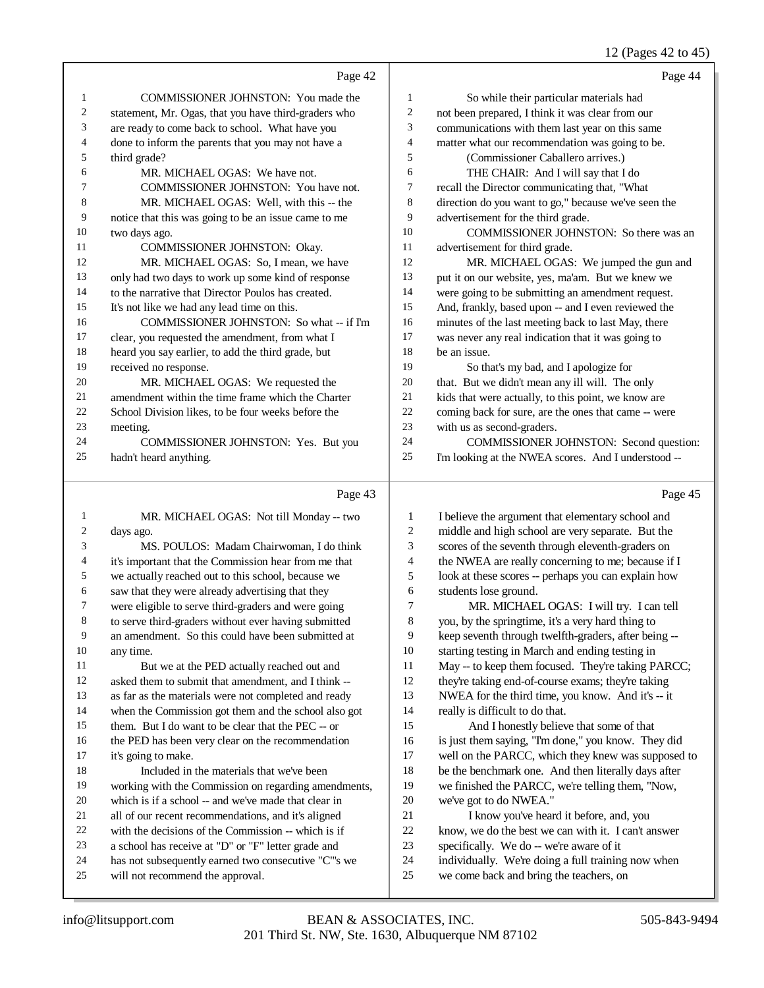#### 12 (Pages 42 to 45)

|                | Page 42                                              |                | Page 44                                              |
|----------------|------------------------------------------------------|----------------|------------------------------------------------------|
| 1              | COMMISSIONER JOHNSTON: You made the                  | 1              | So while their particular materials had              |
| 2              | statement, Mr. Ogas, that you have third-graders who | $\overline{c}$ | not been prepared, I think it was clear from our     |
| 3              | are ready to come back to school. What have you      | 3              | communications with them last year on this same      |
| 4              | done to inform the parents that you may not have a   | $\overline{4}$ | matter what our recommendation was going to be.      |
| 5              | third grade?                                         | 5              | (Commissioner Caballero arrives.)                    |
| 6              | MR. MICHAEL OGAS: We have not.                       | 6              | THE CHAIR: And I will say that I do                  |
| 7              | COMMISSIONER JOHNSTON: You have not.                 | $\overline{7}$ | recall the Director communicating that, "What        |
| 8              | MR. MICHAEL OGAS: Well, with this -- the             | 8              | direction do you want to go," because we've seen the |
| 9              | notice that this was going to be an issue came to me | 9              | advertisement for the third grade.                   |
| 10             | two days ago.                                        | 10             | COMMISSIONER JOHNSTON: So there was an               |
| 11             | COMMISSIONER JOHNSTON: Okay.                         | 11             | advertisement for third grade.                       |
| 12             | MR. MICHAEL OGAS: So, I mean, we have                | 12             | MR. MICHAEL OGAS: We jumped the gun and              |
| 13             | only had two days to work up some kind of response   | 13             | put it on our website, yes, ma'am. But we knew we    |
| 14             | to the narrative that Director Poulos has created.   | 14             | were going to be submitting an amendment request.    |
| 15             | It's not like we had any lead time on this.          | 15             | And, frankly, based upon -- and I even reviewed the  |
| 16             | COMMISSIONER JOHNSTON: So what -- if I'm             | 16             | minutes of the last meeting back to last May, there  |
| 17             | clear, you requested the amendment, from what I      | 17             | was never any real indication that it was going to   |
| 18             | heard you say earlier, to add the third grade, but   | 18             | be an issue.                                         |
| 19             | received no response.                                | 19             | So that's my bad, and I apologize for                |
| 20             | MR. MICHAEL OGAS: We requested the                   | 20             | that. But we didn't mean any ill will. The only      |
| 21             | amendment within the time frame which the Charter    | 21             | kids that were actually, to this point, we know are  |
| 22             | School Division likes, to be four weeks before the   | 22             | coming back for sure, are the ones that came -- were |
| 23             | meeting.                                             | 23             | with us as second-graders.                           |
| 24             | COMMISSIONER JOHNSTON: Yes. But you                  | 24             | COMMISSIONER JOHNSTON: Second question:              |
| 25             | hadn't heard anything.                               | 25             | I'm looking at the NWEA scores. And I understood --  |
|                | Page 43                                              |                | Page 45                                              |
| $\mathbf{1}$   | MR. MICHAEL OGAS: Not till Monday -- two             | $\mathbf{1}$   | I believe the argument that elementary school and    |
| 2              | days ago.                                            | $\overline{c}$ | middle and high school are very separate. But the    |
| 3              | MS. POULOS: Madam Chairwoman, I do think             | 3              | scores of the seventh through eleventh-graders on    |
| $\overline{4}$ | it's important that the Commission hear from me that | $\overline{4}$ | the NWEA are really concerning to me; because if I   |
|                |                                                      |                |                                                      |

 we actually reached out to this school, because we 6 saw that they were already advertising that they<br>
7 were eligible to serve third-graders and were go look at these scores -- perhaps you can explain how students lose ground.

 MR. MICHAEL OGAS: I will try. I can tell you, by the springtime, it's a very hard thing to keep seventh through twelfth-graders, after being -- starting testing in March and ending testing in 11 May -- to keep them focused. They're taking PARCC; they're taking end-of-course exams; they're taking

- NWEA for the third time, you know. And it's -- it
- really is difficult to do that.

 And I honestly believe that some of that is just them saying, "I'm done," you know. They did well on the PARCC, which they knew was supposed to be the benchmark one. And then literally days after we finished the PARCC, we're telling them, "Now, we've got to do NWEA."

- I know you've heard it before, and, you
- know, we do the best we can with it. I can't answer
- 23 specifically. We do -- we're aware of it
- individually. We're doing a full training now when
- we come back and bring the teachers, on

any time.

it's going to make.

were eligible to serve third-graders and were going to serve third-graders without ever having submitted an amendment. So this could have been submitted at

 But we at the PED actually reached out and asked them to submit that amendment, and I think -- as far as the materials were not completed and ready when the Commission got them and the school also got them. But I do want to be clear that the PEC -- or the PED has been very clear on the recommendation

Included in the materials that we've been

will not recommend the approval.

 working with the Commission on regarding amendments, which is if a school -- and we've made that clear in 21 all of our recent recommendations, and it's aligned<br>22 with the decisions of the Commission -- which is if 22 with the decisions of the Commission -- which is if  $\overline{a}$  a school has receive at "D" or "F" letter grade and a school has receive at "D" or "F" letter grade and has not subsequently earned two consecutive "C"'s we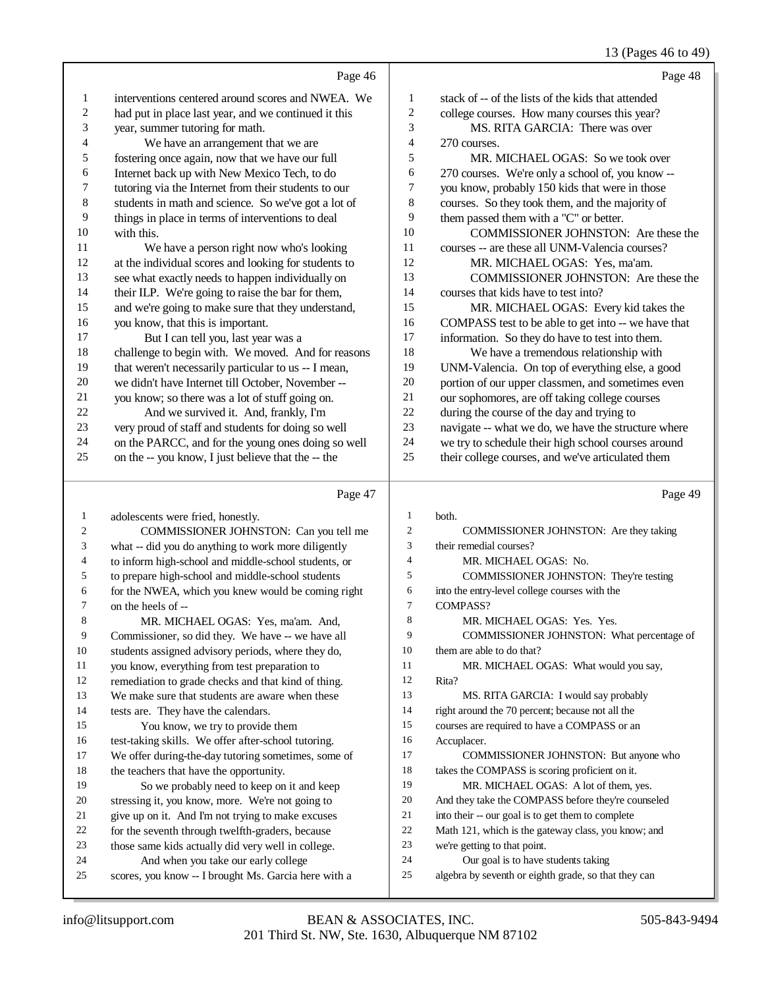#### 13 (Pages 46 to 49)

|    | Page 46                                              |                | Page 48                                             |
|----|------------------------------------------------------|----------------|-----------------------------------------------------|
| 1  | interventions centered around scores and NWEA. We    | 1              | stack of -- of the lists of the kids that attended  |
| 2  | had put in place last year, and we continued it this | 2              | college courses. How many courses this year?        |
| 3  | year, summer tutoring for math.                      | 3              | MS. RITA GARCIA: There was over                     |
| 4  | We have an arrangement that we are                   | $\overline{4}$ | 270 courses.                                        |
| 5  | fostering once again, now that we have our full      | 5              | MR. MICHAEL OGAS: So we took over                   |
| 6  | Internet back up with New Mexico Tech, to do         | 6              | 270 courses. We're only a school of, you know --    |
| 7  | tutoring via the Internet from their students to our | 7              | you know, probably 150 kids that were in those      |
| 8  | students in math and science. So we've got a lot of  | 8              | courses. So they took them, and the majority of     |
| 9  | things in place in terms of interventions to deal    | 9              | them passed them with a "C" or better.              |
| 10 | with this.                                           | 10             | COMMISSIONER JOHNSTON: Are these the                |
| 11 | We have a person right now who's looking             | 11             | courses -- are these all UNM-Valencia courses?      |
| 12 | at the individual scores and looking for students to | 12             | MR. MICHAEL OGAS: Yes, ma'am.                       |
| 13 | see what exactly needs to happen individually on     | 13             | COMMISSIONER JOHNSTON: Are these the                |
| 14 | their ILP. We're going to raise the bar for them,    | 14             | courses that kids have to test into?                |
| 15 | and we're going to make sure that they understand,   | 15             | MR. MICHAEL OGAS: Every kid takes the               |
| 16 | you know, that this is important.                    | 16             | COMPASS test to be able to get into -- we have that |
| 17 | But I can tell you, last year was a                  | 17             | information. So they do have to test into them.     |
| 18 | challenge to begin with. We moved. And for reasons   | 18             | We have a tremendous relationship with              |
| 19 | that weren't necessarily particular to us -- I mean, | 19             | UNM-Valencia. On top of everything else, a good     |
| 20 | we didn't have Internet till October, November --    | 20             | portion of our upper classmen, and sometimes even   |
| 21 | you know; so there was a lot of stuff going on.      | 21             | our sophomores, are off taking college courses      |
| 22 | And we survived it. And, frankly, I'm                | 22             | during the course of the day and trying to          |
| 23 | very proud of staff and students for doing so well   | 23             | navigate -- what we do, we have the structure where |
| 24 | on the PARCC, and for the young ones doing so well   | 24             | we try to schedule their high school courses around |
| 25 | on the -- you know, I just believe that the -- the   | 25             | their college courses, and we've articulated them   |
|    |                                                      |                |                                                     |
|    | Page 47                                              |                | Page 49                                             |
| 1  | adolescents were fried, honestly.                    | 1              | both.                                               |

| $\mathbf{1}$   | adolescents were fried, honestly.                    | 1              | both.                                                |
|----------------|------------------------------------------------------|----------------|------------------------------------------------------|
| 2              | COMMISSIONER JOHNSTON: Can you tell me               | $\overline{c}$ | COMMISSIONER JOHNSTON: Are they taking               |
| $\mathfrak{Z}$ | what -- did you do anything to work more diligently  | 3              | their remedial courses?                              |
| 4              | to inform high-school and middle-school students, or | $\overline{4}$ | MR. MICHAEL OGAS: No.                                |
| 5              | to prepare high-school and middle-school students    | 5              | COMMISSIONER JOHNSTON: They're testing               |
| 6              | for the NWEA, which you knew would be coming right   | 6              | into the entry-level college courses with the        |
| 7              | on the heels of --                                   | 7              | COMPASS?                                             |
| 8              | MR. MICHAEL OGAS: Yes, ma'am. And,                   | 8              | MR. MICHAEL OGAS: Yes. Yes.                          |
| 9              | Commissioner, so did they. We have -- we have all    | 9              | COMMISSIONER JOHNSTON: What percentage of            |
| $\overline{0}$ | students assigned advisory periods, where they do,   | 10             | them are able to do that?                            |
| $\mathbf{1}$   | you know, everything from test preparation to        | 11             | MR. MICHAEL OGAS: What would you say,                |
| $\overline{c}$ | remediation to grade checks and that kind of thing.  | 12             | Rita?                                                |
| 3              | We make sure that students are aware when these      | 13             | MS. RITA GARCIA: I would say probably                |
| $\overline{4}$ | tests are. They have the calendars.                  | 14             | right around the 70 percent; because not all the     |
| 5              | You know, we try to provide them                     | 15             | courses are required to have a COMPASS or an         |
| 6              | test-taking skills. We offer after-school tutoring.  | 16             | Accuplacer.                                          |
| 7              | We offer during-the-day tutoring sometimes, some of  | 17             | COMMISSIONER JOHNSTON: But anyone who                |
| $8\phantom{.}$ | the teachers that have the opportunity.              | 18             | takes the COMPASS is scoring proficient on it.       |
| 9              | So we probably need to keep on it and keep           | 19             | MR. MICHAEL OGAS: A lot of them, yes.                |
| 20             | stressing it, you know, more. We're not going to     | 20             | And they take the COMPASS before they're counseled   |
| 21             | give up on it. And I'm not trying to make excuses    | 21             | into their -- our goal is to get them to complete    |
| $^{22}$        | for the seventh through twelfth-graders, because     | 22             | Math 121, which is the gateway class, you know; and  |
| $^{2}3$        | those same kids actually did very well in college.   | 23             | we're getting to that point.                         |
| 24             | And when you take our early college                  | 24             | Our goal is to have students taking                  |
| 25             | scores, you know -- I brought Ms. Garcia here with a | 25             | algebra by seventh or eighth grade, so that they can |
|                |                                                      |                |                                                      |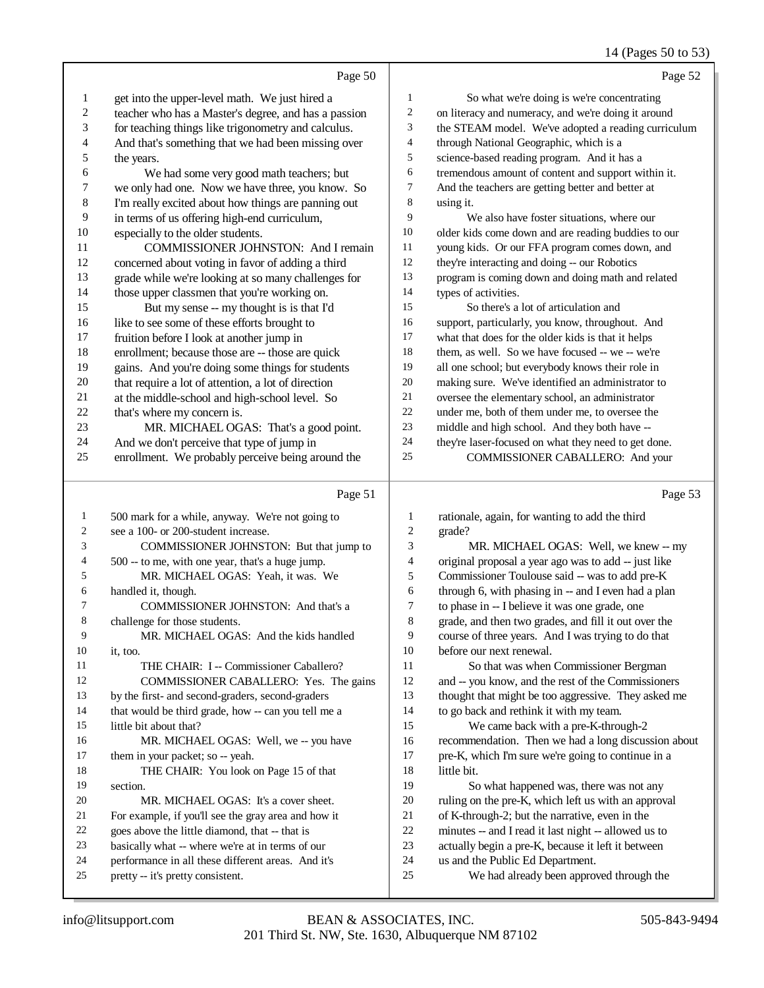## 14 (Pages 50 to 53)

|                          | Page 50                                                                       |              | Page 52                                                                                        |
|--------------------------|-------------------------------------------------------------------------------|--------------|------------------------------------------------------------------------------------------------|
| $\mathbf{1}$             | get into the upper-level math. We just hired a                                | $\mathbf{1}$ | So what we're doing is we're concentrating                                                     |
| $\sqrt{2}$               | teacher who has a Master's degree, and has a passion                          | 2            | on literacy and numeracy, and we're doing it around                                            |
| 3                        | for teaching things like trigonometry and calculus.                           | 3            | the STEAM model. We've adopted a reading curriculum                                            |
| $\overline{\mathcal{A}}$ | And that's something that we had been missing over                            | 4            | through National Geographic, which is a                                                        |
| 5                        | the years.                                                                    | 5            | science-based reading program. And it has a                                                    |
| 6                        | We had some very good math teachers; but                                      | 6            | tremendous amount of content and support within it.                                            |
| $\boldsymbol{7}$         | we only had one. Now we have three, you know. So                              | 7            | And the teachers are getting better and better at                                              |
| $\,$ 8 $\,$              | I'm really excited about how things are panning out                           | 8            | using it.                                                                                      |
| $\overline{9}$           | in terms of us offering high-end curriculum,                                  | 9            | We also have foster situations, where our                                                      |
| $10\,$                   | especially to the older students.                                             | 10           | older kids come down and are reading buddies to our                                            |
| 11                       | COMMISSIONER JOHNSTON: And I remain                                           | $11\,$       | young kids. Or our FFA program comes down, and                                                 |
| 12                       | concerned about voting in favor of adding a third                             | 12           | they're interacting and doing -- our Robotics                                                  |
| 13                       | grade while we're looking at so many challenges for                           | 13           | program is coming down and doing math and related                                              |
| 14                       | those upper classmen that you're working on.                                  | 14           | types of activities.                                                                           |
| 15                       | But my sense -- my thought is is that I'd                                     | 15           | So there's a lot of articulation and                                                           |
| 16                       | like to see some of these efforts brought to                                  | 16           | support, particularly, you know, throughout. And                                               |
| 17                       | fruition before I look at another jump in                                     | 17           | what that does for the older kids is that it helps                                             |
| 18                       | enrollment; because those are -- those are quick                              | 18           | them, as well. So we have focused -- we -- we're                                               |
| 19                       | gains. And you're doing some things for students                              | 19           | all one school; but everybody knows their role in                                              |
| $20\,$                   | that require a lot of attention, a lot of direction                           | $20\,$       | making sure. We've identified an administrator to                                              |
| $21\,$                   | at the middle-school and high-school level. So                                | $21\,$       | oversee the elementary school, an administrator                                                |
| $22\,$                   | that's where my concern is.                                                   | $22\,$       | under me, both of them under me, to oversee the                                                |
| 23                       | MR. MICHAEL OGAS: That's a good point.                                        | 23           | middle and high school. And they both have --                                                  |
| 24                       | And we don't perceive that type of jump in                                    | 24           | they're laser-focused on what they need to get done.                                           |
| 25                       | enrollment. We probably perceive being around the                             | 25           | COMMISSIONER CABALLERO: And your                                                               |
|                          |                                                                               |              |                                                                                                |
|                          |                                                                               |              |                                                                                                |
|                          | Page 51                                                                       |              | Page 53                                                                                        |
| 1                        | 500 mark for a while, anyway. We're not going to                              | 1            | rationale, again, for wanting to add the third                                                 |
| 2                        | see a 100- or 200-student increase.                                           | 2            | grade?                                                                                         |
| 3                        | COMMISSIONER JOHNSTON: But that jump to                                       | 3            | MR. MICHAEL OGAS: Well, we knew -- my                                                          |
| 4                        | 500 -- to me, with one year, that's a huge jump.                              | 4            | original proposal a year ago was to add -- just like                                           |
| 5                        | MR. MICHAEL OGAS: Yeah, it was. We                                            | 5            | Commissioner Toulouse said -- was to add pre-K                                                 |
| 6<br>7                   | handled it, though.                                                           | 6            | through 6, with phasing in -- and I even had a plan                                            |
|                          | COMMISSIONER JOHNSTON: And that's a                                           | 7            | to phase in -- I believe it was one grade, one                                                 |
| 8<br>9                   | challenge for those students.                                                 | $\,8\,$<br>9 | grade, and then two grades, and fill it out over the                                           |
| 10                       | MR. MICHAEL OGAS: And the kids handled                                        | 10           | course of three years. And I was trying to do that                                             |
| 11                       | it, too.<br>THE CHAIR: I -- Commissioner Caballero?                           | 11           | before our next renewal.                                                                       |
| 12                       |                                                                               | 12           | So that was when Commissioner Bergman                                                          |
| 13                       | COMMISSIONER CABALLERO: Yes. The gains                                        | 13           | and -- you know, and the rest of the Commissioners                                             |
| 14                       | by the first- and second-graders, second-graders                              | 14           | thought that might be too aggressive. They asked me                                            |
| 15                       | that would be third grade, how -- can you tell me a<br>little bit about that? | 15           | to go back and rethink it with my team.<br>We came back with a pre-K-through-2                 |
| 16                       |                                                                               | 16           |                                                                                                |
| 17                       | MR. MICHAEL OGAS: Well, we -- you have<br>them in your packet; so -- yeah.    | 17           | recommendation. Then we had a long discussion about                                            |
| 18                       |                                                                               | 18           | pre-K, which I'm sure we're going to continue in a<br>little bit.                              |
| 19                       | THE CHAIR: You look on Page 15 of that<br>section.                            | 19           |                                                                                                |
| 20                       | MR. MICHAEL OGAS: It's a cover sheet.                                         | $20\,$       | So what happened was, there was not any<br>ruling on the pre-K, which left us with an approval |
| 21                       | For example, if you'll see the gray area and how it                           | $21\,$       | of K-through-2; but the narrative, even in the                                                 |
| 22                       | goes above the little diamond, that -- that is                                | $22\,$       | minutes -- and I read it last night -- allowed us to                                           |
| 23                       | basically what -- where we're at in terms of our                              | 23           | actually begin a pre-K, because it left it between                                             |
| 24                       | performance in all these different areas. And it's                            | 24           | us and the Public Ed Department.                                                               |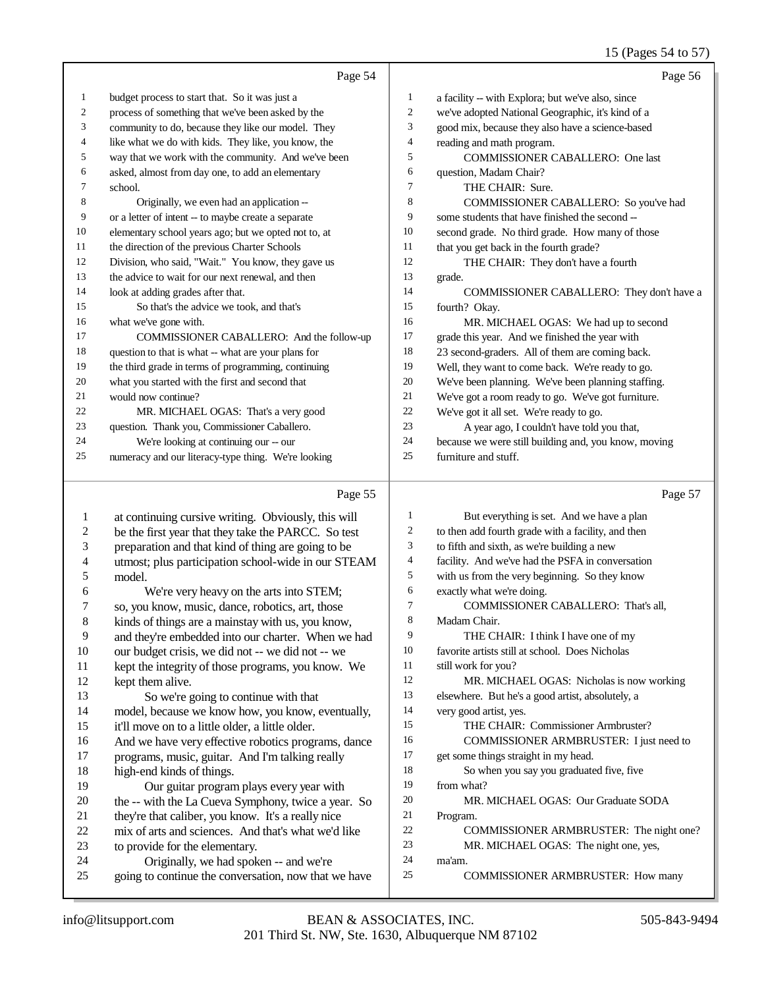#### 15 (Pages 54 to 57)

|    | Page 54                                              |                | Page 56                                              |
|----|------------------------------------------------------|----------------|------------------------------------------------------|
| 1  | budget process to start that. So it was just a       | 1              | a facility -- with Explora; but we've also, since    |
| 2  | process of something that we've been asked by the    | $\overline{2}$ | we've adopted National Geographic, it's kind of a    |
| 3  | community to do, because they like our model. They   | 3              | good mix, because they also have a science-based     |
| 4  | like what we do with kids. They like, you know, the  | $\overline{4}$ | reading and math program.                            |
| 5  | way that we work with the community. And we've been  | 5              | <b>COMMISSIONER CABALLERO: One last</b>              |
| 6  | asked, almost from day one, to add an elementary     | 6              | question, Madam Chair?                               |
| 7  | school.                                              | 7              | THE CHAIR: Sure.                                     |
| 8  | Originally, we even had an application --            | 8              | COMMISSIONER CABALLERO: So you've had                |
| 9  | or a letter of intent -- to maybe create a separate  | 9              | some students that have finished the second --       |
| 10 | elementary school years ago; but we opted not to, at | 10             | second grade. No third grade. How many of those      |
| 11 | the direction of the previous Charter Schools        | 11             | that you get back in the fourth grade?               |
| 12 | Division, who said, "Wait." You know, they gave us   | 12             | THE CHAIR: They don't have a fourth                  |
| 13 | the advice to wait for our next renewal, and then    | 13             | grade.                                               |
| 14 | look at adding grades after that.                    | 14             | COMMISSIONER CABALLERO: They don't have a            |
| 15 | So that's the advice we took, and that's             | 15             | fourth? Okay.                                        |
| 16 | what we've gone with.                                | 16             | MR. MICHAEL OGAS: We had up to second                |
| 17 | COMMISSIONER CABALLERO: And the follow-up            | 17             | grade this year. And we finished the year with       |
| 18 | question to that is what -- what are your plans for  | 18             | 23 second-graders. All of them are coming back.      |
| 19 | the third grade in terms of programming, continuing  | 19             | Well, they want to come back. We're ready to go.     |
| 20 | what you started with the first and second that      | 20             | We've been planning. We've been planning staffing.   |
| 21 | would now continue?                                  | 21             | We've got a room ready to go. We've got furniture.   |
| 22 | MR. MICHAEL OGAS: That's a very good                 | 22             | We've got it all set. We're ready to go.             |
| 23 | question. Thank you, Commissioner Caballero.         | 23             | A year ago, I couldn't have told you that,           |
| 24 | We're looking at continuing our -- our               | 24             | because we were still building and, you know, moving |
| 25 | numeracy and our literacy-type thing. We're looking  | 25             | furniture and stuff.                                 |
|    |                                                      |                |                                                      |

#### Page 55

 at continuing cursive writing. Obviously, this will 2 be the first year that they take the PARCC. So test<br>3 preparation and that kind of thing are going to be preparation and that kind of thing are going to be 4 utmost; plus participation school-wide in our STEAM<br>5 model.  $\begin{matrix}5 \end{matrix}$  model. 6 We're very heavy on the arts into STEM;<br>7 so, you know, music, dance, robotics, art, those 7 so, you know, music, dance, robotics, art, those<br>8 kinds of things are a mainstay with us, you know kinds of things are a mainstay with us, you know, 9 and they're embedded into our charter. When we had<br>10 our budget crisis, we did not -- we did not -- we 10 our budget crisis, we did not -- we did not -- we 11 kept the integrity of those programs, you know. kept the integrity of those programs, you know. We kept them alive. So we're going to continue with that model, because we know how, you know, eventually, it'll move on to a little older, a little older. 16 And we have very effective robotics programs, dance<br>17 mograms, music, guitar. And I'm talking really programs, music, guitar. And I'm talking really 18 high-end kinds of things.<br>19 Our outer program Our guitar program plays every year with 20 the -- with the La Cueva Symphony, twice a year. So they're that caliber, you know. It's a really nice 21 they're that caliber, you know. It's a really nice<br>22 mix of arts and sciences. And that's what we'd 22 mix of arts and sciences. And that's what we'd like<br>23 to provide for the elementary. 23 to provide for the elementary.<br>24 Originally, we had spoke 24 Originally, we had spoken -- and we're<br>25 origins to continue the conversation, now that we going to continue the conversation, now that we have Page 57 But everything is set. And we have a plan to then add fourth grade with a facility, and then to fifth and sixth, as we're building a new facility. And we've had the PSFA in conversation with us from the very beginning. So they know exactly what we're doing. COMMISSIONER CABALLERO: That's all, Madam Chair. THE CHAIR: I think I have one of my favorite artists still at school. Does Nicholas 11 still work for you? MR. MICHAEL OGAS: Nicholas is now working elsewhere. But he's a good artist, absolutely, a very good artist, yes. THE CHAIR: Commissioner Armbruster? COMMISSIONER ARMBRUSTER: I just need to get some things straight in my head. So when you say you graduated five, five from what? MR. MICHAEL OGAS: Our Graduate SODA Program. COMMISSIONER ARMBRUSTER: The night one? 23 MR. MICHAEL OGAS: The night one, yes, ma'am. COMMISSIONER ARMBRUSTER: How many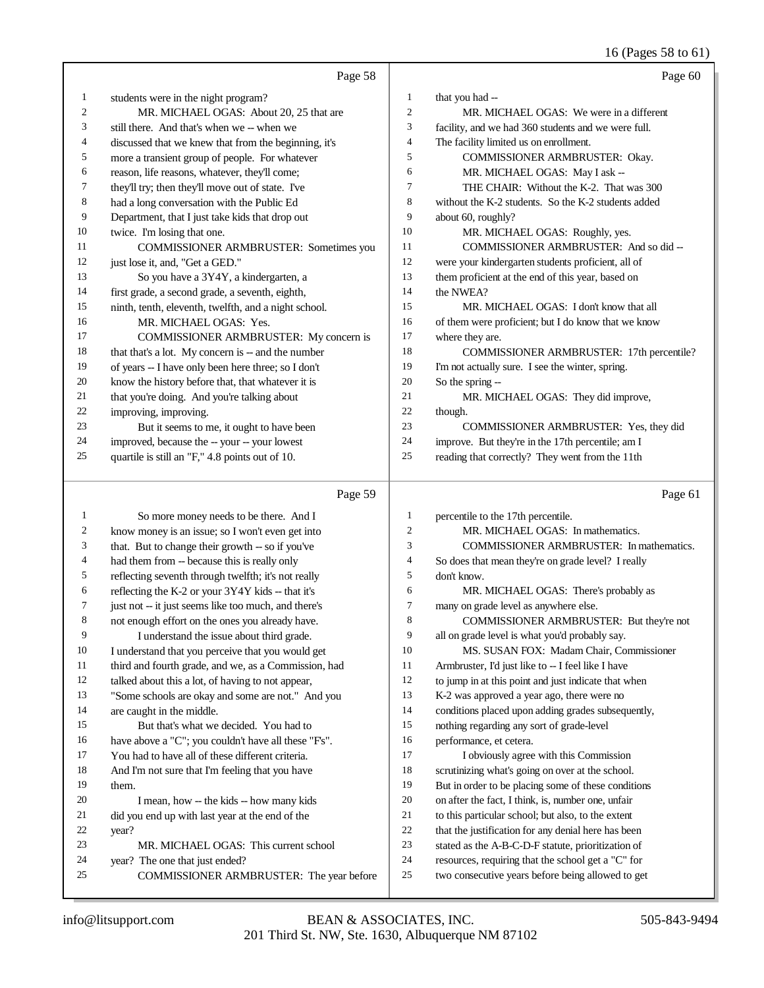16 (Pages 58 to 61)

|    | Page 58                                              |                | Page 60                                             |
|----|------------------------------------------------------|----------------|-----------------------------------------------------|
| 1  | students were in the night program?                  | 1              | that you had --                                     |
| 2  | MR. MICHAEL OGAS: About 20, 25 that are              | $\overline{c}$ | MR. MICHAEL OGAS: We were in a different            |
| 3  | still there. And that's when we -- when we           | 3              | facility, and we had 360 students and we were full. |
| 4  | discussed that we knew that from the beginning, it's | 4              | The facility limited us on enrollment.              |
| 5  | more a transient group of people. For whatever       | 5              | COMMISSIONER ARMBRUSTER: Okay.                      |
| 6  | reason, life reasons, whatever, they'll come;        | 6              | MR. MICHAEL OGAS: May I ask --                      |
| 7  | they'll try; then they'll move out of state. I've    | 7              | THE CHAIR: Without the K-2. That was 300            |
| 8  | had a long conversation with the Public Ed           | 8              | without the K-2 students. So the K-2 students added |
| 9  | Department, that I just take kids that drop out      | 9              | about 60, roughly?                                  |
| 10 | twice. I'm losing that one.                          | 10             | MR. MICHAEL OGAS: Roughly, yes.                     |
| 11 | <b>COMMISSIONER ARMBRUSTER: Sometimes you</b>        | 11             | COMMISSIONER ARMBRUSTER: And so did --              |
| 12 | just lose it, and, "Get a GED."                      | 12             | were your kindergarten students proficient, all of  |
| 13 | So you have a 3Y4Y, a kindergarten, a                | 13             | them proficient at the end of this year, based on   |
| 14 | first grade, a second grade, a seventh, eighth,      | 14             | the NWEA?                                           |
| 15 | ninth, tenth, eleventh, twelfth, and a night school. | 15             | MR. MICHAEL OGAS: I don't know that all             |
| 16 | MR. MICHAEL OGAS: Yes.                               | 16             | of them were proficient; but I do know that we know |
| 17 | COMMISSIONER ARMBRUSTER: My concern is               | 17             | where they are.                                     |
| 18 | that that's a lot. My concern is -- and the number   | 18             | COMMISSIONER ARMBRUSTER: 17th percentile?           |
| 19 | of years -- I have only been here three; so I don't  | 19             | I'm not actually sure. I see the winter, spring.    |
| 20 | know the history before that, that whatever it is    | 20             | So the spring --                                    |
| 21 | that you're doing. And you're talking about          | 21             | MR. MICHAEL OGAS: They did improve,                 |
| 22 | improving, improving.                                | 22             | though.                                             |
| 23 | But it seems to me, it ought to have been            | 23             | COMMISSIONER ARMBRUSTER: Yes, they did              |
| 24 | improved, because the -- your -- your lowest         | 24             | improve. But they're in the 17th percentile; am I   |
| 25 | quartile is still an "F," 4.8 points out of 10.      | 25             | reading that correctly? They went from the 11th     |
|    |                                                      |                |                                                     |

#### Page 59

 So more money needs to be there. And I know money is an issue; so I won't even get into that. But to change their growth -- so if you've had them from -- because this is really only reflecting seventh through twelfth; it's not really 6 reflecting the K-2 or your  $3Y4Y$  kids -- that it's just not -- it just seems like too much, and there's not enough effort on the ones you already have. I understand the issue about third grade. I understand that you perceive that you would get third and fourth grade, and we, as a Commission, had talked about this a lot, of having to not appear, "Some schools are okay and some are not." And you are caught in the middle. But that's what we decided. You had to 16 have above a "C"; you couldn't have all these "F's". You had to have all of these different criteria. And I'm not sure that I'm feeling that you have them. I mean, how -- the kids -- how many kids did you end up with last year at the end of the year? MR. MICHAEL OGAS: This current school year? The one that just ended? COMMISSIONER ARMBRUSTER: The year before percentile to the 17th percentile. MR. MICHAEL OGAS: In mathematics. COMMISSIONER ARMBRUSTER: In mathematics. So does that mean they're on grade level? I really don't know. MR. MICHAEL OGAS: There's probably as many on grade level as anywhere else. 8 COMMISSIONER ARMBRUSTER: But they're not all on grade level is what you'd probably say. MS. SUSAN FOX: Madam Chair, Commissioner 11 Armbruster, I'd just like to -- I feel like I have to jump in at this point and just indicate that when K-2 was approved a year ago, there were no conditions placed upon adding grades subsequently, nothing regarding any sort of grade-level performance, et cetera. 17 I obviously agree with this Commission scrutinizing what's going on over at the school. But in order to be placing some of these conditions on after the fact, I think, is, number one, unfair to this particular school; but also, to the extent that the justification for any denial here has been stated as the A-B-C-D-F statute, prioritization of resources, requiring that the school get a "C" for two consecutive years before being allowed to get

Page 61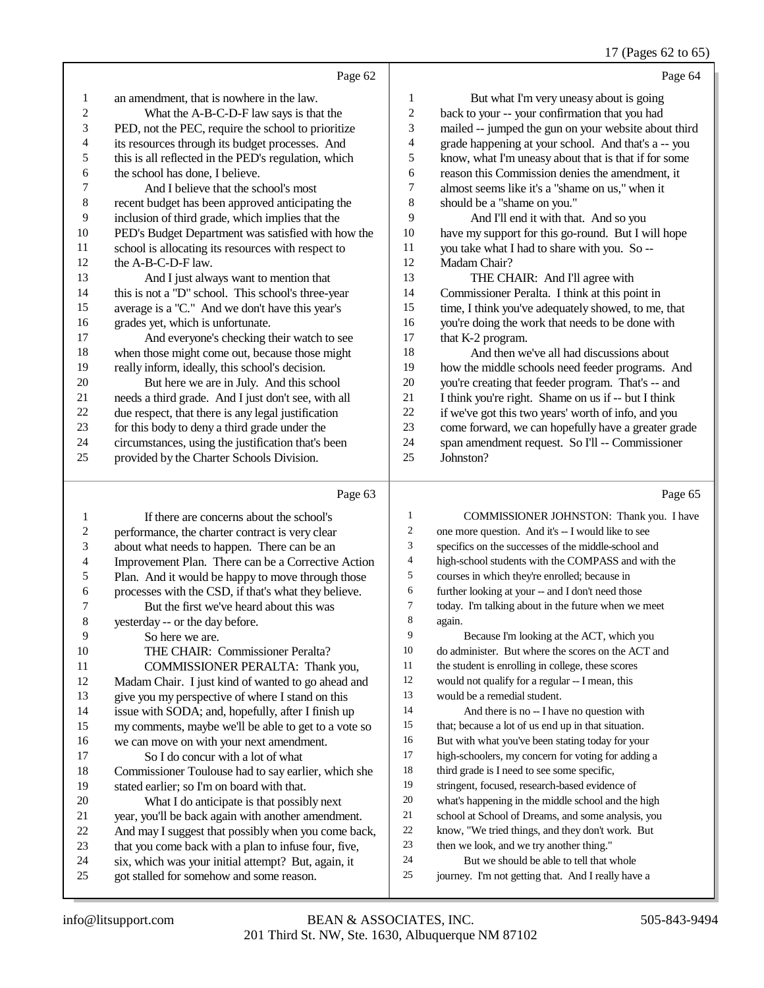## 17 (Pages 62 to 65)

|                | Page 62                                              |        | Page 64                                              |
|----------------|------------------------------------------------------|--------|------------------------------------------------------|
| 1              | an amendment, that is nowhere in the law.            | 1      | But what I'm very uneasy about is going              |
| $\overline{2}$ | What the A-B-C-D-F law says is that the              | 2      | back to your -- your confirmation that you had       |
| 3              | PED, not the PEC, require the school to prioritize   | 3      | mailed -- jumped the gun on your website about third |
| 4              | its resources through its budget processes. And      | 4      | grade happening at your school. And that's a -- you  |
| 5              | this is all reflected in the PED's regulation, which | 5      | know, what I'm uneasy about that is that if for some |
| 6              | the school has done, I believe.                      | 6      | reason this Commission denies the amendment, it      |
| 7              | And I believe that the school's most                 | $\tau$ | almost seems like it's a "shame on us," when it      |
| 8              | recent budget has been approved anticipating the     | 8      | should be a "shame on you."                          |
| 9              | inclusion of third grade, which implies that the     | 9      | And I'll end it with that. And so you                |
| 10             | PED's Budget Department was satisfied with how the   | 10     | have my support for this go-round. But I will hope   |
| 11             | school is allocating its resources with respect to   | 11     | you take what I had to share with you. So --         |
| 12             | the A-B-C-D-F law.                                   | 12     | Madam Chair?                                         |
| 13             | And I just always want to mention that               | 13     | THE CHAIR: And I'll agree with                       |
| 14             | this is not a "D" school. This school's three-year   | 14     | Commissioner Peralta. I think at this point in       |
| 15             | average is a "C." And we don't have this year's      | 15     | time, I think you've adequately showed, to me, that  |
| 16             | grades yet, which is unfortunate.                    | 16     | you're doing the work that needs to be done with     |
| 17             | And everyone's checking their watch to see           | 17     | that K-2 program.                                    |
| 18             | when those might come out, because those might       | 18     | And then we've all had discussions about             |
| 19             | really inform, ideally, this school's decision.      | 19     | how the middle schools need feeder programs. And     |
| 20             | But here we are in July. And this school             | 20     | you're creating that feeder program. That's -- and   |
| 21             | needs a third grade. And I just don't see, with all  | 21     | I think you're right. Shame on us if -- but I think  |
| 22             | due respect, that there is any legal justification   | 22     | if we've got this two years' worth of info, and you  |
| 23             | for this body to deny a third grade under the        | 23     | come forward, we can hopefully have a greater grade  |
| 24             | circumstances, using the justification that's been   | 24     | span amendment request. So I'll -- Commissioner      |
| 25             | provided by the Charter Schools Division.            | 25     | Johnston?                                            |
|                |                                                      |        |                                                      |

# Page 63

|                | Page 63                                              |    | Page 65                                             |
|----------------|------------------------------------------------------|----|-----------------------------------------------------|
| 1              | If there are concerns about the school's             | 1  | COMMISSIONER JOHNSTON: Thank you. I have            |
| 2              | performance, the charter contract is very clear      | 2  | one more question. And it's -- I would like to see  |
| 3              | about what needs to happen. There can be an          | 3  | specifics on the successes of the middle-school and |
| $\overline{4}$ | Improvement Plan. There can be a Corrective Action   | 4  | high-school students with the COMPASS and with the  |
| 5              | Plan. And it would be happy to move through those    | 5  | courses in which they're enrolled; because in       |
| 6              | processes with the CSD, if that's what they believe. | 6  | further looking at your -- and I don't need those   |
| 7              | But the first we've heard about this was             | 7  | today. I'm talking about in the future when we meet |
| 8              | yesterday -- or the day before.                      | 8  | again.                                              |
| 9              | So here we are.                                      | 9  | Because I'm looking at the ACT, which you           |
| 10             | THE CHAIR: Commissioner Peralta?                     | 10 | do administer. But where the scores on the ACT and  |
| 11             | COMMISSIONER PERALTA: Thank you,                     | 11 | the student is enrolling in college, these scores   |
| 12             | Madam Chair. I just kind of wanted to go ahead and   | 12 | would not qualify for a regular -- I mean, this     |
| 13             | give you my perspective of where I stand on this     | 13 | would be a remedial student.                        |
| 14             | issue with SODA; and, hopefully, after I finish up   | 14 | And there is no -- I have no question with          |
| 15             | my comments, maybe we'll be able to get to a vote so | 15 | that; because a lot of us end up in that situation. |
| 16             | we can move on with your next amendment.             | 16 | But with what you've been stating today for your    |
| 17             | So I do concur with a lot of what                    | 17 | high-schoolers, my concern for voting for adding a  |
| 18             | Commissioner Toulouse had to say earlier, which she  | 18 | third grade is I need to see some specific,         |
| 19             | stated earlier; so I'm on board with that.           | 19 | stringent, focused, research-based evidence of      |
| 20             | What I do anticipate is that possibly next           | 20 | what's happening in the middle school and the high  |
| 21             | year, you'll be back again with another amendment.   | 21 | school at School of Dreams, and some analysis, you  |
| 22             | And may I suggest that possibly when you come back,  | 22 | know, "We tried things, and they don't work. But    |
| 23             | that you come back with a plan to infuse four, five, | 23 | then we look, and we try another thing."            |
| 24             | six, which was your initial attempt? But, again, it  | 24 | But we should be able to tell that whole            |
| 25             | got stalled for somehow and some reason.             | 25 | journey. I'm not getting that. And I really have a  |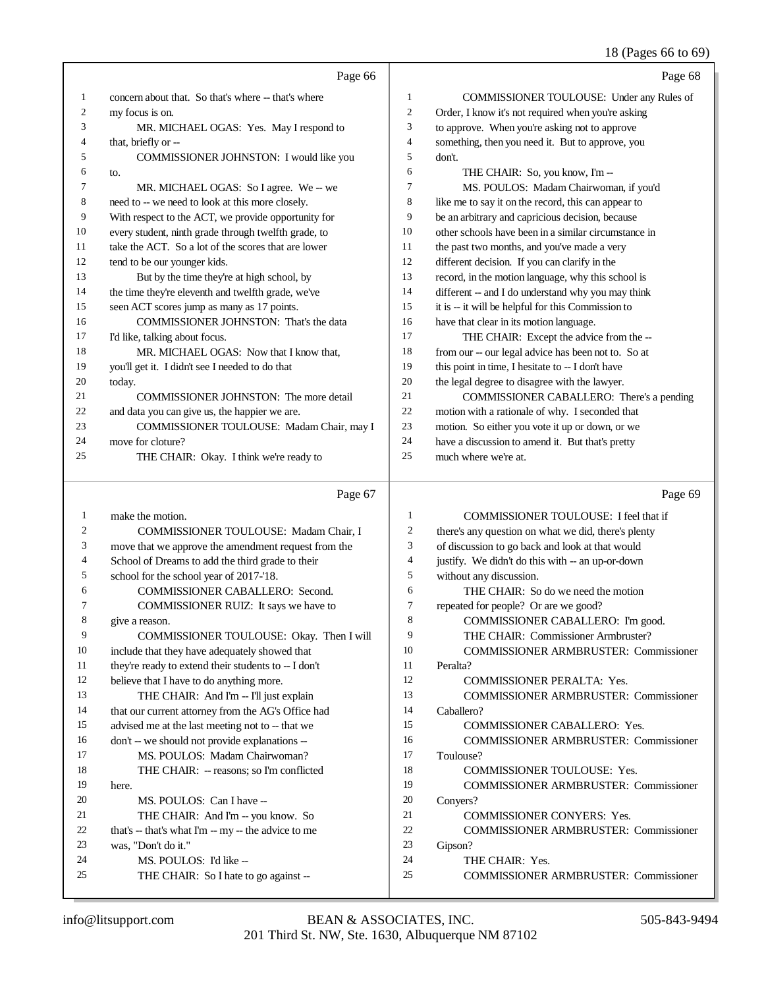#### 18 (Pages 66 to 69)

|              | Page 66                                                                         |                | Page 68                                                                                             |
|--------------|---------------------------------------------------------------------------------|----------------|-----------------------------------------------------------------------------------------------------|
| 1            | concern about that. So that's where -- that's where                             | 1              | COMMISSIONER TOULOUSE: Under any Rules of                                                           |
| 2            | my focus is on.                                                                 | $\mathfrak{2}$ | Order, I know it's not required when you're asking                                                  |
| 3            | MR. MICHAEL OGAS: Yes. May I respond to                                         | 3              | to approve. When you're asking not to approve                                                       |
| 4            | that, briefly or --                                                             | $\overline{4}$ | something, then you need it. But to approve, you                                                    |
| 5            | COMMISSIONER JOHNSTON: I would like you                                         | 5              | don't.                                                                                              |
| 6            | to.                                                                             | 6              | THE CHAIR: So, you know, I'm --                                                                     |
| 7            | MR. MICHAEL OGAS: So I agree. We -- we                                          | 7              | MS. POULOS: Madam Chairwoman, if you'd                                                              |
| 8            | need to -- we need to look at this more closely.                                | 8              | like me to say it on the record, this can appear to                                                 |
| 9            | With respect to the ACT, we provide opportunity for                             | 9              | be an arbitrary and capricious decision, because                                                    |
| 10           | every student, ninth grade through twelfth grade, to                            | 10             | other schools have been in a similar circumstance in                                                |
| 11           | take the ACT. So a lot of the scores that are lower                             | 11             | the past two months, and you've made a very                                                         |
| 12           | tend to be our younger kids.                                                    | 12             | different decision. If you can clarify in the                                                       |
| 13           | But by the time they're at high school, by                                      | 13             | record, in the motion language, why this school is                                                  |
| 14           | the time they're eleventh and twelfth grade, we've                              | 14             | different -- and I do understand why you may think                                                  |
| 15           | seen ACT scores jump as many as 17 points.                                      | 15             | it is -- it will be helpful for this Commission to                                                  |
| 16           | COMMISSIONER JOHNSTON: That's the data                                          | 16             | have that clear in its motion language.                                                             |
| 17           | I'd like, talking about focus.                                                  | 17             | THE CHAIR: Except the advice from the --                                                            |
| 18           | MR. MICHAEL OGAS: Now that I know that,                                         | 18             | from our -- our legal advice has been not to. So at                                                 |
| 19           | you'll get it. I didn't see I needed to do that                                 | 19             | this point in time, I hesitate to -- I don't have                                                   |
| 20           | today.                                                                          | 20             | the legal degree to disagree with the lawyer.                                                       |
| 21           | COMMISSIONER JOHNSTON: The more detail                                          | 21<br>22       | COMMISSIONER CABALLERO: There's a pending                                                           |
| 22<br>23     | and data you can give us, the happier we are.                                   | $23\,$         | motion with a rationale of why. I seconded that                                                     |
| 24           | COMMISSIONER TOULOUSE: Madam Chair, may I<br>move for cloture?                  | 24             | motion. So either you vote it up or down, or we<br>have a discussion to amend it. But that's pretty |
| 25           | THE CHAIR: Okay. I think we're ready to                                         | 25             | much where we're at.                                                                                |
|              |                                                                                 |                |                                                                                                     |
|              |                                                                                 |                |                                                                                                     |
|              | Page 67                                                                         |                | Page 69                                                                                             |
| $\mathbf{1}$ | make the motion.                                                                | $\mathbf{1}$   | COMMISSIONER TOULOUSE: I feel that if                                                               |
| 2            | COMMISSIONER TOULOUSE: Madam Chair, I                                           | 2              | there's any question on what we did, there's plenty                                                 |
| 3            | move that we approve the amendment request from the                             | 3              | of discussion to go back and look at that would                                                     |
| 4            | School of Dreams to add the third grade to their                                | $\overline{4}$ | justify. We didn't do this with -- an up-or-down                                                    |
| 5            | school for the school year of 2017-'18.                                         | 5              | without any discussion.                                                                             |
| 6            | COMMISSIONER CABALLERO: Second.                                                 | 6              | THE CHAIR: So do we need the motion                                                                 |
| 7            | COMMISSIONER RUIZ: It says we have to                                           | $\tau$         | repeated for people? Or are we good?                                                                |
| 8            | give a reason.                                                                  | 8              | COMMISSIONER CABALLERO: I'm good.                                                                   |
| 9            | COMMISSIONER TOULOUSE: Okay. Then I will                                        | 9              | THE CHAIR: Commissioner Armbruster?                                                                 |
| 10           | include that they have adequately showed that                                   | 10             | <b>COMMISSIONER ARMBRUSTER: Commissioner</b>                                                        |
| 11           | they're ready to extend their students to -- I don't                            | 11             | Peralta?                                                                                            |
| 12           | believe that I have to do anything more.                                        | 12             | <b>COMMISSIONER PERALTA: Yes.</b>                                                                   |
| 13<br>14     | THE CHAIR: And I'm -- I'll just explain                                         | 13<br>14       | <b>COMMISSIONER ARMBRUSTER: Commissioner</b>                                                        |
| 15           | that our current attorney from the AG's Office had                              | 15             | Caballero?                                                                                          |
| 16           | advised me at the last meeting not to -- that we                                | 16             | <b>COMMISSIONER CABALLERO: Yes.</b><br><b>COMMISSIONER ARMBRUSTER: Commissioner</b>                 |
| 17           | don't -- we should not provide explanations --<br>MS. POULOS: Madam Chairwoman? | 17             | Toulouse?                                                                                           |
| 18           | THE CHAIR: - reasons; so I'm conflicted                                         | 18             | <b>COMMISSIONER TOULOUSE: Yes.</b>                                                                  |
| 19           | here.                                                                           | 19             | <b>COMMISSIONER ARMBRUSTER: Commissioner</b>                                                        |
| 20           | MS. POULOS: Can I have --                                                       | 20             | Conyers?                                                                                            |
| 21           | THE CHAIR: And I'm -- you know. So                                              | 21             | <b>COMMISSIONER CONYERS: Yes.</b>                                                                   |
| 22           | that's -- that's what I'm -- my -- the advice to me                             | 22             | <b>COMMISSIONER ARMBRUSTER: Commissioner</b>                                                        |
| 23           | was, "Don't do it."                                                             | 23             | Gipson?                                                                                             |
| 24<br>25     | MS. POULOS: I'd like --<br>THE CHAIR: So I hate to go against --                | 24<br>25       | THE CHAIR: Yes.<br><b>COMMISSIONER ARMBRUSTER: Commissioner</b>                                     |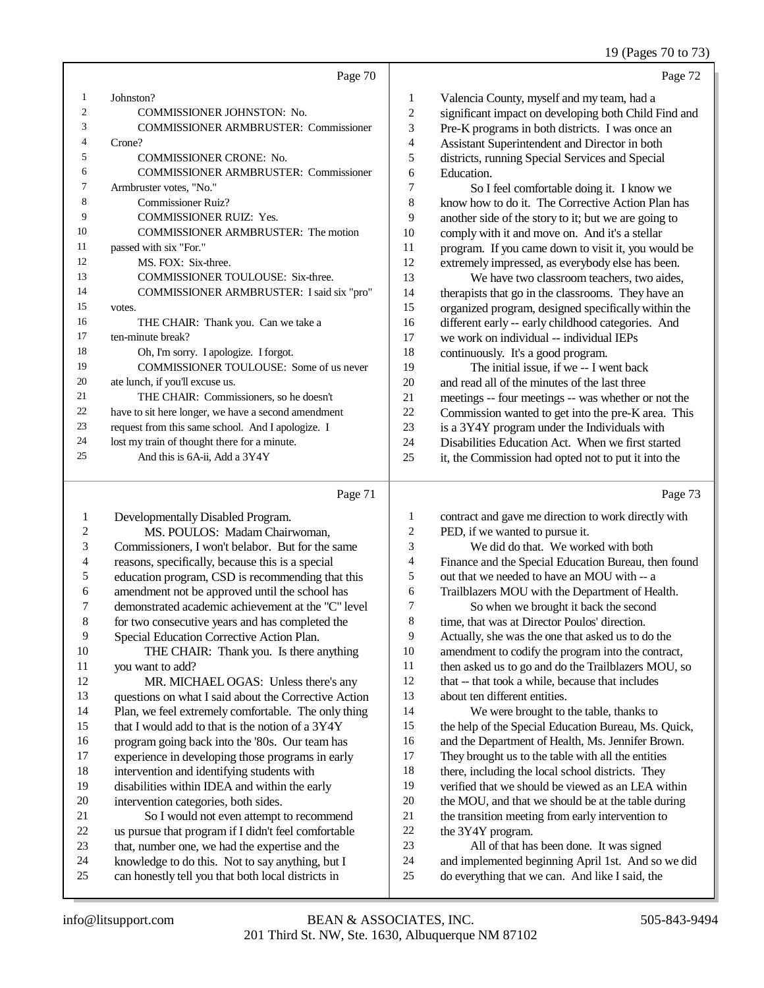## 19 (Pages 70 to 73)

|                |                                                     |                          | $19$ (rages $10 \, 10$ ).                            |
|----------------|-----------------------------------------------------|--------------------------|------------------------------------------------------|
|                | Page 70                                             |                          | Page 72                                              |
| 1              | Johnston?                                           | 1                        | Valencia County, myself and my team, had a           |
| $\overline{2}$ | <b>COMMISSIONER JOHNSTON: No.</b>                   | $\mathfrak{2}$           | significant impact on developing both Child Find and |
| 3              | <b>COMMISSIONER ARMBRUSTER: Commissioner</b>        | 3                        | Pre-K programs in both districts. I was once an      |
| 4              | Crone?                                              | $\overline{\mathcal{A}}$ | Assistant Superintendent and Director in both        |
| 5              | <b>COMMISSIONER CRONE: No.</b>                      | 5                        | districts, running Special Services and Special      |
| 6              | <b>COMMISSIONER ARMBRUSTER: Commissioner</b>        | 6                        | Education.                                           |
| 7              | Armbruster votes, "No."                             | 7                        | So I feel comfortable doing it. I know we            |
| 8              | <b>Commissioner Ruiz?</b>                           | 8                        | know how to do it. The Corrective Action Plan has    |
| 9              | <b>COMMISSIONER RUIZ: Yes.</b>                      | 9                        | another side of the story to it; but we are going to |
| 10             | <b>COMMISSIONER ARMBRUSTER: The motion</b>          | 10                       | comply with it and move on. And it's a stellar       |
| 11             | passed with six "For."                              | 11                       | program. If you came down to visit it, you would be  |
| 12             | MS. FOX: Six-three.                                 | 12                       | extremely impressed, as everybody else has been.     |
| 13             | <b>COMMISSIONER TOULOUSE: Six-three.</b>            | 13                       | We have two classroom teachers, two aides,           |
| 14             | COMMISSIONER ARMBRUSTER: I said six "pro"           | 14                       | therapists that go in the classrooms. They have an   |
| 15             | votes.                                              | 15                       | organized program, designed specifically within the  |
| 16             | THE CHAIR: Thank you. Can we take a                 | 16                       | different early -- early childhood categories. And   |
| 17             | ten-minute break?                                   | 17                       | we work on individual -- individual IEPs             |
| 18             | Oh, I'm sorry. I apologize. I forgot.               | 18                       | continuously. It's a good program.                   |
| 19             | COMMISSIONER TOULOUSE: Some of us never             | 19                       | The initial issue, if we -- I went back              |
| 20             | ate lunch, if you'll excuse us.                     | 20                       | and read all of the minutes of the last three        |
| 21             | THE CHAIR: Commissioners, so he doesn't             | 21                       | meetings -- four meetings -- was whether or not the  |
| 22             | have to sit here longer, we have a second amendment | 22                       | Commission wanted to get into the pre-K area. This   |
| 23             | request from this same school. And I apologize. I   | 23                       | is a 3Y4Y program under the Individuals with         |
| 24             | lost my train of thought there for a minute.        | 24                       | Disabilities Education Act. When we first started    |
| 25             | And this is 6A-ii, Add a 3Y4Y                       | 25                       | it, the Commission had opted not to put it into the  |
|                | Page 71                                             |                          | Page 73                                              |

#### Page 71 |

| 1              | Developmentally Disabled Program.                    | $\mathbf{1}$ | contract and gave me direction to work directly with |
|----------------|------------------------------------------------------|--------------|------------------------------------------------------|
| $\overline{c}$ | MS. POULOS: Madam Chairwoman,                        | 2            | PED, if we wanted to pursue it.                      |
| 3              | Commissioners, I won't belabor. But for the same     | 3            | We did do that. We worked with both                  |
| 4              | reasons, specifically, because this is a special     | 4            | Finance and the Special Education Bureau, then found |
| 5              | education program, CSD is recommending that this     | 5            | out that we needed to have an MOU with -- a          |
| 6              | amendment not be approved until the school has       | 6            | Trailblazers MOU with the Department of Health.      |
| 7              | demonstrated academic achievement at the "C" level   | 7            | So when we brought it back the second                |
| 8              | for two consecutive years and has completed the      | 8            | time, that was at Director Poulos' direction.        |
| 9              | Special Education Corrective Action Plan.            | 9            | Actually, she was the one that asked us to do the    |
| 10             | THE CHAIR: Thank you. Is there anything              | 10           | amendment to codify the program into the contract,   |
| 11             | you want to add?                                     | 11           | then asked us to go and do the Trailblazers MOU, so  |
| 12             | MR. MICHAEL OGAS: Unless there's any                 | 12           | that -- that took a while, because that includes     |
| 13             | questions on what I said about the Corrective Action | 13           | about ten different entities.                        |
| 14             | Plan, we feel extremely comfortable. The only thing  | 14           | We were brought to the table, thanks to              |
| 15             | that I would add to that is the notion of a 3Y4Y     | 15           | the help of the Special Education Bureau, Ms. Quick, |
| 16             | program going back into the '80s. Our team has       | 16           | and the Department of Health, Ms. Jennifer Brown.    |
| 17             | experience in developing those programs in early     | 17           | They brought us to the table with all the entities   |
| 18             | intervention and identifying students with           | 18           | there, including the local school districts. They    |
| 19             | disabilities within IDEA and within the early        | 19           | verified that we should be viewed as an LEA within   |
| 20             | intervention categories, both sides.                 | 20           | the MOU, and that we should be at the table during   |
| 21             | So I would not even attempt to recommend             | 21           | the transition meeting from early intervention to    |
| 22             | us pursue that program if I didn't feel comfortable  | 22           | the 3Y4Y program.                                    |
| 23             | that, number one, we had the expertise and the       | 23           | All of that has been done. It was signed             |
| 24             | knowledge to do this. Not to say anything, but I     | 24           | and implemented beginning April 1st. And so we did   |
| 25             | can honestly tell you that both local districts in   | 25           | do everything that we can. And like I said, the      |
|                |                                                      |              |                                                      |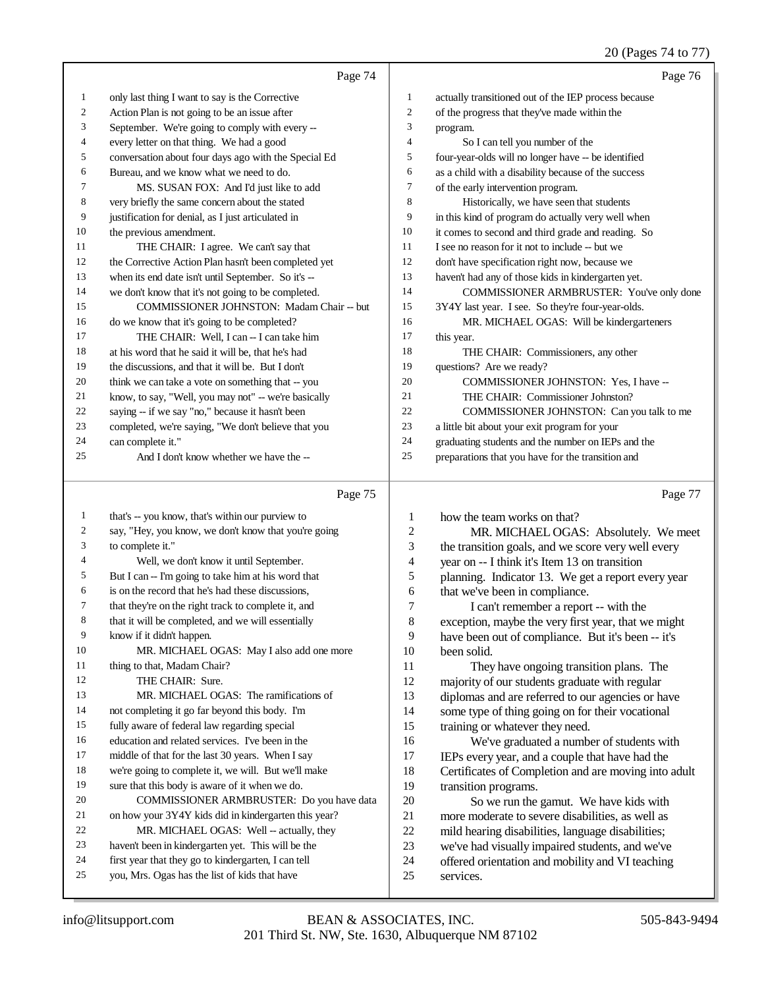| Page 74                                              |                | Page 76                                              |
|------------------------------------------------------|----------------|------------------------------------------------------|
| only last thing I want to say is the Corrective      | 1              | actually transitioned out of the IEP process because |
| Action Plan is not going to be an issue after        | $\overline{c}$ | of the progress that they've made within the         |
| September. We're going to comply with every --       | 3              | program.                                             |
| every letter on that thing. We had a good            | $\overline{4}$ | So I can tell you number of the                      |
| conversation about four days ago with the Special Ed | 5              | four-year-olds will no longer have -- be identified  |
| Bureau, and we know what we need to do.              | 6              | as a child with a disability because of the success  |
| MS. SUSAN FOX: And I'd just like to add              | 7              | of the early intervention program.                   |
| very briefly the same concern about the stated       | 8              | Historically, we have seen that students             |
| justification for denial, as I just articulated in   | 9              | in this kind of program do actually very well when   |
| the previous amendment.                              | 10             | it comes to second and third grade and reading. So   |
| THE CHAIR: I agree. We can't say that                | 11             | I see no reason for it not to include -- but we      |
| the Corrective Action Plan hasn't been completed yet | 12             | don't have specification right now, because we       |
| when its end date isn't until September. So it's --  | 13             | haven't had any of those kids in kindergarten yet.   |
| we don't know that it's not going to be completed.   | 14             | COMMISSIONER ARMBRUSTER: You've only done            |
| <b>COMMISSIONER JOHNSTON: Madam Chair -- but</b>     | 15             | 3Y4Y last year. I see. So they're four-year-olds.    |
| do we know that it's going to be completed?          | 16             | MR. MICHAEL OGAS: Will be kindergarteners            |
| THE CHAIR: Well, I can -- I can take him             | 17             | this year.                                           |
| at his word that he said it will be, that he's had   | 18             | THE CHAIR: Commissioners, any other                  |
| the discussions, and that it will be. But I don't    | 19             | questions? Are we ready?                             |
| think we can take a vote on something that -- you    | 20             | COMMISSIONER JOHNSTON: Yes, I have --                |
| know, to say, "Well, you may not" -- we're basically | 21             | THE CHAIR: Commissioner Johnston?                    |
| saying -- if we say "no," because it hasn't been     | 22             | COMMISSIONER JOHNSTON: Can you talk to me            |
| completed, we're saying, "We don't believe that you  | 23             | a little bit about your exit program for your        |
| can complete it."                                    | 24             | graduating students and the number on IEPs and the   |
| And I don't know whether we have the --              | 25             | preparations that you have for the transition and    |
|                                                      |                |                                                      |
|                                                      |                |                                                      |

#### Page 75

 that's -- you know, that's within our purview to say, "Hey, you know, we don't know that you're going to complete it." Well, we don't know it until September. But I can -- I'm going to take him at his word that is on the record that he's had these discussions, that they're on the right track to complete it, and that it will be completed, and we will essentially know if it didn't happen. MR. MICHAEL OGAS: May I also add one more 11 thing to that, Madam Chair? 12 THE CHAIR: Sure. 13 MR. MICHAEL OGAS: The ramifications of not completing it go far beyond this body. I'm fully aware of federal law regarding special education and related services. I've been in the middle of that for the last 30 years. When I say we're going to complete it, we will. But we'll make sure that this body is aware of it when we do. COMMISSIONER ARMBRUSTER: Do you have data on how your 3Y4Y kids did in kindergarten this year? 22 MR. MICHAEL OGAS: Well -- actually, they haven't been in kindergarten yet. This will be the first year that they go to kindergarten, I can tell you, Mrs. Ogas has the list of kids that have how the team works on that? been solid. services.

| $\overline{c}$ | MR. MICHAEL OGAS: Absolutely. We meet                |
|----------------|------------------------------------------------------|
| 3              | the transition goals, and we score very well every   |
| $\overline{4}$ | year on -- I think it's Item 13 on transition        |
| 5              | planning. Indicator 13. We get a report every year   |
| 6              | that we've been in compliance.                       |
| 7              | I can't remember a report -- with the                |
| 8              | exception, maybe the very first year, that we might  |
| 9              | have been out of compliance. But it's been -- it's   |
| 10             | been solid.                                          |
| 11             | They have ongoing transition plans. The              |
| 12             | majority of our students graduate with regular       |
| 13             | diplomas and are referred to our agencies or have    |
| 14             | some type of thing going on for their vocational     |
| 15             | training or whatever they need.                      |
| 16             | We've graduated a number of students with            |
| 17             | IEPs every year, and a couple that have had the      |
| 18             | Certificates of Completion and are moving into adult |
| 19             | transition programs.                                 |
| 20             | So we run the gamut. We have kids with               |
| 21             | more moderate to severe disabilities, as well as     |
| 22             | mild hearing disabilities, language disabilities;    |
| 23             | we've had visually impaired students, and we've      |
| 24             | offered orientation and mobility and VI teaching     |
| 25             | services.                                            |
|                |                                                      |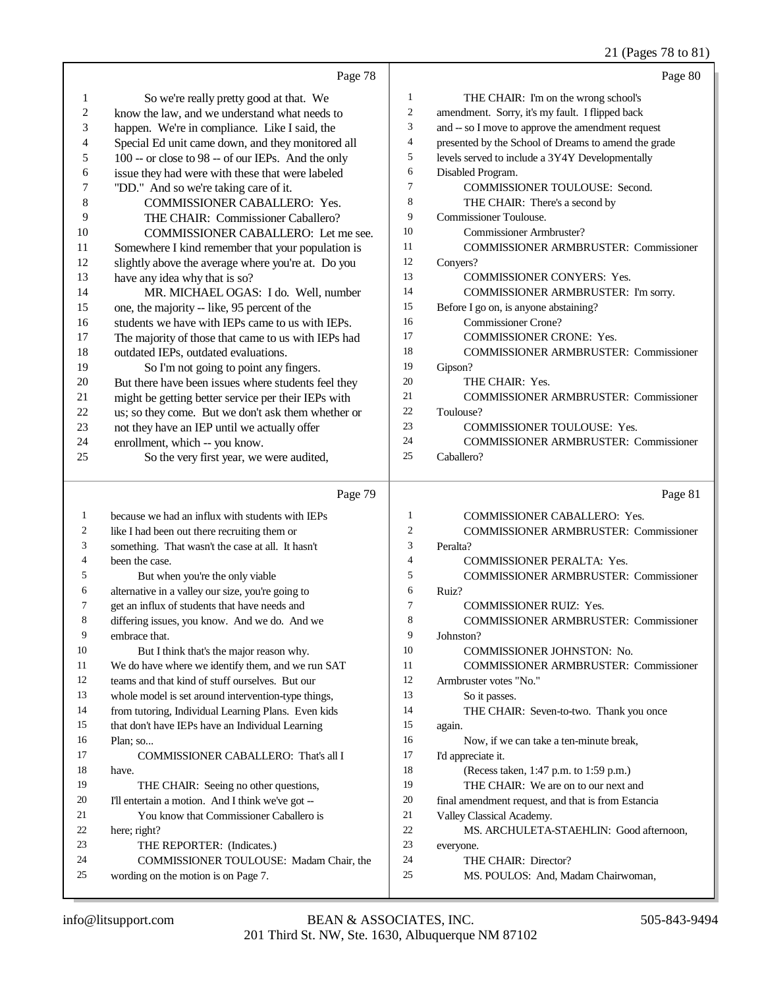21 (Pages 78 to 81)

|                | Page 78                                                                        |                          | Page 80                                                    |
|----------------|--------------------------------------------------------------------------------|--------------------------|------------------------------------------------------------|
| $\mathbf{1}$   | So we're really pretty good at that. We                                        | 1                        | THE CHAIR: I'm on the wrong school's                       |
| $\mathfrak{2}$ | know the law, and we understand what needs to                                  | $\overline{c}$           | amendment. Sorry, it's my fault. I flipped back            |
| 3              | happen. We're in compliance. Like I said, the                                  | 3                        | and -- so I move to approve the amendment request          |
| 4              | Special Ed unit came down, and they monitored all                              | $\overline{\mathcal{A}}$ | presented by the School of Dreams to amend the grade       |
| 5              | 100 -- or close to 98 -- of our IEPs. And the only                             | 5                        | levels served to include a 3Y4Y Developmentally            |
| 6              | issue they had were with these that were labeled                               | 6                        | Disabled Program.                                          |
| 7              | "DD." And so we're taking care of it.                                          | $\tau$                   | COMMISSIONER TOULOUSE: Second.                             |
| 8              | COMMISSIONER CABALLERO: Yes.                                                   | 8                        | THE CHAIR: There's a second by                             |
| 9              | THE CHAIR: Commissioner Caballero?                                             | 9                        | <b>Commissioner Toulouse.</b>                              |
| 10             | COMMISSIONER CABALLERO: Let me see.                                            | 10                       | Commissioner Armbruster?                                   |
| 11             | Somewhere I kind remember that your population is                              | 11                       | <b>COMMISSIONER ARMBRUSTER: Commissioner</b>               |
| 12             | slightly above the average where you're at. Do you                             | 12                       | Conyers?                                                   |
| 13             | have any idea why that is so?                                                  | 13                       | <b>COMMISSIONER CONYERS: Yes.</b>                          |
| 14             | MR. MICHAEL OGAS: I do. Well, number                                           | 14                       | COMMISSIONER ARMBRUSTER: I'm sorry.                        |
| 15             | one, the majority -- like, 95 percent of the                                   | 15                       | Before I go on, is anyone abstaining?                      |
| 16             | students we have with IEPs came to us with IEPs.                               | 16                       | <b>Commissioner Crone?</b>                                 |
| 17             | The majority of those that came to us with IEPs had                            | 17                       | <b>COMMISSIONER CRONE: Yes.</b>                            |
| 18             | outdated IEPs, outdated evaluations.                                           | 18                       | <b>COMMISSIONER ARMBRUSTER: Commissioner</b>               |
| 19             | So I'm not going to point any fingers.                                         | 19                       | Gipson?                                                    |
| 20             | But there have been issues where students feel they                            | 20                       | THE CHAIR: Yes.                                            |
| 21             | might be getting better service per their IEPs with                            | 21                       | <b>COMMISSIONER ARMBRUSTER: Commissioner</b>               |
| 22             | us; so they come. But we don't ask them whether or                             | 22                       | Toulouse?                                                  |
| 23             | not they have an IEP until we actually offer                                   | 23<br>24                 | <b>COMMISSIONER TOULOUSE: Yes.</b>                         |
| 24             | enrollment, which -- you know.                                                 | 25                       | <b>COMMISSIONER ARMBRUSTER: Commissioner</b><br>Caballero? |
| 25             | So the very first year, we were audited,                                       |                          |                                                            |
|                |                                                                                |                          |                                                            |
|                | Page 79                                                                        |                          | Page 81                                                    |
| $\mathbf{1}$   | because we had an influx with students with IEPs                               | 1                        | <b>COMMISSIONER CABALLERO: Yes.</b>                        |
| 2              | like I had been out there recruiting them or                                   | $\overline{c}$           | <b>COMMISSIONER ARMBRUSTER: Commissioner</b>               |
| 3              | something. That wasn't the case at all. It hasn't                              | 3                        | Peralta?                                                   |
| 4              | been the case.                                                                 | 4                        | COMMISSIONER PERALTA: Yes.                                 |
| 5              | But when you're the only viable                                                | 5                        | <b>COMMISSIONER ARMBRUSTER: Commissioner</b>               |
| 6              | alternative in a valley our size, you're going to                              | 6                        | Ruiz?                                                      |
| 7              | get an influx of students that have needs and                                  | $\overline{7}$           | <b>COMMISSIONER RUIZ: Yes.</b>                             |
| 8              | differing issues, you know. And we do. And we                                  | 8                        | <b>COMMISSIONER ARMBRUSTER: Commissioner</b>               |
| 9              | embrace that.                                                                  | 9                        | Johnston?                                                  |
| 10             | But I think that's the major reason why.                                       | 10                       | COMMISSIONER JOHNSTON: No.                                 |
| 11             | We do have where we identify them, and we run SAT                              | 11                       | <b>COMMISSIONER ARMBRUSTER: Commissioner</b>               |
| 12             | teams and that kind of stuff ourselves. But our                                | 12                       | Armbruster votes "No."                                     |
| 13             | whole model is set around intervention-type things,                            | 13                       | So it passes.                                              |
| 14             | from tutoring, Individual Learning Plans. Even kids                            | 14                       | THE CHAIR: Seven-to-two. Thank you once                    |
| 15             | that don't have IEPs have an Individual Learning                               | 15                       | again.                                                     |
| 16             | Plan; so                                                                       | 16                       | Now, if we can take a ten-minute break,                    |
| 17             | COMMISSIONER CABALLERO: That's all I                                           | 17                       | I'd appreciate it.                                         |
| 18             | have.                                                                          | 18                       | (Recess taken, 1:47 p.m. to 1:59 p.m.)                     |
| 19             | THE CHAIR: Seeing no other questions,                                          | 19                       | THE CHAIR: We are on to our next and                       |
| 20             | I'll entertain a motion. And I think we've got --                              | 20                       | final amendment request, and that is from Estancia         |
| 21             | You know that Commissioner Caballero is                                        | 21                       | Valley Classical Academy.                                  |
| 22             | here; right?                                                                   | 22                       | MS. ARCHULETA-STAEHLIN: Good afternoon,                    |
| 23<br>24       | THE REPORTER: (Indicates.)                                                     | 23<br>24                 | everyone.                                                  |
| 25             | COMMISSIONER TOULOUSE: Madam Chair, the<br>wording on the motion is on Page 7. | 25                       | THE CHAIR: Director?<br>MS. POULOS: And, Madam Chairwoman, |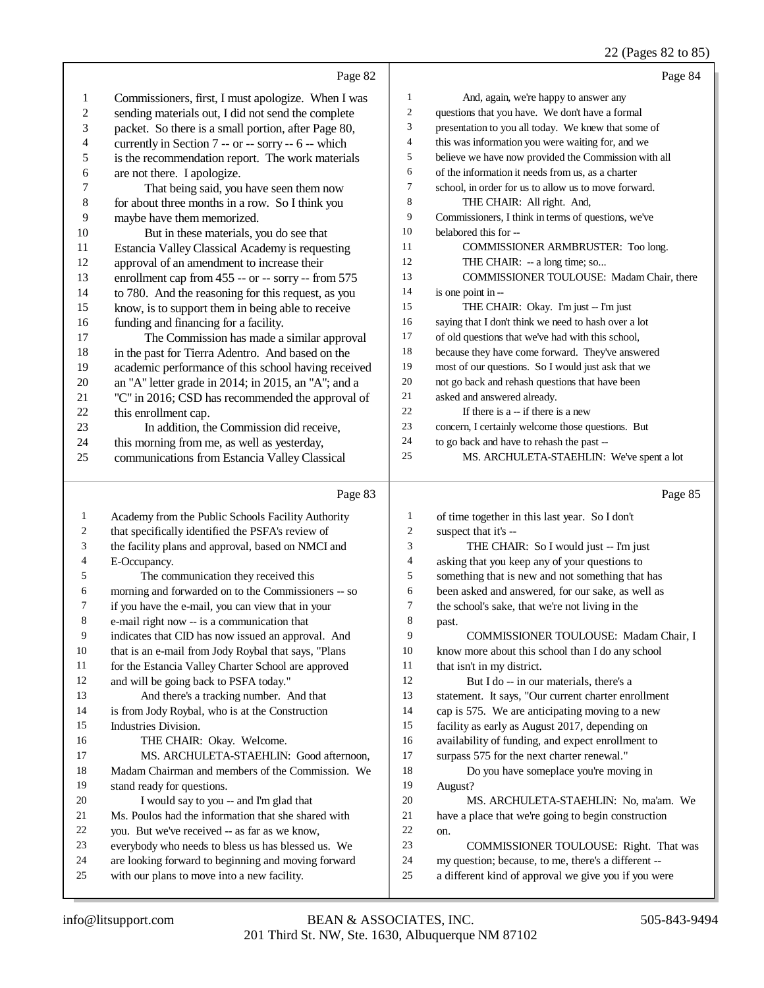## 22 (Pages 82 to 85)

|          |                                                                                                    |                | $22 \times 45$ $-22 \times 6$                                                                               |
|----------|----------------------------------------------------------------------------------------------------|----------------|-------------------------------------------------------------------------------------------------------------|
|          | Page 82                                                                                            |                | Page 84                                                                                                     |
| 1        | Commissioners, first, I must apologize. When I was                                                 | 1              | And, again, we're happy to answer any                                                                       |
| 2        | sending materials out, I did not send the complete                                                 | $\overline{c}$ | questions that you have. We don't have a formal                                                             |
| 3        | packet. So there is a small portion, after Page 80,                                                | 3              | presentation to you all today. We knew that some of                                                         |
| 4        | currently in Section 7 -- or -- sorry -- 6 -- which                                                | 4              | this was information you were waiting for, and we                                                           |
| 5        | is the recommendation report. The work materials                                                   | 5              | believe we have now provided the Commission with all                                                        |
| 6        | are not there. I apologize.                                                                        | 6              | of the information it needs from us, as a charter                                                           |
| 7        | That being said, you have seen them now                                                            | $\tau$         | school, in order for us to allow us to move forward.                                                        |
| 8        | for about three months in a row. So I think you                                                    | 8              | THE CHAIR: All right. And,                                                                                  |
| 9        | maybe have them memorized.                                                                         | 9              | Commissioners, I think in terms of questions, we've                                                         |
| 10       | But in these materials, you do see that                                                            | 10             | belabored this for --                                                                                       |
| 11       | Estancia Valley Classical Academy is requesting                                                    | 11             | COMMISSIONER ARMBRUSTER: Too long.                                                                          |
| 12       | approval of an amendment to increase their                                                         | 12             | THE CHAIR: -- a long time; so                                                                               |
| 13       | enrollment cap from 455 -- or -- sorry -- from 575                                                 | 13             | COMMISSIONER TOULOUSE: Madam Chair, there                                                                   |
| 14       | to 780. And the reasoning for this request, as you                                                 | 14             | is one point in --                                                                                          |
| 15       | know, is to support them in being able to receive                                                  | 15             | THE CHAIR: Okay. I'm just -- I'm just                                                                       |
| 16       |                                                                                                    | 16             | saying that I don't think we need to hash over a lot                                                        |
| 17       | funding and financing for a facility.                                                              | 17             | of old questions that we've had with this school,                                                           |
|          | The Commission has made a similar approval                                                         | 18             | because they have come forward. They've answered                                                            |
| 18       | in the past for Tierra Adentro. And based on the                                                   | 19             | most of our questions. So I would just ask that we                                                          |
| 19       | academic performance of this school having received                                                | 20             | not go back and rehash questions that have been                                                             |
| 20       | an "A" letter grade in 2014; in 2015, an "A"; and a                                                | 21             | asked and answered already.                                                                                 |
| 21       | "C" in 2016; CSD has recommended the approval of                                                   | 22             |                                                                                                             |
| 22       | this enrollment cap.                                                                               | 23             | If there is $a - if$ there is a new                                                                         |
| 23       | In addition, the Commission did receive,                                                           |                | concern, I certainly welcome those questions. But                                                           |
| 24       | this morning from me, as well as yesterday,                                                        | 24             | to go back and have to rehash the past --                                                                   |
| 25       | communications from Estancia Valley Classical                                                      | 25             | MS. ARCHULETA-STAEHLIN: We've spent a lot                                                                   |
|          |                                                                                                    |                |                                                                                                             |
|          | Page 83                                                                                            |                |                                                                                                             |
| 1        |                                                                                                    | 1              | Page 85                                                                                                     |
| 2        | Academy from the Public Schools Facility Authority                                                 | $\overline{c}$ | of time together in this last year. So I don't                                                              |
|          | that specifically identified the PSFA's review of                                                  |                | suspect that it's --                                                                                        |
| 3<br>4   | the facility plans and approval, based on NMCI and                                                 | 3<br>4         | THE CHAIR: So I would just -- I'm just                                                                      |
| 5        | E-Occupancy.                                                                                       |                | asking that you keep any of your questions to                                                               |
| 6        | The communication they received this                                                               | 5              | something that is new and not something that has                                                            |
| 7        | morning and forwarded on to the Commissioners -- so                                                | 6<br>7         | been asked and answered, for our sake, as well as                                                           |
|          | if you have the e-mail, you can view that in your                                                  |                | the school's sake, that we're not living in the                                                             |
| $\,8\,$  | e-mail right now -- is a communication that                                                        | 8<br>9         | past.                                                                                                       |
| 9        | indicates that CID has now issued an approval. And                                                 |                | COMMISSIONER TOULOUSE: Madam Chair, I                                                                       |
| 10       | that is an e-mail from Jody Roybal that says, "Plans                                               | 10             | know more about this school than I do any school                                                            |
| 11       | for the Estancia Valley Charter School are approved                                                | 11             | that isn't in my district.                                                                                  |
| 12       | and will be going back to PSFA today."                                                             | 12             | But I do -- in our materials, there's a                                                                     |
| 13       | And there's a tracking number. And that                                                            | 13             | statement. It says, "Our current charter enrollment                                                         |
| 14       | is from Jody Roybal, who is at the Construction                                                    | 14             | cap is 575. We are anticipating moving to a new                                                             |
| 15       | Industries Division.                                                                               | 15             | facility as early as August 2017, depending on                                                              |
| 16       | THE CHAIR: Okay. Welcome.                                                                          | 16             | availability of funding, and expect enrollment to                                                           |
| 17       | MS. ARCHULETA-STAEHLIN: Good afternoon,                                                            | 17             | surpass 575 for the next charter renewal."                                                                  |
| 18       | Madam Chairman and members of the Commission. We                                                   | 18             | Do you have someplace you're moving in                                                                      |
| 19       | stand ready for questions.                                                                         | 19             | August?                                                                                                     |
| 20       | I would say to you -- and I'm glad that                                                            | 20             | MS. ARCHULETA-STAEHLIN: No, ma'am. We                                                                       |
| 21       | Ms. Poulos had the information that she shared with                                                | 21             | have a place that we're going to begin construction                                                         |
| 22       | you. But we've received -- as far as we know,                                                      | 22             | on.                                                                                                         |
| 23       | everybody who needs to bless us has blessed us. We                                                 | 23             | COMMISSIONER TOULOUSE: Right. That was                                                                      |
| 24<br>25 | are looking forward to beginning and moving forward<br>with our plans to move into a new facility. | 24<br>25       | my question; because, to me, there's a different --<br>a different kind of approval we give you if you were |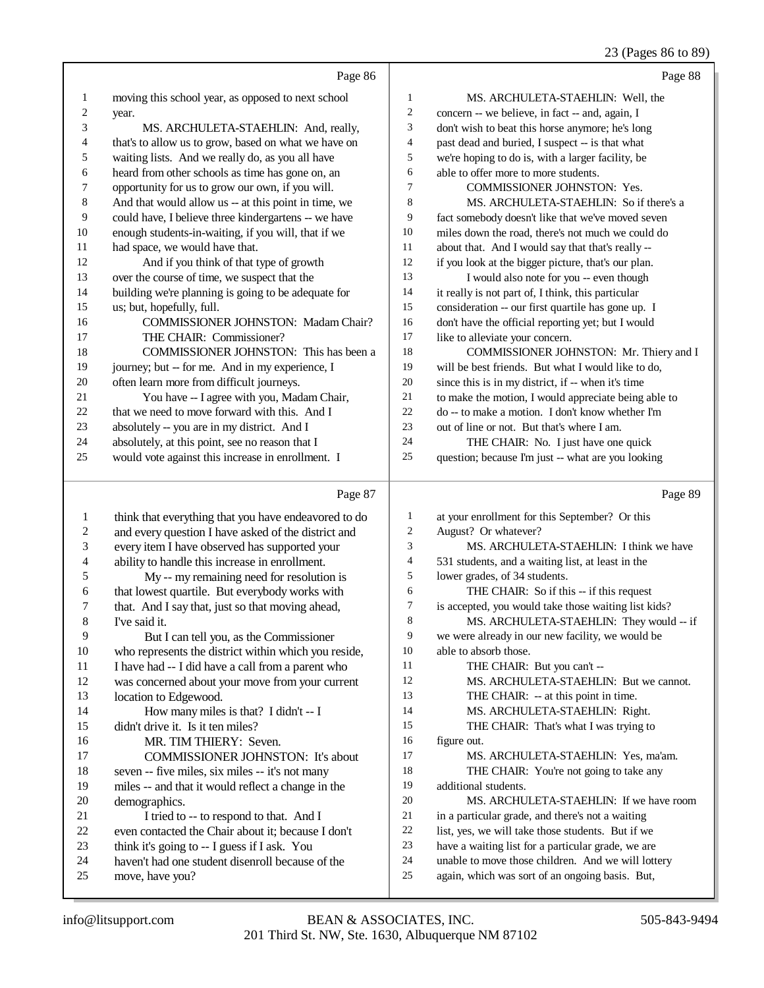## 23 (Pages 86 to 89)

|    | Page 86                                              |                | Page 88                                              |
|----|------------------------------------------------------|----------------|------------------------------------------------------|
| 1  | moving this school year, as opposed to next school   | 1              | MS. ARCHULETA-STAEHLIN: Well, the                    |
| 2  | year.                                                | $\overline{2}$ | concern -- we believe, in fact -- and, again, I      |
| 3  | MS. ARCHULETA-STAEHLIN: And, really,                 | 3              | don't wish to beat this horse anymore; he's long     |
| 4  | that's to allow us to grow, based on what we have on | $\overline{4}$ | past dead and buried, I suspect -- is that what      |
| 5  | waiting lists. And we really do, as you all have     | 5              | we're hoping to do is, with a larger facility, be    |
| 6  | heard from other schools as time has gone on, an     | 6              | able to offer more to more students.                 |
| 7  | opportunity for us to grow our own, if you will.     | 7              | <b>COMMISSIONER JOHNSTON: Yes.</b>                   |
| 8  | And that would allow us -- at this point in time, we | 8              | MS. ARCHULETA-STAEHLIN: So if there's a              |
| 9  | could have, I believe three kindergartens -- we have | 9              | fact somebody doesn't like that we've moved seven    |
| 10 | enough students-in-waiting, if you will, that if we  | 10             | miles down the road, there's not much we could do    |
| 11 | had space, we would have that.                       | 11             | about that. And I would say that that's really --    |
| 12 | And if you think of that type of growth              | 12             | if you look at the bigger picture, that's our plan.  |
| 13 | over the course of time, we suspect that the         | 13             | I would also note for you -- even though             |
| 14 | building we're planning is going to be adequate for  | 14             | it really is not part of, I think, this particular   |
| 15 | us; but, hopefully, full.                            | 15             | consideration -- our first quartile has gone up. I   |
| 16 | <b>COMMISSIONER JOHNSTON: Madam Chair?</b>           | 16             | don't have the official reporting yet; but I would   |
| 17 | THE CHAIR: Commissioner?                             | 17             | like to alleviate your concern.                      |
| 18 | COMMISSIONER JOHNSTON: This has been a               | 18             | COMMISSIONER JOHNSTON: Mr. Thiery and I              |
| 19 | journey; but -- for me. And in my experience, I      | 19             | will be best friends. But what I would like to do.   |
| 20 | often learn more from difficult journeys.            | 20             | since this is in my district, if -- when it's time   |
| 21 | You have -- I agree with you, Madam Chair,           | 21             | to make the motion, I would appreciate being able to |
| 22 | that we need to move forward with this. And I        | 22             | do -- to make a motion. I don't know whether I'm     |
| 23 | absolutely -- you are in my district. And I          | 23             | out of line or not. But that's where I am.           |
| 24 | absolutely, at this point, see no reason that I      | 24             | THE CHAIR: No. I just have one quick                 |
| 25 | would vote against this increase in enrollment. I    | 25             | question; because I'm just -- what are you looking   |
|    |                                                      |                |                                                      |
|    | Page 87                                              |                | Page 89                                              |

#### Page 87 |

| 1  | think that everything that you have endeavored to do | 1              | at your enrollment for this September? Or this       |
|----|------------------------------------------------------|----------------|------------------------------------------------------|
| 2  | and every question I have asked of the district and  | 2              | August? Or whatever?                                 |
| 3  | every item I have observed has supported your        | 3              | MS. ARCHULETA-STAEHLIN: I think we have              |
| 4  | ability to handle this increase in enrollment.       | $\overline{4}$ | 531 students, and a waiting list, at least in the    |
| 5  | My -- my remaining need for resolution is            | 5              | lower grades, of 34 students.                        |
| 6  | that lowest quartile. But everybody works with       | 6              | THE CHAIR: So if this -- if this request             |
| 7  | that. And I say that, just so that moving ahead,     | 7              | is accepted, you would take those waiting list kids? |
| 8  | I've said it.                                        | 8              | MS. ARCHULETA-STAEHLIN: They would -- if             |
| 9  | But I can tell you, as the Commissioner              | 9              | we were already in our new facility, we would be     |
| 10 | who represents the district within which you reside, | 10             | able to absorb those.                                |
| 11 | I have had -- I did have a call from a parent who    | 11             | THE CHAIR: But you can't --                          |
| 12 | was concerned about your move from your current      | 12             | MS. ARCHULETA-STAEHLIN: But we cannot.               |
| 13 | location to Edgewood.                                | 13             | THE CHAIR: -- at this point in time.                 |
| 14 | How many miles is that? I didn't $- I$               | 14             | MS. ARCHULETA-STAEHLIN: Right.                       |
| 15 | didn't drive it. Is it ten miles?                    | 15             | THE CHAIR: That's what I was trying to               |
| 16 | MR. TIM THIERY: Seven.                               | 16             | figure out.                                          |
| 17 | <b>COMMISSIONER JOHNSTON:</b> It's about             | 17             | MS. ARCHULETA-STAEHLIN: Yes, ma'am.                  |
| 18 | seven -- five miles, six miles -- it's not many      | 18             | THE CHAIR: You're not going to take any              |
| 19 | miles -- and that it would reflect a change in the   | 19             | additional students.                                 |
| 20 | demographics.                                        | 20             | MS. ARCHULETA-STAEHLIN: If we have room              |
| 21 | I tried to -- to respond to that. And I              | 21             | in a particular grade, and there's not a waiting     |
| 22 | even contacted the Chair about it; because I don't   | 22             | list, yes, we will take those students. But if we    |
| 23 | think it's going to -- I guess if I ask. You         | 23             | have a waiting list for a particular grade, we are   |
| 24 | haven't had one student disenroll because of the     | 24             | unable to move those children. And we will lottery   |
| 25 | move, have you?                                      | 25             | again, which was sort of an ongoing basis. But,      |
|    |                                                      |                |                                                      |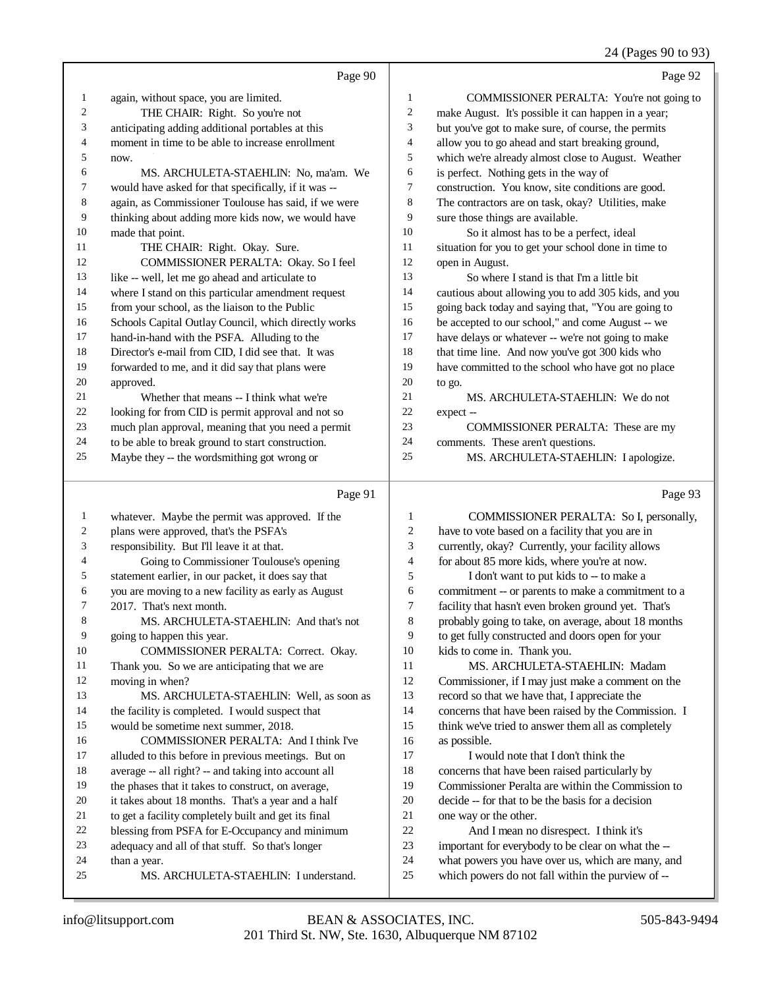24 (Pages 90 to 93)

|                  | Page 90                                                                                            |                | Page 92                                                                                      |
|------------------|----------------------------------------------------------------------------------------------------|----------------|----------------------------------------------------------------------------------------------|
| $\mathbf{1}$     | again, without space, you are limited.                                                             | 1              | COMMISSIONER PERALTA: You're not going to                                                    |
| $\overline{c}$   | THE CHAIR: Right. So you're not                                                                    | $\overline{c}$ | make August. It's possible it can happen in a year;                                          |
| 3                | anticipating adding additional portables at this                                                   | 3              | but you've got to make sure, of course, the permits                                          |
| 4                | moment in time to be able to increase enrollment                                                   | 4              | allow you to go ahead and start breaking ground,                                             |
| 5                | now.                                                                                               | 5              | which we're already almost close to August. Weather                                          |
| 6                | MS. ARCHULETA-STAEHLIN: No, ma'am. We                                                              | 6              | is perfect. Nothing gets in the way of                                                       |
| 7                | would have asked for that specifically, if it was --                                               | 7              | construction. You know, site conditions are good.                                            |
| 8                | again, as Commissioner Toulouse has said, if we were                                               | $\,$ 8 $\,$    | The contractors are on task, okay? Utilities, make                                           |
| 9                | thinking about adding more kids now, we would have                                                 | 9              | sure those things are available.                                                             |
| 10               | made that point.                                                                                   | 10             | So it almost has to be a perfect, ideal                                                      |
| 11               | THE CHAIR: Right. Okay. Sure.                                                                      | 11             | situation for you to get your school done in time to                                         |
| 12               | COMMISSIONER PERALTA: Okay. So I feel                                                              | 12             | open in August.                                                                              |
| 13               | like -- well, let me go ahead and articulate to                                                    | 13             | So where I stand is that I'm a little bit                                                    |
| 14               | where I stand on this particular amendment request                                                 | 14             | cautious about allowing you to add 305 kids, and you                                         |
| 15               | from your school, as the liaison to the Public                                                     | 15             | going back today and saying that, "You are going to                                          |
| 16               | Schools Capital Outlay Council, which directly works                                               | 16             | be accepted to our school," and come August -- we                                            |
| $17\,$           | hand-in-hand with the PSFA. Alluding to the                                                        | 17             | have delays or whatever -- we're not going to make                                           |
| 18               | Director's e-mail from CID, I did see that. It was                                                 | 18             | that time line. And now you've got 300 kids who                                              |
| 19               | forwarded to me, and it did say that plans were                                                    | 19             | have committed to the school who have got no place                                           |
| $20\,$           | approved.                                                                                          | 20             | to go.                                                                                       |
| 21               | Whether that means -- I think what we're                                                           | 21             | MS. ARCHULETA-STAEHLIN: We do not                                                            |
| $22\,$           | looking for from CID is permit approval and not so                                                 | $22\,$         | expect-                                                                                      |
| $23\,$           | much plan approval, meaning that you need a permit                                                 | 23             | COMMISSIONER PERALTA: These are my                                                           |
| 24               | to be able to break ground to start construction.                                                  | 24             | comments. These aren't questions.                                                            |
| 25               | Maybe they -- the wordsmithing got wrong or                                                        | 25             | MS. ARCHULETA-STAEHLIN: I apologize.                                                         |
|                  | Page 91                                                                                            |                | Page 93                                                                                      |
| $\mathbf{1}$     | whatever. Maybe the permit was approved. If the                                                    | $\mathbf{1}$   | COMMISSIONER PERALTA: So I, personally,                                                      |
| $\boldsymbol{2}$ | plans were approved, that's the PSFA's                                                             | $\overline{c}$ | have to vote based on a facility that you are in                                             |
| $\sqrt{3}$       | responsibility. But I'll leave it at that.                                                         | 3              | currently, okay? Currently, your facility allows                                             |
| 4                | Going to Commissioner Toulouse's opening                                                           | 4              | for about 85 more kids, where you're at now.                                                 |
| 5                | statement earlier, in our packet, it does say that                                                 | 5              | I don't want to put kids to -- to make a                                                     |
| 6                | you are moving to a new facility as early as August                                                | 6              | commitment -- or parents to make a commitment to a                                           |
| 7                | 2017. That's next month.                                                                           | $\tau$         | facility that hasn't even broken ground yet. That's                                          |
| 8                | MS. ARCHULETA-STAEHLIN: And that's not                                                             | 8              | probably going to take, on average, about 18 months                                          |
| 9                | going to happen this year.                                                                         | 9              | to get fully constructed and doors open for your                                             |
| 10               | COMMISSIONER PERALTA: Correct. Okay.                                                               | 10             | kids to come in. Thank you.                                                                  |
| 11               | Thank you. So we are anticipating that we are                                                      | 11             | MS. ARCHULETA-STAEHLIN: Madam                                                                |
| 12               | moving in when?                                                                                    | $12\,$         | Commissioner, if I may just make a comment on the                                            |
| 13               | MS. ARCHULETA-STAEHLIN: Well, as soon as                                                           | 13             | record so that we have that, I appreciate the                                                |
| 14               | the facility is completed. I would suspect that                                                    | 14             | concerns that have been raised by the Commission. I                                          |
| 15               | would be sometime next summer, 2018.                                                               | 15             | think we've tried to answer them all as completely                                           |
| 16               | COMMISSIONER PERALTA: And I think I've                                                             | 16             | as possible.                                                                                 |
| 17               | alluded to this before in previous meetings. But on                                                | 17             | I would note that I don't think the                                                          |
| 18               | average -- all right? -- and taking into account all                                               | 18             | concerns that have been raised particularly by                                               |
| 19               | the phases that it takes to construct, on average,                                                 | 19             | Commissioner Peralta are within the Commission to                                            |
| 20               | it takes about 18 months. That's a year and a half                                                 | $20\,$         | decide -- for that to be the basis for a decision                                            |
| 21<br>$22\,$     | to get a facility completely built and get its final                                               | 21<br>22       | one way or the other.                                                                        |
| 23               | blessing from PSFA for E-Occupancy and minimum<br>adequacy and all of that stuff. So that's longer | 23             | And I mean no disrespect. I think it's<br>important for everybody to be clear on what the -- |
| 24               | than a year.                                                                                       | 24             | what powers you have over us, which are many, and                                            |
|                  |                                                                                                    |                |                                                                                              |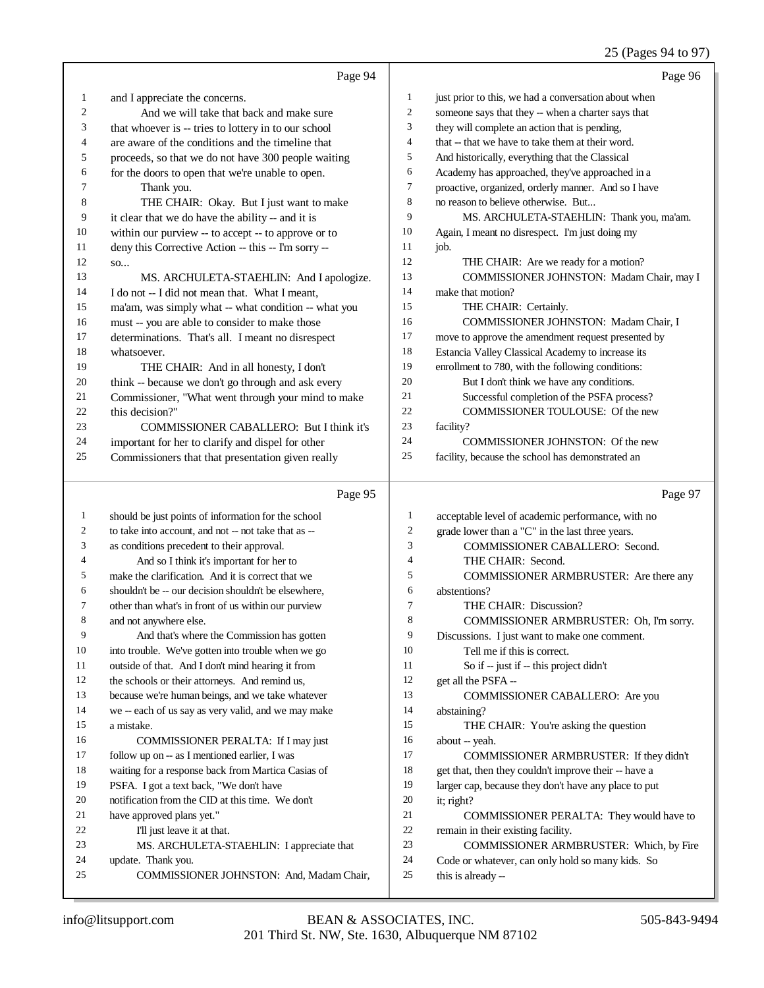## 25 (Pages 94 to 97)

|          | Page 94                                                        |                | Page 96                                                                |
|----------|----------------------------------------------------------------|----------------|------------------------------------------------------------------------|
| 1        | and I appreciate the concerns.                                 | 1              | just prior to this, we had a conversation about when                   |
| 2        | And we will take that back and make sure                       | $\mathbf{2}$   | someone says that they -- when a charter says that                     |
| 3        | that whoever is -- tries to lottery in to our school           | 3              | they will complete an action that is pending,                          |
| 4        | are aware of the conditions and the timeline that              | $\overline{4}$ | that -- that we have to take them at their word.                       |
| 5        | proceeds, so that we do not have 300 people waiting            | 5              | And historically, everything that the Classical                        |
| 6        | for the doors to open that we're unable to open.               | 6              | Academy has approached, they've approached in a                        |
| 7        | Thank you.                                                     | 7              | proactive, organized, orderly manner. And so I have                    |
| 8        | THE CHAIR: Okay. But I just want to make                       | 8              | no reason to believe otherwise. But                                    |
| 9        | it clear that we do have the ability -- and it is              | 9              | MS. ARCHULETA-STAEHLIN: Thank you, ma'am.                              |
| 10       | within our purview -- to accept -- to approve or to            | 10             | Again, I meant no disrespect. I'm just doing my                        |
| 11       | deny this Corrective Action -- this -- I'm sorry --            | 11             | job.                                                                   |
| 12       | SO                                                             | 12             | THE CHAIR: Are we ready for a motion?                                  |
| 13       | MS. ARCHULETA-STAEHLIN: And I apologize.                       | 13             | COMMISSIONER JOHNSTON: Madam Chair, may I                              |
| 14       | I do not -- I did not mean that. What I meant,                 | 14             | make that motion?                                                      |
| 15       | ma'am, was simply what -- what condition -- what you           | 15             | THE CHAIR: Certainly.                                                  |
| 16       | must -- you are able to consider to make those                 | 16             | COMMISSIONER JOHNSTON: Madam Chair, I                                  |
| 17       | determinations. That's all. I meant no disrespect              | 17             | move to approve the amendment request presented by                     |
| 18       | whatsoever.                                                    | 18             | Estancia Valley Classical Academy to increase its                      |
| 19       | THE CHAIR: And in all honesty, I don't                         | 19             | enrollment to 780, with the following conditions:                      |
| 20       | think -- because we don't go through and ask every             | 20             | But I don't think we have any conditions.                              |
| 21       | Commissioner, "What went through your mind to make             | 21             | Successful completion of the PSFA process?                             |
| 22       | this decision?"                                                | 22             | COMMISSIONER TOULOUSE: Of the new                                      |
| 23       | COMMISSIONER CABALLERO: But I think it's                       | 23<br>24       | facility?                                                              |
| 24       | important for her to clarify and dispel for other              | 25             | COMMISSIONER JOHNSTON: Of the new                                      |
| 25       | Commissioners that that presentation given really              |                | facility, because the school has demonstrated an                       |
|          | Page 95                                                        |                | Page 97                                                                |
| 1        | should be just points of information for the school            | $\mathbf{1}$   | acceptable level of academic performance, with no                      |
| 2        | to take into account, and not -- not take that as --           | $\sqrt{2}$     | grade lower than a "C" in the last three years.                        |
| 3        | as conditions precedent to their approval.                     | 3              | COMMISSIONER CABALLERO: Second.                                        |
| 4        | And so I think it's important for her to                       | 4              | THE CHAIR: Second.                                                     |
| 5        | make the clarification. And it is correct that we              | 5              | COMMISSIONER ARMBRUSTER: Are there any                                 |
| 6        | shouldn't be -- our decision shouldn't be elsewhere,           | 6              | abstentions?                                                           |
| 7        | other than what's in front of us within our purview            | 7              | THE CHAIR: Discussion?                                                 |
| 8        | and not anywhere else.                                         | 8              | COMMISSIONER ARMBRUSTER: Oh, I'm sorry.                                |
| 9        | And that's where the Commission has gotten                     | 9              | Discussions. I just want to make one comment.                          |
| 10       | into trouble. We've gotten into trouble when we go             | 10             | Tell me if this is correct.                                            |
| 11       | outside of that. And I don't mind hearing it from              | 11             | So if -- just if -- this project didn't                                |
| 12       | the schools or their attorneys. And remind us,                 | 12             | get all the PSFA --                                                    |
| 13       | because we're human beings, and we take whatever               | 13             | COMMISSIONER CABALLERO: Are you                                        |
| 14       | we -- each of us say as very valid, and we may make            | 14             | abstaining?                                                            |
| 15       | a mistake.                                                     | 15             | THE CHAIR: You're asking the question                                  |
| 16       | COMMISSIONER PERALTA: If I may just                            | 16             | about -- yeah.                                                         |
| 17       | follow up on -- as I mentioned earlier, I was                  | 17             | COMMISSIONER ARMBRUSTER: If they didn't                                |
| 18       | waiting for a response back from Martica Casias of             | 18             | get that, then they couldn't improve their -- have a                   |
| 19       | PSFA. I got a text back, "We don't have                        | 19             | larger cap, because they don't have any place to put                   |
| 20       | notification from the CID at this time. We don't               | 20             | it; right?                                                             |
| 21       | have approved plans yet."                                      | 21             | COMMISSIONER PERALTA: They would have to                               |
| 22<br>23 | I'll just leave it at that.                                    | $22\,$         | remain in their existing facility.                                     |
|          |                                                                |                |                                                                        |
|          | MS. ARCHULETA-STAEHLIN: I appreciate that                      | 23             | COMMISSIONER ARMBRUSTER: Which, by Fire                                |
| 24<br>25 | update. Thank you.<br>COMMISSIONER JOHNSTON: And, Madam Chair, | 24<br>25       | Code or whatever, can only hold so many kids. So<br>this is already -- |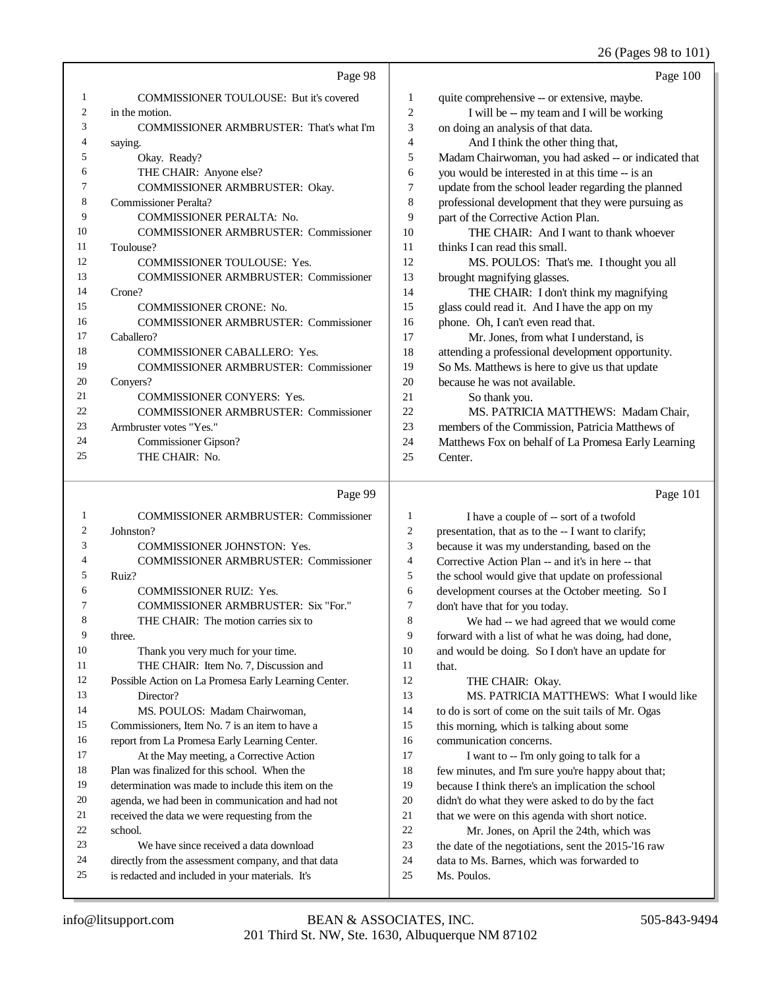26 (Pages 98 to 101)

|                | Page 98                                      |                | Page 100                                             |
|----------------|----------------------------------------------|----------------|------------------------------------------------------|
| 1              | COMMISSIONER TOULOUSE: But it's covered      | 1              | quite comprehensive -- or extensive, maybe.          |
| 2              | in the motion.                               | $\overline{c}$ | I will be -- my team and I will be working           |
| 3              | COMMISSIONER ARMBRUSTER: That's what I'm     | 3              | on doing an analysis of that data.                   |
| 4              | saying.                                      | $\overline{4}$ | And I think the other thing that,                    |
| 5              | Okay. Ready?                                 | 5              | Madam Chairwoman, you had asked -- or indicated that |
| 6              | THE CHAIR: Anyone else?                      | 6              | you would be interested in at this time -- is an     |
| 7              | COMMISSIONER ARMBRUSTER: Okay.               | 7              | update from the school leader regarding the planned  |
| 8              | <b>Commissioner Peralta?</b>                 | 8              | professional development that they were pursuing as  |
| 9              | <b>COMMISSIONER PERALTA: No.</b>             | 9              | part of the Corrective Action Plan.                  |
| 10             | <b>COMMISSIONER ARMBRUSTER: Commissioner</b> | 10             | THE CHAIR: And I want to thank whoever               |
| 11             | Toulouse?                                    | 11             | thinks I can read this small.                        |
| 12             | <b>COMMISSIONER TOULOUSE: Yes.</b>           | 12             | MS. POULOS: That's me. I thought you all             |
| 13             | <b>COMMISSIONER ARMBRUSTER: Commissioner</b> | 13             | brought magnifying glasses.                          |
| 14             | Crone?                                       | 14             | THE CHAIR: I don't think my magnifying               |
| 15             | <b>COMMISSIONER CRONE: No.</b>               | 15             | glass could read it. And I have the app on my        |
| 16             | <b>COMMISSIONER ARMBRUSTER: Commissioner</b> | 16             | phone. Oh, I can't even read that.                   |
| 17             | Caballero?                                   | 17             | Mr. Jones, from what I understand, is                |
| 18             | <b>COMMISSIONER CABALLERO: Yes.</b>          | 18             | attending a professional development opportunity.    |
| 19             | <b>COMMISSIONER ARMBRUSTER: Commissioner</b> | 19             | So Ms. Matthews is here to give us that update       |
| 20             | Conyers?                                     | 20             | because he was not available.                        |
| 21             | <b>COMMISSIONER CONYERS: Yes.</b>            | 21             | So thank you.                                        |
| 22             | <b>COMMISSIONER ARMBRUSTER: Commissioner</b> | 22             | MS. PATRICIA MATTHEWS: Madam Chair,                  |
| 23             | Armbruster votes "Yes."                      | 23             | members of the Commission, Patricia Matthews of      |
| 24             | Commissioner Gipson?                         | 24             | Matthews Fox on behalf of La Promesa Early Learning  |
| 25             | THE CHAIR: No.                               | 25             | Center.                                              |
|                | Page 99                                      |                | Page 101                                             |
| 1              | <b>COMMISSIONER ARMBRUSTER: Commissioner</b> | 1              | I have a couple of -- sort of a twofold              |
| $\overline{2}$ | Johnston?                                    | $\overline{c}$ | presentation, that as to the -- I want to clarify;   |
| 3              | <b>COMMISSIONER JOHNSTON: Yes.</b>           | 3              | because it was my understanding, based on the        |

| 4   | <b>COMMISSIONER ARMBRUSTER: Commissioner</b>         |
|-----|------------------------------------------------------|
| 5   | Ruiz?                                                |
| 6   | <b>COMMISSIONER RUIZ: Yes.</b>                       |
| 7   | <b>COMMISSIONER ARMBRUSTER: Six "For."</b>           |
| 8   | THE CHAIR: The motion carries six to                 |
| 9   | three.                                               |
| 10  | Thank you very much for your time.                   |
| 11  | THE CHAIR: Item No. 7, Discussion and                |
| 12  | Possible Action on La Promesa Early Learning Center. |
| 13  | Director?                                            |
| 14  | MS. POULOS: Madam Chairwoman,                        |
| 15  | Commissioners, Item No. 7 is an item to have a       |
| 16  | report from La Promesa Early Learning Center.        |
| 17  | At the May meeting, a Corrective Action              |
| 18  | Plan was finalized for this school. When the         |
| 19  | determination was made to include this item on the   |
| 20  | agenda, we had been in communication and had not     |
| 21  | received the data we were requesting from the        |
| 22. | school.                                              |
| 23  | We have since received a data download               |

 directly from the assessment company, and that data is redacted and included in your materials. It's

 the school would give that update on professional development courses at the October meeting. So I 7 don't have that for you today.<br>8 We had -- we had agree We had -- we had agreed that we would come forward with a list of what he was doing, had done, and would be doing. So I don't have an update for 11 that.<br>12 THE CHAIR: Okay. MS. PATRICIA MATTHEWS: What I would like to do is sort of come on the suit tails of Mr. Ogas this morning, which is talking about some 16 communication concerns.<br>17 I want to -- I'm only I want to -- I'm only going to talk for a few minutes, and I'm sure you're happy about that; because I think there's an implication the school didn't do what they were asked to do by the fact 21 that we were on this agenda with short notice.<br>22 Mr. Jones. on April the 24th. which was 22 Mr. Jones, on April the 24th, which was<br>
23 the date of the negotiations, sent the 2015-16 r.

Corrective Action Plan -- and it's in here -- that

the date of the negotiations, sent the 2015-'16 raw

24 data to Ms. Barnes, which was forwarded to <br>25 Ms. Poulos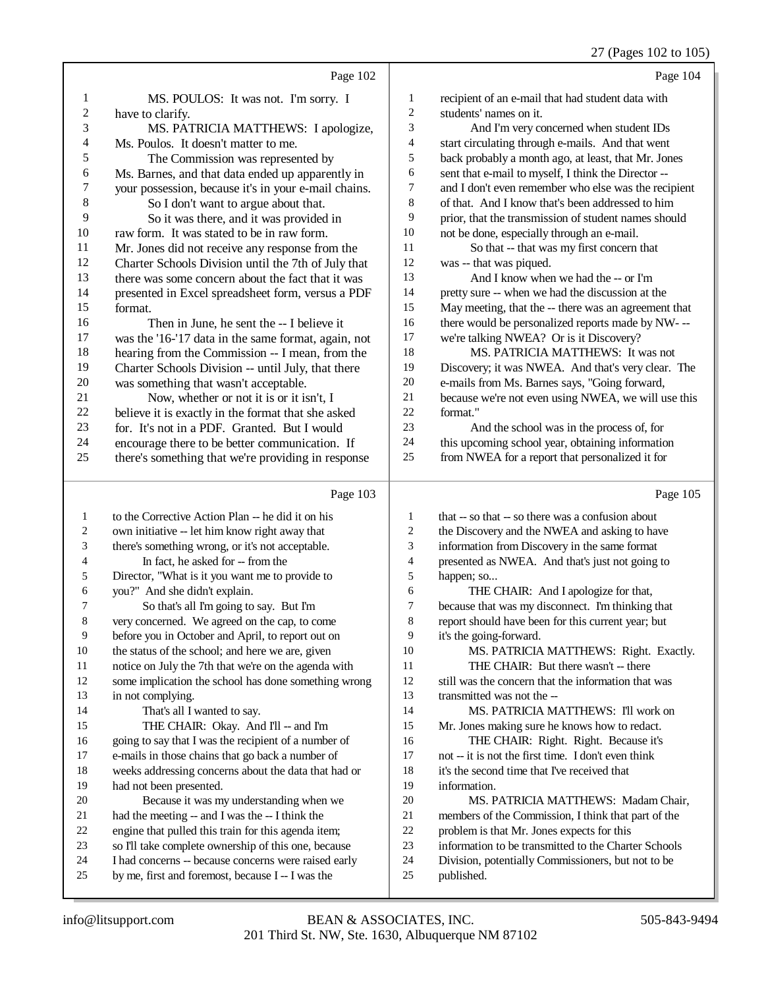## 27 (Pages 102 to 105)

|                         | Page 102                                                                                                  |                | Page 104                                                         |
|-------------------------|-----------------------------------------------------------------------------------------------------------|----------------|------------------------------------------------------------------|
| 1                       | MS. POULOS: It was not. I'm sorry. I                                                                      | $\mathbf{1}$   | recipient of an e-mail that had student data with                |
| $\overline{\mathbf{c}}$ | have to clarify.                                                                                          | $\mathbf{2}$   | students' names on it.                                           |
| 3                       | MS. PATRICIA MATTHEWS: I apologize,                                                                       | 3              | And I'm very concerned when student IDs                          |
| 4                       | Ms. Poulos. It doesn't matter to me.                                                                      | 4              | start circulating through e-mails. And that went                 |
| 5                       | The Commission was represented by                                                                         | 5              | back probably a month ago, at least, that Mr. Jones              |
| 6                       | Ms. Barnes, and that data ended up apparently in                                                          | 6              | sent that e-mail to myself, I think the Director --              |
| 7                       | your possession, because it's in your e-mail chains.                                                      | 7              | and I don't even remember who else was the recipient             |
| 8                       | So I don't want to argue about that.                                                                      | 8              | of that. And I know that's been addressed to him                 |
| 9                       | So it was there, and it was provided in                                                                   | 9              | prior, that the transmission of student names should             |
| 10                      | raw form. It was stated to be in raw form.                                                                | $10\,$         | not be done, especially through an e-mail.                       |
| 11                      | Mr. Jones did not receive any response from the                                                           | 11             | So that -- that was my first concern that                        |
| 12                      | Charter Schools Division until the 7th of July that                                                       | 12             | was -- that was piqued.                                          |
| 13                      | there was some concern about the fact that it was                                                         | 13             | And I know when we had the -- or I'm                             |
| 14                      | presented in Excel spreadsheet form, versus a PDF                                                         | 14             | pretty sure -- when we had the discussion at the                 |
| 15                      | format.                                                                                                   | 15             | May meeting, that the -- there was an agreement that             |
| 16                      | Then in June, he sent the -- I believe it                                                                 | 16             | there would be personalized reports made by NW---                |
| 17                      | was the '16-'17 data in the same format, again, not                                                       | 17             | we're talking NWEA? Or is it Discovery?                          |
| 18                      | hearing from the Commission -- I mean, from the                                                           | 18             | MS. PATRICIA MATTHEWS: It was not                                |
| 19                      | Charter Schools Division -- until July, that there                                                        | 19             | Discovery; it was NWEA. And that's very clear. The               |
| 20                      | was something that wasn't acceptable.                                                                     | $20\,$         | e-mails from Ms. Barnes says, "Going forward,                    |
| 21                      | Now, whether or not it is or it isn't, I                                                                  | 21             | because we're not even using NWEA, we will use this              |
| 22                      | believe it is exactly in the format that she asked                                                        | 22             | format."                                                         |
| 23                      | for. It's not in a PDF. Granted. But I would                                                              | 23             | And the school was in the process of, for                        |
| 24                      | encourage there to be better communication. If                                                            | 24             | this upcoming school year, obtaining information                 |
| 25                      | there's something that we're providing in response                                                        | 25             | from NWEA for a report that personalized it for                  |
|                         |                                                                                                           |                |                                                                  |
|                         |                                                                                                           |                |                                                                  |
|                         |                                                                                                           |                |                                                                  |
|                         | Page 103                                                                                                  |                | Page 105                                                         |
| $\mathbf{1}$            | to the Corrective Action Plan -- he did it on his                                                         | 1              | that -- so that -- so there was a confusion about                |
| 2                       | own initiative -- let him know right away that                                                            | $\overline{c}$ | the Discovery and the NWEA and asking to have                    |
| 3                       | there's something wrong, or it's not acceptable.                                                          | 3              | information from Discovery in the same format                    |
| 4                       | In fact, he asked for -- from the                                                                         | $\overline{4}$ | presented as NWEA. And that's just not going to                  |
| 5                       | Director, "What is it you want me to provide to                                                           | 5              | happen; so                                                       |
| 6                       | you?" And she didn't explain.                                                                             | 6              | THE CHAIR: And I apologize for that,                             |
| 7                       | So that's all I'm going to say. But I'm                                                                   | $\overline{7}$ | because that was my disconnect. I'm thinking that                |
| 8                       | very concerned. We agreed on the cap, to come                                                             | 8              | report should have been for this current year; but               |
| 9                       | before you in October and April, to report out on                                                         | 9              | it's the going-forward.                                          |
| 10                      | the status of the school; and here we are, given                                                          | 10             | MS. PATRICIA MATTHEWS: Right. Exactly.                           |
| 11                      | notice on July the 7th that we're on the agenda with                                                      | 11             | THE CHAIR: But there wasn't -- there                             |
| 12                      | some implication the school has done something wrong                                                      | 12             | still was the concern that the information that was              |
| 13                      | in not complying.                                                                                         | 13             | transmitted was not the --                                       |
| 14                      | That's all I wanted to say.                                                                               | 14             | MS. PATRICIA MATTHEWS: I'll work on                              |
| 15                      | THE CHAIR: Okay. And I'll -- and I'm                                                                      | 15             | Mr. Jones making sure he knows how to redact.                    |
| 16                      | going to say that I was the recipient of a number of                                                      | 16             | THE CHAIR: Right. Right. Because it's                            |
| 17                      | e-mails in those chains that go back a number of                                                          | 17             | not -- it is not the first time. I don't even think              |
| 18                      | weeks addressing concerns about the data that had or                                                      | 18             | it's the second time that I've received that                     |
| 19                      | had not been presented.                                                                                   | 19             | information.                                                     |
| 20                      | Because it was my understanding when we                                                                   | 20             | MS. PATRICIA MATTHEWS: Madam Chair,                              |
| 21                      | had the meeting -- and I was the -- I think the                                                           | 21             | members of the Commission, I think that part of the              |
| 22                      | engine that pulled this train for this agenda item;                                                       | 22             | problem is that Mr. Jones expects for this                       |
| 23                      | so I'll take complete ownership of this one, because                                                      | 23             | information to be transmitted to the Charter Schools             |
| 24<br>25                | I had concerns -- because concerns were raised early<br>by me, first and foremost, because I -- I was the | 24<br>25       | Division, potentially Commissioners, but not to be<br>published. |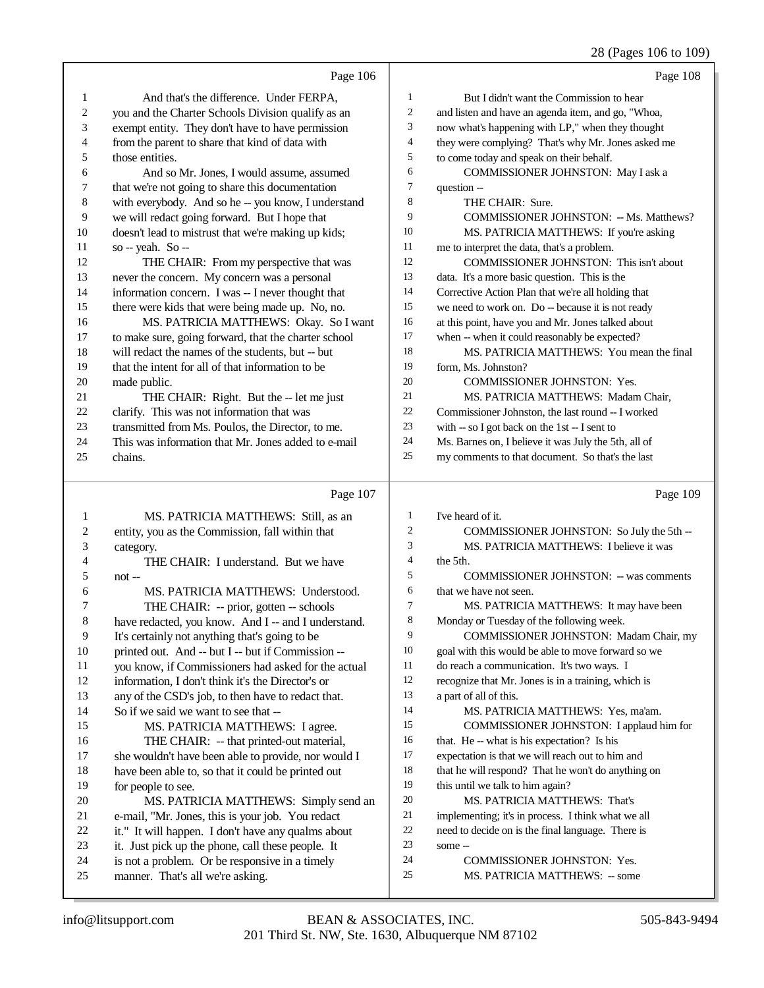## 28 (Pages 106 to 109)

|                | Page 106                                                                                            |                          | Page 108                                             |
|----------------|-----------------------------------------------------------------------------------------------------|--------------------------|------------------------------------------------------|
| 1              | And that's the difference. Under FERPA,                                                             | $\mathbf{1}$             | But I didn't want the Commission to hear             |
| 2              | you and the Charter Schools Division qualify as an                                                  | 2                        | and listen and have an agenda item, and go, "Whoa,   |
| 3              | exempt entity. They don't have to have permission                                                   | 3                        | now what's happening with LP," when they thought     |
| 4              | from the parent to share that kind of data with                                                     | $\overline{\mathcal{L}}$ | they were complying? That's why Mr. Jones asked me   |
| 5              | those entities.                                                                                     | 5                        | to come today and speak on their behalf.             |
| 6              | And so Mr. Jones, I would assume, assumed                                                           | 6                        | COMMISSIONER JOHNSTON: May I ask a                   |
| 7              | that we're not going to share this documentation                                                    | $\tau$                   | question --                                          |
| $\,$ 8 $\,$    | with everybody. And so he -- you know, I understand                                                 | 8                        | THE CHAIR: Sure.                                     |
| $\mathbf{9}$   | we will redact going forward. But I hope that                                                       | 9                        | COMMISSIONER JOHNSTON: - Ms. Matthews?               |
| 10             | doesn't lead to mistrust that we're making up kids;                                                 | 10                       | MS. PATRICIA MATTHEWS: If you're asking              |
| 11             | so -- yeah. So --                                                                                   | 11                       | me to interpret the data, that's a problem.          |
| 12             | THE CHAIR: From my perspective that was                                                             | 12                       | COMMISSIONER JOHNSTON: This isn't about              |
| 13             | never the concern. My concern was a personal                                                        | 13                       | data. It's a more basic question. This is the        |
| 14             | information concern. I was -- I never thought that                                                  | 14                       | Corrective Action Plan that we're all holding that   |
| 15             | there were kids that were being made up. No, no.                                                    | 15                       | we need to work on. Do -- because it is not ready    |
| 16             | MS. PATRICIA MATTHEWS: Okay. So I want                                                              | 16                       | at this point, have you and Mr. Jones talked about   |
| 17             | to make sure, going forward, that the charter school                                                | 17                       | when -- when it could reasonably be expected?        |
| 18             | will redact the names of the students, but -- but                                                   | 18                       | MS. PATRICIA MATTHEWS: You mean the final            |
| 19             | that the intent for all of that information to be                                                   | 19                       | form, Ms. Johnston?                                  |
| 20             | made public.                                                                                        | 20                       | COMMISSIONER JOHNSTON: Yes.                          |
| 21             | THE CHAIR: Right. But the -- let me just                                                            | 21                       | MS. PATRICIA MATTHEWS: Madam Chair,                  |
| 22             | clarify. This was not information that was                                                          | 22                       | Commissioner Johnston, the last round -- I worked    |
| 23             | transmitted from Ms. Poulos, the Director, to me.                                                   | 23                       | with -- so I got back on the 1st -- I sent to        |
| 24             | This was information that Mr. Jones added to e-mail                                                 | $24\,$                   | Ms. Barnes on, I believe it was July the 5th, all of |
| 25             | chains.                                                                                             | 25                       | my comments to that document. So that's the last     |
|                |                                                                                                     |                          |                                                      |
|                | Page 107                                                                                            |                          | Page 109                                             |
| 1              | MS. PATRICIA MATTHEWS: Still, as an                                                                 | $\mathbf{1}$             | I've heard of it.                                    |
| 2              | entity, you as the Commission, fall within that                                                     | $\mathfrak{2}$           | COMMISSIONER JOHNSTON: So July the 5th --            |
| 3              | category.                                                                                           | 3                        | MS. PATRICIA MATTHEWS: I believe it was              |
| 4              | THE CHAIR: I understand. But we have                                                                | $\overline{4}$           | the 5th.                                             |
| 5              | not-                                                                                                | 5                        | <b>COMMISSIONER JOHNSTON: - was comments</b>         |
| 6              | MS. PATRICIA MATTHEWS: Understood.                                                                  | 6                        | that we have not seen.                               |
| 7              | THE CHAIR: -- prior, gotten -- schools                                                              | 7                        | MS. PATRICIA MATTHEWS: It may have been              |
| $\,$ 8 $\,$    | have redacted, you know. And I -- and I understand.                                                 | 8                        | Monday or Tuesday of the following week.             |
| $\overline{9}$ | It's certainly not anything that's going to be                                                      | 9                        | COMMISSIONER JOHNSTON: Madam Chair, my               |
| 10             | printed out. And -- but I -- but if Commission --                                                   | $10\,$                   | goal with this would be able to move forward so we   |
| 11             | you know, if Commissioners had asked for the actual                                                 | 11                       | do reach a communication. It's two ways. I           |
| 12             | information, I don't think it's the Director's or                                                   | 12                       | recognize that Mr. Jones is in a training, which is  |
| 13             | any of the CSD's job, to then have to redact that.                                                  | 13                       | a part of all of this.                               |
| 14             | So if we said we want to see that --                                                                | 14                       | MS. PATRICIA MATTHEWS: Yes, ma'am.                   |
| 15             | MS. PATRICIA MATTHEWS: I agree.                                                                     | 15                       | COMMISSIONER JOHNSTON: I applaud him for             |
| 16             | THE CHAIR: -- that printed-out material,                                                            | 16                       | that. He -- what is his expectation? Is his          |
| 17             | she wouldn't have been able to provide, nor would I                                                 | 17                       | expectation is that we will reach out to him and     |
| 18             | have been able to, so that it could be printed out                                                  | 18                       | that he will respond? That he won't do anything on   |
| 19             | for people to see.                                                                                  | 19                       | this until we talk to him again?                     |
| 20             | MS. PATRICIA MATTHEWS: Simply send an                                                               | $20\,$                   | MS. PATRICIA MATTHEWS: That's                        |
| 21             | e-mail, "Mr. Jones, this is your job. You redact                                                    | $21\,$                   | implementing; it's in process. I think what we all   |
| 22             | it." It will happen. I don't have any qualms about                                                  | $22\,$                   | need to decide on is the final language. There is    |
| 23<br>24       | it. Just pick up the phone, call these people. It<br>is not a problem. Or be responsive in a timely | 23<br>24                 | some --<br>COMMISSIONER JOHNSTON: Yes.               |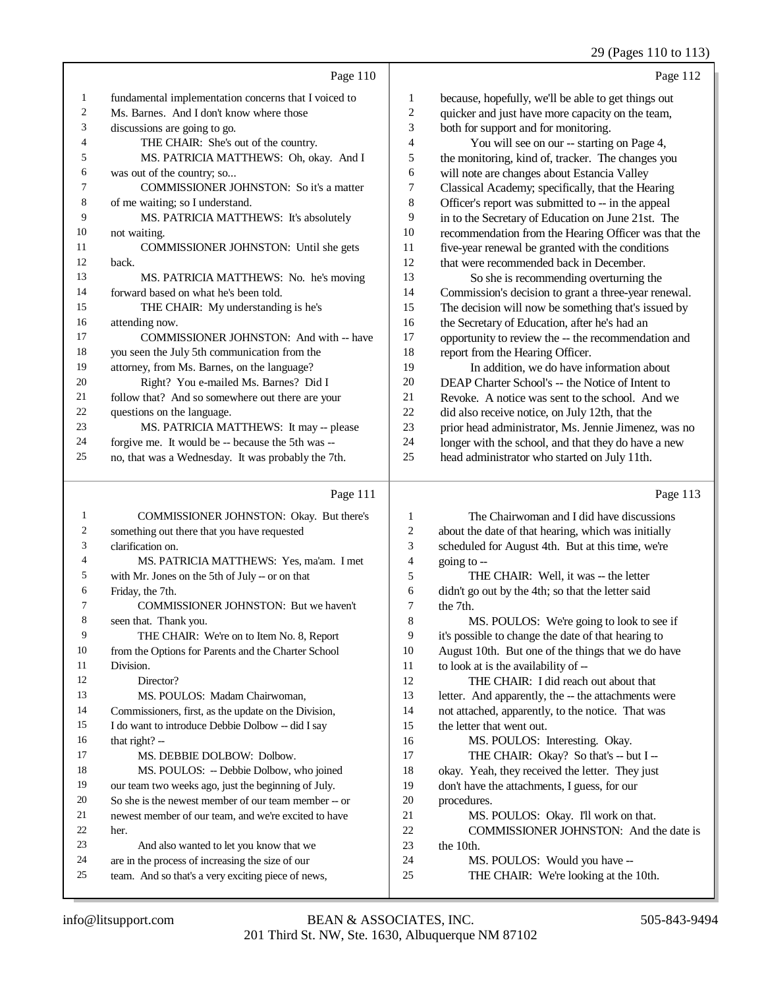## 29 (Pages 110 to 113)

|                | Page 110                                             |                | Page 112                                             |
|----------------|------------------------------------------------------|----------------|------------------------------------------------------|
| $\mathbf{1}$   | fundamental implementation concerns that I voiced to | 1              | because, hopefully, we'll be able to get things out  |
| 2              | Ms. Barnes. And I don't know where those             | 2              | quicker and just have more capacity on the team,     |
| 3              | discussions are going to go.                         | 3              | both for support and for monitoring.                 |
| $\overline{4}$ | THE CHAIR: She's out of the country.                 | $\overline{4}$ | You will see on our -- starting on Page 4,           |
| 5              | MS. PATRICIA MATTHEWS: Oh, okay. And I               | 5              | the monitoring, kind of, tracker. The changes you    |
| 6              | was out of the country; so                           | 6              | will note are changes about Estancia Valley          |
| $\tau$         | <b>COMMISSIONER JOHNSTON:</b> So it's a matter       | 7              | Classical Academy; specifically, that the Hearing    |
| 8              | of me waiting; so I understand.                      | 8              | Officer's report was submitted to -- in the appeal   |
| 9              | MS. PATRICIA MATTHEWS: It's absolutely               | 9              | in to the Secretary of Education on June 21st. The   |
| 10             | not waiting.                                         | 10             | recommendation from the Hearing Officer was that the |
| 11             | COMMISSIONER JOHNSTON: Until she gets                | 11             | five-year renewal be granted with the conditions     |
| 12             | back.                                                | 12             | that were recommended back in December.              |
| 13             | MS. PATRICIA MATTHEWS: No. he's moving               | 13             | So she is recommending overturning the               |
| 14             | forward based on what he's been told.                | 14             | Commission's decision to grant a three-year renewal. |
| 15             | THE CHAIR: My understanding is he's                  | 15             | The decision will now be something that's issued by  |
| 16             | attending now.                                       | 16             | the Secretary of Education, after he's had an        |
| 17             | COMMISSIONER JOHNSTON: And with -- have              | 17             | opportunity to review the -- the recommendation and  |
| 18             | you seen the July 5th communication from the         | 18             | report from the Hearing Officer.                     |
| 19             | attorney, from Ms. Barnes, on the language?          | 19             | In addition, we do have information about            |
| 20             | Right? You e-mailed Ms. Barnes? Did I                | 20             | DEAP Charter School's -- the Notice of Intent to     |
| 21             | follow that? And so somewhere out there are your     | 21             | Revoke. A notice was sent to the school. And we      |
| 22             | questions on the language.                           | 22             | did also receive notice, on July 12th, that the      |
| 23             | MS. PATRICIA MATTHEWS: It may -- please              | 23             | prior head administrator, Ms. Jennie Jimenez, was no |
| 24             | forgive me. It would be -- because the 5th was --    | 24             | longer with the school, and that they do have a new  |
| 25             | no, that was a Wednesday. It was probably the 7th.   | 25             | head administrator who started on July 11th.         |

## $P<sub>200</sub> 111$

|    | Page 111                                             |    | Page 113                                            |
|----|------------------------------------------------------|----|-----------------------------------------------------|
| 1  | <b>COMMISSIONER JOHNSTON: Okay. But there's</b>      | 1  | The Chairwoman and I did have discussions           |
| 2  | something out there that you have requested          | 2  | about the date of that hearing, which was initially |
| 3  | clarification on.                                    | 3  | scheduled for August 4th. But at this time, we're   |
| 4  | MS. PATRICIA MATTHEWS: Yes, ma'am. I met             | 4  | going to $-$                                        |
| 5  | with Mr. Jones on the 5th of July -- or on that      | 5  | THE CHAIR: Well, it was -- the letter               |
| 6  | Friday, the 7th.                                     | 6  | didn't go out by the 4th; so that the letter said   |
| 7  | <b>COMMISSIONER JOHNSTON: But we haven't</b>         | 7  | the 7th.                                            |
| 8  | seen that. Thank you.                                | 8  | MS. POULOS: We're going to look to see if           |
| 9  | THE CHAIR: We're on to Item No. 8, Report            | 9  | it's possible to change the date of that hearing to |
| 10 | from the Options for Parents and the Charter School  | 10 | August 10th. But one of the things that we do have  |
| 11 | Division.                                            | 11 | to look at is the availability of --                |
| 12 | Director?                                            | 12 | THE CHAIR: I did reach out about that               |
| 13 | MS. POULOS: Madam Chairwoman.                        | 13 | letter. And apparently, the -- the attachments were |
| 14 | Commissioners, first, as the update on the Division, | 14 | not attached, apparently, to the notice. That was   |
| 15 | I do want to introduce Debbie Dolbow -- did I say    | 15 | the letter that went out.                           |
| 16 | that right? $-$                                      | 16 | MS. POULOS: Interesting. Okay.                      |
| 17 | MS. DEBBIE DOLBOW: Dolbow.                           | 17 | THE CHAIR: Okay? So that's -- but I --              |
| 18 | MS. POULOS: -- Debbie Dolbow, who joined             | 18 | okay. Yeah, they received the letter. They just     |
| 19 | our team two weeks ago, just the beginning of July.  | 19 | don't have the attachments, I guess, for our        |
| 20 | So she is the newest member of our team member -- or | 20 | procedures.                                         |
| 21 | newest member of our team, and we're excited to have | 21 | MS. POULOS: Okay. I'll work on that.                |
| 22 | her.                                                 | 22 | COMMISSIONER JOHNSTON: And the date is              |
| 23 | And also wanted to let you know that we              | 23 | the 10th.                                           |
| 24 | are in the process of increasing the size of our     | 24 | MS. POULOS: Would you have --                       |
| 25 | team. And so that's a very exciting piece of news,   | 25 | THE CHAIR: We're looking at the 10th.               |

back.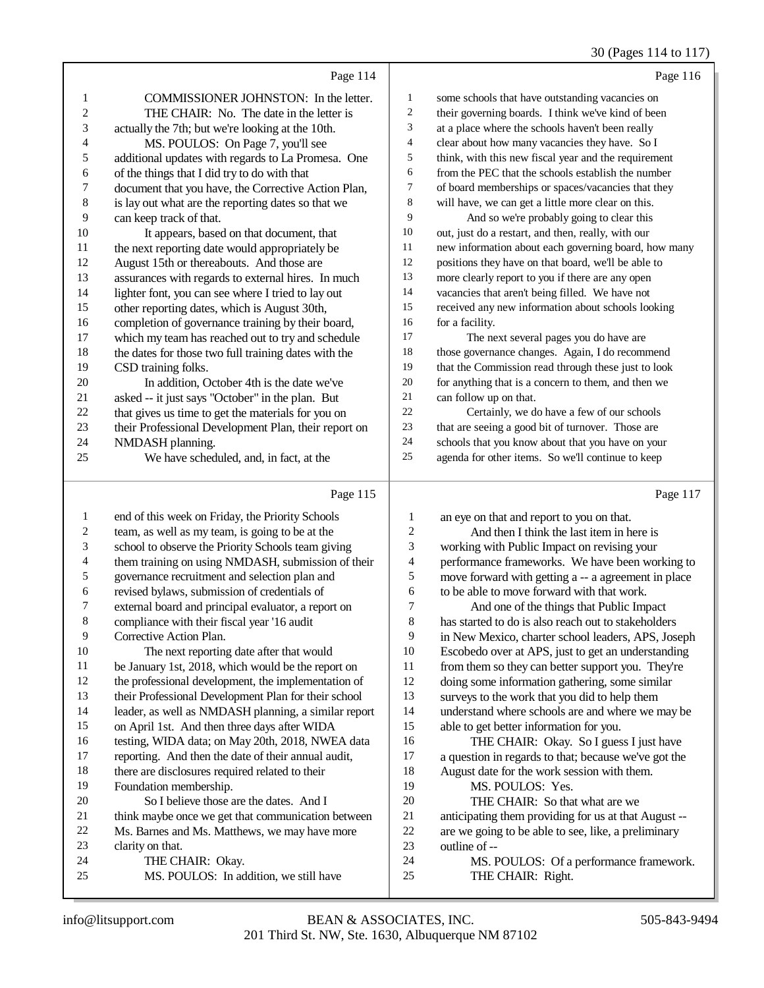#### 30 (Pages 114 to 117)

|                | Page 114                                             |                | Page 116                                             |
|----------------|------------------------------------------------------|----------------|------------------------------------------------------|
| 1              | COMMISSIONER JOHNSTON: In the letter.                | 1              | some schools that have outstanding vacancies on      |
| $\overline{c}$ | THE CHAIR: No. The date in the letter is             | $\overline{c}$ | their governing boards. I think we've kind of been   |
| 3              | actually the 7th; but we're looking at the 10th.     | 3              | at a place where the schools haven't been really     |
| 4              | MS. POULOS: On Page 7, you'll see                    | 4              | clear about how many vacancies they have. So I       |
| 5              | additional updates with regards to La Promesa. One   | 5              | think, with this new fiscal year and the requirement |
| 6              | of the things that I did try to do with that         | 6              | from the PEC that the schools establish the number   |
| 7              | document that you have, the Corrective Action Plan,  | 7              | of board memberships or spaces/vacancies that they   |
| 8              | is lay out what are the reporting dates so that we   | 8              | will have, we can get a little more clear on this.   |
| 9              | can keep track of that.                              | 9              | And so we're probably going to clear this            |
| 10             | It appears, based on that document, that             | 10             | out, just do a restart, and then, really, with our   |
| 11             | the next reporting date would appropriately be       | 11             | new information about each governing board, how many |
| 12             | August 15th or thereabouts. And those are            | 12             | positions they have on that board, we'll be able to  |
| 13             | assurances with regards to external hires. In much   | 13             | more clearly report to you if there are any open     |
| 14             | lighter font, you can see where I tried to lay out   | 14             | vacancies that aren't being filled. We have not      |
| 15             | other reporting dates, which is August 30th,         | 15             | received any new information about schools looking   |
| 16             | completion of governance training by their board,    | 16             | for a facility.                                      |
| 17             | which my team has reached out to try and schedule    | 17             | The next several pages you do have are               |
| 18             | the dates for those two full training dates with the | 18             | those governance changes. Again, I do recommend      |
| 19             | CSD training folks.                                  | 19             | that the Commission read through these just to look  |
| $20\,$         | In addition, October 4th is the date we've           | 20             | for anything that is a concern to them, and then we  |
| 21             | asked -- it just says "October" in the plan. But     | 21             | can follow up on that.                               |
| $22\,$         | that gives us time to get the materials for you on   | 22             | Certainly, we do have a few of our schools           |
| 23             | their Professional Development Plan, their report on | 23             | that are seeing a good bit of turnover. Those are    |
| 24             | NMDASH planning.                                     | 24             | schools that you know about that you have on your    |
| 25             | We have scheduled, and, in fact, at the              | 25             | agenda for other items. So we'll continue to keep    |
|                | Page 115                                             |                | Page 117                                             |
| $\mathbf{1}$   | end of this week on Friday, the Priority Schools     | 1              | an eye on that and report to you on that.            |
| 2              | team, as well as my team, is going to be at the      | $\overline{c}$ | And then I think the last item in here is            |
| 3              | school to observe the Priority Schools team giving   | 3              | working with Public Impact on revising your          |
| 4              | them training on using NMDASH, submission of their   | 4              | performance frameworks. We have been working to      |
| 5              | governance recruitment and selection plan and        | $\sqrt{5}$     | move forward with getting a -- a agreement in place  |
| 6              | revised bylaws, submission of credentials of         | 6              | to be able to move forward with that work.           |
| 7              | external board and principal evaluator, a report on  | $\overline{7}$ | And one of the things that Public Impact             |
| 8              | compliance with their fiscal year '16 audit          | $\,8\,$        | has started to do is also reach out to stakeholders  |

- Corrective Action Plan.
- The next reporting date after that would
- be January 1st, 2018, which would be the report on
- the professional development, the implementation of their Professional Development Plan for their school
- leader, as well as NMDASH planning, a similar report
- on April 1st. And then three days after WIDA
- testing, WIDA data; on May 20th, 2018, NWEA data
- reporting. And then the date of their annual audit,
- there are disclosures required related to their
- Foundation membership. So I believe those are the dates. And I
- think maybe once we get that communication between
- Ms. Barnes and Ms. Matthews, we may have more
- clarity on that.
- THE CHAIR: Okay.
- MS. POULOS: In addition, we still have

from them so they can better support you. They're doing some information gathering, some similar surveys to the work that you did to help them understand where schools are and where we may be able to get better information for you.

 in New Mexico, charter school leaders, APS, Joseph Escobedo over at APS, just to get an understanding

- 16 THE CHAIR: Okay. So I guess I just have<br>17 a question in regards to that: because we've got the a question in regards to that; because we've got the 18 August date for the work session with them.<br>19 MS POULOS: Yes
	- MS. POULOS: Yes.
- 20 THE CHAIR: So that what are we<br>21 anticipating them providing for us at that 21 anticipating them providing for us at that August --<br>22 are we going to be able to see. like, a preliminary 22 are we going to be able to see, like, a preliminary<br>23 outline of -outline of --
- MS. POULOS: Of a performance framework.
- THE CHAIR: Right.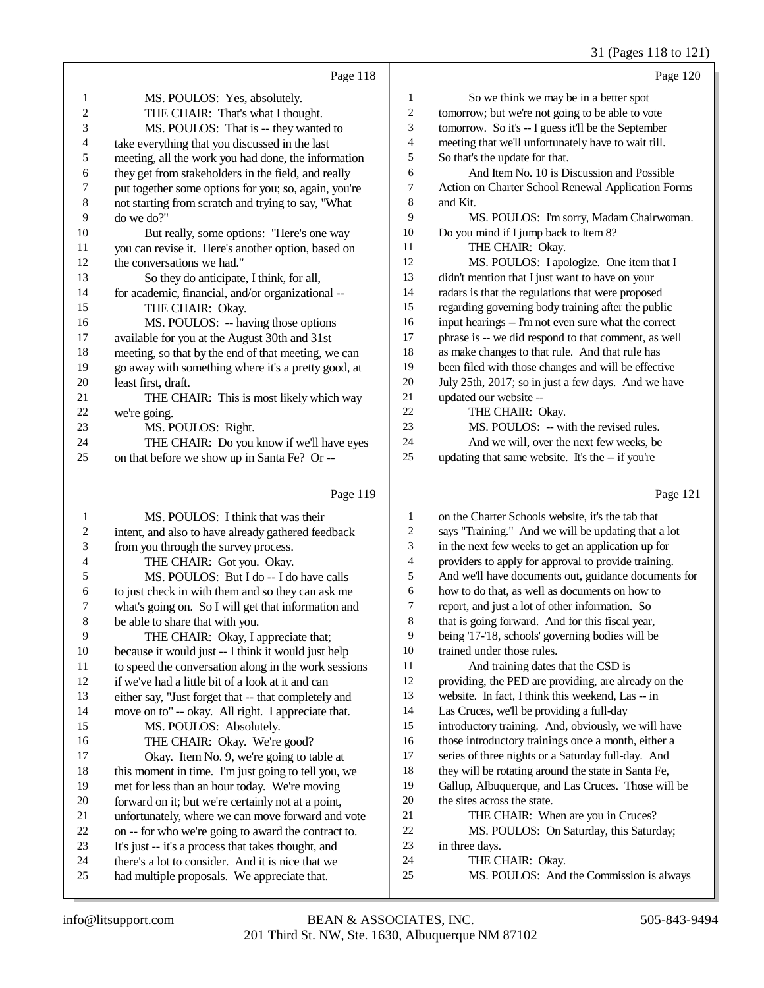#### 31 (Pages 118 to 121)

|                          | Page 118                                             |                          | Page 120                                             |
|--------------------------|------------------------------------------------------|--------------------------|------------------------------------------------------|
| $\mathbf{1}$             | MS. POULOS: Yes, absolutely.                         | 1                        | So we think we may be in a better spot               |
| $\boldsymbol{2}$         | THE CHAIR: That's what I thought.                    | $\sqrt{2}$               | tomorrow; but we're not going to be able to vote     |
| 3                        | MS. POULOS: That is -- they wanted to                | 3                        | tomorrow. So it's -- I guess it'll be the September  |
| $\overline{\mathcal{L}}$ | take everything that you discussed in the last       | $\overline{\mathcal{L}}$ | meeting that we'll unfortunately have to wait till.  |
| 5                        | meeting, all the work you had done, the information  | 5                        | So that's the update for that.                       |
| 6                        | they get from stakeholders in the field, and really  | 6                        | And Item No. 10 is Discussion and Possible           |
| 7                        | put together some options for you; so, again, you're | 7                        | Action on Charter School Renewal Application Forms   |
| 8                        | not starting from scratch and trying to say, "What   | $\,8\,$                  | and Kit.                                             |
| 9                        | do we do?"                                           | 9                        | MS. POULOS: I'm sorry, Madam Chairwoman.             |
| 10                       | But really, some options: "Here's one way            | 10                       | Do you mind if I jump back to Item 8?                |
| 11                       | you can revise it. Here's another option, based on   | 11                       | THE CHAIR: Okay.                                     |
| 12                       | the conversations we had."                           | 12                       | MS. POULOS: I apologize. One item that I             |
| 13                       | So they do anticipate, I think, for all,             | 13                       | didn't mention that I just want to have on your      |
| 14                       | for academic, financial, and/or organizational --    | 14                       | radars is that the regulations that were proposed    |
| 15                       | THE CHAIR: Okay.                                     | 15                       | regarding governing body training after the public   |
| 16                       | MS. POULOS: -- having those options                  | 16                       | input hearings -- I'm not even sure what the correct |
| 17                       | available for you at the August 30th and 31st        | $17\,$                   | phrase is -- we did respond to that comment, as well |
| 18                       | meeting, so that by the end of that meeting, we can  | $18\,$                   | as make changes to that rule. And that rule has      |
| 19                       | go away with something where it's a pretty good, at  | 19                       | been filed with those changes and will be effective  |
| 20                       | least first, draft.                                  | $20\,$                   | July 25th, 2017; so in just a few days. And we have  |
| 21                       | THE CHAIR: This is most likely which way             | 21                       | updated our website --                               |
| 22                       | we're going.                                         | 22                       | THE CHAIR: Okay.                                     |
| 23                       | MS. POULOS: Right.                                   | 23                       | MS. POULOS: -- with the revised rules.               |
| 24                       | THE CHAIR: Do you know if we'll have eyes            | 24                       | And we will, over the next few weeks, be             |
| 25                       | on that before we show up in Santa Fe? Or --         | 25                       | updating that same website. It's the -- if you're    |
|                          | Page 119                                             |                          | Page 121                                             |
| $\mathbf{1}$             | MS. POULOS: I think that was their                   | $\mathbf{1}$             | on the Charter Schools website, it's the tab that    |
| $\overline{c}$           | intent, and also to have already gathered feedback   | $\overline{c}$           | says "Training." And we will be updating that a lot  |
| 3                        | from you through the survey process.                 | 3                        | in the next few weeks to get an application up for   |
| $\overline{\mathcal{A}}$ | THE CHAIR: Got you. Okay.                            | $\overline{4}$           | providers to apply for approval to provide training. |
| 5                        | MS. POULOS: But I do -- I do have calls              | 5                        | And we'll have documents out, guidance documents for |
| 6                        | to just check in with them and so they can ask me    | 6                        | how to do that, as well as documents on how to       |
| 7                        | what's going on. So I will get that information and  | $\boldsymbol{7}$         | report, and just a lot of other information. So      |
| 8                        | be able to share that with you.                      | $\,8\,$                  | that is going forward. And for this fiscal year,     |
| 9                        | THE CHAIR: Okay, I appreciate that;                  | 9                        | being '17-'18, schools' governing bodies will be     |
| 10                       | because it would just -- I think it would just help  | 10                       | trained under those rules.                           |

- being '17-'18, schools' governing bodies will be
- trained under those rules.
- 11 And training dates that the CSD is
- providing, the PED are providing, are already on the
- 13 website. In fact, I think this weekend, Las -- in
- Las Cruces, we'll be providing a full-day
- introductory training. And, obviously, we will have
- those introductory trainings once a month, either a series of three nights or a Saturday full-day. And
- they will be rotating around the state in Santa Fe,
- Gallup, Albuquerque, and Las Cruces. Those will be
- the sites across the state.
- 21 THE CHAIR: When are you in Cruces?
- MS. POULOS: On Saturday, this Saturday;
- in three days.
- THE CHAIR: Okay.
- MS. POULOS: And the Commission is always

10 because it would just -- I think it would just help<br>11 to speed the conversation along in the work sessi

 if we've had a little bit of a look at it and can either say, "Just forget that -- that completely and move on to" -- okay. All right. I appreciate that.

MS. POULOS: Absolutely.

16 THE CHAIR: Okay. We're good?<br>17 Okay. Item No. 9. we're going to ta

18 this moment in time. I'm just going to tell you, we met for less than an hour today. We're moving met for less than an hour today. We're moving

20 forward on it; but we're certainly not at a point,<br>21 unfortunately, where we can move forward and 21 unfortunately, where we can move forward and vote<br>22 on -- for who we're going to award the contract to. 22 on -- for who we're going to award the contract to.<br>23 It's just -- it's a process that takes thought, and 23 It's just -- it's a process that takes thought, and<br>24 there's a lot to consider. And it is nice that we 24 there's a lot to consider. And it is nice that we<br>25 had multiple proposals. We appreciate that had multiple proposals. We appreciate that.

to speed the conversation along in the work sessions

Okay. Item No. 9, we're going to table at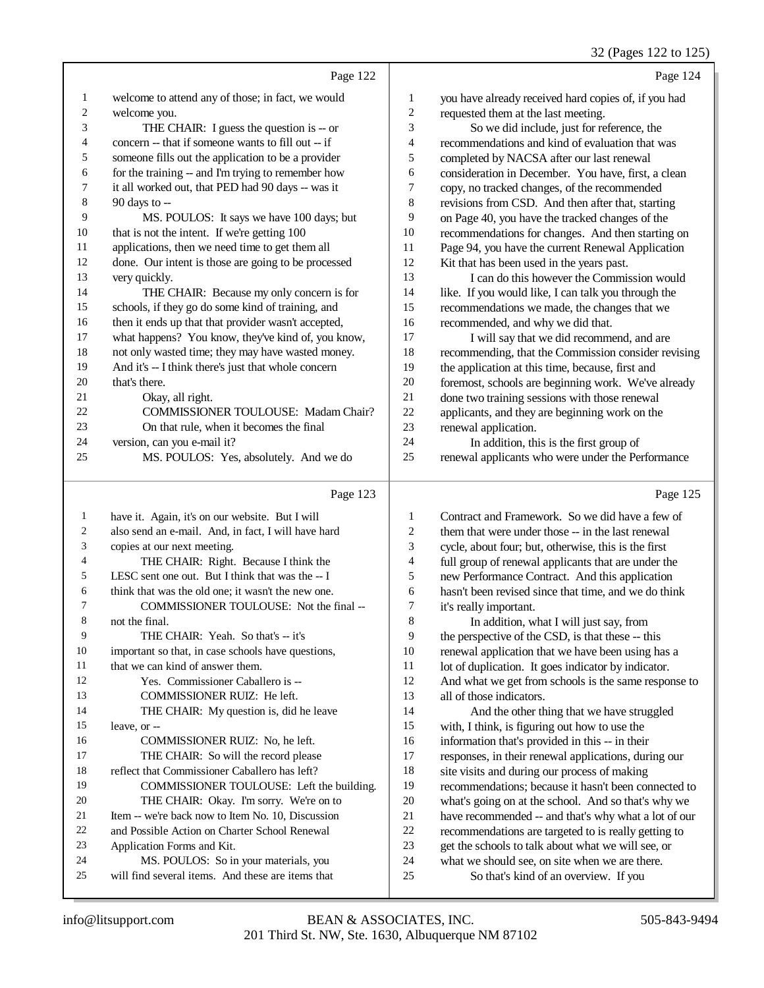## 32 (Pages 122 to 125)

|    |                                                     |                | $22 \times 450$ $122 \times 125$                     |
|----|-----------------------------------------------------|----------------|------------------------------------------------------|
|    | Page 122                                            |                | Page 124                                             |
| 1  | welcome to attend any of those; in fact, we would   | 1              | you have already received hard copies of, if you had |
| 2  | welcome you.                                        | $\overline{c}$ | requested them at the last meeting.                  |
| 3  | THE CHAIR: I guess the question is -- or            | 3              | So we did include, just for reference, the           |
| 4  | concern -- that if someone wants to fill out -- if  | 4              | recommendations and kind of evaluation that was      |
| 5  | someone fills out the application to be a provider  | 5              | completed by NACSA after our last renewal            |
| 6  | for the training -- and I'm trying to remember how  | 6              | consideration in December. You have, first, a clean  |
| 7  | it all worked out, that PED had 90 days -- was it   | 7              | copy, no tracked changes, of the recommended         |
| 8  | 90 days to --                                       | 8              | revisions from CSD. And then after that, starting    |
| 9  | MS. POULOS: It says we have 100 days; but           | 9              | on Page 40, you have the tracked changes of the      |
| 10 | that is not the intent. If we're getting 100        | 10             | recommendations for changes. And then starting on    |
| 11 | applications, then we need time to get them all     | 11             | Page 94, you have the current Renewal Application    |
| 12 | done. Our intent is those are going to be processed | 12             | Kit that has been used in the years past.            |
| 13 | very quickly.                                       | 13             | I can do this however the Commission would           |
| 14 | THE CHAIR: Because my only concern is for           | 14             | like. If you would like, I can talk you through the  |
| 15 | schools, if they go do some kind of training, and   | 15             | recommendations we made, the changes that we         |
| 16 | then it ends up that that provider wasn't accepted, | 16             | recommended, and why we did that.                    |
| 17 | what happens? You know, they've kind of, you know,  | 17             | I will say that we did recommend, and are            |
| 18 | not only wasted time; they may have wasted money.   | 18             | recommending, that the Commission consider revising  |
| 19 | And it's -- I think there's just that whole concern | 19             | the application at this time, because, first and     |
| 20 | that's there.                                       | 20             | foremost, schools are beginning work. We've already  |
| 21 | Okay, all right.                                    | 21             | done two training sessions with those renewal        |
| 22 | <b>COMMISSIONER TOULOUSE: Madam Chair?</b>          | 22             | applicants, and they are beginning work on the       |
| 23 | On that rule, when it becomes the final             | 23             | renewal application.                                 |
| 24 | version, can you e-mail it?                         | 24             | In addition, this is the first group of              |
| 25 | MS. POULOS: Yes, absolutely. And we do              | 25             | renewal applicants who were under the Performance    |
|    | Page 123                                            |                | Page 125                                             |
|    |                                                     |                |                                                      |

| -1             | have it. Again, it's on our website. But I will     | 1  | Contract and Framework. So we did have a few of      |
|----------------|-----------------------------------------------------|----|------------------------------------------------------|
| 2              | also send an e-mail. And, in fact, I will have hard | 2  | them that were under those -- in the last renewal    |
| 3              | copies at our next meeting.                         | 3  | cycle, about four; but, otherwise, this is the first |
| $\overline{4}$ | THE CHAIR: Right. Because I think the               | 4  | full group of renewal applicants that are under the  |
| 5              | LESC sent one out. But I think that was the -- I    | 5  | new Performance Contract. And this application       |
| 6              | think that was the old one; it wasn't the new one.  | 6  | hasn't been revised since that time, and we do think |
| $\tau$         | COMMISSIONER TOULOUSE: Not the final --             | 7  | it's really important.                               |
| 8              | not the final.                                      | 8  | In addition, what I will just say, from              |
| 9              | THE CHAIR: Yeah. So that's -- it's                  | 9  | the perspective of the CSD, is that these -- this    |
| 10             | important so that, in case schools have questions,  | 10 | renewal application that we have been using has a    |
| 11             | that we can kind of answer them.                    | 11 | lot of duplication. It goes indicator by indicator.  |
| 12             | Yes. Commissioner Caballero is --                   | 12 | And what we get from schools is the same response to |
| 13             | <b>COMMISSIONER RUIZ: He left.</b>                  | 13 | all of those indicators.                             |
| 14             | THE CHAIR: My question is, did he leave             | 14 | And the other thing that we have struggled           |
| 15             | leave, or --                                        | 15 | with, I think, is figuring out how to use the        |
| 16             | COMMISSIONER RUIZ: No, he left.                     | 16 | information that's provided in this -- in their      |
| 17             | THE CHAIR: So will the record please                | 17 | responses, in their renewal applications, during our |
| 18             | reflect that Commissioner Caballero has left?       | 18 | site visits and during our process of making         |
| 19             | COMMISSIONER TOULOUSE: Left the building.           | 19 | recommendations; because it hasn't been connected to |
| 20             | THE CHAIR: Okay. I'm sorry. We're on to             | 20 | what's going on at the school. And so that's why we  |
| 21             | Item -- we're back now to Item No. 10, Discussion   | 21 | have recommended -- and that's why what a lot of our |
| 22             | and Possible Action on Charter School Renewal       | 22 | recommendations are targeted to is really getting to |
| 23             | Application Forms and Kit.                          | 23 | get the schools to talk about what we will see, or   |
| 24             | MS. POULOS: So in your materials, you               | 24 | what we should see, on site when we are there.       |
| 25             | will find several items. And these are items that   | 25 | So that's kind of an overview. If you                |
|                |                                                     |    |                                                      |

 $\frac{15}{16}$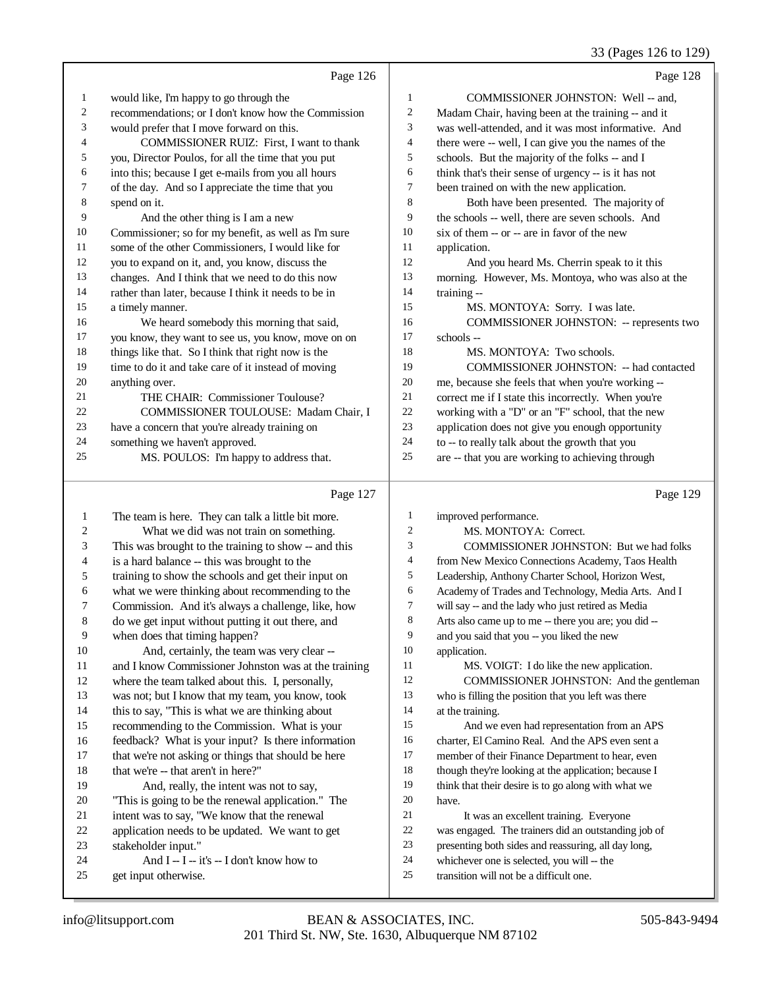#### 33 (Pages 126 to 129)

|                | Page 126                                                                                      |                          | Page 128                                                                                          |
|----------------|-----------------------------------------------------------------------------------------------|--------------------------|---------------------------------------------------------------------------------------------------|
| $\mathbf{1}$   | would like, I'm happy to go through the                                                       | $\mathbf{1}$             | COMMISSIONER JOHNSTON: Well -- and,                                                               |
| $\overline{c}$ | recommendations; or I don't know how the Commission                                           | $\overline{c}$           | Madam Chair, having been at the training -- and it                                                |
| 3              | would prefer that I move forward on this.                                                     | 3                        | was well-attended, and it was most informative. And                                               |
| 4              | COMMISSIONER RUIZ: First, I want to thank                                                     | $\overline{\mathbf{4}}$  | there were -- well, I can give you the names of the                                               |
| 5              | you, Director Poulos, for all the time that you put                                           | 5                        | schools. But the majority of the folks -- and I                                                   |
| 6              | into this; because I get e-mails from you all hours                                           | 6                        | think that's their sense of urgency -- is it has not                                              |
| 7              | of the day. And so I appreciate the time that you                                             | 7                        | been trained on with the new application.                                                         |
| $\,8\,$        | spend on it.                                                                                  | $\,$ 8 $\,$              | Both have been presented. The majority of                                                         |
| 9              | And the other thing is I am a new                                                             | 9                        | the schools -- well, there are seven schools. And                                                 |
| 10             | Commissioner; so for my benefit, as well as I'm sure                                          | 10                       | six of them -- or -- are in favor of the new                                                      |
| 11             | some of the other Commissioners, I would like for                                             | 11                       | application.                                                                                      |
| 12             | you to expand on it, and, you know, discuss the                                               | 12                       | And you heard Ms. Cherrin speak to it this                                                        |
| 13             | changes. And I think that we need to do this now                                              | 13                       | morning. However, Ms. Montoya, who was also at the                                                |
| 14             | rather than later, because I think it needs to be in                                          | 14                       | training --                                                                                       |
| 15             | a timely manner.                                                                              | 15                       | MS. MONTOYA: Sorry. I was late.                                                                   |
| 16             | We heard somebody this morning that said,                                                     | 16                       | <b>COMMISSIONER JOHNSTON: -- represents two</b>                                                   |
| 17             | you know, they want to see us, you know, move on on                                           | 17                       | schools --                                                                                        |
| 18             | things like that. So I think that right now is the                                            | 18                       | MS. MONTOYA: Two schools.                                                                         |
| 19             | time to do it and take care of it instead of moving                                           | 19                       | COMMISSIONER JOHNSTON: -- had contacted                                                           |
| 20             | anything over.                                                                                | $20\,$                   | me, because she feels that when you're working --                                                 |
| 21             | THE CHAIR: Commissioner Toulouse?                                                             | 21                       | correct me if I state this incorrectly. When you're                                               |
| 22             | COMMISSIONER TOULOUSE: Madam Chair, I                                                         | $22\,$                   | working with a "D" or an "F" school, that the new                                                 |
| 23             | have a concern that you're already training on                                                | 23                       | application does not give you enough opportunity                                                  |
| 24             | something we haven't approved.                                                                | 24                       | to -- to really talk about the growth that you                                                    |
| 25             | MS. POULOS: I'm happy to address that.                                                        | 25                       | are -- that you are working to achieving through                                                  |
|                |                                                                                               |                          |                                                                                                   |
|                | Page 127                                                                                      |                          | Page 129                                                                                          |
| $\mathbf{1}$   |                                                                                               | $\mathbf{1}$             |                                                                                                   |
| 2              | The team is here. They can talk a little bit more.<br>What we did was not train on something. | $\mathfrak{2}$           | improved performance.<br>MS. MONTOYA: Correct.                                                    |
| 3              | This was brought to the training to show -- and this                                          | 3                        | <b>COMMISSIONER JOHNSTON: But we had folks</b>                                                    |
| 4              | is a hard balance -- this was brought to the                                                  | $\overline{\mathcal{A}}$ | from New Mexico Connections Academy, Taos Health                                                  |
| 5              | training to show the schools and get their input on                                           | 5                        | Leadership, Anthony Charter School, Horizon West,                                                 |
| 6              | what we were thinking about recommending to the                                               | 6                        | Academy of Trades and Technology, Media Arts. And I                                               |
| 7              | Commission. And it's always a challenge, like, how                                            | $\tau$                   | will say -- and the lady who just retired as Media                                                |
| 8              | do we get input without putting it out there, and                                             | 8                        | Arts also came up to me -- there you are; you did --                                              |
| 9              | when does that timing happen?                                                                 | 9                        | and you said that you -- you liked the new                                                        |
| 10             | And, certainly, the team was very clear --                                                    | 10                       | application.                                                                                      |
| 11             | and I know Commissioner Johnston was at the training                                          | 11                       | MS. VOIGT: I do like the new application.                                                         |
| 12             | where the team talked about this. I, personally,                                              | 12                       | COMMISSIONER JOHNSTON: And the gentleman                                                          |
| 13             | was not; but I know that my team, you know, took                                              | 13                       | who is filling the position that you left was there                                               |
| 14             | this to say, "This is what we are thinking about                                              | 14                       | at the training.                                                                                  |
| 15             | recommending to the Commission. What is your                                                  | 15                       | And we even had representation from an APS                                                        |
| 16             | feedback? What is your input? Is there information                                            | 16                       | charter, El Camino Real. And the APS even sent a                                                  |
| 17             | that we're not asking or things that should be here                                           | 17                       | member of their Finance Department to hear, even                                                  |
| 18             | that we're -- that aren't in here?"                                                           | 18                       | though they're looking at the application; because I                                              |
| 19             | And, really, the intent was not to say,                                                       | 19                       | think that their desire is to go along with what we                                               |
| 20             | "This is going to be the renewal application." The                                            | $20\,$                   | have.                                                                                             |
| 21             | intent was to say, "We know that the renewal                                                  | 21                       | It was an excellent training. Everyone                                                            |
| 22             | application needs to be updated. We want to get                                               | $22\,$                   | was engaged. The trainers did an outstanding job of                                               |
| 23<br>24       | stakeholder input."<br>And I -- I -- it's -- I don't know how to                              | 23<br>24                 | presenting both sides and reassuring, all day long,<br>whichever one is selected, you will -- the |

- 24 And I -- I -- it's -- I don't know how to
- get input otherwise.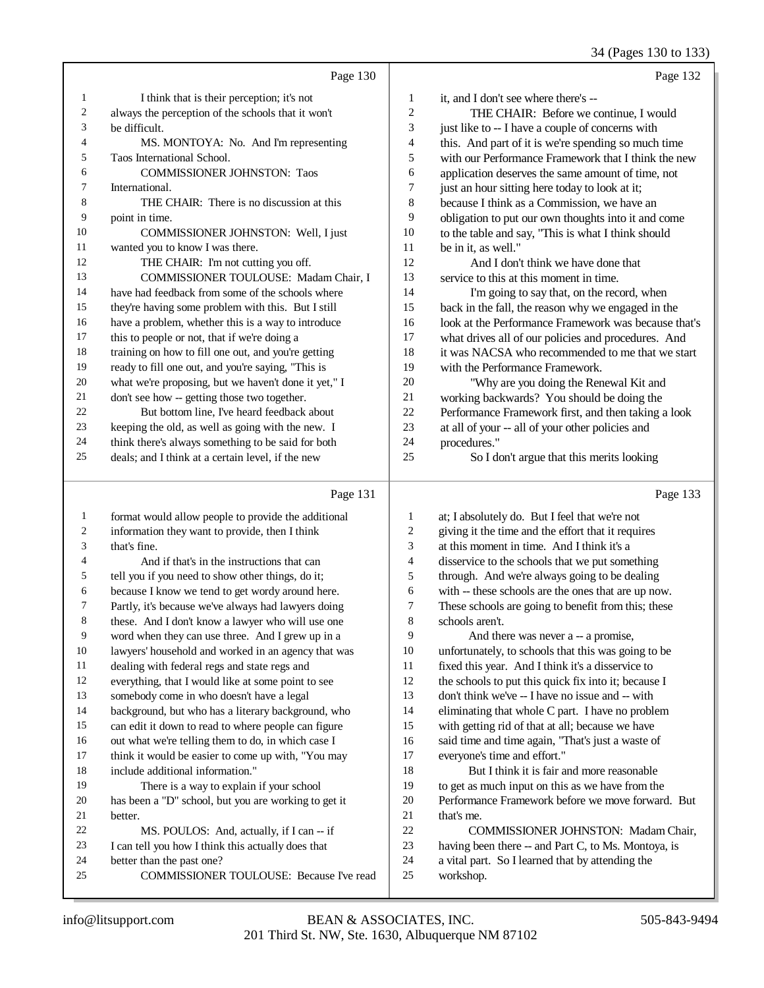34 (Pages 130 to 133)

|                |                                                      |                          | $34$ (Fages 130 to 133)                              |
|----------------|------------------------------------------------------|--------------------------|------------------------------------------------------|
|                | Page 130                                             |                          | Page 132                                             |
| 1              | I think that is their perception; it's not           | 1                        | it, and I don't see where there's --                 |
| $\overline{c}$ | always the perception of the schools that it won't   | $\mathfrak{2}$           | THE CHAIR: Before we continue, I would               |
| 3              | be difficult.                                        | 3                        | just like to -- I have a couple of concerns with     |
| 4              | MS. MONTOYA: No. And I'm representing                | $\overline{\mathcal{A}}$ | this. And part of it is we're spending so much time  |
| 5              | Taos International School.                           | 5                        | with our Performance Framework that I think the new  |
| 6              | <b>COMMISSIONER JOHNSTON: Taos</b>                   | 6                        | application deserves the same amount of time, not    |
| 7              | International.                                       | 7                        | just an hour sitting here today to look at it;       |
| 8              | THE CHAIR: There is no discussion at this            | 8                        | because I think as a Commission, we have an          |
| 9              | point in time.                                       | 9                        | obligation to put our own thoughts into it and come  |
| 10             | COMMISSIONER JOHNSTON: Well, I just                  | 10                       | to the table and say, "This is what I think should   |
| 11             | wanted you to know I was there.                      | 11                       | be in it, as well."                                  |
| 12             | THE CHAIR: I'm not cutting you off.                  | 12                       | And I don't think we have done that                  |
| 13             | COMMISSIONER TOULOUSE: Madam Chair, I                | 13                       | service to this at this moment in time.              |
| 14             | have had feedback from some of the schools where     | 14                       | I'm going to say that, on the record, when           |
| 15             | they're having some problem with this. But I still   | 15                       | back in the fall, the reason why we engaged in the   |
| 16             | have a problem, whether this is a way to introduce   | 16                       | look at the Performance Framework was because that's |
| 17             | this to people or not, that if we're doing a         | 17                       | what drives all of our policies and procedures. And  |
| 18             | training on how to fill one out, and you're getting  | 18                       | it was NACSA who recommended to me that we start     |
| 19             | ready to fill one out, and you're saying, "This is   | 19                       | with the Performance Framework.                      |
| 20             | what we're proposing, but we haven't done it yet," I | 20                       | "Why are you doing the Renewal Kit and               |
| 21             | don't see how -- getting those two together.         | 21                       | working backwards? You should be doing the           |
| 22             | But bottom line, I've heard feedback about           | 22                       | Performance Framework first, and then taking a look  |
| 23             | keeping the old, as well as going with the new. I    | 23                       | at all of your -- all of your other policies and     |
| 24             | think there's always something to be said for both   | 24                       | procedures."                                         |
| 25             | deals; and I think at a certain level, if the new    | 25                       | So I don't argue that this merits looking            |
|                |                                                      |                          |                                                      |
|                | Page 131                                             |                          | Page 133                                             |
| 1              | format would allow people to provide the additional  | 1                        | at; I absolutely do. But I feel that we're not       |
| 2              | information they want to provide, then I think       | 2                        | giving it the time and the effort that it requires   |
| 3              | that's fine.                                         | 3                        | at this moment in time. And I think it's a           |
| 4              | And if that's in the instructions that can           | 4                        | disservice to the schools that we put something      |
| 5              | tell you if you need to show other things, do it;    | 5                        | through. And we're always going to be dealing        |
| 6              | because I know we tend to get wordy around here.     | 6                        | with -- these schools are the ones that are up now.  |
| 7              | Partly, it's because we've always had lawyers doing  | 7                        | These schools are going to benefit from this; these  |
| 8              | these. And I don't know a lawyer who will use one    | 8                        | schools aren't.                                      |
| 9              | word when they can use three. And I grew up in a     | 9                        | And there was never a -- a promise,                  |

 And there was never a -- a promise, unfortunately, to schools that this was going to be fixed this year. And I think it's a disservice to 12 the schools to put this quick fix into it; because I don't think we've -- I have no issue and -- with eliminating that whole C part. I have no problem with getting rid of that at all; because we have said time and time again, "That's just a waste of everyone's time and effort." But I think it is fair and more reasonable to get as much input on this as we have from the Performance Framework before we move forward. But 21 that's me. COMMISSIONER JOHNSTON: Madam Chair, having been there -- and Part C, to Ms. Montoya, is a vital part. So I learned that by attending the

workshop.

21 better.<br>22

lawyers' household and worked in an agency that was

 background, but who has a literary background, who can edit it down to read to where people can figure out what we're telling them to do, in which case I think it would be easier to come up with, "You may

22 MS. POULOS: And, actually, if I can --- if<br>
23 I can tell you how I think this actually does that I can tell you how I think this actually does that

everything, that I would like at some point to see

There is a way to explain if your school has been a "D" school, but you are working to get it

COMMISSIONER TOULOUSE: Because I've read

11 dealing with federal regs and state regs and<br>12 everything that I would like at some point to

somebody come in who doesn't have a legal

18 include additional information."<br>19 There is a way to explain

24 better than the past one?<br>25 COMMISSIONER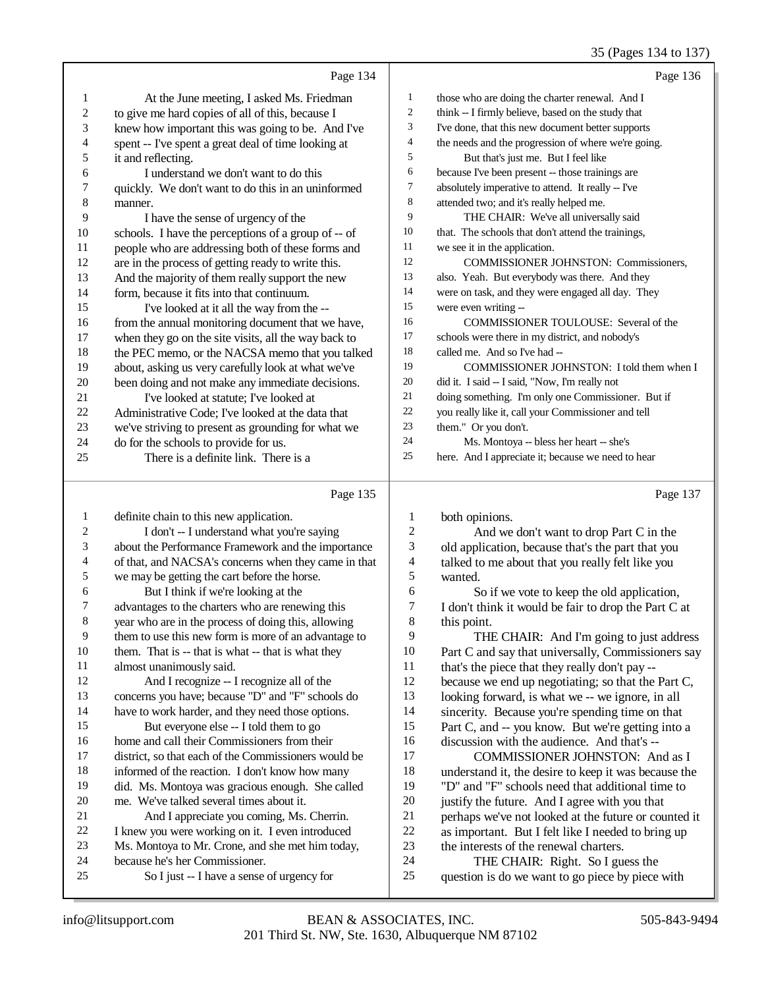## 35 (Pages 134 to 137)

|    | Page 134                                             |    | Page 136                                            |
|----|------------------------------------------------------|----|-----------------------------------------------------|
| 1  | At the June meeting, I asked Ms. Friedman            | 1  | those who are doing the charter renewal. And I      |
| 2  | to give me hard copies of all of this, because I     | 2  | think -- I firmly believe, based on the study that  |
| 3  | knew how important this was going to be. And I've    | 3  | I've done, that this new document better supports   |
| 4  | spent -- I've spent a great deal of time looking at  | 4  | the needs and the progression of where we're going. |
| 5  | it and reflecting.                                   | 5  | But that's just me. But I feel like                 |
| 6  | I understand we don't want to do this                | 6  | because I've been present -- those trainings are    |
| 7  | quickly. We don't want to do this in an uninformed   | 7  | absolutely imperative to attend. It really -- I've  |
| 8  | manner.                                              | 8  | attended two; and it's really helped me.            |
| 9  | I have the sense of urgency of the                   | 9  | THE CHAIR: We've all universally said               |
| 10 | schools. I have the perceptions of a group of -- of  | 10 | that. The schools that don't attend the trainings,  |
| 11 | people who are addressing both of these forms and    | 11 | we see it in the application.                       |
| 12 | are in the process of getting ready to write this.   | 12 | <b>COMMISSIONER JOHNSTON: Commissioners.</b>        |
| 13 | And the majority of them really support the new      | 13 | also. Yeah. But everybody was there. And they       |
| 14 | form, because it fits into that continuum.           | 14 | were on task, and they were engaged all day. They   |
| 15 | I've looked at it all the way from the --            | 15 | were even writing --                                |
| 16 | from the annual monitoring document that we have,    | 16 | <b>COMMISSIONER TOULOUSE:</b> Several of the        |
| 17 | when they go on the site visits, all the way back to | 17 | schools were there in my district, and nobody's     |
| 18 | the PEC memo, or the NACSA memo that you talked      | 18 | called me. And so I've had --                       |
| 19 | about, asking us very carefully look at what we've   | 19 | COMMISSIONER JOHNSTON: I told them when I           |
| 20 | been doing and not make any immediate decisions.     | 20 | did it. I said -- I said, "Now, I'm really not      |
| 21 | I've looked at statute; I've looked at               | 21 | doing something. I'm only one Commissioner. But if  |
| 22 | Administrative Code; I've looked at the data that    | 22 | you really like it, call your Commissioner and tell |
| 23 | we've striving to present as grounding for what we   | 23 | them." Or you don't.                                |
| 24 | do for the schools to provide for us.                | 24 | Ms. Montoya -- bless her heart -- she's             |
| 25 | There is a definite link. There is a                 | 25 | here. And I appreciate it; because we need to hear  |
|    | Page 135                                             |    | Page 137                                            |

## Page 135 |

| 1  | definite chain to this new application.              | 1              | both opinions.                                       |
|----|------------------------------------------------------|----------------|------------------------------------------------------|
| 2  | I don't -- I understand what you're saying           | 2              | And we don't want to drop Part C in the              |
| 3  | about the Performance Framework and the importance   | 3              | old application, because that's the part that you    |
| 4  | of that, and NACSA's concerns when they came in that | $\overline{4}$ | talked to me about that you really felt like you     |
| 5  | we may be getting the cart before the horse.         | 5              | wanted.                                              |
| 6  | But I think if we're looking at the                  | 6              | So if we vote to keep the old application,           |
| 7  | advantages to the charters who are renewing this     | 7              | I don't think it would be fair to drop the Part C at |
| 8  | year who are in the process of doing this, allowing  | 8              | this point.                                          |
| 9  | them to use this new form is more of an advantage to | 9              | THE CHAIR: And I'm going to just address             |
| 10 | them. That is -- that is what -- that is what they   | 10             | Part C and say that universally, Commissioners say   |
| 11 | almost unanimously said.                             | 11             | that's the piece that they really don't pay --       |
| 12 | And I recognize -- I recognize all of the            | 12             | because we end up negotiating; so that the Part C,   |
| 13 | concerns you have; because "D" and "F" schools do    | 13             | looking forward, is what we -- we ignore, in all     |
| 14 | have to work harder, and they need those options.    | 14             | sincerity. Because you're spending time on that      |
| 15 | But everyone else -- I told them to go               | 15             | Part C, and -- you know. But we're getting into a    |
| 16 | home and call their Commissioners from their         | 16             | discussion with the audience. And that's --          |
| 17 | district, so that each of the Commissioners would be | 17             | COMMISSIONER JOHNSTON: And as I                      |
| 18 | informed of the reaction. I don't know how many      | 18             | understand it, the desire to keep it was because the |
| 19 | did. Ms. Montoya was gracious enough. She called     | 19             | "D" and "F" schools need that additional time to     |
| 20 | me. We've talked several times about it.             | 20             | justify the future. And I agree with you that        |
| 21 | And I appreciate you coming, Ms. Cherrin.            | 21             | perhaps we've not looked at the future or counted it |
| 22 | I knew you were working on it. I even introduced     | 22             | as important. But I felt like I needed to bring up   |
| 23 | Ms. Montoya to Mr. Crone, and she met him today,     | 23             | the interests of the renewal charters.               |
| 24 | because he's her Commissioner.                       | 24             | THE CHAIR: Right. So I guess the                     |
| 25 | So I just -- I have a sense of urgency for           | 25             | question is do we want to go piece by piece with     |
|    |                                                      |                |                                                      |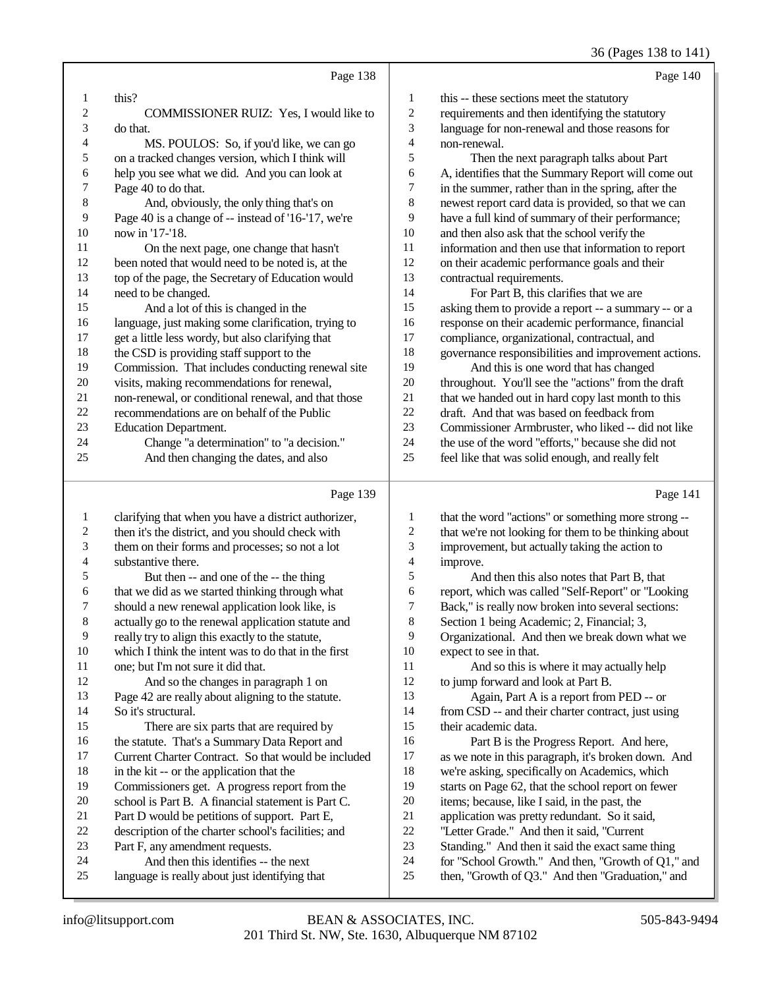36 (Pages 138 to 141)

|                | Page 138                                             |                | Page 140                                             |
|----------------|------------------------------------------------------|----------------|------------------------------------------------------|
| 1              | this?                                                | 1              | this -- these sections meet the statutory            |
| $\sqrt{2}$     | COMMISSIONER RUIZ: Yes, I would like to              | $\overline{c}$ | requirements and then identifying the statutory      |
| 3              | do that.                                             | 3              | language for non-renewal and those reasons for       |
| $\overline{4}$ | MS. POULOS: So, if you'd like, we can go             | 4              | non-renewal.                                         |
| 5              | on a tracked changes version, which I think will     | 5              | Then the next paragraph talks about Part             |
| 6              | help you see what we did. And you can look at        | 6              | A, identifies that the Summary Report will come out  |
| 7              | Page 40 to do that.                                  | 7              | in the summer, rather than in the spring, after the  |
| 8              | And, obviously, the only thing that's on             | 8              | newest report card data is provided, so that we can  |
| 9              | Page 40 is a change of -- instead of '16-'17, we're  | 9              | have a full kind of summary of their performance;    |
| 10             | now in '17-'18.                                      | 10             | and then also ask that the school verify the         |
| 11             | On the next page, one change that hasn't             | 11             | information and then use that information to report  |
| 12             | been noted that would need to be noted is, at the    | 12             | on their academic performance goals and their        |
| 13             | top of the page, the Secretary of Education would    | 13             | contractual requirements.                            |
| 14             | need to be changed.                                  | 14             | For Part B, this clarifies that we are               |
| 15             | And a lot of this is changed in the                  | 15             | asking them to provide a report -- a summary -- or a |
| 16             | language, just making some clarification, trying to  | 16             | response on their academic performance, financial    |
| 17             | get a little less wordy, but also clarifying that    | 17             | compliance, organizational, contractual, and         |
| 18             | the CSD is providing staff support to the            | 18             | governance responsibilities and improvement actions. |
| 19             | Commission. That includes conducting renewal site    | 19             | And this is one word that has changed                |
| 20             | visits, making recommendations for renewal,          | 20             | throughout. You'll see the "actions" from the draft  |
| 21             | non-renewal, or conditional renewal, and that those  | 21             | that we handed out in hard copy last month to this   |
| 22             | recommendations are on behalf of the Public          | 22             | draft. And that was based on feedback from           |
| 23             | <b>Education Department.</b>                         | 23             | Commissioner Armbruster, who liked -- did not like   |
| 24             | Change "a determination" to "a decision."            | 24             | the use of the word "efforts," because she did not   |
| 25             | And then changing the dates, and also                | 25             | feel like that was solid enough, and really felt     |
|                | Page 139                                             |                | Page 141                                             |
| 1              | clarifying that when you have a district authorizer, | 1              | that the word "actions" or something more strong --  |
| $\overline{2}$ | then it's the district, and you should check with    | $\overline{c}$ | that we're not looking for them to be thinking about |
| 3              | them on their forms and processes; so not a lot      | 3              | improvement, but actually taking the action to       |
| $\overline{4}$ | substantive there.                                   | 4              | improve.                                             |

- 
- 5 But then -- and one of the -- the thing<br>6 that we did as we started thinking through w
- 6 that we did as we started thinking through what<br>
7 should a new renewal application look like, is
- 7 should a new renewal application look like, is<br>8 actually go to the renewal application statute a actually go to the renewal application statute and
- 
- 9 really try to align this exactly to the statute,<br>10 which I think the intent was to do that in the 10 which I think the intent was to do that in the first<br>11 one: but I'm not sure it did that.
- 11 one; but I'm not sure it did that.<br>12 And so the changes in pa And so the changes in paragraph 1 on 13 Page 42 are really about aligning to the statute.
- 14 So it's structural. 15 There are six parts that are required by 16 the statute. That's a Summary Data Report and<br>17 Current Charter Contract. So that would be inc Current Charter Contract. So that would be included
- 18 in the kit -- or the application that the<br>19 Commissioners get A progress report
- Commissioners get. A progress report from the
- 20 school is Part B. A financial statement is Part C.<br>21 Part D would be petitions of support. Part E.
- 21 Part D would be petitions of support. Part E,<br>22 description of the charter school's facilities: an
- 22 description of the charter school's facilities; and<br>23 Part F, any amendment requests.
- 23 Part F, any amendment requests.<br>24 And then this identifies --1
- 24 And then this identifies -- the next<br>25 Ianguage is really about just identifying t
- language is really about just identifying that
- 4 improve.<br>5 An
- 5 And then this also notes that Part B, that<br>6 report. which was called "Self-Report" or "Loo 6 report, which was called "Self-Report" or "Looking
- 7 Back," is really now broken into several sections:<br>8 Section 1 being Academic: 2. Financial: 3.
- Section 1 being Academic; 2, Financial; 3,
- 9 Organizational. And then we break down what we 10 expect to see in that. 10 expect to see in that.<br>11 And so this is
- And so this is where it may actually help 12 to jump forward and look at Part B.
- 13 Again, Part A is a report from PED -- or 14 from CSD -- and their charter contract, just using
- 15 their academic data.
- 16 Part B is the Progress Report. And here,<br>17 as we note in this paragraph, it's broken down.
	- as we note in this paragraph, it's broken down. And
- 18 we're asking, specifically on Academics, which<br>19 starts on Page 62, that the school report on fewe
	- starts on Page 62, that the school report on fewer
- 20 items; because, like I said, in the past, the application was pretty redundant. So it sa
- 21 application was pretty redundant. So it said,<br>22 Tetter Grade." And then it said. "Current
- 22 "Letter Grade." And then it said, "Current<br>23 Standing." And then it said the exact same Standing." And then it said the exact same thing
- 
- 24 for "School Growth." And then, "Growth of  $Q1$ ," and then "Graduation." and  $25$ then, "Growth of Q3." And then "Graduation," and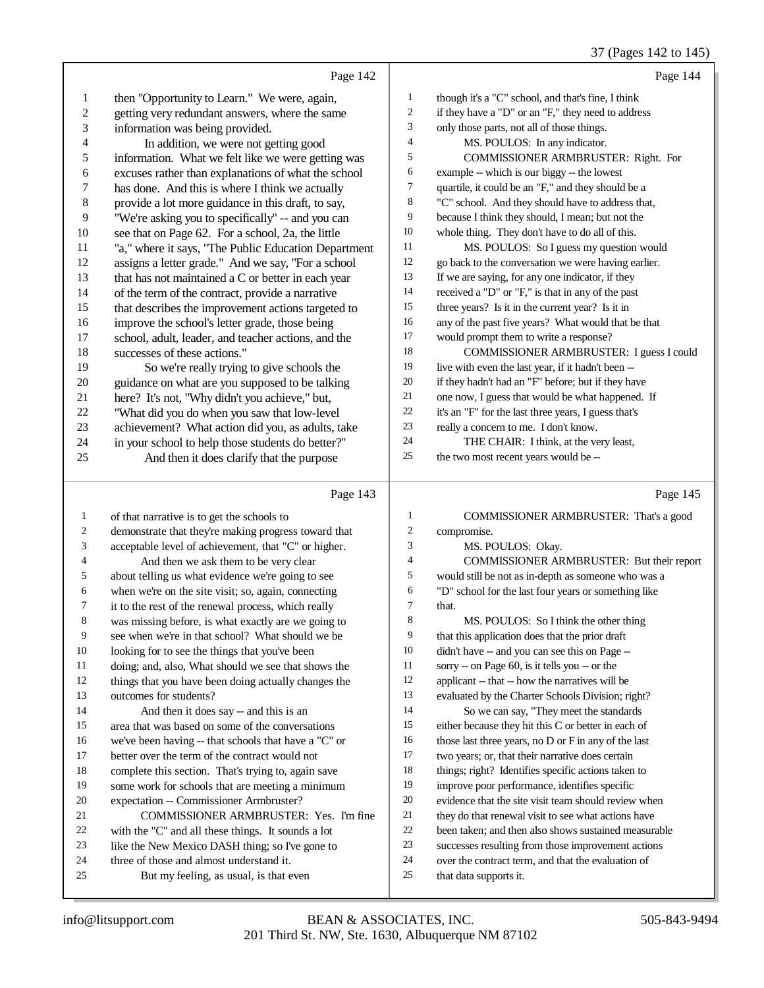|                |                                                      |                  | 37 (Pages 142 to 145)                                |
|----------------|------------------------------------------------------|------------------|------------------------------------------------------|
|                | Page 142                                             |                  | Page 144                                             |
| $\mathbf{1}$   | then "Opportunity to Learn." We were, again,         | 1                | though it's a "C" school, and that's fine, I think   |
| $\overline{c}$ | getting very redundant answers, where the same       | $\boldsymbol{2}$ | if they have a "D" or an "F," they need to address   |
| 3              | information was being provided.                      | 3                | only those parts, not all of those things.           |
| 4              | In addition, we were not getting good                | 4                | MS. POULOS: In any indicator.                        |
| 5              | information. What we felt like we were getting was   | 5                | COMMISSIONER ARMBRUSTER: Right. For                  |
| 6              | excuses rather than explanations of what the school  | 6                | example -- which is our biggy -- the lowest          |
| 7              | has done. And this is where I think we actually      | 7                | quartile, it could be an "F," and they should be a   |
| $\,$ 8 $\,$    | provide a lot more guidance in this draft, to say,   | 8                | "C" school. And they should have to address that,    |
| 9              | "We're asking you to specifically" -- and you can    | 9                | because I think they should, I mean; but not the     |
| 10             | see that on Page 62. For a school, 2a, the little    | 10               | whole thing. They don't have to do all of this.      |
| 11             | "a," where it says, "The Public Education Department | 11               | MS. POULOS: So I guess my question would             |
| 12             | assigns a letter grade." And we say, "For a school   | 12               | go back to the conversation we were having earlier.  |
| 13             | that has not maintained a C or better in each year   | 13               | If we are saying, for any one indicator, if they     |
| 14             | of the term of the contract, provide a narrative     | 14               | received a "D" or "F," is that in any of the past    |
| 15             | that describes the improvement actions targeted to   | 15               | three years? Is it in the current year? Is it in     |
| 16             | improve the school's letter grade, those being       | 16               | any of the past five years? What would that be that  |
| $17\,$         | school, adult, leader, and teacher actions, and the  | 17               | would prompt them to write a response?               |
| 18             | successes of these actions."                         | 18               | <b>COMMISSIONER ARMBRUSTER: I guess I could</b>      |
| 19             | So we're really trying to give schools the           | 19               | live with even the last year, if it hadn't been --   |
| $20\,$         | guidance on what are you supposed to be talking      | 20               | if they hadn't had an "F" before; but if they have   |
| 21             | here? It's not, "Why didn't you achieve," but,       | 21               | one now, I guess that would be what happened. If     |
| 22             | "What did you do when you saw that low-level         | 22               | it's an "F" for the last three years, I guess that's |
| 23             | achievement? What action did you, as adults, take    | 23               | really a concern to me. I don't know.                |
| 24             | in your school to help those students do better?"    | 24               | THE CHAIR: I think, at the very least,               |
| 25             | And then it does clarify that the purpose            | 25               | the two most recent years would be --                |
|                | Page 143                                             |                  | Page 145                                             |
| 1              | of that narrative is to get the schools to           | 1                | COMMISSIONER ARMBRUSTER: That's a good               |
| 2              | demonstrate that they're making progress toward that | $\overline{c}$   | compromise.                                          |
| 3              | acceptable level of achievement, that "C" or higher. | 3                | MS. POULOS: Okay.                                    |
| 4              | And then we ask them to be very clear                | 4                | COMMISSIONER ARMBRUSTER: But their report            |
| 5              | about telling us what evidence we're going to see    | 5                | would still be not as in-depth as someone who was a  |
| 6              | when we're on the site visit; so, again, connecting  | 6                | "D" school for the last four years or something like |
|                | it to the rest of the renewal process, which really  | 7                | that.                                                |
| 8              | was missing before, is what exactly are we going to  | 8                | MS. POULOS: So I think the other thing               |
| 9              | see when we're in that school? What should we be     | 9                | that this application does that the prior draft      |
| 10             | looking for to see the things that you've been       | 10               | didn't have -- and you can see this on Page --       |
| 11             | doing; and, also, What should we see that shows the  | 11               | sorry -- on Page 60, is it tells you -- or the       |
| 12             | things that you have been doing actually changes the | 12               | applicant -- that -- how the narratives will be      |
| 13             | outcomes for students?                               | 13               | evaluated by the Charter Schools Division; right?    |
| 14             | And then it does say -- and this is an               | 14               | So we can say, "They meet the standards              |
| 15             | area that was based on some of the conversations     | 15               | either because they hit this C or better in each of  |
| 16             | we've been having -- that schools that have a "C" or | 16               | those last three years, no D or F in any of the last |
| 17             | better over the term of the contract would not       | 17               | two years; or, that their narrative does certain     |
| 18             | complete this section. That's trying to, again save  | 18               | things; right? Identifies specific actions taken to  |
| 19             | some work for schools that are meeting a minimum     | 19               | improve poor performance, identifies specific        |
| 20             | expectation -- Commissioner Armbruster?              | 20               | evidence that the site visit team should review when |
| 21             | COMMISSIONER ARMBRUSTER: Yes. I'm fine               | 21               | they do that renewal visit to see what actions have  |
| 22             | with the "C" and all these things. It sounds a lot   | 22               | been taken; and then also shows sustained measurable |
| 23             | like the New Mexico DASH thing; so I've gone to      | 23               | successes resulting from those improvement actions   |

- been taken; and then also shows sustained measurable
	- successes resulting from those improvement actions
	- over the contract term, and that the evaluation of
	- that data supports it.

like the New Mexico DASH thing; so I've gone to

But my feeling, as usual, is that even

24 three of those and almost understand it.<br>25 But my feeling, as usual, is that e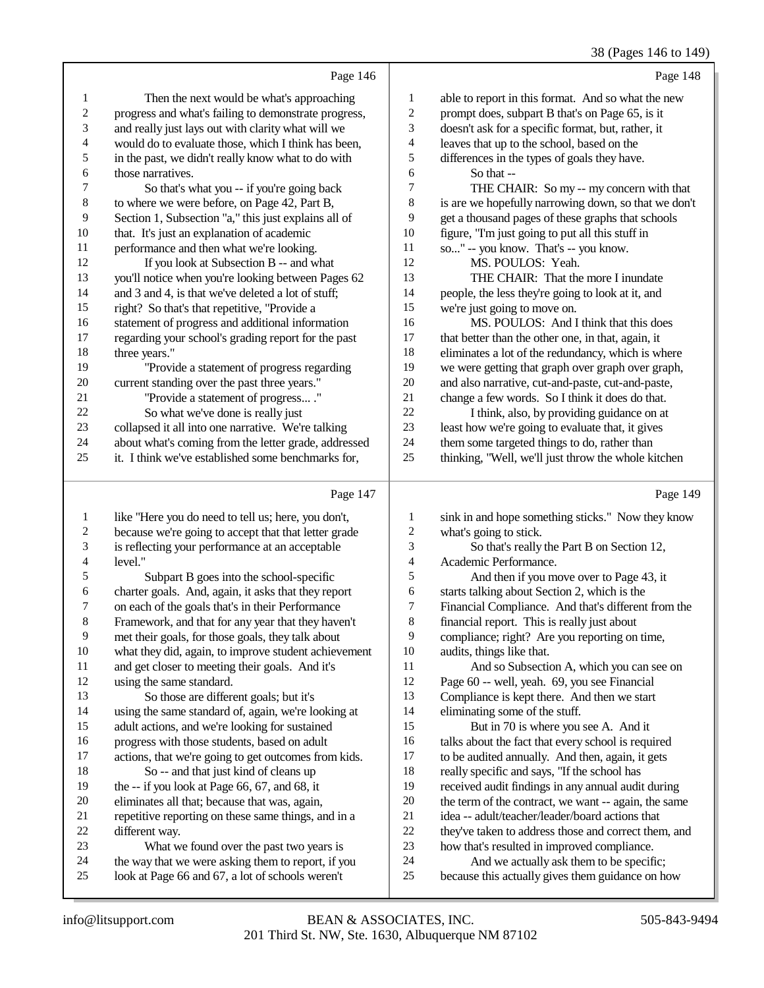## 38 (Pages 146 to 149)

|                         |                                                      |                          | 38 (Pages 146 to 149                                 |
|-------------------------|------------------------------------------------------|--------------------------|------------------------------------------------------|
|                         | Page 146                                             |                          | Page 148                                             |
| 1                       | Then the next would be what's approaching            | $\mathbf{1}$             | able to report in this format. And so what the new   |
| $\overline{\mathbf{c}}$ | progress and what's failing to demonstrate progress, | $\boldsymbol{2}$         | prompt does, subpart B that's on Page 65, is it      |
| 3                       | and really just lays out with clarity what will we   | 3                        | doesn't ask for a specific format, but, rather, it   |
| 4                       | would do to evaluate those, which I think has been,  | $\overline{\mathcal{A}}$ | leaves that up to the school, based on the           |
| 5                       | in the past, we didn't really know what to do with   | 5                        | differences in the types of goals they have.         |
| 6                       | those narratives.                                    | 6                        | So that --                                           |
| 7                       | So that's what you -- if you're going back           | 7                        | THE CHAIR: So my -- my concern with that             |
| $\,$ 8 $\,$             | to where we were before, on Page 42, Part B,         | 8                        | is are we hopefully narrowing down, so that we don't |
| 9                       | Section 1, Subsection "a," this just explains all of | 9                        | get a thousand pages of these graphs that schools    |
| $10\,$                  | that. It's just an explanation of academic           | 10                       | figure, "I'm just going to put all this stuff in     |
| 11                      | performance and then what we're looking.             | 11                       | so" -- you know. That's -- you know.                 |
| 12                      | If you look at Subsection B -- and what              | 12                       | MS. POULOS: Yeah.                                    |
| 13                      | you'll notice when you're looking between Pages 62   | 13                       | THE CHAIR: That the more I inundate                  |
| 14                      | and 3 and 4, is that we've deleted a lot of stuff;   | 14                       | people, the less they're going to look at it, and    |
| 15                      | right? So that's that repetitive, "Provide a         | 15                       | we're just going to move on.                         |
| 16                      | statement of progress and additional information     | 16                       | MS. POULOS: And I think that this does               |
| 17                      | regarding your school's grading report for the past  | 17                       | that better than the other one, in that, again, it   |
| 18                      | three years."                                        | 18                       | eliminates a lot of the redundancy, which is where   |
| 19                      | "Provide a statement of progress regarding           | 19                       | we were getting that graph over graph over graph,    |
| $20\,$                  | current standing over the past three years."         | 20                       | and also narrative, cut-and-paste, cut-and-paste,    |
| 21                      | "Provide a statement of progress ."                  | 21                       | change a few words. So I think it does do that.      |
| $22\,$                  | So what we've done is really just                    | $22\,$                   | I think, also, by providing guidance on at           |
| 23                      | collapsed it all into one narrative. We're talking   | 23                       | least how we're going to evaluate that, it gives     |
| 24                      | about what's coming from the letter grade, addressed | 24                       | them some targeted things to do, rather than         |
| 25                      | it. I think we've established some benchmarks for,   | 25                       | thinking, "Well, we'll just throw the whole kitchen  |
|                         | Page 147                                             |                          | Page 149                                             |
| 1                       | like "Here you do need to tell us; here, you don't,  | 1                        | sink in and hope something sticks." Now they know    |
| $\overline{c}$          | because we're going to accept that that letter grade | $\boldsymbol{2}$         | what's going to stick.                               |
| 3                       | is reflecting your performance at an acceptable      | 3                        | So that's really the Part B on Section 12,           |
| 4                       | level."                                              | $\overline{4}$           | Academic Performance.                                |
| 5                       | Subpart B goes into the school-specific              | 5                        | And then if you move over to Page 43, it             |
| 6                       | charter goals. And, again, it asks that they report  | 6                        | starts talking about Section 2, which is the         |
| 7                       | on each of the goals that's in their Performance     | 7                        | Financial Compliance. And that's different from the  |
| 8                       | Framework, and that for any year that they haven't   | 8                        | financial report. This is really just about          |
| 9                       | met their goals, for those goals, they talk about    | 9                        | compliance; right? Are you reporting on time,        |
| 10                      | what they did, again, to improve student achievement | 10                       | audits, things like that.                            |
| 11                      | and get closer to meeting their goals. And it's      | 11                       | And so Subsection A, which you can see on            |
| 12                      | using the same standard.                             | 12                       | Page 60 -- well, yeah. 69, you see Financial         |
| 13                      | So those are different goals; but it's               | 13                       | Compliance is kept there. And then we start          |
| 14                      | using the same standard of, again, we're looking at  | 14                       | eliminating some of the stuff.                       |
| 15                      | adult actions, and we're looking for sustained       | 15                       | But in 70 is where you see A. And it                 |
| 16                      | progress with those students, based on adult         | 16                       | talks about the fact that every school is required   |
| 17                      | actions, that we're going to get outcomes from kids. | 17                       | to be audited annually. And then, again, it gets     |
| 18                      | So -- and that just kind of cleans up                | 18                       | really specific and says, "If the school has         |

- the -- if you look at Page 66, 67, and 68, it
- 20 eliminates all that; because that was, again,<br>21 repetitive reporting on these same things, and
- 21 repetitive reporting on these same things, and in a different way.
- 22 different way.<br>23 What we 23 What we found over the past two years is<br>24 the way that we were asking them to report, if you
- 24 the way that we were asking them to report, if you<br>25 look at Page 66 and 67, a lot of schools weren't
- look at Page 66 and 67, a lot of schools weren't
- 201 Third St. NW, Ste. 1630, Albuquerque NM 87102 info@litsupport.com BEAN & ASSOCIATES, INC. 505-843-9494

 received audit findings in any annual audit during 20 the term of the contract, we want -- again, the same<br>
21 idea -- adult/teacher/leader/board actions that 21 idea -- adult/teacher/leader/board actions that<br>22 they've taken to address those and correct then 22 they've taken to address those and correct them, and<br>23 how that's resulted in improved compliance. 23 how that's resulted in improved compliance.<br>24 And we actually ask them to be specificantly 24 And we actually ask them to be specific;<br>25 because this actually gives them guidance on h

because this actually gives them guidance on how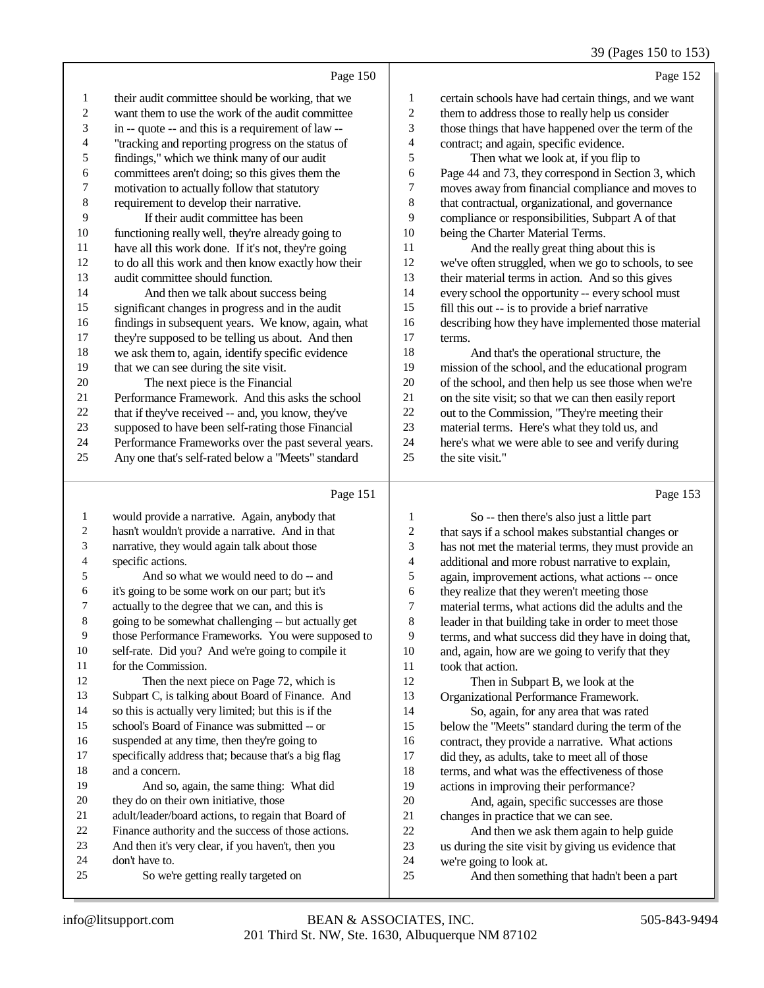Page 150 their audit committee should be working, that we want them to use the work of the audit committee in -- quote -- and this is a requirement of law -- "tracking and reporting progress on the status of findings," which we think many of our audit committees aren't doing; so this gives them the motivation to actually follow that statutory requirement to develop their narrative. If their audit committee has been functioning really well, they're already going to have all this work done. If it's not, they're going to do all this work and then know exactly how their audit committee should function. And then we talk about success being significant changes in progress and in the audit findings in subsequent years. We know, again, what they're supposed to be telling us about. And then we ask them to, again, identify specific evidence 19 that we can see during the site visit. The next piece is the Financial Performance Framework. And this asks the school that if they've received -- and, you know, they've supposed to have been self-rating those Financial Performance Frameworks over the past several years. Any one that's self-rated below a "Meets" standard Page 152 certain schools have had certain things, and we want them to address those to really help us consider those things that have happened over the term of the contract; and again, specific evidence. Then what we look at, if you flip to Page 44 and 73, they correspond in Section 3, which moves away from financial compliance and moves to that contractual, organizational, and governance compliance or responsibilities, Subpart A of that being the Charter Material Terms. And the really great thing about this is we've often struggled, when we go to schools, to see their material terms in action. And so this gives every school the opportunity -- every school must fill this out -- is to provide a brief narrative describing how they have implemented those material terms. And that's the operational structure, the mission of the school, and the educational program of the school, and then help us see those when we're on the site visit; so that we can then easily report out to the Commission, "They're meeting their material terms. Here's what they told us, and here's what we were able to see and verify during the site visit." Page 153

#### Page 151

| $\mathbf{1}$ | would provide a narrative. Again, anybody that       |    | So -- then there's also just a little part           |
|--------------|------------------------------------------------------|----|------------------------------------------------------|
| 2            | hasn't wouldn't provide a narrative. And in that     | 2  | that says if a school makes substantial changes or   |
| 3            | narrative, they would again talk about those         | 3  | has not met the material terms, they must provide an |
| 4            | specific actions.                                    | 4  | additional and more robust narrative to explain,     |
| 5            | And so what we would need to do -- and               | 5  | again, improvement actions, what actions -- once     |
| 6            | it's going to be some work on our part; but it's     | 6  | they realize that they weren't meeting those         |
| 7            | actually to the degree that we can, and this is      | 7  | material terms, what actions did the adults and the  |
| 8            | going to be somewhat challenging -- but actually get | 8  | leader in that building take in order to meet those  |
| 9            | those Performance Frameworks. You were supposed to   | 9  | terms, and what success did they have in doing that, |
| 10           | self-rate. Did you? And we're going to compile it    | 10 | and, again, how are we going to verify that they     |
| 11           | for the Commission.                                  | 11 | took that action.                                    |
| 12           | Then the next piece on Page 72, which is             | 12 | Then in Subpart B, we look at the                    |
| 13           | Subpart C, is talking about Board of Finance. And    | 13 | Organizational Performance Framework.                |
| 14           | so this is actually very limited; but this is if the | 14 | So, again, for any area that was rated               |
| 15           | school's Board of Finance was submitted -- or        | 15 | below the "Meets" standard during the term of the    |
| 16           | suspended at any time, then they're going to         | 16 | contract, they provide a narrative. What actions     |
| 17           | specifically address that; because that's a big flag | 17 | did they, as adults, take to meet all of those       |
| 18           | and a concern.                                       | 18 | terms, and what was the effectiveness of those       |
| 19           | And so, again, the same thing: What did              | 19 | actions in improving their performance?              |
| 20           | they do on their own initiative, those               | 20 | And, again, specific successes are those             |
| 21           | adult/leader/board actions, to regain that Board of  | 21 | changes in practice that we can see.                 |
| 22           | Finance authority and the success of those actions.  | 22 | And then we ask them again to help guide             |
| 23           | And then it's very clear, if you haven't, then you   | 23 | us during the site visit by giving us evidence that  |
| 24           | don't have to.                                       | 24 | we're going to look at.                              |
| 25           | So we're getting really targeted on                  | 25 | And then something that hadn't been a part           |
|              |                                                      |    |                                                      |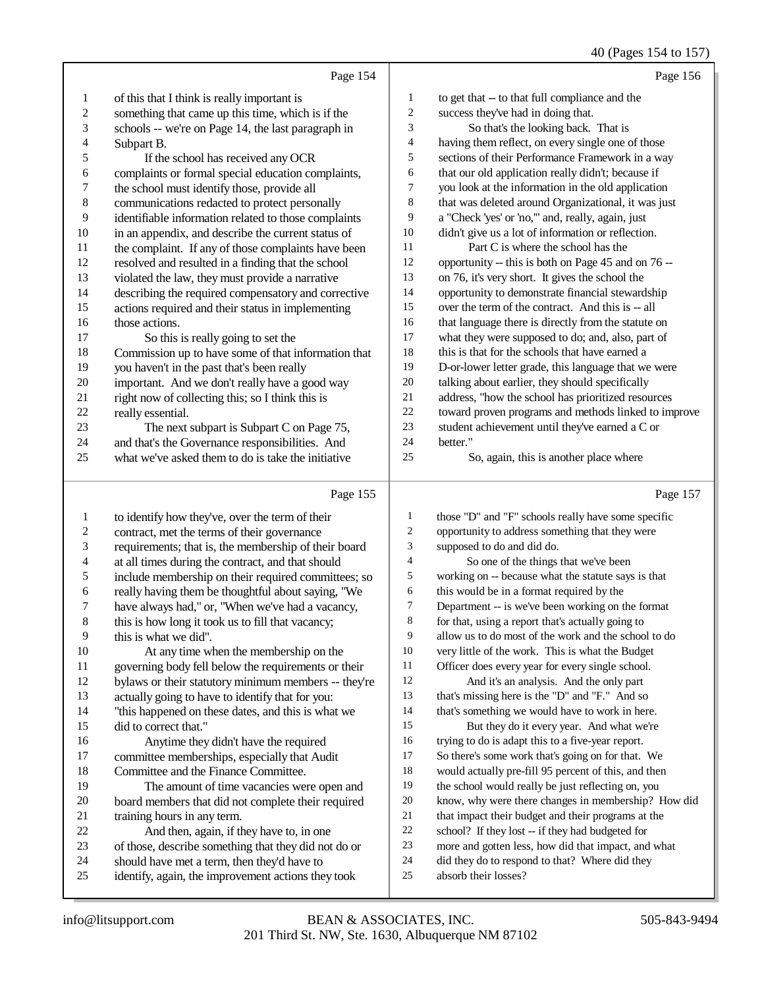## 40 (Pages 154 to 157)

|                  |                                                      |                          | 40 (Pages 154 to 157)                                |
|------------------|------------------------------------------------------|--------------------------|------------------------------------------------------|
|                  | Page 154                                             |                          | Page 156                                             |
| $\mathbf{1}$     | of this that I think is really important is          | 1                        | to get that -- to that full compliance and the       |
| 2                | something that came up this time, which is if the    | $\overline{c}$           | success they've had in doing that.                   |
| 3                | schools -- we're on Page 14, the last paragraph in   | 3                        | So that's the looking back. That is                  |
| 4                | Subpart B.                                           | $\overline{\mathcal{A}}$ | having them reflect, on every single one of those    |
| 5                | If the school has received any OCR                   | 5                        | sections of their Performance Framework in a way     |
| 6                | complaints or formal special education complaints,   | 6                        | that our old application really didn't; because if   |
| 7                | the school must identify those, provide all          | 7                        | you look at the information in the old application   |
| $\,$ 8 $\,$      | communications redacted to protect personally        | 8                        | that was deleted around Organizational, it was just  |
| 9                | identifiable information related to those complaints | 9                        | a "Check 'yes' or 'no,"' and, really, again, just    |
| 10               | in an appendix, and describe the current status of   | 10                       | didn't give us a lot of information or reflection.   |
| 11               | the complaint. If any of those complaints have been  | 11                       | Part C is where the school has the                   |
| 12               | resolved and resulted in a finding that the school   | 12                       | opportunity -- this is both on Page 45 and on 76 --  |
| 13               | violated the law, they must provide a narrative      | 13                       | on 76, it's very short. It gives the school the      |
| 14               | describing the required compensatory and corrective  | 14                       | opportunity to demonstrate financial stewardship     |
| 15               | actions required and their status in implementing    | 15                       | over the term of the contract. And this is -- all    |
| 16               | those actions.                                       | 16                       | that language there is directly from the statute on  |
| 17               | So this is really going to set the                   | 17                       | what they were supposed to do; and, also, part of    |
| 18               | Commission up to have some of that information that  | 18                       | this is that for the schools that have earned a      |
| 19               | you haven't in the past that's been really           | 19                       | D-or-lower letter grade, this language that we were  |
| 20               | important. And we don't really have a good way       | 20                       | talking about earlier, they should specifically      |
| 21               | right now of collecting this; so I think this is     | $21\,$                   | address, "how the school has prioritized resources   |
| $22\,$           | really essential.                                    | $22\,$                   | toward proven programs and methods linked to improve |
| 23               | The next subpart is Subpart C on Page 75,            | 23                       | student achievement until they've earned a C or      |
| 24               | and that's the Governance responsibilities. And      | 24                       | better."                                             |
| 25               | what we've asked them to do is take the initiative   | 25                       | So, again, this is another place where               |
|                  |                                                      |                          |                                                      |
|                  | Page 155                                             |                          | Page 157                                             |
| $\mathbf{1}$     | to identify how they've, over the term of their      | $\mathbf{1}$             | those "D" and "F" schools really have some specific  |
| $\boldsymbol{2}$ | contract, met the terms of their governance          | $\sqrt{2}$               | opportunity to address something that they were      |
| 3                | requirements; that is, the membership of their board | $\mathfrak{Z}$           | supposed to do and did do.                           |
| 4                | at all times during the contract, and that should    | $\overline{4}$           | So one of the things that we've been                 |
| 5                | include membership on their required committees; so  | $\sqrt{5}$               | working on -- because what the statute says is that  |
| 6                | really having them be thoughtful about saying, "We   | 6                        | this would be in a format required by the            |
| 7                | have always had," or, "When we've had a vacancy,     | 7                        | Department -- is we've been working on the format    |
| 8                | this is how long it took us to fill that vacancy;    | 8                        | for that, using a report that's actually going to    |
| 9                | this is what we did".                                | 9                        | allow us to do most of the work and the school to do |
| 10               | At any time when the membership on the               | 10                       | very little of the work. This is what the Budget     |
| 11               | governing body fell below the requirements or their  | 11                       | Officer does every year for every single school.     |
| 12               | bylaws or their statutory minimum members -- they're | 12                       | And it's an analysis. And the only part              |
| 13               | actually going to have to identify that for you:     | 13                       | that's missing here is the "D" and "F." And so       |
| 14               | "this happened on these dates, and this is what we   | 14                       | that's something we would have to work in here.      |
| 15               | did to correct that."                                | 15                       | But they do it every year. And what we're            |
| 16               | Anytime they didn't have the required                | 16                       | trying to do is adapt this to a five-year report.    |
| 17               | committee memberships, especially that Audit         | 17                       | So there's some work that's going on for that. We    |
| 18               | Committee and the Finance Committee.                 | 18                       | would actually pre-fill 95 percent of this, and then |
| 19               | The amount of time vacancies were open and           | 19                       | the school would really be just reflecting on, you   |
| 20               | board members that did not complete their required   | 20                       | know, why were there changes in membership? How did  |

- 21 training hours in any term.<br>22 And then, again, if the
- 22 And then, again, if they have to, in one<br>23 of those, describe something that they did not
- 23 of those, describe something that they did not do or<br>24 should have met a term, then they'd have to
- 24 should have met a term, then they'd have to<br>25 identify, again, the improvement actions the identify, again, the improvement actions they took
- 24 did they do to respond to that? Where did they<br>25 absorb their losses? absorb their losses?

21 that impact their budget and their programs at the<br>22 school? If they lost -- if they had budgeted for 22 school? If they lost -- if they had budgeted for<br>23 more and gotten less, how did that impact, and

more and gotten less, how did that impact, and what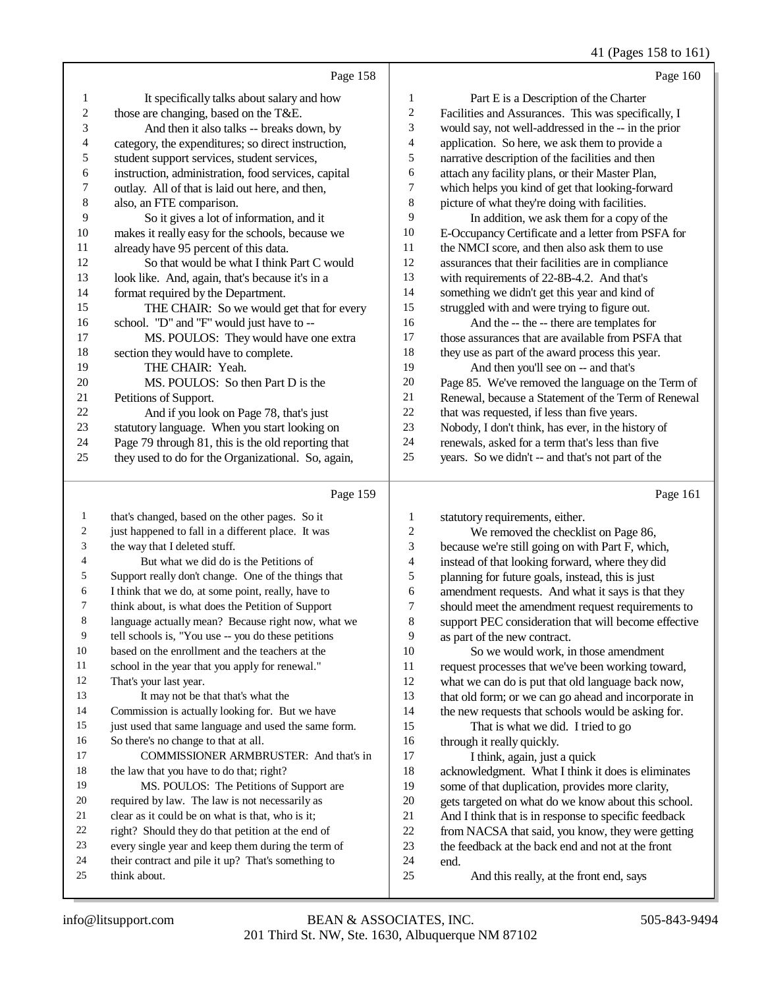41 (Pages 158 to 161)

|    | Page 158                                            |                | Page 160                                             |
|----|-----------------------------------------------------|----------------|------------------------------------------------------|
| 1  | It specifically talks about salary and how          | 1              | Part E is a Description of the Charter               |
| 2  | those are changing, based on the T&E.               | $\mathfrak{2}$ | Facilities and Assurances. This was specifically, I  |
| 3  | And then it also talks -- breaks down, by           | 3              | would say, not well-addressed in the -- in the prior |
| 4  | category, the expenditures; so direct instruction,  | $\overline{4}$ | application. So here, we ask them to provide a       |
| 5  | student support services, student services,         | 5              | narrative description of the facilities and then     |
| 6  | instruction, administration, food services, capital | 6              | attach any facility plans, or their Master Plan,     |
| 7  | outlay. All of that is laid out here, and then,     | 7              | which helps you kind of get that looking-forward     |
| 8  | also, an FTE comparison.                            | 8              | picture of what they're doing with facilities.       |
| 9  | So it gives a lot of information, and it            | 9              | In addition, we ask them for a copy of the           |
| 10 | makes it really easy for the schools, because we    | 10             | E-Occupancy Certificate and a letter from PSFA for   |
| 11 | already have 95 percent of this data.               | 11             | the NMCI score, and then also ask them to use        |
| 12 | So that would be what I think Part C would          | 12             | assurances that their facilities are in compliance   |
| 13 | look like. And, again, that's because it's in a     | 13             | with requirements of 22-8B-4.2. And that's           |
| 14 | format required by the Department.                  | 14             | something we didn't get this year and kind of        |
| 15 | THE CHAIR: So we would get that for every           | 15             | struggled with and were trying to figure out.        |
| 16 | school. "D" and "F" would just have to --           | 16             | And the -- the -- there are templates for            |
| 17 | MS. POULOS: They would have one extra               | 17             | those assurances that are available from PSFA that   |
| 18 | section they would have to complete.                | 18             | they use as part of the award process this year.     |
| 19 | THE CHAIR: Yeah.                                    | 19             | And then you'll see on -- and that's                 |
| 20 | MS. POULOS: So then Part D is the                   | 20             | Page 85. We've removed the language on the Term of   |
| 21 | Petitions of Support.                               | 21             | Renewal, because a Statement of the Term of Renewal  |
| 22 | And if you look on Page 78, that's just             | 22             | that was requested, if less than five years.         |
| 23 | statutory language. When you start looking on       | 23             | Nobody, I don't think, has ever, in the history of   |
| 24 | Page 79 through 81, this is the old reporting that  | 24             | renewals, asked for a term that's less than five     |
| 25 | they used to do for the Organizational. So, again,  | 25             | years. So we didn't -- and that's not part of the    |
|    | Page 159                                            |                | Page 161                                             |

### Page 159

 that's changed, based on the other pages. So it just happened to fall in a different place. It was the way that I deleted stuff. 4 But what we did do is the Petitions of<br>5 Support really don't change. One of the thing Support really don't change. One of the things that I think that we do, at some point, really, have to think about, is what does the Petition of Support language actually mean? Because right now, what we tell schools is, "You use -- you do these petitions based on the enrollment and the teachers at the 11 school in the year that you apply for renewal."<br>
12 That's your last year That's your last year. It may not be that that's what the Commission is actually looking for. But we have just used that same language and used the same form. So there's no change to that at all. COMMISSIONER ARMBRUSTER: And that's in 18 the law that you have to do that; right? 19 MS. POULOS: The Petitions of Support are required by law. The law is not necessarily as 21 clear as it could be on what is that, who is it;<br> $22$  right? Should they do that petition at the end 22 right? Should they do that petition at the end of<br>23 every single year and keep them during the term every single year and keep them during the term of their contract and pile it up? That's something to think about. 1 statutory requirements, either.<br>2 We removed the checkl 2 We removed the checklist on Page 86,<br>3 because we're still going on with Part F, which because we're still going on with Part F, which, 4 instead of that looking forward, where they did<br>5 planning for future goals, instead, this is just 5 planning for future goals, instead, this is just<br>6 amendment requests. And what it says is that amendment requests. And what it says is that they 7 should meet the amendment request requirements to<br>8 support PEC consideration that will become effective support PEC consideration that will become effective 9 as part of the new contract.<br>10 So we would work. 10 So we would work, in those amendment<br>11 request processes that we've been working tow 11 request processes that we've been working toward,<br>12 what we can do is put that old language back now. what we can do is put that old language back now, that old form; or we can go ahead and incorporate in the new requests that schools would be asking for. That is what we did. I tried to go 16 through it really quickly.<br>17 I think, again, just I think, again, just a quick 18 acknowledgment. What I think it does is eliminates<br>19 some of that dunlication provides more clarity some of that duplication, provides more clarity, 20 gets targeted on what do we know about this school.<br>21 And I think that is in response to specific feedback 21 And I think that is in response to specific feedback<br>22 from NACSA that said, you know, they were gettin 22 from NACSA that said, you know, they were getting<br>23 the feedback at the back end and not at the front the feedback at the back end and not at the front end. And this really, at the front end, says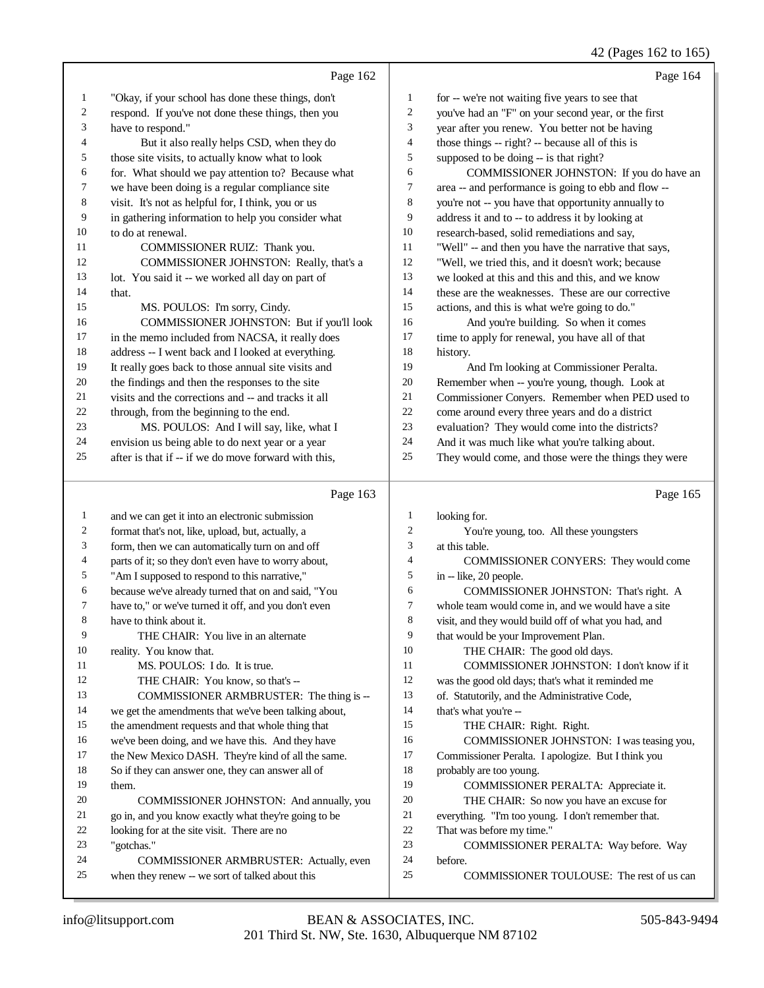## 42 (Pages 162 to 165)

|                  |                                                      |                | $42$ (1 ages 102 to 109                              |
|------------------|------------------------------------------------------|----------------|------------------------------------------------------|
|                  | Page 162                                             |                | Page 164                                             |
| 1                | "Okay, if your school has done these things, don't   | $\mathbf{1}$   | for -- we're not waiting five years to see that      |
| 2                | respond. If you've not done these things, then you   | $\overline{2}$ | you've had an "F" on your second year, or the first  |
| 3                | have to respond."                                    | 3              | year after you renew. You better not be having       |
| 4                | But it also really helps CSD, when they do           | $\overline{4}$ | those things -- right? -- because all of this is     |
| 5                | those site visits, to actually know what to look     | 5              | supposed to be doing -- is that right?               |
| 6                | for. What should we pay attention to? Because what   | 6              | COMMISSIONER JOHNSTON: If you do have an             |
| 7                | we have been doing is a regular compliance site      | $\tau$         | area -- and performance is going to ebb and flow --  |
| $\,8\,$          | visit. It's not as helpful for, I think, you or us   | 8              | you're not -- you have that opportunity annually to  |
| 9                | in gathering information to help you consider what   | 9              | address it and to -- to address it by looking at     |
| 10               | to do at renewal.                                    | 10             | research-based, solid remediations and say,          |
| 11               | COMMISSIONER RUIZ: Thank you.                        | 11             | "Well" -- and then you have the narrative that says, |
| 12               | COMMISSIONER JOHNSTON: Really, that's a              | 12             | "Well, we tried this, and it doesn't work; because   |
| 13               | lot. You said it -- we worked all day on part of     | 13             | we looked at this and this and this, and we know     |
| 14               | that.                                                | 14             | these are the weaknesses. These are our corrective   |
| 15               | MS. POULOS: I'm sorry, Cindy.                        | 15             | actions, and this is what we're going to do."        |
| 16               | COMMISSIONER JOHNSTON: But if you'll look            | 16             | And you're building. So when it comes                |
| 17               | in the memo included from NACSA, it really does      | 17             | time to apply for renewal, you have all of that      |
| 18               | address -- I went back and I looked at everything.   | 18             | history.                                             |
| 19               | It really goes back to those annual site visits and  | 19             | And I'm looking at Commissioner Peralta.             |
| 20               | the findings and then the responses to the site      | 20             | Remember when -- you're young, though. Look at       |
| 21               | visits and the corrections and -- and tracks it all  | 21             | Commissioner Conyers. Remember when PED used to      |
| 22               | through, from the beginning to the end.              | $22\,$         | come around every three years and do a district      |
| 23               | MS. POULOS: And I will say, like, what I             | 23             | evaluation? They would come into the districts?      |
| 24               | envision us being able to do next year or a year     | 24             | And it was much like what you're talking about.      |
| 25               | after is that if -- if we do move forward with this, | 25             | They would come, and those were the things they were |
|                  |                                                      |                |                                                      |
|                  | Page 163                                             |                | Page 165                                             |
| 1                | and we can get it into an electronic submission      | $\mathbf{1}$   | looking for.                                         |
| $\boldsymbol{2}$ | format that's not, like, upload, but, actually, a    | $\sqrt{2}$     | You're young, too. All these youngsters              |
| 3                | form, then we can automatically turn on and off      | 3              | at this table.                                       |
| 4                | parts of it; so they don't even have to worry about, | 4              | COMMISSIONER CONYERS: They would come                |
| 5                | "Am I supposed to respond to this narrative,"        | 5              | in -- like, 20 people.                               |
| 6                | because we've already turned that on and said, "You  | 6              | COMMISSIONER JOHNSTON: That's right. A               |
| 7                | have to," or we've turned it off, and you don't even | 7              | whole team would come in, and we would have a site   |
| 8                | have to think about it.                              | 8              | visit, and they would build off of what you had, and |
| 9                | THE CHAIR: You live in an alternate                  | 9              | that would be your Improvement Plan.                 |
| 10               | reality. You know that.                              | 10             | THE CHAIR: The good old days.                        |
| 11               | MS. POULOS: I do. It is true.                        | 11             | COMMISSIONER JOHNSTON: I don't know if it            |
| 12               | THE CHAIR: You know, so that's --                    | 12             | was the good old days; that's what it reminded me    |
| 13               | COMMISSIONER ARMBRUSTER: The thing is --             | 13             | of. Statutorily, and the Administrative Code,        |
| 14               | we get the amendments that we've been talking about, | 14             | that's what you're --                                |

- the amendment requests and that whole thing that
- we've been doing, and we have this. And they have
- the New Mexico DASH. They're kind of all the same.
- So if they can answer one, they can answer all of them.
- COMMISSIONER JOHNSTON: And annually, you go in, and you know exactly what they're going to be
- looking for at the site visit. There are no
- "gotchas." COMMISSIONER ARMBRUSTER: Actually, even
- when they renew -- we sort of talked about this
- before. COMMISSIONER TOULOUSE: The rest of us can

 COMMISSIONER JOHNSTON: I was teasing you, Commissioner Peralta. I apologize. But I think you

 COMMISSIONER PERALTA: Appreciate it. THE CHAIR: So now you have an excuse for everything. "I'm too young. I don't remember that.

COMMISSIONER PERALTA: Way before. Way

THE CHAIR: Right. Right.

probably are too young.

That was before my time."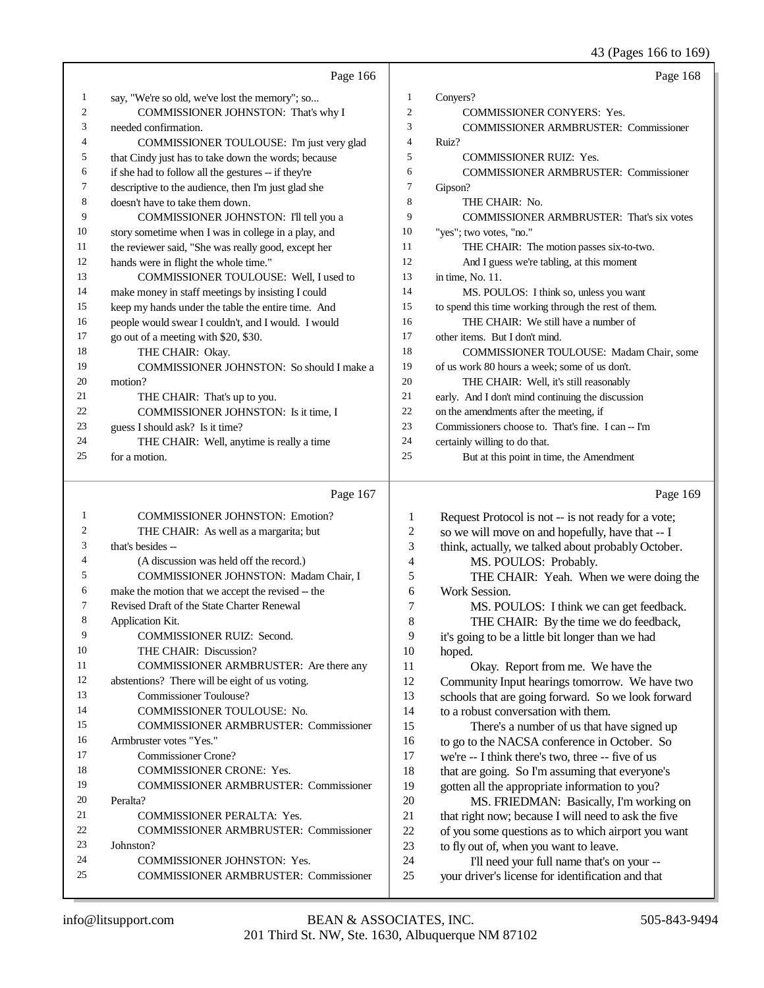43 (Pages 166 to 169)

|                         | Page 166                                                                |                | Page 168                                                                                          |
|-------------------------|-------------------------------------------------------------------------|----------------|---------------------------------------------------------------------------------------------------|
| 1                       | say, "We're so old, we've lost the memory"; so                          | $\mathbf{1}$   | Conyers?                                                                                          |
| $\overline{\mathbf{c}}$ | COMMISSIONER JOHNSTON: That's why I                                     | $\mathbf{2}$   | <b>COMMISSIONER CONYERS: Yes.</b>                                                                 |
| 3                       | needed confirmation.                                                    | 3              | <b>COMMISSIONER ARMBRUSTER: Commissioner</b>                                                      |
| 4                       | COMMISSIONER TOULOUSE: I'm just very glad                               | $\overline{4}$ | Ruiz?                                                                                             |
| 5                       | that Cindy just has to take down the words; because                     | 5              | <b>COMMISSIONER RUIZ: Yes.</b>                                                                    |
| 6                       | if she had to follow all the gestures -- if they're                     | 6              | <b>COMMISSIONER ARMBRUSTER: Commissioner</b>                                                      |
| 7                       | descriptive to the audience, then I'm just glad she                     | 7              | Gipson?                                                                                           |
| 8                       | doesn't have to take them down.                                         | 8              | THE CHAIR: No.                                                                                    |
| 9                       | COMMISSIONER JOHNSTON: I'll tell you a                                  | 9              | <b>COMMISSIONER ARMBRUSTER:</b> That's six votes                                                  |
| 10                      | story sometime when I was in college in a play, and                     | 10             | "yes"; two votes, "no."                                                                           |
| 11                      | the reviewer said, "She was really good, except her                     | 11             | THE CHAIR: The motion passes six-to-two.                                                          |
| 12                      | hands were in flight the whole time."                                   | 12             | And I guess we're tabling, at this moment                                                         |
| 13                      | COMMISSIONER TOULOUSE: Well, I used to                                  | 13             | in time, No. 11.                                                                                  |
| 14                      | make money in staff meetings by insisting I could                       | 14             | MS. POULOS: I think so, unless you want                                                           |
| 15                      | keep my hands under the table the entire time. And                      | 15             | to spend this time working through the rest of them.                                              |
| 16                      | people would swear I couldn't, and I would. I would                     | 16             | THE CHAIR: We still have a number of                                                              |
| 17                      | go out of a meeting with \$20, \$30.                                    | 17             | other items. But I don't mind.                                                                    |
| 18                      | THE CHAIR: Okay.                                                        | 18             | COMMISSIONER TOULOUSE: Madam Chair, some                                                          |
| 19                      | COMMISSIONER JOHNSTON: So should I make a                               | 19             | of us work 80 hours a week; some of us don't.                                                     |
| 20                      | motion?                                                                 | 20             | THE CHAIR: Well, it's still reasonably                                                            |
| 21                      | THE CHAIR: That's up to you.                                            | 21             | early. And I don't mind continuing the discussion                                                 |
| 22                      | COMMISSIONER JOHNSTON: Is it time, I                                    | 22             | on the amendments after the meeting, if                                                           |
| 23                      | guess I should ask? Is it time?                                         | 23             | Commissioners choose to. That's fine. I can -- I'm                                                |
| 24                      | THE CHAIR: Well, anytime is really a time                               | 24             | certainly willing to do that.                                                                     |
| 25                      | for a motion.                                                           | 25             | But at this point in time, the Amendment                                                          |
|                         |                                                                         |                |                                                                                                   |
|                         |                                                                         |                |                                                                                                   |
|                         | Page 167                                                                |                | Page 169                                                                                          |
| 1                       | <b>COMMISSIONER JOHNSTON: Emotion?</b>                                  | 1              | Request Protocol is not -- is not ready for a vote;                                               |
| 2                       | THE CHAIR: As well as a margarita; but                                  | $\mathfrak{2}$ | so we will move on and hopefully, have that -- I                                                  |
| 3                       | that's besides --                                                       | 3              | think, actually, we talked about probably October.                                                |
| 4                       | (A discussion was held off the record.)                                 | $\overline{4}$ | MS. POULOS: Probably.                                                                             |
| 5                       | COMMISSIONER JOHNSTON: Madam Chair, I                                   | 5              | THE CHAIR: Yeah. When we were doing the                                                           |
| 6                       | make the motion that we accept the revised -- the                       | 6              | Work Session.                                                                                     |
| 7                       | Revised Draft of the State Charter Renewal                              | 7              | MS. POULOS: I think we can get feedback.                                                          |
| 8                       | Application Kit.                                                        | 8              | THE CHAIR: By the time we do feedback,                                                            |
| 9                       | COMMISSIONER RUIZ: Second.                                              | 9              | it's going to be a little bit longer than we had                                                  |
| 10<br>11                | THE CHAIR: Discussion?                                                  | 10             | hoped.                                                                                            |
| 12                      | COMMISSIONER ARMBRUSTER: Are there any                                  | 11             | Okay. Report from me. We have the                                                                 |
| 13                      | abstentions? There will be eight of us voting.                          | 12             | Community Input hearings tomorrow. We have two                                                    |
| 14                      | <b>Commissioner Toulouse?</b>                                           | 13             | schools that are going forward. So we look forward                                                |
| 15                      | COMMISSIONER TOULOUSE: No.                                              | 14             | to a robust conversation with them.                                                               |
| 16                      | <b>COMMISSIONER ARMBRUSTER: Commissioner</b><br>Armbruster votes "Yes." | 15             | There's a number of us that have signed up                                                        |
| 17                      | <b>Commissioner Crone?</b>                                              | 16<br>17       | to go to the NACSA conference in October. So<br>we're -- I think there's two, three -- five of us |
| 18                      | COMMISSIONER CRONE: Yes.                                                | 18             |                                                                                                   |
| 19                      | <b>COMMISSIONER ARMBRUSTER: Commissioner</b>                            | 19             | that are going. So I'm assuming that everyone's                                                   |
| 20                      | Peralta?                                                                | 20             | gotten all the appropriate information to you?                                                    |
| 21                      | COMMISSIONER PERALTA: Yes.                                              | 21             | MS. FRIEDMAN: Basically, I'm working on<br>that right now; because I will need to ask the five    |
| 22                      | <b>COMMISSIONER ARMBRUSTER: Commissioner</b>                            | 22             | of you some questions as to which airport you want                                                |
| 23                      | Johnston?                                                               | 23             | to fly out of, when you want to leave.                                                            |
| 24                      | COMMISSIONER JOHNSTON: Yes.                                             | 24             | I'll need your full name that's on your --                                                        |
| 25                      | <b>COMMISSIONER ARMBRUSTER: Commissioner</b>                            | 25             | your driver's license for identification and that                                                 |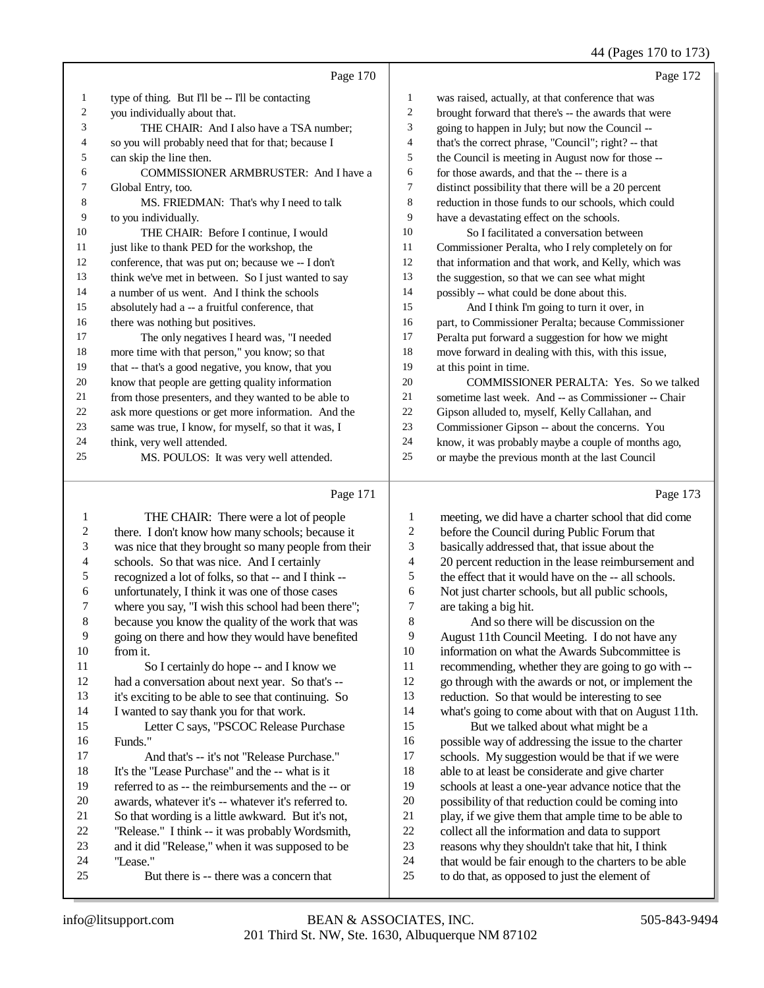44 (Pages 170 to 173)

|    | Page 170                                             |    | Page 172                                             |
|----|------------------------------------------------------|----|------------------------------------------------------|
| 1  | type of thing. But I'll be -- I'll be contacting     | 1  | was raised, actually, at that conference that was    |
| 2  | you individually about that.                         | 2  | brought forward that there's -- the awards that were |
| 3  | THE CHAIR: And I also have a TSA number:             | 3  | going to happen in July; but now the Council --      |
| 4  | so you will probably need that for that; because I   | 4  | that's the correct phrase, "Council"; right? -- that |
| 5  | can skip the line then.                              | 5  | the Council is meeting in August now for those --    |
| 6  | <b>COMMISSIONER ARMBRUSTER: And I have a</b>         | 6  | for those awards, and that the -- there is a         |
| 7  | Global Entry, too.                                   | 7  | distinct possibility that there will be a 20 percent |
| 8  | MS. FRIEDMAN: That's why I need to talk              | 8  | reduction in those funds to our schools, which could |
| 9  | to you individually.                                 | 9  | have a devastating effect on the schools.            |
| 10 | THE CHAIR: Before I continue, I would                | 10 | So I facilitated a conversation between              |
| 11 | just like to thank PED for the workshop, the         | 11 | Commissioner Peralta, who I rely completely on for   |
| 12 | conference, that was put on; because we -- I don't   | 12 | that information and that work, and Kelly, which was |
| 13 | think we've met in between. So I just wanted to say  | 13 | the suggestion, so that we can see what might        |
| 14 | a number of us went. And I think the schools         | 14 | possibly -- what could be done about this.           |
| 15 | absolutely had a -- a fruitful conference, that      | 15 | And I think I'm going to turn it over, in            |
| 16 | there was nothing but positives.                     | 16 | part, to Commissioner Peralta; because Commissioner  |
| 17 | The only negatives I heard was, "I needed            | 17 | Peralta put forward a suggestion for how we might    |
| 18 | more time with that person," you know; so that       | 18 | move forward in dealing with this, with this issue,  |
| 19 | that -- that's a good negative, you know, that you   | 19 | at this point in time.                               |
| 20 | know that people are getting quality information     | 20 | COMMISSIONER PERALTA: Yes. So we talked              |
| 21 | from those presenters, and they wanted to be able to | 21 | sometime last week. And -- as Commissioner -- Chair  |
| 22 | ask more questions or get more information. And the  | 22 | Gipson alluded to, myself, Kelly Callahan, and       |
| 23 | same was true, I know, for myself, so that it was, I | 23 | Commissioner Gipson -- about the concerns. You       |
| 24 | think, very well attended.                           | 24 | know, it was probably maybe a couple of months ago,  |
| 25 | MS. POULOS: It was very well attended.               | 25 | or maybe the previous month at the last Council      |
|    |                                                      |    |                                                      |

# Page 171 |

| $\mathbf{1}$   | THE CHAIR: There were a lot of people                | 1  | meeting, we did ha    |
|----------------|------------------------------------------------------|----|-----------------------|
| $\mathfrak{2}$ | there. I don't know how many schools; because it     | 2  | before the Council    |
| 3              | was nice that they brought so many people from their | 3  | basically addressed   |
| $\overline{4}$ | schools. So that was nice. And I certainly           | 4  | 20 percent reduction  |
| 5              | recognized a lot of folks, so that -- and I think -- | 5  | the effect that it wo |
| 6              | unfortunately, I think it was one of those cases     | 6  | Not just charter sc   |
| 7              | where you say, "I wish this school had been there";  | 7  | are taking a big hit  |
| $\,8\,$        | because you know the quality of the work that was    | 8  | And so there          |
| 9              | going on there and how they would have benefited     | 9  | August 11th Coun      |
| 10             | from it.                                             | 10 | information on wh     |
| 11             | So I certainly do hope -- and I know we              | 11 | recommending, wl      |
| 12             | had a conversation about next year. So that's --     | 12 | go through with th    |
| 13             | it's exciting to be able to see that continuing. So  | 13 | reduction. So that    |
| 14             | I wanted to say thank you for that work.             | 14 | what's going to cor   |
| 15             | Letter C says, "PSCOC Release Purchase               | 15 | But we talke          |
| 16             | Funds."                                              | 16 | possible way of ad    |
| 17             | And that's -- it's not "Release Purchase."           | 17 | schools. My sugge     |
| 18             | It's the "Lease Purchase" and the -- what is it      | 18 | able to at least be   |
| 19             | referred to as -- the reimbursements and the -- or   | 19 | schools at least a c  |
| 20             | awards, whatever it's -- whatever it's referred to.  | 20 | possibility of that i |
| 21             | So that wording is a little awkward. But it's not,   | 21 | play, if we give the  |
| 22             | "Release." I think -- it was probably Wordsmith,     | 22 | collect all the infor |
| 23             | and it did "Release," when it was supposed to be     | 23 | reasons why they s    |
| 24             | "Lease."                                             | 24 | that would be fair    |
| 25             | But there is -- there was a concern that             | 25 | to do that, as oppo   |
|                |                                                      |    |                       |

Page 173

| 1              | meeting, we did have a charter school that did come  |
|----------------|------------------------------------------------------|
| 2              | before the Council during Public Forum that          |
| 3              | basically addressed that, that issue about the       |
| $\overline{4}$ | 20 percent reduction in the lease reimbursement and  |
| 5              | the effect that it would have on the -- all schools. |
| 6              | Not just charter schools, but all public schools,    |
| 7              | are taking a big hit.                                |
| 8              | And so there will be discussion on the               |
| 9              | August 11th Council Meeting. I do not have any       |
| 10             | information on what the Awards Subcommittee is       |
| 11             | recommending, whether they are going to go with --   |
| 12             | go through with the awards or not, or implement the  |
| 13             | reduction. So that would be interesting to see       |
| 14             | what's going to come about with that on August 11th. |
| 15             | But we talked about what might be a                  |
| 16             | possible way of addressing the issue to the charter  |
| 17             | schools. My suggestion would be that if we were      |
| 18             | able to at least be considerate and give charter     |
| 19             | schools at least a one-year advance notice that the  |
| 20             | possibility of that reduction could be coming into   |
| 21             | play, if we give them that ample time to be able to  |
| 22             | collect all the information and data to support      |
| 23             | reasons why they shouldn't take that hit, I think    |
| 24             | that would be fair enough to the charters to be able |
| 25             | to do that, as opposed to just the element of        |
|                |                                                      |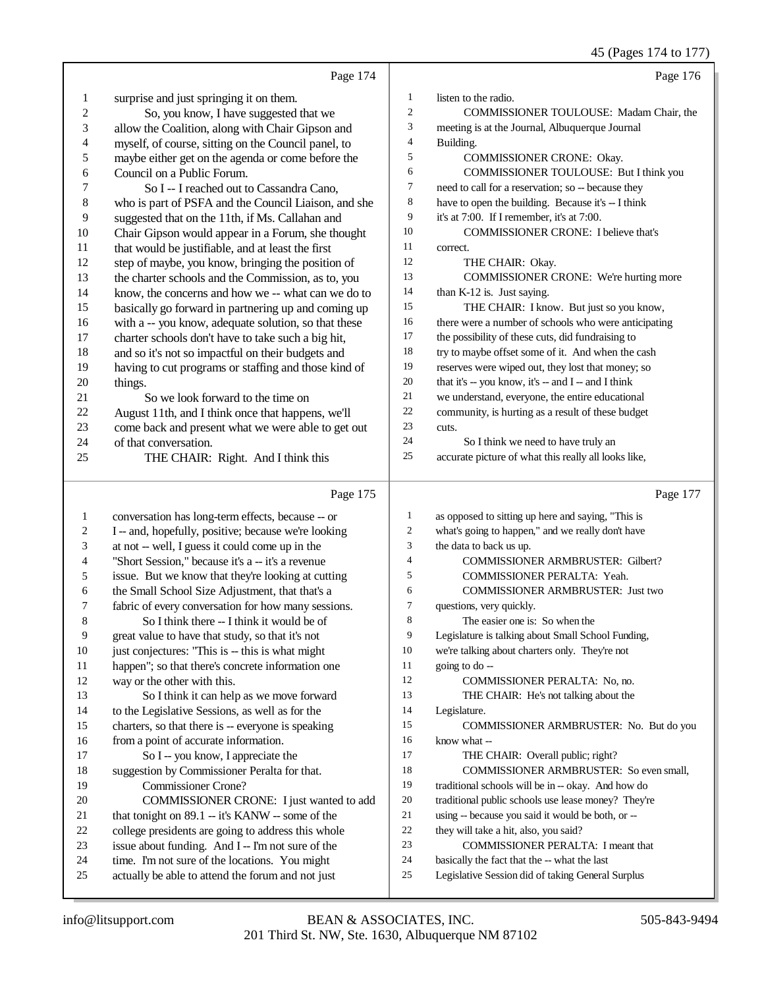45 (Pages 174 to 177)

|          | Page 174                                                                                    |                  | Page 176                                                |
|----------|---------------------------------------------------------------------------------------------|------------------|---------------------------------------------------------|
| 1        | surprise and just springing it on them.                                                     | 1                | listen to the radio.                                    |
| 2        | So, you know, I have suggested that we                                                      | 2                | COMMISSIONER TOULOUSE: Madam Chair, the                 |
| 3        | allow the Coalition, along with Chair Gipson and                                            | 3                | meeting is at the Journal, Albuquerque Journal          |
| 4        | myself, of course, sitting on the Council panel, to                                         | 4                | Building.                                               |
| 5        | maybe either get on the agenda or come before the                                           | 5                | COMMISSIONER CRONE: Okay.                               |
| 6        | Council on a Public Forum.                                                                  | 6                | COMMISSIONER TOULOUSE: But I think you                  |
| 7        | So I -- I reached out to Cassandra Cano,                                                    | 7                | need to call for a reservation; so -- because they      |
| 8        | who is part of PSFA and the Council Liaison, and she                                        | 8                | have to open the building. Because it's -- I think      |
| 9        | suggested that on the 11th, if Ms. Callahan and                                             | 9                | it's at 7:00. If I remember, it's at 7:00.              |
| 10       | Chair Gipson would appear in a Forum, she thought                                           | 10               | COMMISSIONER CRONE: I believe that's                    |
| 11       | that would be justifiable, and at least the first                                           | 11               | correct.                                                |
| 12       | step of maybe, you know, bringing the position of                                           | 12               | THE CHAIR: Okay.                                        |
| 13       | the charter schools and the Commission, as to, you                                          | 13               | COMMISSIONER CRONE: We're hurting more                  |
| 14       | know, the concerns and how we -- what can we do to                                          | 14               | than K-12 is. Just saying.                              |
| 15       | basically go forward in partnering up and coming up                                         | 15               | THE CHAIR: I know. But just so you know,                |
| 16       | with a -- you know, adequate solution, so that these                                        | 16               | there were a number of schools who were anticipating    |
| 17       | charter schools don't have to take such a big hit,                                          | 17               | the possibility of these cuts, did fundraising to       |
| 18       | and so it's not so impactful on their budgets and                                           | 18               | try to maybe offset some of it. And when the cash       |
| 19       | having to cut programs or staffing and those kind of                                        | 19               | reserves were wiped out, they lost that money; so       |
| 20       | things.                                                                                     | 20               | that it's -- you know, it's -- and I -- and I think     |
| 21       | So we look forward to the time on                                                           | 21               | we understand, everyone, the entire educational         |
| 22       | August 11th, and I think once that happens, we'll                                           | 22               | community, is hurting as a result of these budget       |
| 23       | come back and present what we were able to get out                                          | 23               | cuts.                                                   |
| 24       | of that conversation.                                                                       | 24               | So I think we need to have truly an                     |
| 25       | THE CHAIR: Right. And I think this                                                          | 25               | accurate picture of what this really all looks like,    |
|          | Page 175                                                                                    |                  | Page 177                                                |
| 1        |                                                                                             | $\mathbf{1}$     | as opposed to sitting up here and saying, "This is      |
|          | conversation has long-term effects, because -- or                                           |                  |                                                         |
|          |                                                                                             |                  |                                                         |
| 2        | I -- and, hopefully, positive; because we're looking                                        | $\boldsymbol{2}$ | what's going to happen," and we really don't have       |
| 3        | at not -- well, I guess it could come up in the                                             | 3                | the data to back us up.                                 |
| 4        | "Short Session," because it's a -- it's a revenue                                           | $\overline{4}$   | COMMISSIONER ARMBRUSTER: Gilbert?                       |
| 5        | issue. But we know that they're looking at cutting                                          | 5                | COMMISSIONER PERALTA: Yeah.                             |
| 6        | the Small School Size Adjustment, that that's a                                             | 6                | COMMISSIONER ARMBRUSTER: Just two                       |
| 7        | fabric of every conversation for how many sessions.                                         | $\tau$           | questions, very quickly.                                |
| 8        | So I think there -- I think it would be of                                                  | 8                | The easier one is: So when the                          |
| 9        | great value to have that study, so that it's not                                            | 9                | Legislature is talking about Small School Funding,      |
| 10       | just conjectures: "This is -- this is what might                                            | 10<br>11         | we're talking about charters only. They're not          |
| 11<br>12 | happen"; so that there's concrete information one                                           | 12               | going to do --                                          |
| 13       | way or the other with this.                                                                 | 13               | COMMISSIONER PERALTA: No, no.                           |
| 14       | So I think it can help as we move forward                                                   | 14               | THE CHAIR: He's not talking about the                   |
| 15       | to the Legislative Sessions, as well as for the                                             | 15               | Legislature.<br>COMMISSIONER ARMBRUSTER: No. But do you |
| 16       | charters, so that there is -- everyone is speaking<br>from a point of accurate information. | 16               | know what --                                            |
| 17       | So I -- you know, I appreciate the                                                          | 17               | THE CHAIR: Overall public; right?                       |
| 18       | suggestion by Commissioner Peralta for that.                                                | 18               | COMMISSIONER ARMBRUSTER: So even small,                 |
| 19       | <b>Commissioner Crone?</b>                                                                  | 19               | traditional schools will be in -- okay. And how do      |
| 20       | COMMISSIONER CRONE: I just wanted to add                                                    | 20               | traditional public schools use lease money? They're     |
| 21       | that tonight on 89.1 -- it's KANW -- some of the                                            | 21               | using -- because you said it would be both, or --       |
| 22       | college presidents are going to address this whole                                          | 22               | they will take a hit, also, you said?                   |
| 23       | issue about funding. And I -- I'm not sure of the                                           | 23               | COMMISSIONER PERALTA: I meant that                      |
| 24       | time. I'm not sure of the locations. You might                                              | 24               | basically the fact that the -- what the last            |
| 25       | actually be able to attend the forum and not just                                           | 25               | Legislative Session did of taking General Surplus       |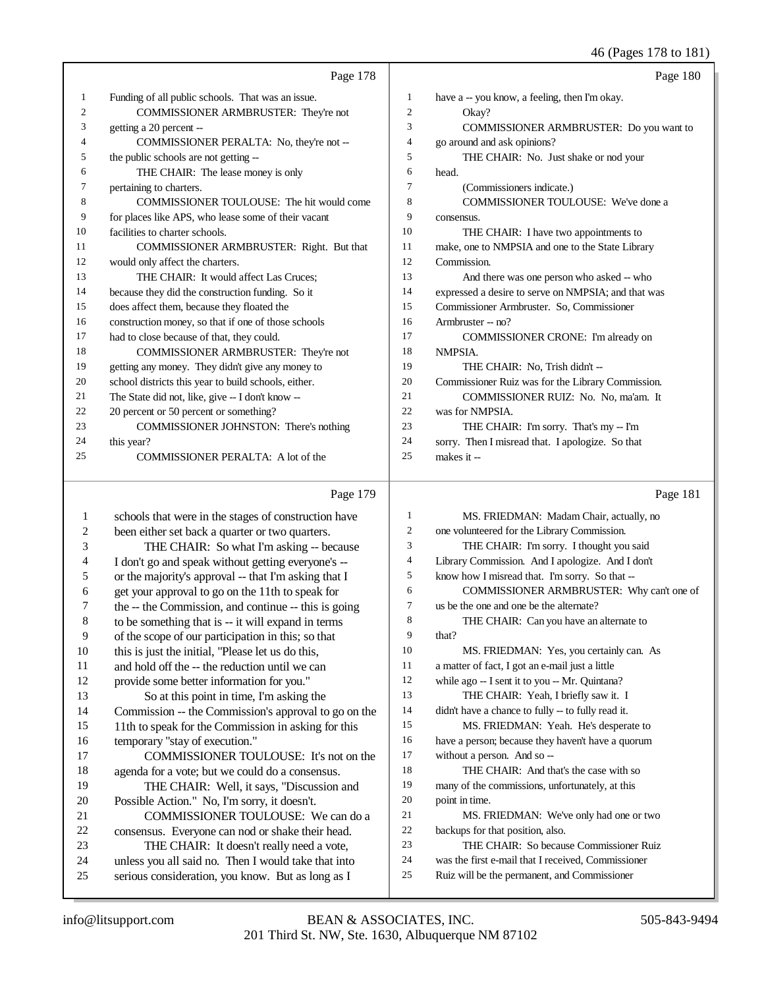## 46 (Pages 178 to 181)

|    | Page 178                                             |    | Page 180                                            |
|----|------------------------------------------------------|----|-----------------------------------------------------|
| 1  | Funding of all public schools. That was an issue.    | 1  | have a -- you know, a feeling, then I'm okay.       |
| 2  | COMMISSIONER ARMBRUSTER: They're not                 | 2  | Okay?                                               |
| 3  | getting a 20 percent --                              | 3  | <b>COMMISSIONER ARMBRUSTER: Do you want to</b>      |
| 4  | COMMISSIONER PERALTA: No, they're not --             | 4  | go around and ask opinions?                         |
| 5  | the public schools are not getting --                | 5  | THE CHAIR: No. Just shake or nod your               |
| 6  | THE CHAIR: The lease money is only                   | 6  | head.                                               |
| 7  | pertaining to charters.                              | 7  | (Commissioners indicate.)                           |
| 8  | COMMISSIONER TOULOUSE: The hit would come            | 8  | <b>COMMISSIONER TOULOUSE:</b> We've done a          |
| 9  | for places like APS, who lease some of their vacant  | 9  | consensus.                                          |
| 10 | facilities to charter schools.                       | 10 | THE CHAIR: I have two appointments to               |
| 11 | COMMISSIONER ARMBRUSTER: Right. But that             | 11 | make, one to NMPSIA and one to the State Library    |
| 12 | would only affect the charters.                      | 12 | Commission.                                         |
| 13 | THE CHAIR: It would affect Las Cruces:               | 13 | And there was one person who asked -- who           |
| 14 | because they did the construction funding. So it     | 14 | expressed a desire to serve on NMPSIA; and that was |
| 15 | does affect them, because they floated the           | 15 | Commissioner Armbruster. So, Commissioner           |
| 16 | construction money, so that if one of those schools  | 16 | Armbruster -- no?                                   |
| 17 | had to close because of that, they could.            | 17 | COMMISSIONER CRONE: I'm already on                  |
| 18 | COMMISSIONER ARMBRUSTER: They're not                 | 18 | NMPSIA.                                             |
| 19 | getting any money. They didn't give any money to     | 19 | THE CHAIR: No, Trish didn't --                      |
| 20 | school districts this year to build schools, either. | 20 | Commissioner Ruiz was for the Library Commission.   |
| 21 | The State did not, like, give -- I don't know --     | 21 | COMMISSIONER RUIZ: No. No, ma'am. It                |
| 22 | 20 percent or 50 percent or something?               | 22 | was for NMPSIA.                                     |
| 23 | COMMISSIONER JOHNSTON: There's nothing               | 23 | THE CHAIR: I'm sorry. That's my -- I'm              |
| 24 | this year?                                           | 24 | sorry. Then I misread that. I apologize. So that    |
| 25 | COMMISSIONER PERALTA: A lot of the                   | 25 | makes it --                                         |

## Page 179

|    | Page 179                                             |                | Page 181                                           |
|----|------------------------------------------------------|----------------|----------------------------------------------------|
| 1  | schools that were in the stages of construction have | 1              | MS. FRIEDMAN: Madam Chair, actually, no            |
| 2  | been either set back a quarter or two quarters.      | 2              | one volunteered for the Library Commission.        |
| 3  | THE CHAIR: So what I'm asking -- because             | 3              | THE CHAIR: I'm sorry. I thought you said           |
| 4  | I don't go and speak without getting everyone's --   | $\overline{4}$ | Library Commission. And I apologize. And I don't   |
| 5  | or the majority's approval -- that I'm asking that I | 5              | know how I misread that. I'm sorry. So that --     |
| 6  | get your approval to go on the 11th to speak for     | 6              | COMMISSIONER ARMBRUSTER: Why can't one of          |
| 7  | the -- the Commission, and continue -- this is going | 7              | us be the one and one be the alternate?            |
| 8  | to be something that is -- it will expand in terms   | 8              | THE CHAIR: Can you have an alternate to            |
| 9  | of the scope of our participation in this; so that   | 9              | that?                                              |
| 10 | this is just the initial, "Please let us do this,    | 10             | MS. FRIEDMAN: Yes, you certainly can. As           |
| 11 | and hold off the -- the reduction until we can       | 11             | a matter of fact, I got an e-mail just a little    |
| 12 | provide some better information for you."            | 12             | while ago -- I sent it to you -- Mr. Quintana?     |
| 13 | So at this point in time, I'm asking the             | 13             | THE CHAIR: Yeah, I briefly saw it. I               |
| 14 | Commission -- the Commission's approval to go on the | 14             | didn't have a chance to fully -- to fully read it. |
| 15 | 11th to speak for the Commission in asking for this  | 15             | MS. FRIEDMAN: Yeah. He's desperate to              |
| 16 | temporary "stay of execution."                       | 16             | have a person; because they haven't have a quorum  |
| 17 | COMMISSIONER TOULOUSE: It's not on the               | 17             | without a person. And so --                        |
| 18 | agenda for a vote; but we could do a consensus.      | 18             | THE CHAIR: And that's the case with so             |
| 19 | THE CHAIR: Well, it says, "Discussion and            | 19             | many of the commissions, unfortunately, at this    |
| 20 | Possible Action." No, I'm sorry, it doesn't.         | 20             | point in time.                                     |
| 21 | COMMISSIONER TOULOUSE: We can do a                   | 21             | MS. FRIEDMAN: We've only had one or two            |
| 22 | consensus. Everyone can nod or shake their head.     | 22             | backups for that position, also.                   |
| 23 | THE CHAIR: It doesn't really need a vote,            | 23             | THE CHAIR: So because Commissioner Ruiz            |
| 24 | unless you all said no. Then I would take that into  | 24             | was the first e-mail that I received, Commissioner |
| 25 | serious consideration, you know. But as long as I    | 25             | Ruiz will be the permanent, and Commissioner       |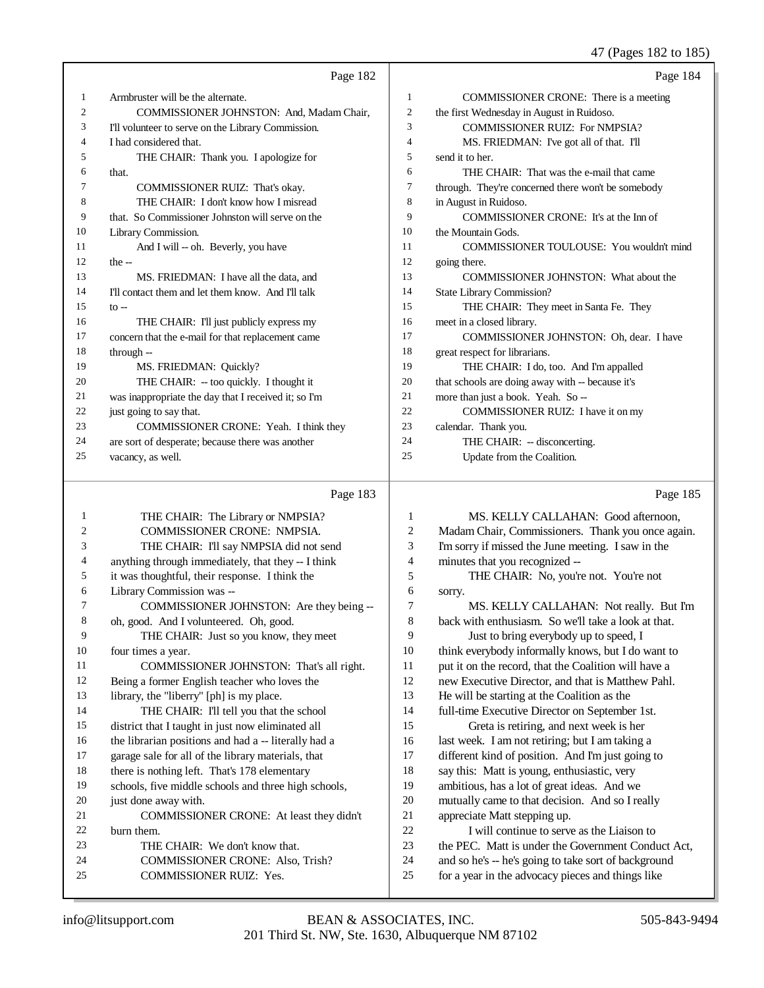## 47 (Pages 182 to 185)

|    | Page 182                                             |                | Page 184                                           |
|----|------------------------------------------------------|----------------|----------------------------------------------------|
| 1  | Armbruster will be the alternate.                    | $\mathbf{1}$   | COMMISSIONER CRONE: There is a meeting             |
| 2  | COMMISSIONER JOHNSTON: And, Madam Chair,             | $\overline{c}$ | the first Wednesday in August in Ruidoso.          |
| 3  | I'll volunteer to serve on the Library Commission.   | 3              | <b>COMMISSIONER RUIZ: For NMPSIA?</b>              |
| 4  | I had considered that.                               | 4              | MS. FRIEDMAN: I've got all of that. I'll           |
| 5  | THE CHAIR: Thank you. I apologize for                | 5              | send it to her.                                    |
| 6  | that.                                                | 6              | THE CHAIR: That was the e-mail that came           |
| 7  | COMMISSIONER RUIZ: That's okay.                      | 7              | through. They're concerned there won't be somebody |
| 8  | THE CHAIR: I don't know how I misread                | 8              | in August in Ruidoso.                              |
| 9  | that. So Commissioner Johnston will serve on the     | 9              | COMMISSIONER CRONE: It's at the Inn of             |
| 10 | Library Commission.                                  | 10             | the Mountain Gods.                                 |
| 11 | And I will -- oh. Beverly, you have                  | 11             | COMMISSIONER TOULOUSE: You wouldn't mind           |
| 12 | the $-$                                              | 12             | going there.                                       |
| 13 | MS. FRIEDMAN: I have all the data, and               | 13             | COMMISSIONER JOHNSTON: What about the              |
| 14 | I'll contact them and let them know. And I'll talk   | 14             | State Library Commission?                          |
| 15 | $to -$                                               | 15             | THE CHAIR: They meet in Santa Fe. They             |
| 16 | THE CHAIR: I'll just publicly express my             | 16             | meet in a closed library.                          |
| 17 | concern that the e-mail for that replacement came    | 17             | COMMISSIONER JOHNSTON: Oh, dear. I have            |
| 18 | through --                                           | 18             | great respect for librarians.                      |
| 19 | MS. FRIEDMAN: Quickly?                               | 19             | THE CHAIR: I do, too. And I'm appalled             |
| 20 | THE CHAIR: -- too quickly. I thought it              | 20             | that schools are doing away with -- because it's   |
| 21 | was inappropriate the day that I received it; so I'm | 21             | more than just a book. Yeah. So --                 |
| 22 | just going to say that.                              | 22             | COMMISSIONER RUIZ: I have it on my                 |
| 23 | COMMISSIONER CRONE: Yeah. I think they               | 23             | calendar. Thank you.                               |
| 24 | are sort of desperate; because there was another     | 24             | THE CHAIR: -- disconcerting.                       |
| 25 | vacancy, as well.                                    | 25             | Update from the Coalition.                         |
|    | Page 183                                             |                | Page 185                                           |

| 1  | THE CHAIR: The Library or NMPSIA?                    | 1  | MS. KELLY CALLAHAN: Good afternoon,                  |
|----|------------------------------------------------------|----|------------------------------------------------------|
| 2  | <b>COMMISSIONER CRONE: NMPSIA.</b>                   | 2  | Madam Chair, Commissioners. Thank you once again.    |
| 3  | THE CHAIR: I'll say NMPSIA did not send              | 3  | I'm sorry if missed the June meeting. I saw in the   |
| 4  | anything through immediately, that they -- I think   | 4  | minutes that you recognized --                       |
| 5  | it was thoughtful, their response. I think the       | 5  | THE CHAIR: No, you're not. You're not                |
| 6  | Library Commission was --                            | 6  | sorry.                                               |
| 7  | COMMISSIONER JOHNSTON: Are they being --             | 7  | MS. KELLY CALLAHAN: Not really. But I'm              |
| 8  | oh, good. And I volunteered. Oh, good.               | 8  | back with enthusiasm. So we'll take a look at that.  |
| 9  | THE CHAIR: Just so you know, they meet               | 9  | Just to bring everybody up to speed, I               |
| 10 | four times a year.                                   | 10 | think everybody informally knows, but I do want to   |
| 11 | COMMISSIONER JOHNSTON: That's all right.             | 11 | put it on the record, that the Coalition will have a |
| 12 | Being a former English teacher who loves the         | 12 | new Executive Director, and that is Matthew Pahl.    |
| 13 | library, the "liberry" [ph] is my place.             | 13 | He will be starting at the Coalition as the          |
| 14 | THE CHAIR: I'll tell you that the school             | 14 | full-time Executive Director on September 1st.       |
| 15 | district that I taught in just now eliminated all    | 15 | Greta is retiring, and next week is her              |
| 16 | the librarian positions and had a -- literally had a | 16 | last week. I am not retiring; but I am taking a      |
| 17 | garage sale for all of the library materials, that   | 17 | different kind of position. And I'm just going to    |
| 18 | there is nothing left. That's 178 elementary         | 18 | say this: Matt is young, enthusiastic, very          |
| 19 | schools, five middle schools and three high schools, | 19 | ambitious, has a lot of great ideas. And we          |
| 20 | just done away with.                                 | 20 | mutually came to that decision. And so I really      |
| 21 | COMMISSIONER CRONE: At least they didn't             | 21 | appreciate Matt stepping up.                         |
| 22 | burn them.                                           | 22 | I will continue to serve as the Liaison to           |
| 23 | THE CHAIR: We don't know that.                       | 23 | the PEC. Matt is under the Government Conduct Act,   |
| 24 | <b>COMMISSIONER CRONE: Also, Trish?</b>              | 24 | and so he's -- he's going to take sort of background |
| 25 | <b>COMMISSIONER RUIZ: Yes.</b>                       | 25 | for a year in the advocacy pieces and things like    |
|    |                                                      |    |                                                      |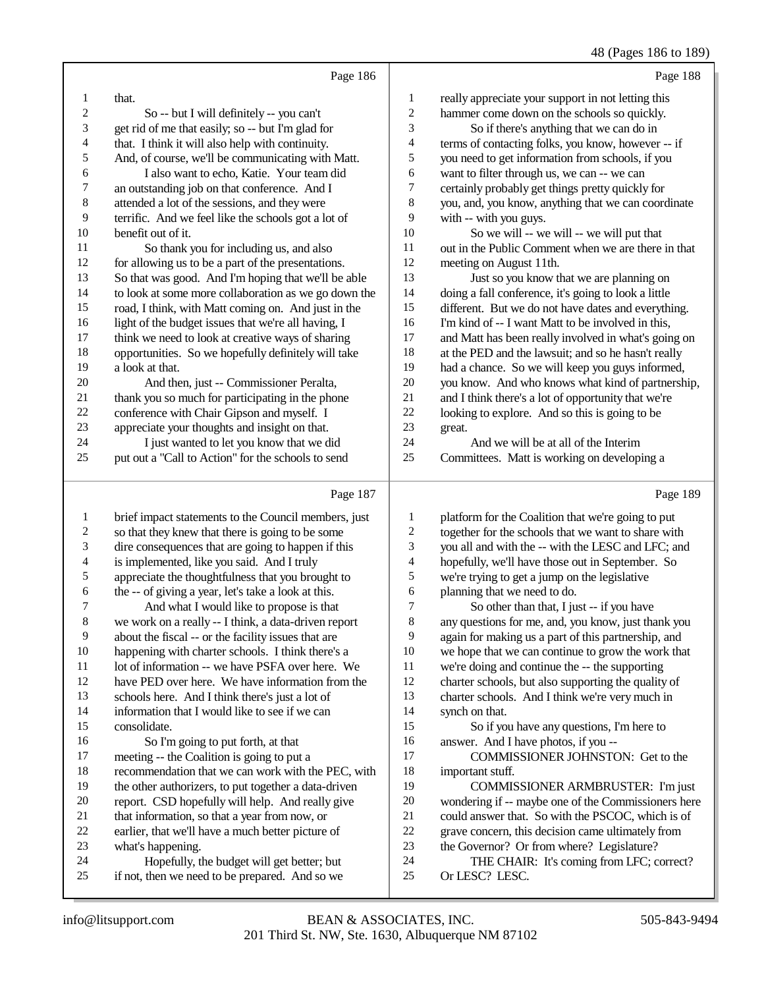(Dagas  $196$  to  $190$ )

|                |                                                                                                                                     |                | 40 (Pages 100 to 10)                                                                                                                                                                                                              |
|----------------|-------------------------------------------------------------------------------------------------------------------------------------|----------------|-----------------------------------------------------------------------------------------------------------------------------------------------------------------------------------------------------------------------------------|
|                | Page 186                                                                                                                            |                | Page 188                                                                                                                                                                                                                          |
| 1              | that.                                                                                                                               | 1              | really appreciate your support in not letting this                                                                                                                                                                                |
| 2              | So -- but I will definitely -- you can't                                                                                            | 2              | hammer come down on the schools so quickly.                                                                                                                                                                                       |
| 3              | get rid of me that easily; so -- but I'm glad for                                                                                   | 3              | So if there's anything that we can do in                                                                                                                                                                                          |
| 4              | that. I think it will also help with continuity.                                                                                    | 4              | terms of contacting folks, you know, however -- if                                                                                                                                                                                |
| 5              | And, of course, we'll be communicating with Matt.                                                                                   | 5              | you need to get information from schools, if you                                                                                                                                                                                  |
| 6              | I also want to echo, Katie. Your team did                                                                                           | 6              | want to filter through us, we can -- we can                                                                                                                                                                                       |
| 7              | an outstanding job on that conference. And I                                                                                        | 7              | certainly probably get things pretty quickly for                                                                                                                                                                                  |
| 8              | attended a lot of the sessions, and they were                                                                                       | 8              | you, and, you know, anything that we can coordinate                                                                                                                                                                               |
| 9              | terrific. And we feel like the schools got a lot of                                                                                 | 9              | with -- with you guys.                                                                                                                                                                                                            |
| 10             | benefit out of it.                                                                                                                  | 10             | So we will -- we will -- we will put that                                                                                                                                                                                         |
| 11             | So thank you for including us, and also                                                                                             | 11             | out in the Public Comment when we are there in that                                                                                                                                                                               |
| 12             | for allowing us to be a part of the presentations.                                                                                  | 12             | meeting on August 11th.                                                                                                                                                                                                           |
| 13             | So that was good. And I'm hoping that we'll be able                                                                                 | 13             | Just so you know that we are planning on                                                                                                                                                                                          |
| 14             | to look at some more collaboration as we go down the                                                                                | 14             | doing a fall conference, it's going to look a little                                                                                                                                                                              |
| 15             | road, I think, with Matt coming on. And just in the                                                                                 | 15             | different. But we do not have dates and everything.                                                                                                                                                                               |
| 16             | light of the budget issues that we're all having, I                                                                                 | 16             | I'm kind of -- I want Matt to be involved in this,                                                                                                                                                                                |
| 17             | think we need to look at creative ways of sharing                                                                                   | 17             | and Matt has been really involved in what's going on                                                                                                                                                                              |
| 18             | opportunities. So we hopefully definitely will take                                                                                 | 18             | at the PED and the lawsuit; and so he hasn't really                                                                                                                                                                               |
| 19             | a look at that.                                                                                                                     | 19             | had a chance. So we will keep you guys informed,                                                                                                                                                                                  |
| 20             | And then, just -- Commissioner Peralta,                                                                                             | 20             | you know. And who knows what kind of partnership,                                                                                                                                                                                 |
| 21             | thank you so much for participating in the phone                                                                                    | 21             | and I think there's a lot of opportunity that we're                                                                                                                                                                               |
| 22             | conference with Chair Gipson and myself. I                                                                                          | 22             | looking to explore. And so this is going to be                                                                                                                                                                                    |
| 23             | appreciate your thoughts and insight on that.                                                                                       | 23             | great.                                                                                                                                                                                                                            |
| 24             | I just wanted to let you know that we did                                                                                           | 24             | And we will be at all of the Interim                                                                                                                                                                                              |
| 25             | put out a "Call to Action" for the schools to send                                                                                  | 25             | Committees. Matt is working on developing a                                                                                                                                                                                       |
|                | Page 187                                                                                                                            |                | Page 189                                                                                                                                                                                                                          |
| $\mathbf{1}$   | brief impact statements to the Council members, just                                                                                | 1              | platform for the Coalition that we're going to put                                                                                                                                                                                |
| $\mathfrak{2}$ | so that they knew that there is going to be some                                                                                    | $\overline{c}$ | together for the schools that we want to share with                                                                                                                                                                               |
| 3              | dire consequences that are going to happen if this                                                                                  | 3              | you all and with the -- with the LESC and LFC; and                                                                                                                                                                                |
| 4              | is implemented, like you said. And I truly                                                                                          | 4              | hopefully, we'll have those out in September. So                                                                                                                                                                                  |
|                | $\mathbf{r}$ and $\mathbf{r}$ and $\mathbf{r}$ and $\mathbf{r}$ and $\mathbf{r}$ and $\mathbf{r}$ and $\mathbf{r}$ and $\mathbf{r}$ |                | $\mathbf{r}$ , and the contract of the contract of the contract of the contract of the contract of the contract of the contract of the contract of the contract of the contract of the contract of the contract of the contract o |

appreciate the thoughtfulness that you brought to

6 the -- of giving a year, let's take a look at this.<br>7 And what I would like to propose is that 7 And what I would like to propose is that<br>8 we work on a really -- I think, a data-driven rep

we work on a really -- I think, a data-driven report

9 about the fiscal -- or the facility issues that are<br>10 happening with charter schools. I think there's

10 happening with charter schools. I think there's a<br>11 lot of information -- we have PSFA over here. W

11 lot of information -- we have PSFA over here. We have information from the 12 have PED over here. We have information from the

schools here. And I think there's just a lot of

information that I would like to see if we can

 consolidate. 16 So I'm going to put forth, at that<br>17 meeting -- the Coalition is going to put meeting -- the Coalition is going to put a 18 recommendation that we can work with the PEC, with the other authorizers, to put together a data-driven the other authorizers, to put together a data-driven 20 report. CSD hopefully will help. And really give<br>
21 that information, so that a vear from now, or 21 that information, so that a year from now, or<br>22 earlier, that we'll have a much better picture 22 earlier, that we'll have a much better picture of<br>23 what's happening.

23 what's happening.<br>24 Hopefully t

24 Hopefully, the budget will get better; but<br>25 if not, then we need to be prepared. And so we if not, then we need to be prepared. And so we we're trying to get a jump on the legislative

6 planning that we need to do.<br>7 So other than that. I iu 7 So other than that, I just -- if you have<br>8 any questions for me, and, you know, just that any questions for me, and, you know, just thank you again for making us a part of this partnership, and 10 we hope that we can continue to grow the work that<br>11 we're doing and continue the -- the supporting we're doing and continue the -- the supporting charter schools, but also supporting the quality of charter schools. And I think we're very much in synch on that.

 So if you have any questions, I'm here to 16 answer. And I have photos, if you --<br>17 COMMISSIONER JOHNSTO

COMMISSIONER JOHNSTON: Get to the 18 important stuff.<br>19 COMMIS

 COMMISSIONER ARMBRUSTER: I'm just 20 wondering if -- maybe one of the Commissioners here<br>21 could answer that. So with the PSCOC, which is of 21 could answer that. So with the PSCOC, which is of<br>22 grave concern, this decision came ultimately from 22 grave concern, this decision came ultimately from<br>
23 the Governor? Or from where? Legislature? the Governor? Or from where? Legislature?

24 THE CHAIR: It's coming from LFC; correct?<br>25 Or LESC? LESC. Or LESC? LESC.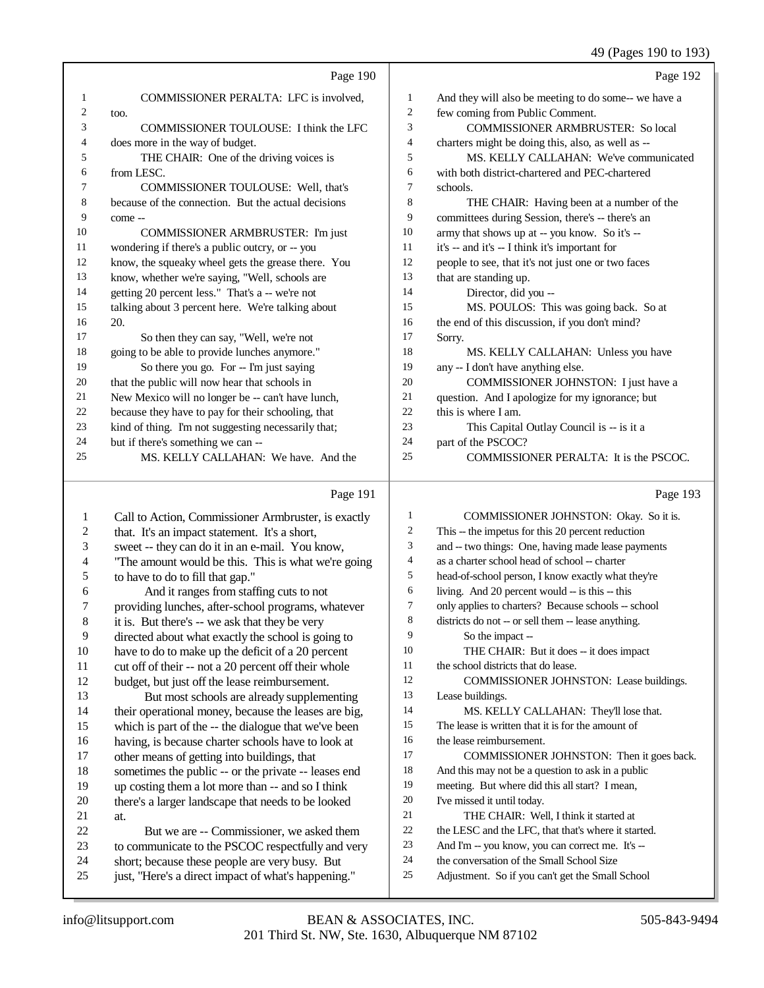# 49 (Pages 190 to 193)

|    | Page 190                                            |    | Page 192                                             |
|----|-----------------------------------------------------|----|------------------------------------------------------|
| 1  | COMMISSIONER PERALTA: LFC is involved.              | 1  | And they will also be meeting to do some-- we have a |
| 2  | too.                                                | 2  | few coming from Public Comment.                      |
| 3  | COMMISSIONER TOULOUSE: I think the LFC              | 3  | <b>COMMISSIONER ARMBRUSTER: So local</b>             |
| 4  | does more in the way of budget.                     | 4  | charters might be doing this, also, as well as --    |
| 5  | THE CHAIR: One of the driving voices is             | 5  | MS. KELLY CALLAHAN: We've communicated               |
| 6  | from LESC.                                          | 6  | with both district-chartered and PEC-chartered       |
| 7  | COMMISSIONER TOULOUSE: Well, that's                 | 7  | schools.                                             |
| 8  | because of the connection. But the actual decisions | 8  | THE CHAIR: Having been at a number of the            |
| 9  | come --                                             | 9  | committees during Session, there's -- there's an     |
| 10 | COMMISSIONER ARMBRUSTER: I'm just                   | 10 | army that shows up at -- you know. So it's --        |
| 11 | wondering if there's a public outcry, or -- you     | 11 | it's -- and it's -- I think it's important for       |
| 12 | know, the squeaky wheel gets the grease there. You  | 12 | people to see, that it's not just one or two faces   |
| 13 | know, whether we're saying, "Well, schools are      | 13 | that are standing up.                                |
| 14 | getting 20 percent less." That's a -- we're not     | 14 | Director, did you --                                 |
| 15 | talking about 3 percent here. We're talking about   | 15 | MS. POULOS: This was going back. So at               |
| 16 | 20.                                                 | 16 | the end of this discussion, if you don't mind?       |
| 17 | So then they can say, "Well, we're not              | 17 | Sorry.                                               |
| 18 | going to be able to provide lunches anymore."       | 18 | MS. KELLY CALLAHAN: Unless you have                  |
| 19 | So there you go. For -- I'm just saying             | 19 | any -- I don't have anything else.                   |
| 20 | that the public will now hear that schools in       | 20 | COMMISSIONER JOHNSTON: I just have a                 |
| 21 | New Mexico will no longer be -- can't have lunch,   | 21 | question. And I apologize for my ignorance; but      |
| 22 | because they have to pay for their schooling, that  | 22 | this is where I am.                                  |
| 23 | kind of thing. I'm not suggesting necessarily that; | 23 | This Capital Outlay Council is -- is it a            |
| 24 | but if there's something we can --                  | 24 | part of the PSCOC?                                   |
| 25 | MS, KELLY CALLAHAN: We have. And the                | 25 | COMMISSIONER PERALTA: It is the PSCOC.               |
|    | Page 191                                            |    | Page 193                                             |

#### Page 191

| $\mathbf{1}$   | Call to Action, Commissioner Armbruster, is exactly  | 1  | COMMISSIONER JOHNSTON: Okay. So it is.              |
|----------------|------------------------------------------------------|----|-----------------------------------------------------|
| 2              | that. It's an impact statement. It's a short,        | 2  | This -- the impetus for this 20 percent reduction   |
| 3              | sweet -- they can do it in an e-mail. You know,      | 3  | and -- two things: One, having made lease payments  |
| $\overline{4}$ | "The amount would be this. This is what we're going  | 4  | as a charter school head of school -- charter       |
| 5              | to have to do to fill that gap."                     | 5  | head-of-school person, I know exactly what they're  |
| 6              | And it ranges from staffing cuts to not              | 6  | living. And 20 percent would -- is this -- this     |
| 7              | providing lunches, after-school programs, whatever   | 7  | only applies to charters? Because schools -- school |
| 8              | it is. But there's -- we ask that they be very       | 8  | districts do not -- or sell them -- lease anything. |
| 9              | directed about what exactly the school is going to   | 9  | So the impact --                                    |
| 10             | have to do to make up the deficit of a 20 percent    | 10 | THE CHAIR: But it does -- it does impact            |
| 11             | cut off of their -- not a 20 percent off their whole | 11 | the school districts that do lease.                 |
| 12             | budget, but just off the lease reimbursement.        | 12 | COMMISSIONER JOHNSTON: Lease buildings.             |
| 13             | But most schools are already supplementing           | 13 | Lease buildings.                                    |
| 14             | their operational money, because the leases are big, | 14 | MS. KELLY CALLAHAN: They'll lose that.              |
| 15             | which is part of the -- the dialogue that we've been | 15 | The lease is written that it is for the amount of   |
| 16             | having, is because charter schools have to look at   | 16 | the lease reimbursement.                            |
| 17             | other means of getting into buildings, that          | 17 | COMMISSIONER JOHNSTON: Then it goes back.           |
| 18             | sometimes the public -- or the private -- leases end | 18 | And this may not be a question to ask in a public   |
| 19             | up costing them a lot more than -- and so I think    | 19 | meeting. But where did this all start? I mean,      |
| 20             | there's a larger landscape that needs to be looked   | 20 | I've missed it until today.                         |
| 21             | at.                                                  | 21 | THE CHAIR: Well, I think it started at              |
| 22             | But we are -- Commissioner, we asked them            | 22 | the LESC and the LFC, that that's where it started. |
| 23             | to communicate to the PSCOC respectfully and very    | 23 | And I'm -- you know, you can correct me. It's --    |
| 24             | short; because these people are very busy. But       | 24 | the conversation of the Small School Size           |
| 25             | just, "Here's a direct impact of what's happening."  | 25 | Adjustment. So if you can't get the Small School    |
|                |                                                      |    |                                                     |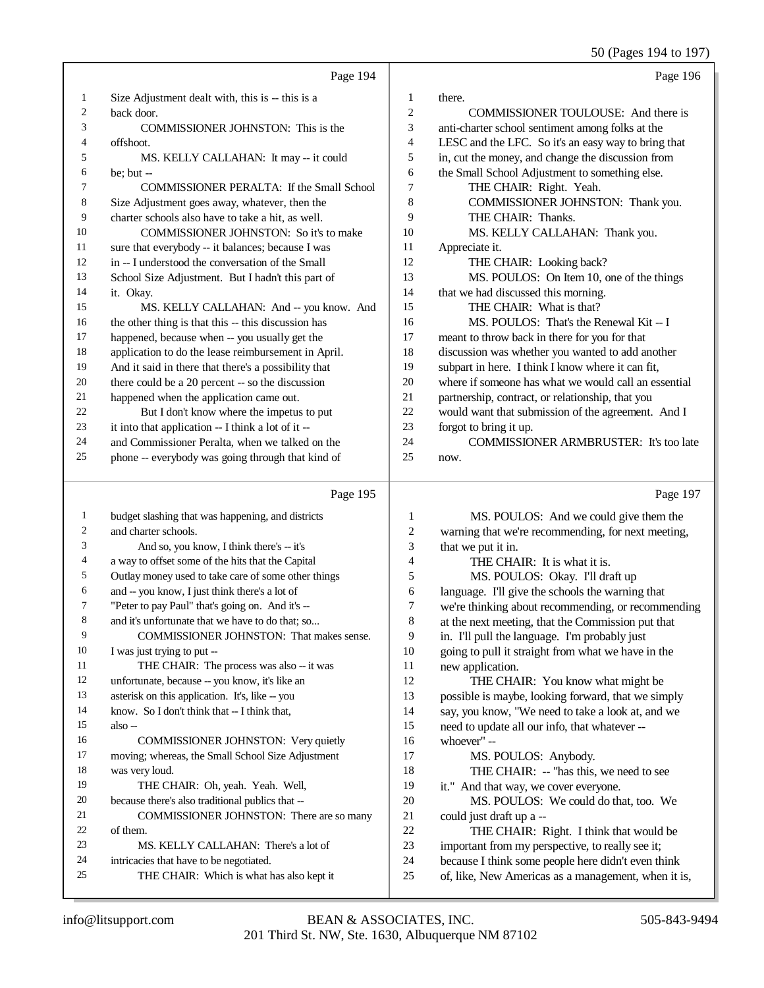50 (Pages 194 to 197)

| 50 (Pages 194 to 197 |                                                                                                   |                |                                                                                                           |
|----------------------|---------------------------------------------------------------------------------------------------|----------------|-----------------------------------------------------------------------------------------------------------|
|                      | Page 194                                                                                          |                | Page 196                                                                                                  |
| 1                    | Size Adjustment dealt with, this is -- this is a                                                  | 1              | there.                                                                                                    |
| $\overline{c}$       | back door.                                                                                        | $\overline{c}$ | COMMISSIONER TOULOUSE: And there is                                                                       |
| 3                    | COMMISSIONER JOHNSTON: This is the                                                                | 3              | anti-charter school sentiment among folks at the                                                          |
| 4                    | offshoot.                                                                                         | 4              | LESC and the LFC. So it's an easy way to bring that                                                       |
| 5                    | MS. KELLY CALLAHAN: It may -- it could                                                            | 5              | in, cut the money, and change the discussion from                                                         |
| 6                    | be; but $-$                                                                                       | 6              | the Small School Adjustment to something else.                                                            |
| 7                    | COMMISSIONER PERALTA: If the Small School                                                         | $\tau$         | THE CHAIR: Right. Yeah.                                                                                   |
| 8                    | Size Adjustment goes away, whatever, then the                                                     | $\,8\,$        | COMMISSIONER JOHNSTON: Thank you.                                                                         |
| 9                    | charter schools also have to take a hit, as well.                                                 | 9              | THE CHAIR: Thanks.                                                                                        |
| 10                   | COMMISSIONER JOHNSTON: So it's to make                                                            | 10             | MS. KELLY CALLAHAN: Thank you.                                                                            |
| 11                   | sure that everybody -- it balances; because I was                                                 | 11             | Appreciate it.                                                                                            |
| 12                   | in -- I understood the conversation of the Small                                                  | 12             | THE CHAIR: Looking back?                                                                                  |
| 13                   | School Size Adjustment. But I hadn't this part of                                                 | 13             | MS. POULOS: On Item 10, one of the things                                                                 |
| 14                   | it. Okay.                                                                                         | 14             | that we had discussed this morning.                                                                       |
| 15                   | MS. KELLY CALLAHAN: And -- you know. And                                                          | 15             | THE CHAIR: What is that?                                                                                  |
| 16                   | the other thing is that this -- this discussion has                                               | 16             | MS. POULOS: That's the Renewal Kit -- I                                                                   |
| 17                   | happened, because when -- you usually get the                                                     | 17             | meant to throw back in there for you for that                                                             |
| 18                   | application to do the lease reimbursement in April.                                               | 18             | discussion was whether you wanted to add another                                                          |
| 19                   | And it said in there that there's a possibility that                                              | 19             | subpart in here. I think I know where it can fit,                                                         |
| $20\,$               | there could be a 20 percent -- so the discussion                                                  | $20\,$         | where if someone has what we would call an essential                                                      |
| 21                   | happened when the application came out.                                                           | 21             | partnership, contract, or relationship, that you                                                          |
| 22                   | But I don't know where the impetus to put                                                         | $22\,$         | would want that submission of the agreement. And I                                                        |
| 23                   | it into that application -- I think a lot of it --                                                | 23             | forgot to bring it up.                                                                                    |
| 24                   | and Commissioner Peralta, when we talked on the                                                   | 24             | COMMISSIONER ARMBRUSTER: It's too late                                                                    |
| $25\,$               | phone -- everybody was going through that kind of                                                 | 25             | now.                                                                                                      |
|                      |                                                                                                   |                |                                                                                                           |
|                      | Page 195                                                                                          |                | Page 197                                                                                                  |
|                      |                                                                                                   |                |                                                                                                           |
| $\mathbf{1}$         | budget slashing that was happening, and districts                                                 | 1              | MS. POULOS: And we could give them the                                                                    |
| 2                    | and charter schools.                                                                              | 2              | warning that we're recommending, for next meeting,                                                        |
| 3                    | And so, you know, I think there's -- it's                                                         | 3              | that we put it in.                                                                                        |
| 4<br>5               | a way to offset some of the hits that the Capital                                                 | 4              | THE CHAIR: It is what it is.                                                                              |
| 6                    | Outlay money used to take care of some other things                                               | 5              | MS. POULOS: Okay. I'll draft up                                                                           |
| 7                    | and -- you know, I just think there's a lot of                                                    | 6<br>7         | language. I'll give the schools the warning that                                                          |
|                      | "Peter to pay Paul" that's going on. And it's --                                                  |                | we're thinking about recommending, or recommending                                                        |
| 8<br>9               | and it's unfortunate that we have to do that; so                                                  | 8<br>9         | at the next meeting, that the Commission put that                                                         |
| 10                   | COMMISSIONER JOHNSTON: That makes sense.                                                          |                | in. I'll pull the language. I'm probably just                                                             |
| 11                   | I was just trying to put --<br>THE CHAIR: The process was also -- it was                          | $10\,$<br>11   | going to pull it straight from what we have in the                                                        |
| 12                   |                                                                                                   | 12             | new application.                                                                                          |
| 13                   | unfortunate, because -- you know, it's like an<br>asterisk on this application. It's, like -- you | 13             | THE CHAIR: You know what might be                                                                         |
| 14                   | know. So I don't think that -- I think that,                                                      | 14             | possible is maybe, looking forward, that we simply                                                        |
| 15                   | also-                                                                                             | 15             | say, you know, "We need to take a look at, and we                                                         |
| 16                   | COMMISSIONER JOHNSTON: Very quietly                                                               | 16             | need to update all our info, that whatever --<br>whoever" --                                              |
| 17                   | moving; whereas, the Small School Size Adjustment                                                 | 17             | MS. POULOS: Anybody.                                                                                      |
| 18                   | was very loud.                                                                                    | 18             | THE CHAIR: -- "has this, we need to see                                                                   |
| 19                   | THE CHAIR: Oh, yeah. Yeah. Well,                                                                  | 19             | it." And that way, we cover everyone.                                                                     |
| 20                   | because there's also traditional publics that --                                                  | $20\,$         | MS. POULOS: We could do that, too. We                                                                     |
| 21                   | COMMISSIONER JOHNSTON: There are so many                                                          | 21             | could just draft up a --                                                                                  |
| 22                   | of them.                                                                                          | $22\,$         | THE CHAIR: Right. I think that would be                                                                   |
| 23                   | MS. KELLY CALLAHAN: There's a lot of                                                              | $23\,$         | important from my perspective, to really see it;                                                          |
| 24<br>25             | intricacies that have to be negotiated.<br>THE CHAIR: Which is what has also kept it              | $24\,$<br>25   | because I think some people here didn't even think<br>of, like, New Americas as a management, when it is, |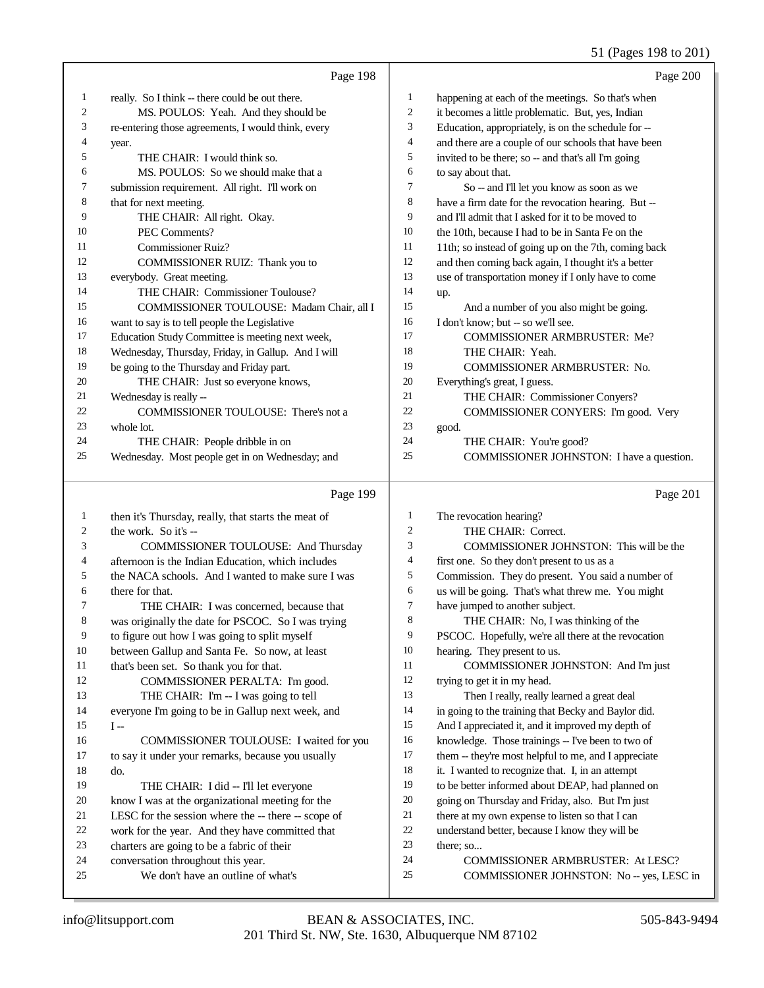# 51 (Pages 198 to 201)

|    | Page 198                                           |                | Page 200                                             |
|----|----------------------------------------------------|----------------|------------------------------------------------------|
| 1  | really. So I think -- there could be out there.    | 1              | happening at each of the meetings. So that's when    |
| 2  | MS. POULOS: Yeah. And they should be               | $\mathbf{2}$   | it becomes a little problematic. But, yes, Indian    |
| 3  | re-entering those agreements, I would think, every | 3              | Education, appropriately, is on the schedule for --  |
| 4  | year.                                              | $\overline{4}$ | and there are a couple of our schools that have been |
| 5  | THE CHAIR: I would think so.                       | 5              | invited to be there; so -- and that's all I'm going  |
| 6  | MS. POULOS: So we should make that a               | 6              | to say about that.                                   |
| 7  | submission requirement. All right. I'll work on    | 7              | So -- and I'll let you know as soon as we            |
| 8  | that for next meeting.                             | 8              | have a firm date for the revocation hearing. But --  |
| 9  | THE CHAIR: All right. Okay.                        | 9              | and I'll admit that I asked for it to be moved to    |
| 10 | PEC Comments?                                      | 10             | the 10th, because I had to be in Santa Fe on the     |
| 11 | Commissioner Ruiz?                                 | 11             | 11th; so instead of going up on the 7th, coming back |
| 12 | COMMISSIONER RUIZ: Thank you to                    | 12             | and then coming back again, I thought it's a better  |
| 13 | everybody. Great meeting.                          | 13             | use of transportation money if I only have to come   |
| 14 | THE CHAIR: Commissioner Toulouse?                  | 14             | up.                                                  |
| 15 | COMMISSIONER TOULOUSE: Madam Chair, all I          | 15             | And a number of you also might be going.             |
| 16 | want to say is to tell people the Legislative      | 16             | I don't know: but -- so we'll see.                   |
| 17 | Education Study Committee is meeting next week,    | 17             | <b>COMMISSIONER ARMBRUSTER: Me?</b>                  |
| 18 | Wednesday, Thursday, Friday, in Gallup. And I will | 18             | THE CHAIR: Yeah.                                     |
| 19 | be going to the Thursday and Friday part.          | 19             | <b>COMMISSIONER ARMBRUSTER: No.</b>                  |
| 20 | THE CHAIR: Just so everyone knows,                 | 20             | Everything's great, I guess.                         |
| 21 | Wednesday is really --                             | 21             | THE CHAIR: Commissioner Convers?                     |
| 22 | COMMISSIONER TOULOUSE: There's not a               | 22             | COMMISSIONER CONYERS: I'm good. Very                 |
| 23 | whole lot.                                         | 23             | good.                                                |
| 24 | THE CHAIR: People dribble in on                    | 24             | THE CHAIR: You're good?                              |
| 25 | Wednesday. Most people get in on Wednesday; and    | 25             | COMMISSIONER JOHNSTON: I have a question.            |

|    | Page 199                                            |    | Page 201                                             |
|----|-----------------------------------------------------|----|------------------------------------------------------|
| 1  | then it's Thursday, really, that starts the meat of | 1  | The revocation hearing?                              |
| 2  | the work. So it's --                                | 2  | THE CHAIR: Correct.                                  |
| 3  | <b>COMMISSIONER TOULOUSE: And Thursday</b>          | 3  | COMMISSIONER JOHNSTON: This will be the              |
| 4  | afternoon is the Indian Education, which includes   | 4  | first one. So they don't present to us as a          |
| 5  | the NACA schools. And I wanted to make sure I was   | 5  | Commission. They do present. You said a number of    |
| 6  | there for that.                                     | 6  | us will be going. That's what threw me. You might    |
| 7  | THE CHAIR: I was concerned, because that            | 7  | have jumped to another subject.                      |
| 8  | was originally the date for PSCOC. So I was trying  | 8  | THE CHAIR: No, I was thinking of the                 |
| 9  | to figure out how I was going to split myself       | 9  | PSCOC. Hopefully, we're all there at the revocation  |
| 10 | between Gallup and Santa Fe. So now, at least       | 10 | hearing. They present to us.                         |
| 11 | that's been set. So thank you for that.             | 11 | <b>COMMISSIONER JOHNSTON: And I'm just</b>           |
| 12 | COMMISSIONER PERALTA: I'm good.                     | 12 | trying to get it in my head.                         |
| 13 | THE CHAIR: I'm -- I was going to tell               | 13 | Then I really, really learned a great deal           |
| 14 | everyone I'm going to be in Gallup next week, and   | 14 | in going to the training that Becky and Baylor did.  |
| 15 | $I -$                                               | 15 | And I appreciated it, and it improved my depth of    |
| 16 | COMMISSIONER TOULOUSE: I waited for you             | 16 | knowledge. Those trainings -- I've been to two of    |
| 17 | to say it under your remarks, because you usually   | 17 | them -- they're most helpful to me, and I appreciate |
| 18 | do.                                                 | 18 | it. I wanted to recognize that. I, in an attempt     |
| 19 | THE CHAIR: I did -- I'll let everyone               | 19 | to be better informed about DEAP, had planned on     |
| 20 | know I was at the organizational meeting for the    | 20 | going on Thursday and Friday, also. But I'm just     |
| 21 | LESC for the session where the -- there -- scope of | 21 | there at my own expense to listen so that I can      |
| 22 | work for the year. And they have committed that     | 22 | understand better, because I know they will be       |
| 23 | charters are going to be a fabric of their          | 23 | there; so                                            |
| 24 | conversation throughout this year.                  | 24 | COMMISSIONER ARMBRUSTER: At LESC?                    |
| 25 | We don't have an outline of what's                  | 25 | COMMISSIONER JOHNSTON: No -- yes, LESC in            |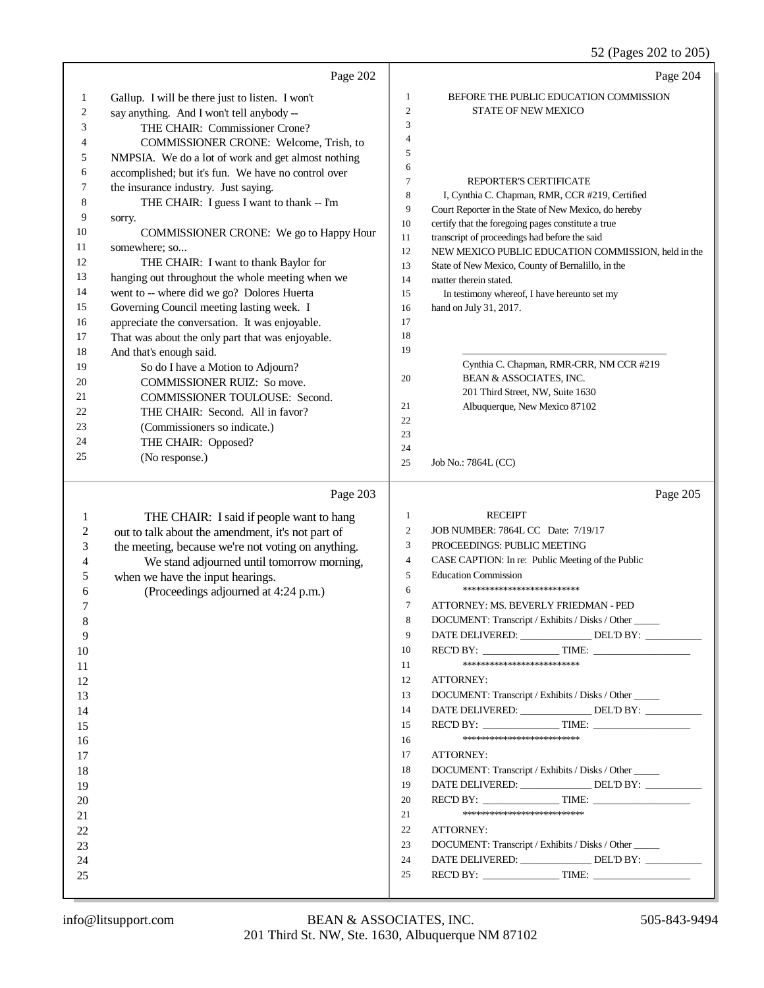52 (Pages 202 to 205)

|    | Page 202                                            |                | Page 204                                                                                                |
|----|-----------------------------------------------------|----------------|---------------------------------------------------------------------------------------------------------|
| 1  | Gallup. I will be there just to listen. I won't     | 1              | BEFORE THE PUBLIC EDUCATION COMMISSION                                                                  |
| 2  | say anything. And I won't tell anybody --           | $\overline{2}$ | STATE OF NEW MEXICO                                                                                     |
| 3  | THE CHAIR: Commissioner Crone?                      | 3              |                                                                                                         |
| 4  | COMMISSIONER CRONE: Welcome, Trish, to              | 4              |                                                                                                         |
| 5  | NMPSIA. We do a lot of work and get almost nothing  | 5              |                                                                                                         |
| 6  | accomplished; but it's fun. We have no control over | 6              |                                                                                                         |
| 7  | the insurance industry. Just saying.                | $\tau$         | REPORTER'S CERTIFICATE                                                                                  |
| 8  | THE CHAIR: I guess I want to thank -- I'm           | 8<br>9         | I, Cynthia C. Chapman, RMR, CCR #219, Certified<br>Court Reporter in the State of New Mexico, do hereby |
| 9  | sorry.                                              | $10\,$         | certify that the foregoing pages constitute a true                                                      |
| 10 | COMMISSIONER CRONE: We go to Happy Hour             | 11             | transcript of proceedings had before the said                                                           |
| 11 | somewhere; so                                       | 12             | NEW MEXICO PUBLIC EDUCATION COMMISSION, held in the                                                     |
| 12 | THE CHAIR: I want to thank Baylor for               | 13             | State of New Mexico, County of Bernalillo, in the                                                       |
| 13 | hanging out throughout the whole meeting when we    | 14             | matter therein stated.                                                                                  |
| 14 | went to -- where did we go? Dolores Huerta          | 15             | In testimony whereof, I have hereunto set my                                                            |
| 15 | Governing Council meeting lasting week. I           | 16             | hand on July 31, 2017.                                                                                  |
| 16 | appreciate the conversation. It was enjoyable.      | 17             |                                                                                                         |
| 17 | That was about the only part that was enjoyable.    | 18             |                                                                                                         |
| 18 | And that's enough said.                             | 19             |                                                                                                         |
| 19 | So do I have a Motion to Adjourn?                   |                | Cynthia C. Chapman, RMR-CRR, NM CCR #219                                                                |
| 20 | COMMISSIONER RUIZ: So move.                         | 20             | BEAN & ASSOCIATES, INC.                                                                                 |
| 21 | COMMISSIONER TOULOUSE: Second.                      |                | 201 Third Street, NW, Suite 1630                                                                        |
| 22 | THE CHAIR: Second. All in favor?                    | 21             | Albuquerque, New Mexico 87102                                                                           |
| 23 | (Commissioners so indicate.)                        | 22<br>23       |                                                                                                         |
| 24 | THE CHAIR: Opposed?                                 | 24             |                                                                                                         |
| 25 | (No response.)                                      | 25             | Job No.: 7864L (CC)                                                                                     |
|    | Page 203                                            |                | Page 205                                                                                                |
| 1  | THE CHAIR: I said if people want to hang            | $\mathbf{1}$   | <b>RECEIPT</b>                                                                                          |
| 2  | out to talk about the amendment, it's not part of   | $\sqrt{2}$     | JOB NUMBER: 7864L CC Date: 7/19/17                                                                      |
| 3  | the meeting, because we're not voting on anything.  | 3              | PROCEEDINGS: PUBLIC MEETING                                                                             |
| 4  | We stand adjourned until tomorrow morning,          | $\overline{4}$ | CASE CAPTION: In re: Public Meeting of the Public                                                       |
| 5  | when we have the input hearings.                    | 5              | <b>Education Commission</b>                                                                             |
| 6  | (Proceedings adjourned at 4:24 p.m.)                | 6              | *************************                                                                               |
| 7  |                                                     | $\tau$         | ATTORNEY: MS. BEVERLY FRIEDMAN - PED                                                                    |
| 8  |                                                     | 8              | DOCUMENT: Transcript / Exhibits / Disks / Other                                                         |
| 9  |                                                     | 9              | DATE DELIVERED: _______________ DEL'D BY: _________                                                     |
| 10 |                                                     | 10             |                                                                                                         |
| 11 |                                                     | 11             | **************************                                                                              |
| 12 |                                                     | 12             | ATTORNEY:                                                                                               |
| 13 |                                                     | 13             | DOCUMENT: Transcript / Exhibits / Disks / Other                                                         |
| 14 |                                                     | 14             | DATE DELIVERED: _______________ DEL'D BY: _________                                                     |
| 15 |                                                     | 15             |                                                                                                         |
| 16 |                                                     | 16             | **************************                                                                              |
| 17 |                                                     | 17             | ATTORNEY:                                                                                               |
| 18 |                                                     | 18             | DOCUMENT: Transcript / Exhibits / Disks / Other                                                         |
| 19 |                                                     | 19             | DATE DELIVERED: _______________ DEL'D BY: _________                                                     |
| 20 |                                                     | 20             |                                                                                                         |
| 21 |                                                     | 21             | ***************************                                                                             |
| 22 |                                                     | 22             | ATTORNEY:                                                                                               |
| 23 |                                                     | 23             | DOCUMENT: Transcript / Exhibits / Disks / Other                                                         |
| 24 |                                                     | 24             | DATE DELIVERED: ______________DEL'D BY: _________                                                       |
| 25 |                                                     | 25             |                                                                                                         |
|    |                                                     |                |                                                                                                         |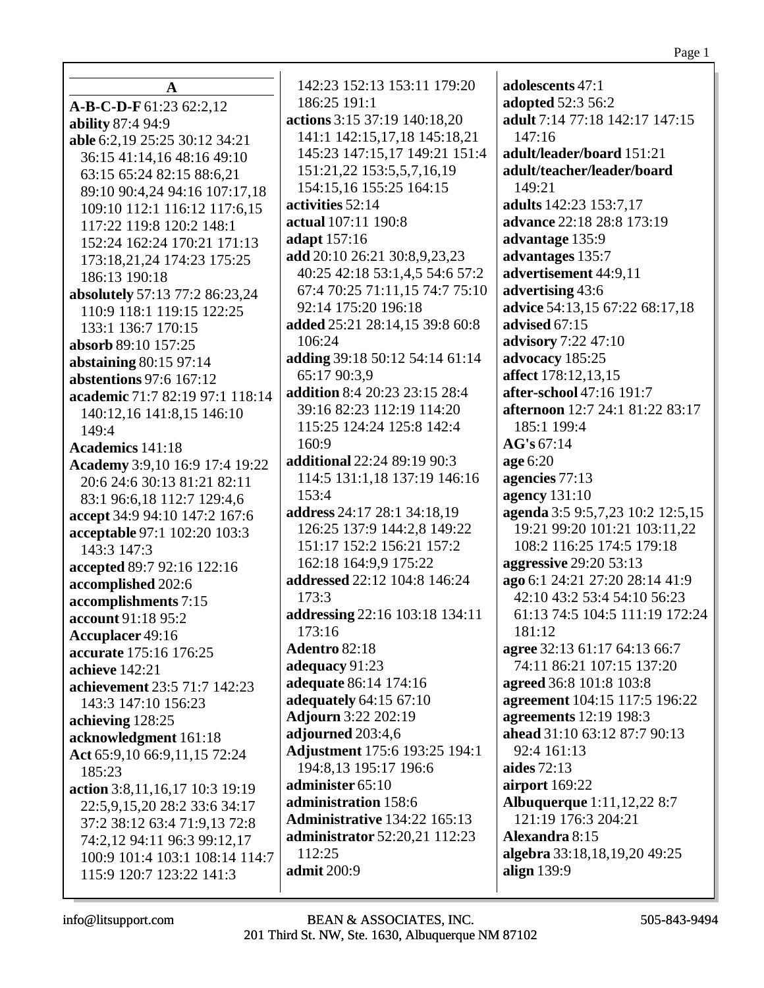| $\mathbf{A}$                    | 142:23 152:13 153:11 179:20             | adolescents 47:1                            |
|---------------------------------|-----------------------------------------|---------------------------------------------|
| A-B-C-D-F 61:23 62:2,12         | 186:25 191:1                            | adopted 52:3 56:2                           |
| ability 87:4 94:9               | actions 3:15 37:19 140:18,20            | adult 7:14 77:18 142:17 147:15              |
| able 6:2,19 25:25 30:12 34:21   | 141:1 142:15,17,18 145:18,21            | 147:16                                      |
| 36:15 41:14,16 48:16 49:10      | 145:23 147:15,17 149:21 151:4           | adult/leader/board 151:21                   |
| 63:15 65:24 82:15 88:6,21       | 151:21,22 153:5,5,7,16,19               | adult/teacher/leader/board                  |
| 89:10 90:4,24 94:16 107:17,18   | 154:15,16 155:25 164:15                 | 149:21                                      |
| 109:10 112:1 116:12 117:6,15    | activities 52:14                        | adults 142:23 153:7,17                      |
| 117:22 119:8 120:2 148:1        | actual 107:11 190:8                     | advance 22:18 28:8 173:19                   |
| 152:24 162:24 170:21 171:13     | adapt 157:16                            | advantage 135:9                             |
| 173:18,21,24 174:23 175:25      | add 20:10 26:21 30:8,9,23,23            | advantages 135:7                            |
| 186:13 190:18                   | 40:25 42:18 53:1,4,5 54:6 57:2          | advertisement 44:9,11                       |
| absolutely 57:13 77:2 86:23,24  | 67:4 70:25 71:11,15 74:7 75:10          | advertising 43:6                            |
| 110:9 118:1 119:15 122:25       | 92:14 175:20 196:18                     | advice 54:13,15 67:22 68:17,18              |
| 133:1 136:7 170:15              | added 25:21 28:14,15 39:8 60:8          | advised 67:15                               |
| absorb 89:10 157:25             | 106:24                                  | advisory 7:22 47:10                         |
| abstaining $80:1597:14$         | adding 39:18 50:12 54:14 61:14          | advocacy 185:25                             |
| abstentions 97:6 167:12         | 65:17 90:3,9                            | affect 178:12,13,15                         |
| academic 71:7 82:19 97:1 118:14 | addition 8:4 20:23 23:15 28:4           | after-school 47:16 191:7                    |
| 140:12,16 141:8,15 146:10       | 39:16 82:23 112:19 114:20               | afternoon 12:7 24:1 81:22 83:17             |
| 149:4                           | 115:25 124:24 125:8 142:4               | 185:1 199:4                                 |
| Academics 141:18                | 160:9                                   | AG's 67:14                                  |
| Academy 3:9,10 16:9 17:4 19:22  | additional 22:24 89:19 90:3             | age 6:20                                    |
| 20:6 24:6 30:13 81:21 82:11     | 114:5 131:1,18 137:19 146:16            | agencies 77:13                              |
| 83:1 96:6,18 112:7 129:4,6      | 153:4                                   | agency 131:10                               |
| accept 34:9 94:10 147:2 167:6   | address 24:17 28:1 34:18,19             | agenda 3:5 9:5,7,23 10:2 12:5,15            |
| acceptable 97:1 102:20 103:3    | 126:25 137:9 144:2,8 149:22             | 19:21 99:20 101:21 103:11,22                |
| 143:3 147:3                     | 151:17 152:2 156:21 157:2               | 108:2 116:25 174:5 179:18                   |
| accepted 89:7 92:16 122:16      | 162:18 164:9,9 175:22                   | <b>aggressive 29:20 53:13</b>               |
| accomplished 202:6              | addressed 22:12 104:8 146:24            | ago 6:1 24:21 27:20 28:14 41:9              |
| accomplishments 7:15            | 173:3                                   | 42:10 43:2 53:4 54:10 56:23                 |
| account 91:18 95:2              | addressing 22:16 103:18 134:11          | 61:13 74:5 104:5 111:19 172:24              |
| Accuplacer 49:16                | 173:16                                  | 181:12                                      |
| accurate 175:16 176:25          | Adentro 82:18                           | agree 32:13 61:17 64:13 66:7                |
| achieve 142:21                  | adequacy 91:23                          | 74:11 86:21 107:15 137:20                   |
| achievement 23:5 71:7 142:23    | adequate 86:14 174:16                   | agreed 36:8 101:8 103:8                     |
| 143:3 147:10 156:23             | adequately 64:15 67:10                  | agreement 104:15 117:5 196:22               |
| achieving 128:25                | <b>Adjourn</b> 3:22 202:19              | agreements 12:19 198:3                      |
| acknowledgment 161:18           | adjourned 203:4,6                       | ahead 31:10 63:12 87:7 90:13                |
| Act 65:9,10 66:9,11,15 72:24    | <b>Adjustment</b> 175:6 193:25 194:1    | 92:4 161:13                                 |
| 185:23                          | 194:8,13 195:17 196:6                   | aides $72:13$                               |
| action 3:8,11,16,17 10:3 19:19  | administer 65:10                        | airport 169:22                              |
| 22:5,9,15,20 28:2 33:6 34:17    | administration 158:6                    | <b>Albuquerque</b> 1:11,12,22 8:7           |
| 37:2 38:12 63:4 71:9,13 72:8    | <b>Administrative</b> 134:22 165:13     | 121:19 176:3 204:21<br>Alexandra 8:15       |
| 74:2,12 94:11 96:3 99:12,17     | administrator 52:20,21 112:23<br>112:25 |                                             |
| 100:9 101:4 103:1 108:14 114:7  | admit 200:9                             | algebra 33:18,18,19,20 49:25<br>align 139:9 |
| 115:9 120:7 123:22 141:3        |                                         |                                             |
|                                 |                                         |                                             |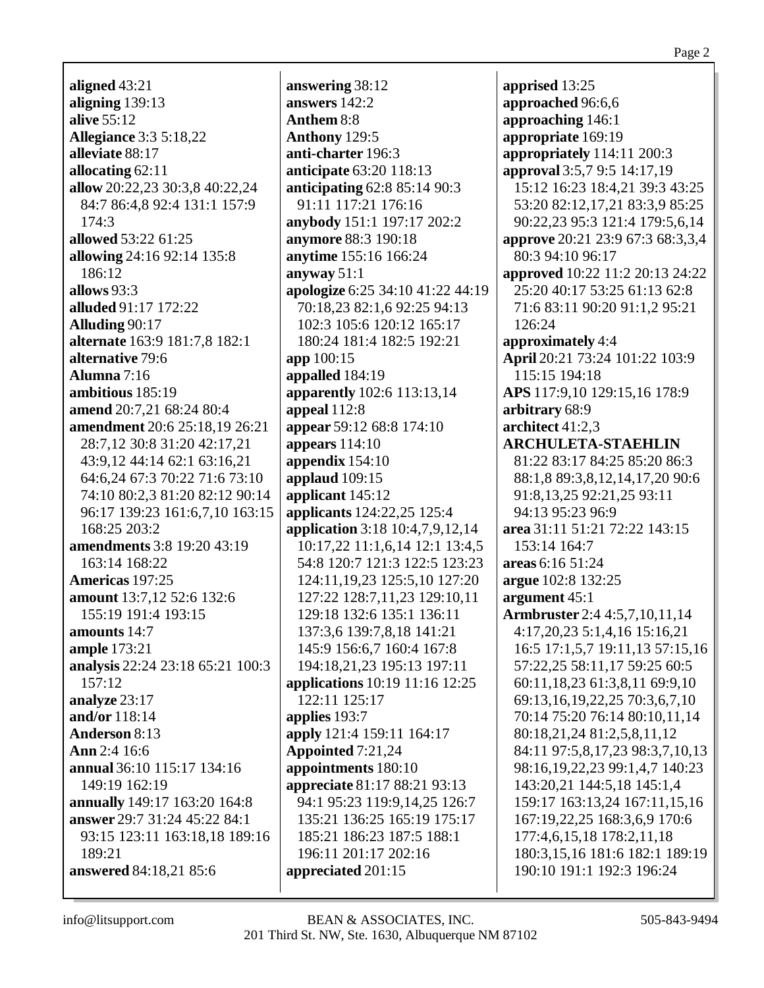aligned  $43:21$ aligning  $139:13$ **alive** 55:12 **Allegiance 3:3 5:18,22** alleviate 88:17 allocating  $62:11$ allow 20:22,23 30:3,8 40:22,24 84:7 86:4,8 92:4 131:1 157:9  $174:3$ allowed 53:22 61:25 allowing 24:16 92:14 135:8 186:12 allows  $93:3$ alluded 91:17 172:22 **Alluding 90:17 alternate** 163:9 181:7,8 182:1 alternative 79:6 Alumna  $7:16$ ambitious 185:19 amend 20:7,21 68:24 80:4 **amendment** 20:6 25:18,19 26:21 28:7,12 30:8 31:20 42:17,21 43:9.12 44:14 62:1 63:16.21 64:6.24 67:3 70:22 71:6 73:10 74:10 80:2,3 81:20 82:12 90:14 96:17 139:23 161:6,7,10 163:15 168:25 203:2 **amendments** 3:8 19:20 43:19 163:14 168:22 Americas 197:25 amount 13:7,12 52:6 132:6 155:19 191:4 193:15 amounts  $14:7$ **ample** 173:21 analysis 22:24 23:18 65:21 100:3  $157:12$ analyze 23:17 and/or 118:14 **Anderson 8:13** Ann  $2:4$  16:6 annual 36:10 115:17 134:16 149:19 162:19 annually 149:17 163:20 164:8 answer 29:7 31:24 45:22 84:1 93:15 123:11 163:18,18 189:16  $189:21$ answered 84:18,21 85:6

answering 38:12 answers 142:2 Anthem 8:8 Anthony 129:5 anti-charter 196:3 **anticipate** 63:20 118:13 anticipating  $62:885:1490:3$ 91:11 117:21 176:16 anybody 151:1 197:17 202:2 **anymore** 88:3 190:18 anytime 155:16 166:24 anyway  $51:1$ apologize 6:25 34:10 41:22 44:19 70:18,23 82:1,6 92:25 94:13 102:3 105:6 120:12 165:17 180:24 181:4 182:5 192:21  $a$ <sub>100:15</sub> appalled  $184:19$ **apparently** 102:6 113:13,14 appeal  $112:8$ appear 59:12 68:8 174:10 appears  $114:10$ appendix  $154:10$ applaud  $109:15$ applicant 145:12 applicants 124:22,25 125:4 application 3:18 10:4,7,9,12,14 10:17.22 11:1.6.14 12:1 13:4.5 54:8 120:7 121:3 122:5 123:23 124:11, 19, 23 125: 5, 10 127: 20 127:22 128:7,11,23 129:10,11 129:18 132:6 135:1 136:11 137:3,6 139:7,8,18 141:21 145:9 156:6,7 160:4 167:8 194:18,21,23 195:13 197:11 applications 10:19 11:16 12:25 122:11 125:17 applies 193:7 apply 121:4 159:11 164:17 **Appointed** 7:21,24 appointments 180:10 appreciate 81:17 88:21 93:13 94:1 95:23 119:9,14,25 126:7 135:21 136:25 165:19 175:17 185:21 186:23 187:5 188:1 196:11 201:17 202:16 appreciated 201:15

apprised 13:25 approached 96:6.6 approaching 146:1 appropriate 169:19 appropriately  $114:11$  200:3 approval 3:5,7 9:5 14:17,19 15:12 16:23 18:4.21 39:3 43:25 53:20 82:12,17,21 83:3,9 85:25 90:22,23 95:3 121:4 179:5,6,14 **approve** 20:21 23:9 67:3 68:3,3,4 80:3 94:10 96:17 **approved** 10:22 11:2 20:13 24:22 25:20 40:17 53:25 61:13 62:8 71:6 83:11 90:20 91:1,2 95:21 126:24 approximately 4:4 April 20:21 73:24 101:22 103:9 115:15 194:18 APS 117:9,10 129:15,16 178:9 arbitrary 68:9 architect 41:2,3 **ARCHULETA-STAEHLIN** 81:22 83:17 84:25 85:20 86:3 88:1,8 89:3,8,12,14,17,20 90:6 91:8,13,25 92:21,25 93:11 94:13 95:23 96:9 area 31:11 51:21 72:22 143:15 153:14 164:7 areas 6:16 51:24 argue 102:8 132:25 argument  $45:1$ **Armbruster** 2:4 4:5,7,10,11,14 4:17,20,23 5:1,4,16 15:16,21 16:5 17:1,5,7 19:11,13 57:15,16 57:22,25 58:11,17 59:25 60:5 60:11,18,23 61:3,8,11 69:9,10 69:13,16,19,22,25 70:3,6,7,10 70:14 75:20 76:14 80:10,11,14 80:18,21,24 81:2,5,8,11,12 84:11 97:5,8,17,23 98:3,7,10,13 98:16,19,22,23 99:1,4,7 140:23 143:20,21 144:5,18 145:1,4 159:17 163:13,24 167:11,15,16 167:19,22,25 168:3,6,9 170:6 177:4,6,15,18 178:2,11,18 180:3,15,16 181:6 182:1 189:19 190:10 191:1 192:3 196:24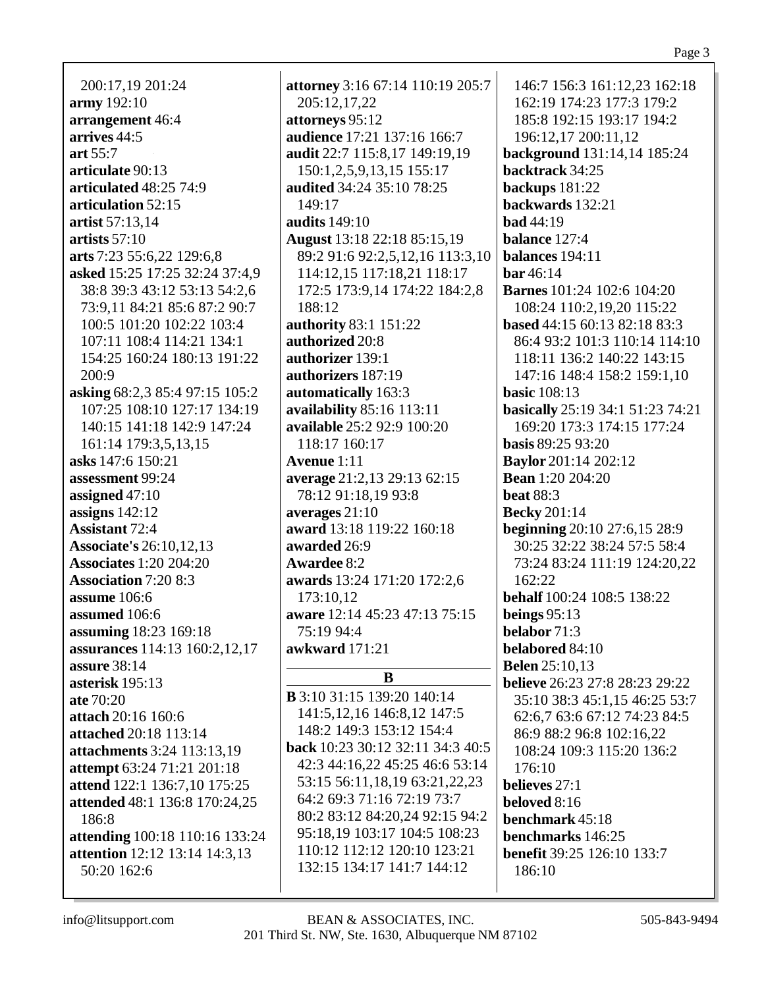200:17,19 201:24 **army** 192:10 **arrangement** 46:4 **arrives** 44:5 **art** 55:7 **articulate** 90:13 **articulated** 48:25 74:9 **articulation** 52:15 **artist** 57:13,14 **artists** 57:10 **arts** 7:23 55:6,22 129:6,8 **asked** 15:25 17:25 32:24 37:4,9 38:8 39:3 43:12 53:13 54:2,6 73:9,11 84:21 85:6 87:2 90:7 100:5 101:20 102:22 103:4 107:11 108:4 114:21 134:1 154:25 160:24 180:13 191:22 200:9 **asking** 68:2,3 85:4 97:15 105:2 107:25 108:10 127:17 134:19 140:15 141:18 142:9 147:24 161:14 179:3,5,13,15 **asks** 147:6 150:21 **assessment** 99:24 **assigned** 47:10 **assigns** 142:12 **Assistant** 72:4 **Associate's** 26:10,12,13 **Associates** 1:20 204:20 **Association** 7:20 8:3 **assume** 106:6 **assumed** 106:6 **assuming** 18:23 169:18 **assurances** 114:13 160:2,12,17 **assure** 38:14 **asterisk** 195:13 **ate** 70:20 **attach** 20:16 160:6 **attached** 20:18 113:14 **attachments** 3:24 113:13,19 **attempt** 63:24 71:21 201:18 **attend** 122:1 136:7,10 175:25 **attended** 48:1 136:8 170:24,25 186:8 **attending** 100:18 110:16 133:24 **attention** 12:12 13:14 14:3,13 50:20 162:6

**attorney** 3:16 67:14 110:19 205:7 205:12,17,22 **attorneys** 95:12 **audience** 17:21 137:16 166:7 **audit** 22:7 115:8,17 149:19,19 150:1,2,5,9,13,15 155:17 **audited** 34:24 35:10 78:25 149:17 **audits** 149:10 **August** 13:18 22:18 85:15,19 89:2 91:6 92:2,5,12,16 113:3,10 114:12,15 117:18,21 118:17 172:5 173:9,14 174:22 184:2,8 188:12 **authority** 83:1 151:22 **authorized** 20:8 **authorizer** 139:1 **authorizers** 187:19 **automatically** 163:3 **availability** 85:16 113:11 **available** 25:2 92:9 100:20 118:17 160:17 **Avenue** 1:11 **average** 21:2,13 29:13 62:15 78:12 91:18,19 93:8 **averages** 21:10 **award** 13:18 119:22 160:18 **awarded** 26:9 **Awardee** 8:2 **awards** 13:24 171:20 172:2,6 173:10,12 **aware** 12:14 45:23 47:13 75:15 75:19 94:4 **awkward** 171:21 **B**

**B** 3:10 31:15 139:20 140:14 141:5,12,16 146:8,12 147:5 148:2 149:3 153:12 154:4 **back** 10:23 30:12 32:11 34:3 40:5 42:3 44:16,22 45:25 46:6 53:14 53:15 56:11,18,19 63:21,22,23 64:2 69:3 71:16 72:19 73:7 80:2 83:12 84:20,24 92:15 94:2 95:18,19 103:17 104:5 108:23 110:12 112:12 120:10 123:21 132:15 134:17 141:7 144:12

146:7 156:3 161:12,23 162:18 162:19 174:23 177:3 179:2 185:8 192:15 193:17 194:2 196:12,17 200:11,12 **background** 131:14,14 185:24 **backtrack** 34:25 **backups** 181:22 **backwards** 132:21 **bad** 44:19 **balance** 127:4 **balances** 194:11 **bar** 46:14 **Barnes** 101:24 102:6 104:20 108:24 110:2,19,20 115:22 **based** 44:15 60:13 82:18 83:3 86:4 93:2 101:3 110:14 114:10 118:11 136:2 140:22 143:15 147:16 148:4 158:2 159:1,10 **basic** 108:13 **basically** 25:19 34:1 51:23 74:21 169:20 173:3 174:15 177:24 **basis** 89:25 93:20 **Baylor** 201:14 202:12 **Bean** 1:20 204:20 **beat** 88:3 **Becky** 201:14 **beginning** 20:10 27:6,15 28:9 30:25 32:22 38:24 57:5 58:4 73:24 83:24 111:19 124:20,22 162:22 **behalf** 100:24 108:5 138:22 **beings** 95:13 **belabor** 71:3 **belabored** 84:10 **Belen** 25:10,13 **believe** 26:23 27:8 28:23 29:22 35:10 38:3 45:1,15 46:25 53:7 62:6,7 63:6 67:12 74:23 84:5 86:9 88:2 96:8 102:16,22 108:24 109:3 115:20 136:2 176:10 **believes** 27:1 **beloved** 8:16 **benchmark** 45:18 **benchmarks** 146:25 **benefit** 39:25 126:10 133:7 186:10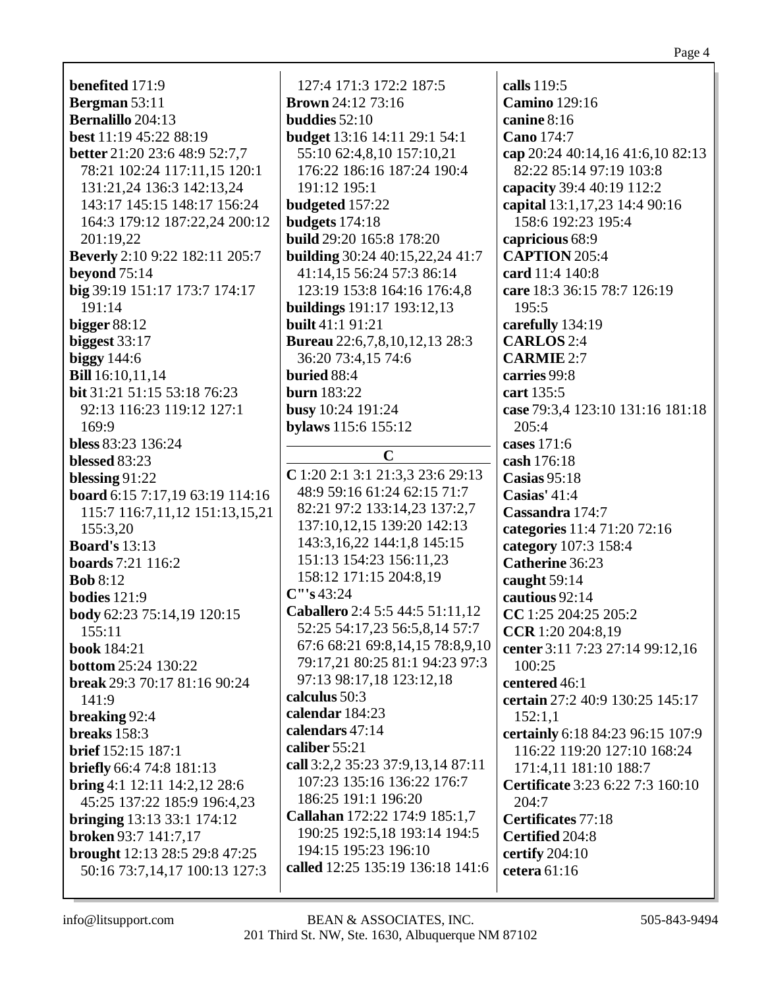**benefited** 171:9 **Bergman** 53:11 **Bernalillo** 204:13 best 11:19 45:22 88:19 **better** 21:20 23:6 48:9 52:7,7 78:21 102:24 117:11,15 120:1 131:21,24 136:3 142:13.24 143:17 145:15 148:17 156:24 164:3 179:12 187:22,24 200:12 201:19.22 **Beverly** 2:10 9:22 182:11 205:7 beyond  $75:14$ big 39:19 151:17 173:7 174:17 191:14 bigger  $88:12$ biggest  $33:17$ biggy  $144:6$ **Bill** 16:10,11,14 **bit** 31:21 51:15 53:18 76:23 92:13 116:23 119:12 127:1 169:9 bless 83:23 136:24 blessed  $83:23$ blessing  $91:22$ board 6:15 7:17,19 63:19 114:16 115:7 116:7,11,12 151:13,15,21 155:3,20 **Board's 13:13 boards** 7:21 116:2 **Bob**  $8:12$ **bodies** 121:9 **body** 62:23 75:14,19 120:15  $155:11$ **book**  $184:21$ **bottom** 25:24 130:22 **break** 29:3 70:17 81:16 90:24  $141:9$ breaking 92:4 breaks  $158:3$ **brief** 152:15 187:1 **briefly** 66:4 74:8 181:13 **bring** 4:1 12:11 14:2,12 28:6 45:25 137:22 185:9 196:4,23 bringing  $13:13\,33:1\,174:12$ broken 93:7 141:7,17 brought 12:13 28:5 29:8 47:25 called 12:25 135:19 136:18 141:6 50:16 73:7,14,17 100:13 127:3

127:4 171:3 172:2 187:5 **Brown** 24:12 73:16 **buddies**  $52:10$ **budget** 13:16 14:11 29:1 54:1 55:10 62:4,8,10 157:10,21 176:22 186:16 187:24 190:4  $191:12$  195:1 **budgeted** 157:22 budgets  $174:18$ **build** 29:20 165:8 178:20 **building** 30:24 40:15.22.24 41:7 41:14,15 56:24 57:3 86:14 123:19 153:8 164:16 176:4,8 **buildings** 191:17 193:12,13 **built** 41:1 91:21 **Bureau** 22:6,7,8,10,12,13 28:3 36:20 73:4.15 74:6 buried 88:4 **burn** 183:22 busy 10:24 191:24 bylaws 115:6 155:12  $\mathbf C$  $C$  1:20 2:1 3:1 21:3,3 23:6 29:13 48:9 59:16 61:24 62:15 71:7 82:21 97:2 133:14,23 137:2,7 137:10,12,15 139:20 142:13 143:3,16,22 144:1,8 145:15 151:13 154:23 156:11,23 158:12 171:15 204:8,19  $C''$ 's 43:24 Caballero 2:4 5:5 44:5 51:11,12 52:25 54:17,23 56:5,8,14 57:7 67:6 68:21 69:8,14,15 78:8,9,10 79:17.21 80:25 81:1 94:23 97:3 97:13 98:17,18 123:12,18 calculus 50:3 calendar 184:23 calendars 47:14 caliber  $55:21$ call 3:2,2 35:23 37:9,13,14 87:11 107:23 135:16 136:22 176:7 186:25 191:1 196:20 Callahan 172:22 174:9 185:1,7 190:25 192:5,18 193:14 194:5 194:15 195:23 196:10

calls 119:5 **Camino** 129:16 canine  $8:16$ Cano 174:7 cap 20:24 40:14,16 41:6,10 82:13 82:22 85:14 97:19 103:8 capacity 39:4 40:19 112:2 capital 13:1,17,23 14:4 90:16 158:6 192:23 195:4 capricious 68:9 **CAPTION** 205:4 card  $11:4$   $140:8$ care 18:3 36:15 78:7 126:19 195:5 carefully 134:19 **CARLOS** 2:4  $CARMIE$  2:7 carries 99:8 cart 135:5 case 79:3,4 123:10 131:16 181:18  $205:4$ cases  $171:6$ cash 176:18  $\text{Casias } 95:18$ Casias'  $41:4$ Cassandra 174:7 categories 11:4 71:20 72:16 category 107:3 158:4 Catherine 36:23 caught  $59:14$ cautious 92:14 CC 1:25 204:25 205:2 CCR 1:20 204:8,19 center 3:11 7:23 27:14 99:12,16  $100:25$ centered 46:1 certain 27:2 40:9 130:25 145:17  $152:1.1$ certainly 6:18 84:23 96:15 107:9 116:22 119:20 127:10 168:24 171:4,11 181:10 188:7 **Certificate** 3:23 6:22 7:3 160:10 204:7 Certificates 77:18 Certified 204:8 certify  $204:10$ cetera  $61:16$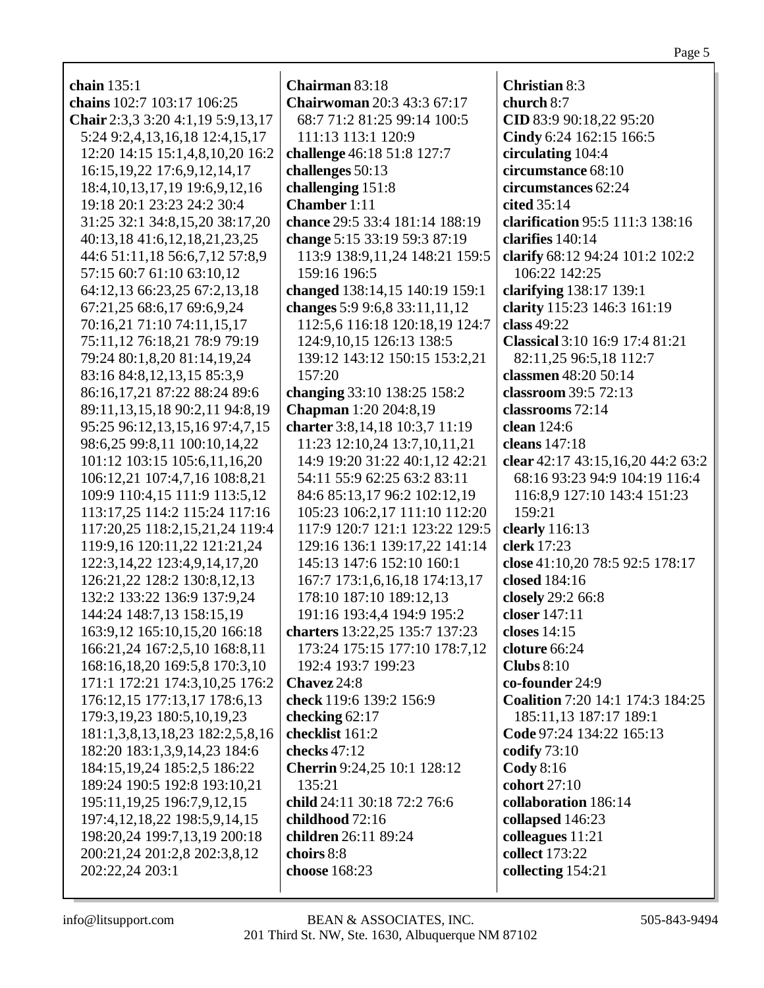| chain $135:1$                         | Chairman 83:18                     | <b>Christian 8:3</b>              |
|---------------------------------------|------------------------------------|-----------------------------------|
| chains 102:7 103:17 106:25            | <b>Chairwoman 20:3 43:3 67:17</b>  | church 8:7                        |
| Chair 2:3,3 3:20 4:1,19 5:9,13,17     | 68:7 71:2 81:25 99:14 100:5        | CID 83:9 90:18,22 95:20           |
| 5:24 9:2,4,13,16,18 12:4,15,17        | 111:13 113:1 120:9                 | Cindy 6:24 162:15 166:5           |
| 12:20 14:15 15:1,4,8,10,20 16:2       | challenge 46:18 51:8 127:7         | circulating 104:4                 |
| 16:15, 19, 22 17:6, 9, 12, 14, 17     | challenges 50:13                   | circumstance 68:10                |
| 18:4, 10, 13, 17, 19 19: 6, 9, 12, 16 | challenging 151:8                  | circumstances 62:24               |
| 19:18 20:1 23:23 24:2 30:4            | <b>Chamber</b> 1:11                | cited 35:14                       |
| 31:25 32:1 34:8,15,20 38:17,20        | chance 29:5 33:4 181:14 188:19     | clarification 95:5 111:3 138:16   |
| 40:13,18 41:6,12,18,21,23,25          | change 5:15 33:19 59:3 87:19       | clarifies 140:14                  |
| 44:6 51:11,18 56:6,7,12 57:8,9        | 113:9 138:9,11,24 148:21 159:5     | clarify 68:12 94:24 101:2 102:2   |
| 57:15 60:7 61:10 63:10,12             | 159:16 196:5                       | 106:22 142:25                     |
| 64:12,13 66:23,25 67:2,13,18          | changed 138:14,15 140:19 159:1     | clarifying 138:17 139:1           |
| 67:21,25 68:6,17 69:6,9,24            | changes 5:9 9:6,8 33:11,11,12      | clarity 115:23 146:3 161:19       |
| 70:16,21 71:10 74:11,15,17            | 112:5,6 116:18 120:18,19 124:7     | class $49:22$                     |
| 75:11,12 76:18,21 78:9 79:19          | 124:9, 10, 15 126: 13 138: 5       | Classical 3:10 16:9 17:4 81:21    |
| 79:24 80:1,8,20 81:14,19,24           | 139:12 143:12 150:15 153:2,21      | 82:11,25 96:5,18 112:7            |
| 83:16 84:8,12,13,15 85:3,9            | 157:20                             | classmen 48:20 50:14              |
| 86:16,17,21 87:22 88:24 89:6          | changing 33:10 138:25 158:2        | classroom 39:5 72:13              |
| 89:11,13,15,18 90:2,11 94:8,19        | <b>Chapman</b> 1:20 204:8,19       | classrooms 72:14                  |
| 95:25 96:12,13,15,16 97:4,7,15        | charter 3:8,14,18 10:3,7 11:19     | clean 124:6                       |
| 98:6,25 99:8,11 100:10,14,22          | 11:23 12:10,24 13:7,10,11,21       | cleans 147:18                     |
| 101:12 103:15 105:6,11,16,20          | 14:9 19:20 31:22 40:1,12 42:21     | clear 42:17 43:15,16,20 44:2 63:2 |
| 106:12,21 107:4,7,16 108:8,21         | 54:11 55:9 62:25 63:2 83:11        | 68:16 93:23 94:9 104:19 116:4     |
| 109:9 110:4,15 111:9 113:5,12         | 84:6 85:13,17 96:2 102:12,19       | 116:8,9 127:10 143:4 151:23       |
| 113:17,25 114:2 115:24 117:16         | 105:23 106:2,17 111:10 112:20      | 159:21                            |
| 117:20,25 118:2,15,21,24 119:4        | 117:9 120:7 121:1 123:22 129:5     | clearly 116:13                    |
| 119:9,16 120:11,22 121:21,24          | 129:16 136:1 139:17,22 141:14      | clerk 17:23                       |
| 122:3, 14, 22 123:4, 9, 14, 17, 20    | 145:13 147:6 152:10 160:1          | close 41:10,20 78:5 92:5 178:17   |
| 126:21,22 128:2 130:8,12,13           | 167:7 173:1,6,16,18 174:13,17      | closed 184:16                     |
| 132:2 133:22 136:9 137:9,24           | 178:10 187:10 189:12,13            | closely 29:2 66:8                 |
| 144:24 148:7,13 158:15,19             | 191:16 193:4,4 194:9 195:2         | closer 147:11                     |
| 163:9,12 165:10,15,20 166:18          | charters 13:22,25 135:7 137:23     | closes 14:15                      |
| 166:21,24 167:2,5,10 168:8,11         | 173:24 175:15 177:10 178:7,12      | cloture 66:24                     |
| 168:16,18,20 169:5,8 170:3,10         | 192:4 193:7 199:23                 | Clubs $8:10$                      |
| 171:1 172:21 174:3,10,25 176:2        | Chavez 24:8                        | co-founder 24:9                   |
| 176:12,15 177:13,17 178:6,13          | check 119:6 139:2 156:9            | Coalition 7:20 14:1 174:3 184:25  |
| 179:3, 19, 23 180: 5, 10, 19, 23      | checking $62:17$                   | 185:11,13 187:17 189:1            |
| 181:1,3,8,13,18,23 182:2,5,8,16       | checklist 161:2                    | Code 97:24 134:22 165:13          |
| 182:20 183:1,3,9,14,23 184:6          | checks 47:12                       | codify 73:10                      |
| 184:15, 19, 24 185: 2, 5 186: 22      | <b>Cherrin</b> 9:24,25 10:1 128:12 | $\text{Cody } 8:16$               |
| 189:24 190:5 192:8 193:10,21          | 135:21                             | cohort 27:10                      |
| 195:11, 19, 25 196: 7, 9, 12, 15      | child 24:11 30:18 72:2 76:6        | collaboration 186:14              |
| 197:4, 12, 18, 22 198: 5, 9, 14, 15   | childhood 72:16                    | collapsed 146:23                  |
| 198:20,24 199:7,13,19 200:18          | children 26:11 89:24               | colleagues 11:21                  |
| 200:21,24 201:2,8 202:3,8,12          | choirs 8:8                         | collect 173:22                    |
| 202:22,24 203:1                       | choose 168:23                      | collecting 154:21                 |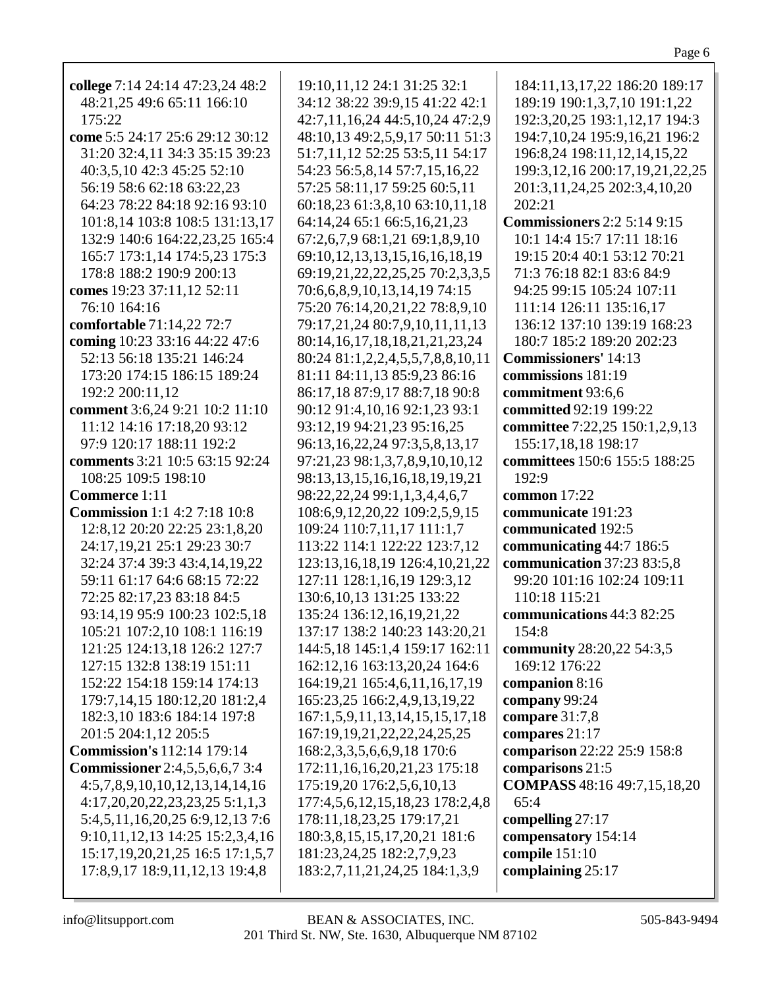| college 7:14 24:14 47:23,24 48:2        | 19:10,11,12 24:1 31:25 32:1           | 184:11, 13, 17, 22 186: 20 189: 17    |
|-----------------------------------------|---------------------------------------|---------------------------------------|
| 48:21,25 49:6 65:11 166:10              | 34:12 38:22 39:9,15 41:22 42:1        | 189:19 190:1,3,7,10 191:1,22          |
| 175:22                                  | 42:7,11,16,24 44:5,10,24 47:2,9       | 192:3,20,25 193:1,12,17 194:3         |
| come 5:5 24:17 25:6 29:12 30:12         | 48:10,13 49:2,5,9,17 50:11 51:3       | 194:7, 10, 24 195: 9, 16, 21 196: 2   |
|                                         |                                       |                                       |
| 31:20 32:4,11 34:3 35:15 39:23          | 51:7,11,12 52:25 53:5,11 54:17        | 196:8,24 198:11,12,14,15,22           |
| 40:3,5,10 42:3 45:25 52:10              | 54:23 56:5,8,14 57:7,15,16,22         | 199:3, 12, 16 200: 17, 19, 21, 22, 25 |
| 56:19 58:6 62:18 63:22,23               | 57:25 58:11,17 59:25 60:5,11          | 201:3,11,24,25 202:3,4,10,20          |
| 64:23 78:22 84:18 92:16 93:10           | 60:18,23 61:3,8,10 63:10,11,18        | 202:21                                |
| 101:8,14 103:8 108:5 131:13,17          | 64:14,24 65:1 66:5,16,21,23           | <b>Commissioners</b> 2:2 5:14 9:15    |
| 132:9 140:6 164:22,23,25 165:4          | 67:2,6,7,9 68:1,21 69:1,8,9,10        | 10:1 14:4 15:7 17:11 18:16            |
| 165:7 173:1,14 174:5,23 175:3           | 69:10,12,13,13,15,16,16,18,19         | 19:15 20:4 40:1 53:12 70:21           |
| 178:8 188:2 190:9 200:13                | 69:19,21,22,22,25,25 70:2,3,3,5       | 71:3 76:18 82:1 83:6 84:9             |
| comes 19:23 37:11,12 52:11              | 70:6,6,8,9,10,13,14,19 74:15          | 94:25 99:15 105:24 107:11             |
| 76:10 164:16                            | 75:20 76:14,20,21,22 78:8,9,10        | 111:14 126:11 135:16,17               |
| comfortable 71:14,22 72:7               | 79:17,21,24 80:7,9,10,11,11,13        | 136:12 137:10 139:19 168:23           |
| coming 10:23 33:16 44:22 47:6           | 80:14,16,17,18,18,21,21,23,24         | 180:7 185:2 189:20 202:23             |
| 52:13 56:18 135:21 146:24               | 80:24 81:1,2,2,4,5,5,7,8,8,10,11      | <b>Commissioners' 14:13</b>           |
| 173:20 174:15 186:15 189:24             | 81:11 84:11,13 85:9,23 86:16          | commissions 181:19                    |
| 192:2 200:11,12                         | 86:17,18 87:9,17 88:7,18 90:8         | commitment 93:6,6                     |
| comment 3:6,24 9:21 10:2 11:10          | 90:12 91:4,10,16 92:1,23 93:1         | committed 92:19 199:22                |
| 11:12 14:16 17:18,20 93:12              | 93:12,19 94:21,23 95:16,25            | committee 7:22,25 150:1,2,9,13        |
| 97:9 120:17 188:11 192:2                | 96:13, 16, 22, 24 97: 3, 5, 8, 13, 17 | 155:17,18,18 198:17                   |
| comments 3:21 10:5 63:15 92:24          | 97:21,23 98:1,3,7,8,9,10,10,12        | committees 150:6 155:5 188:25         |
| 108:25 109:5 198:10                     | 98:13,13,15,16,16,18,19,19,21         | 192:9                                 |
| Commerce 1:11                           | 98:22,22,24 99:1,1,3,4,4,6,7          | common $17:22$                        |
| <b>Commission</b> 1:1 4:2 7:18 10:8     | 108:6,9,12,20,22 109:2,5,9,15         | communicate 191:23                    |
| 12:8, 12 20:20 22:25 23:1, 8, 20        | 109:24 110:7,11,17 111:1,7            | communicated 192:5                    |
| 24:17,19,21 25:1 29:23 30:7             | 113:22 114:1 122:22 123:7,12          | communicating 44:7 186:5              |
| 32:24 37:4 39:3 43:4,14,19,22           | 123:13, 16, 18, 19 126: 4, 10, 21, 22 | communication 37:23 83:5,8            |
| 59:11 61:17 64:6 68:15 72:22            | 127:11 128:1,16,19 129:3,12           | 99:20 101:16 102:24 109:11            |
| 72:25 82:17,23 83:18 84:5               | 130:6, 10, 13 131: 25 133: 22         | 110:18 115:21                         |
| 93:14,19 95:9 100:23 102:5,18           | 135:24 136:12,16,19,21,22             | communications 44:3 82:25             |
| 105:21 107:2,10 108:1 116:19            | 137:17 138:2 140:23 143:20,21         | 154:8                                 |
| 121:25 124:13,18 126:2 127:7            | 144:5,18 145:1,4 159:17 162:11        | <b>community</b> 28:20,22 54:3,5      |
| 127:15 132:8 138:19 151:11              | 162:12,16 163:13,20,24 164:6          | 169:12 176:22                         |
| 152:22 154:18 159:14 174:13             | 164:19,21 165:4,6,11,16,17,19         | companion 8:16                        |
| 179:7,14,15 180:12,20 181:2,4           | 165:23,25 166:2,4,9,13,19,22          | company 99:24                         |
| 182:3,10 183:6 184:14 197:8             | 167:1,5,9,11,13,14,15,15,17,18        | compare 31:7,8                        |
| 201:5 204:1,12 205:5                    | 167:19,19,21,22,22,24,25,25           | compares 21:17                        |
| <b>Commission's 112:14 179:14</b>       | 168:2,3,3,5,6,6,9,18 170:6            | comparison 22:22 25:9 158:8           |
| <b>Commissioner</b> 2:4,5,5,6,6,7 3:4   | 172:11,16,16,20,21,23 175:18          | comparisons 21:5                      |
| 4:5,7,8,9,10,10,12,13,14,14,16          | 175:19,20 176:2,5,6,10,13             | <b>COMPASS</b> 48:16 49:7,15,18,20    |
| $4:17,20,20,22,23,23,25\ 5:1,1,3$       | 177:4,5,6,12,15,18,23 178:2,4,8       | 65:4                                  |
| 5:4,5,11,16,20,25 6:9,12,13 7:6         | 178:11,18,23,25 179:17,21             | compelling 27:17                      |
| 9:10, 11, 12, 13 14: 25 15: 2, 3, 4, 16 | 180:3,8,15,15,17,20,21 181:6          | compensatory 154:14                   |
| 15:17, 19, 20, 21, 25 16: 5 17: 1, 5, 7 | 181:23,24,25 182:2,7,9,23             | compile 151:10                        |
| 17:8,9,17 18:9,11,12,13 19:4,8          | 183:2,7,11,21,24,25 184:1,3,9         | complaining 25:17                     |
|                                         |                                       |                                       |

Page  $6\,$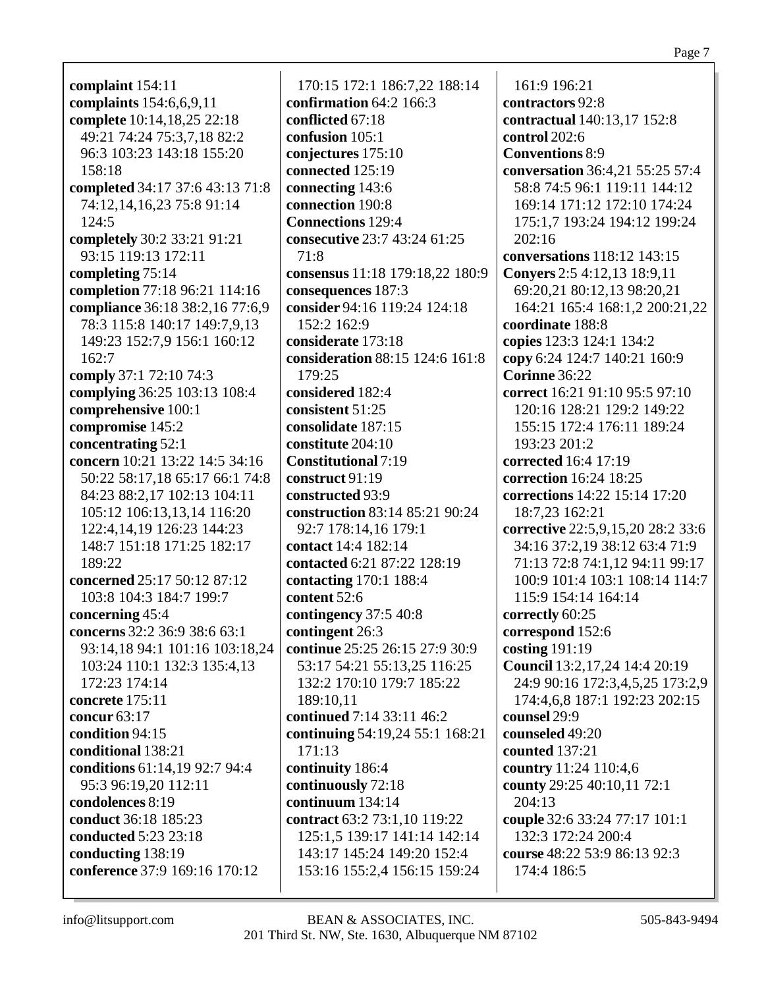**complaint** 154:11 **complaints** 154:6,6,9,11 **complete** 10:14,18,25 22:18 49:21 74:24 75:3,7,18 82:2 96:3 103:23 143:18 155:20 158:18 **completed** 34:17 37:6 43:13 71:8 74:12,14,16,23 75:8 91:14 124:5 **completely** 30:2 33:21 91:21 93:15 119:13 172:11 **completing** 75:14 **completion** 77:18 96:21 114:16 **compliance** 36:18 38:2,16 77:6,9 78:3 115:8 140:17 149:7,9,13 149:23 152:7,9 156:1 160:12 162:7 **comply** 37:1 72:10 74:3 **complying** 36:25 103:13 108:4 **comprehensive** 100:1 **compromise** 145:2 **concentrating** 52:1 **concern** 10:21 13:22 14:5 34:16 50:22 58:17,18 65:17 66:1 74:8 84:23 88:2,17 102:13 104:11 105:12 106:13,13,14 116:20 122:4,14,19 126:23 144:23 148:7 151:18 171:25 182:17 189:22 **concerned** 25:17 50:12 87:12 103:8 104:3 184:7 199:7 **concerning** 45:4 **concerns** 32:2 36:9 38:6 63:1 93:14,18 94:1 101:16 103:18,24 103:24 110:1 132:3 135:4,13 172:23 174:14 **concrete** 175:11 **concur** 63:17 **condition** 94:15 **conditional** 138:21 **conditions** 61:14,19 92:7 94:4 95:3 96:19,20 112:11 **condolences** 8:19 **conduct** 36:18 185:23 **conducted** 5:23 23:18 **conducting** 138:19 **conference** 37:9 169:16 170:12

170:15 172:1 186:7,22 188:14 **confirmation** 64:2 166:3 **conflicted** 67:18 **confusion** 105:1 **conjectures** 175:10 **connected** 125:19 **connecting** 143:6 **connection** 190:8 **Connections** 129:4 **consecutive** 23:7 43:24 61:25 71:8 **consensus** 11:18 179:18,22 180:9 **consequences** 187:3 **consider** 94:16 119:24 124:18 152:2 162:9 **considerate** 173:18 **consideration** 88:15 124:6 161:8 179:25 **considered** 182:4 **consistent** 51:25 **consolidate** 187:15 **constitute** 204:10 **Constitutional** 7:19 **construct** 91:19 **constructed** 93:9 **construction** 83:14 85:21 90:24 92:7 178:14,16 179:1 **contact** 14:4 182:14 **contacted** 6:21 87:22 128:19 **contacting** 170:1 188:4 **content** 52:6 **contingency** 37:5 40:8 **contingent** 26:3 **continue** 25:25 26:15 27:9 30:9 53:17 54:21 55:13,25 116:25 132:2 170:10 179:7 185:22 189:10,11 **continued** 7:14 33:11 46:2 **continuing** 54:19,24 55:1 168:21 171:13 **continuity** 186:4 **continuously** 72:18 **continuum** 134:14 **contract** 63:2 73:1,10 119:22 125:1,5 139:17 141:14 142:14 143:17 145:24 149:20 152:4 153:16 155:2,4 156:15 159:24

161:9 196:21 **contractors** 92:8 **contractual** 140:13,17 152:8 **control** 202:6 **Conventions** 8:9 **conversation** 36:4,21 55:25 57:4 58:8 74:5 96:1 119:11 144:12 169:14 171:12 172:10 174:24 175:1,7 193:24 194:12 199:24 202:16 **conversations** 118:12 143:15 **Conyers** 2:5 4:12,13 18:9,11 69:20,21 80:12,13 98:20,21 164:21 165:4 168:1,2 200:21,22 **coordinate** 188:8 **copies** 123:3 124:1 134:2 **copy** 6:24 124:7 140:21 160:9 **Corinne** 36:22 **correct** 16:21 91:10 95:5 97:10 120:16 128:21 129:2 149:22 155:15 172:4 176:11 189:24 193:23 201:2 **corrected** 16:4 17:19 **correction** 16:24 18:25 **corrections** 14:22 15:14 17:20 18:7,23 162:21 **corrective** 22:5,9,15,20 28:2 33:6 34:16 37:2,19 38:12 63:4 71:9 71:13 72:8 74:1,12 94:11 99:17 100:9 101:4 103:1 108:14 114:7 115:9 154:14 164:14 **correctly** 60:25 **correspond** 152:6 **costing** 191:19 **Council** 13:2,17,24 14:4 20:19 24:9 90:16 172:3,4,5,25 173:2,9 174:4,6,8 187:1 192:23 202:15 **counsel** 29:9 **counseled** 49:20 **counted** 137:21 **country** 11:24 110:4,6 **county** 29:25 40:10,11 72:1 204:13 **couple** 32:6 33:24 77:17 101:1 132:3 172:24 200:4 **course** 48:22 53:9 86:13 92:3 174:4 186:5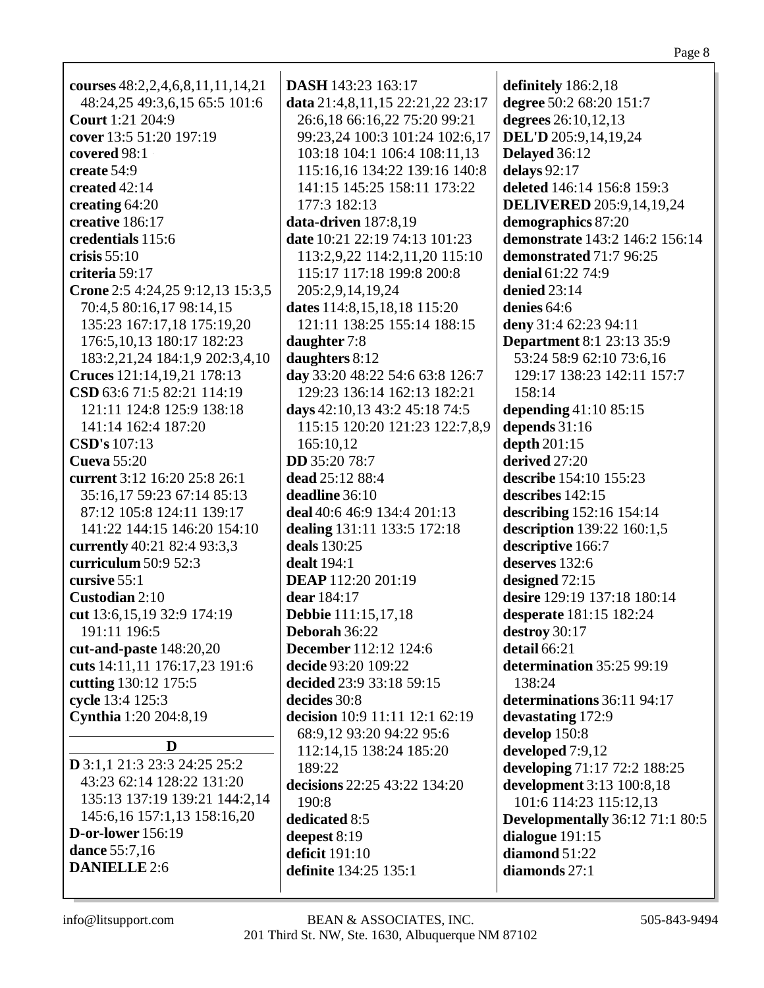| courses $48:2,2,4,6,8,11,11,14,21$                      | DASH 143:23 163:17               | definitely 186:2,18                                   |
|---------------------------------------------------------|----------------------------------|-------------------------------------------------------|
| 48:24,25 49:3,6,15 65:5 101:6                           | data 21:4,8,11,15 22:21,22 23:17 | degree 50:2 68:20 151:7                               |
| <b>Court</b> 1:21 204:9                                 | 26:6,18 66:16,22 75:20 99:21     | degrees 26:10,12,13                                   |
| cover 13:5 51:20 197:19                                 | 99:23,24 100:3 101:24 102:6,17   | DEL'D 205:9,14,19,24                                  |
| covered 98:1                                            | 103:18 104:1 106:4 108:11,13     | Delayed 36:12                                         |
| create 54:9                                             | 115:16,16 134:22 139:16 140:8    | delays 92:17                                          |
| created 42:14                                           | 141:15 145:25 158:11 173:22      | deleted 146:14 156:8 159:3                            |
|                                                         | 177:3 182:13                     |                                                       |
| creating 64:20<br>creative 186:17                       | data-driven 187:8,19             | <b>DELIVERED</b> 205:9,14,19,24<br>demographics 87:20 |
|                                                         | date 10:21 22:19 74:13 101:23    | demonstrate 143:2 146:2 156:14                        |
| credentials 115:6<br>crisis $55:10$                     |                                  |                                                       |
|                                                         | 113:2,9,22 114:2,11,20 115:10    | demonstrated 71:7 96:25                               |
| criteria 59:17                                          | 115:17 117:18 199:8 200:8        | denial 61:22 74:9                                     |
| Crone 2:5 4:24,25 9:12,13 15:3,5                        | 205:2,9,14,19,24                 | denied 23:14                                          |
| 70:4,5 80:16,17 98:14,15                                | dates 114:8,15,18,18 115:20      | denies 64:6                                           |
| 135:23 167:17,18 175:19,20                              | 121:11 138:25 155:14 188:15      | deny 31:4 62:23 94:11                                 |
| 176:5, 10, 13 180: 17 182: 23                           | daughter 7:8                     | <b>Department 8:1 23:13 35:9</b>                      |
| 183:2,21,24 184:1,9 202:3,4,10                          | daughters 8:12                   | 53:24 58:9 62:10 73:6,16                              |
| Cruces 121:14,19,21 178:13                              | day 33:20 48:22 54:6 63:8 126:7  | 129:17 138:23 142:11 157:7                            |
| CSD 63:6 71:5 82:21 114:19                              | 129:23 136:14 162:13 182:21      | 158:14                                                |
| 121:11 124:8 125:9 138:18                               | days 42:10,13 43:2 45:18 74:5    | depending $41:1085:15$                                |
| 141:14 162:4 187:20                                     | 115:15 120:20 121:23 122:7,8,9   | depends 31:16                                         |
| <b>CSD's</b> 107:13                                     | 165:10,12                        | depth 201:15                                          |
| <b>Cueva</b> 55:20                                      | <b>DD</b> 35:20 78:7             | derived 27:20                                         |
| current 3:12 16:20 25:8 26:1                            | dead 25:12 88:4                  | describe 154:10 155:23                                |
| 35:16,17 59:23 67:14 85:13                              | deadline 36:10                   | describes 142:15                                      |
| 87:12 105:8 124:11 139:17                               | deal 40:6 46:9 134:4 201:13      | describing 152:16 154:14                              |
| 141:22 144:15 146:20 154:10                             | dealing 131:11 133:5 172:18      | description 139:22 160:1,5                            |
| currently 40:21 82:4 93:3,3                             | deals 130:25                     | descriptive 166:7                                     |
| curriculum 50:9 52:3                                    | <b>dealt</b> 194:1               | deserves 132:6                                        |
| cursive 55:1                                            | DEAP 112:20 201:19               | designed 72:15                                        |
| Custodian 2:10                                          | dear 184:17                      | desire 129:19 137:18 180:14                           |
| cut 13:6, 15, 19 32:9 174: 19                           | <b>Debbie</b> 111:15,17,18       | desperate 181:15 182:24                               |
| 191:11 196:5                                            | Deborah 36:22                    | destroy 30:17                                         |
| cut-and-paste 148:20,20                                 | <b>December</b> 112:12 124:6     | detail 66:21                                          |
| cuts 14:11,11 176:17,23 191:6                           | decide 93:20 109:22              | determination 35:25 99:19                             |
| cutting 130:12 175:5                                    | decided 23:9 33:18 59:15         | 138:24                                                |
| cycle 13:4 125:3                                        | decides 30:8                     | determinations 36:11 94:17                            |
| Cynthia 1:20 204:8,19                                   | decision 10:9 11:11 12:1 62:19   | devastating 172:9                                     |
| D                                                       | 68:9,12 93:20 94:22 95:6         | develop 150:8                                         |
| <b>D</b> 3:1,1 21:3 23:3 24:25 25:2                     | 112:14,15 138:24 185:20          | developed 7:9,12                                      |
| 43:23 62:14 128:22 131:20                               | 189:22                           | developing 71:17 72:2 188:25                          |
| 135:13 137:19 139:21 144:2,14                           | decisions 22:25 43:22 134:20     | development 3:13 100:8,18                             |
|                                                         | 190:8                            | 101:6 114:23 115:12,13                                |
| 145:6,16 157:1,13 158:16,20<br><b>D-or-lower</b> 156:19 | dedicated 8:5                    | <b>Developmentally</b> 36:12 71:1 80:5                |
| dance 55:7,16                                           | deepest 8:19                     | dialogue 191:15                                       |
| <b>DANIELLE 2:6</b>                                     | deficit 191:10                   | diamond 51:22                                         |
|                                                         | definite 134:25 135:1            | diamonds 27:1                                         |
|                                                         |                                  |                                                       |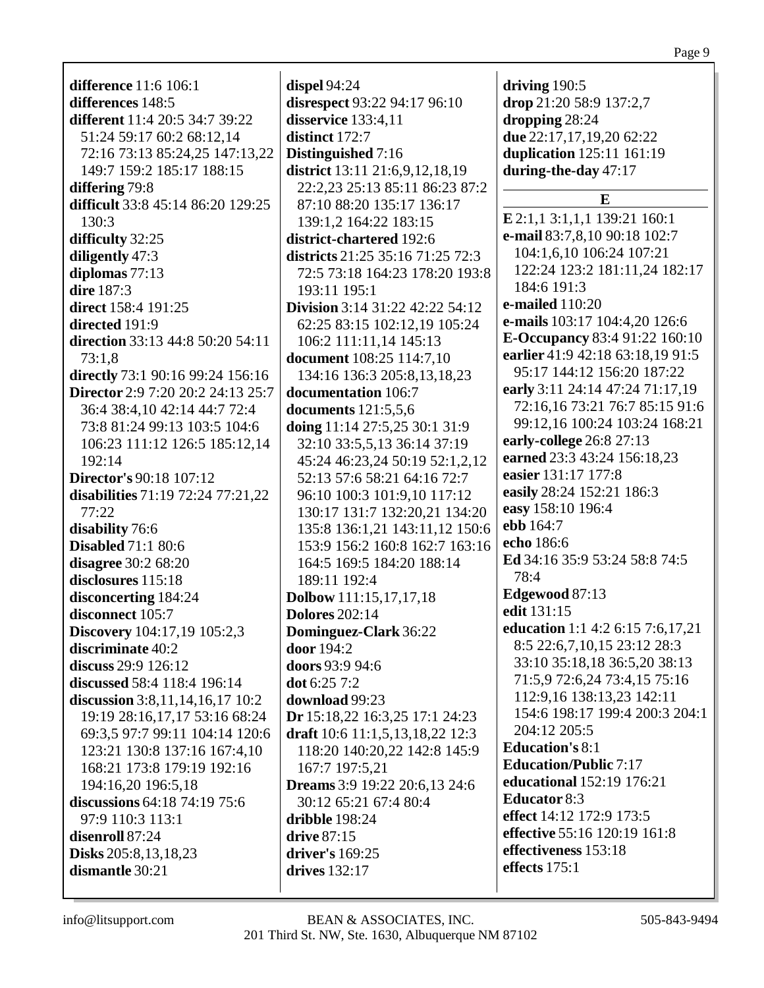**difference** 11:6 106:1 **differences** 148:5 **different** 11:4 20:5 34:7 39:22 51:24 59:17 60:2 68:12,14 72:16 73:13 85:24,25 147:13,22 149:7 159:2 185:17 188:15 **differing** 79:8 **difficult** 33:8 45:14 86:20 129:25 130:3 **difficulty** 32:25 **diligently** 47:3 **diplomas** 77:13 **dire** 187:3 **direct** 158:4 191:25 **directed** 191:9 **direction** 33:13 44:8 50:20 54:11 73:1,8 **directly** 73:1 90:16 99:24 156:16 **Director** 2:9 7:20 20:2 24:13 25:7 36:4 38:4,10 42:14 44:7 72:4 73:8 81:24 99:13 103:5 104:6 106:23 111:12 126:5 185:12,14 192:14 **Director's** 90:18 107:12 **disabilities** 71:19 72:24 77:21,22 77:22 **disability** 76:6 **Disabled** 71:1 80:6 **disagree** 30:2 68:20 **disclosures** 115:18 **disconcerting** 184:24 **disconnect** 105:7 **Discovery** 104:17,19 105:2,3 **discriminate** 40:2 **discuss** 29:9 126:12 **discussed** 58:4 118:4 196:14 **discussion** 3:8,11,14,16,17 10:2 19:19 28:16,17,17 53:16 68:24 69:3,5 97:7 99:11 104:14 120:6 123:21 130:8 137:16 167:4,10 168:21 173:8 179:19 192:16 194:16,20 196:5,18 **discussions** 64:18 74:19 75:6 97:9 110:3 113:1 **disenroll** 87:24 **Disks** 205:8,13,18,23 **dismantle** 30:21

**dispel** 94:24 **disrespect** 93:22 94:17 96:10 **disservice** 133:4,11 **distinct** 172:7 **Distinguished** 7:16 **district** 13:11 21:6,9,12,18,19 22:2,23 25:13 85:11 86:23 87:2 87:10 88:20 135:17 136:17 139:1,2 164:22 183:15 **district-chartered** 192:6 **districts** 21:25 35:16 71:25 72:3 72:5 73:18 164:23 178:20 193:8 193:11 195:1 **Division** 3:14 31:22 42:22 54:12 62:25 83:15 102:12,19 105:24 106:2 111:11,14 145:13 **document** 108:25 114:7,10 134:16 136:3 205:8,13,18,23 **documentation** 106:7 **documents** 121:5,5,6 **doing** 11:14 27:5,25 30:1 31:9 32:10 33:5,5,13 36:14 37:19 45:24 46:23,24 50:19 52:1,2,12 52:13 57:6 58:21 64:16 72:7 96:10 100:3 101:9,10 117:12 130:17 131:7 132:20,21 134:20 135:8 136:1,21 143:11,12 150:6 153:9 156:2 160:8 162:7 163:16 164:5 169:5 184:20 188:14 189:11 192:4 **Dolbow** 111:15,17,17,18 **Dolores** 202:14 **Dominguez-Clark** 36:22 **door** 194:2 **doors** 93:9 94:6 **dot** 6:25 7:2 **download** 99:23 **Dr** 15:18,22 16:3,25 17:1 24:23 **draft** 10:6 11:1,5,13,18,22 12:3 118:20 140:20,22 142:8 145:9 167:7 197:5,21 **Dreams** 3:9 19:22 20:6,13 24:6 30:12 65:21 67:4 80:4 **dribble** 198:24 **drive** 87:15 **driver's** 169:25 **drives** 132:17

**driving** 190:5 **drop** 21:20 58:9 137:2,7 **dropping** 28:24 **due** 22:17,17,19,20 62:22 **duplication** 125:11 161:19 **during-the-day** 47:17 **E E** 2:1,1 3:1,1,1 139:21 160:1 **e-mail** 83:7,8,10 90:18 102:7 104:1,6,10 106:24 107:21 122:24 123:2 181:11,24 182:17 184:6 191:3 **e-mailed** 110:20 **e-mails** 103:17 104:4,20 126:6 **E-Occupancy** 83:4 91:22 160:10 **earlier** 41:9 42:18 63:18,19 91:5 95:17 144:12 156:20 187:22 **early** 3:11 24:14 47:24 71:17,19 72:16,16 73:21 76:7 85:15 91:6 99:12,16 100:24 103:24 168:21 **early-college** 26:8 27:13 **earned** 23:3 43:24 156:18,23 **easier** 131:17 177:8 **easily** 28:24 152:21 186:3 **easy** 158:10 196:4 **ebb** 164:7 **echo** 186:6 **Ed** 34:16 35:9 53:24 58:8 74:5 78:4 **Edgewood** 87:13 **edit** 131:15 **education** 1:1 4:2 6:15 7:6,17,21 8:5 22:6,7,10,15 23:12 28:3 33:10 35:18,18 36:5,20 38:13 71:5,9 72:6,24 73:4,15 75:16 112:9,16 138:13,23 142:11 154:6 198:17 199:4 200:3 204:1 204:12 205:5 **Education's** 8:1 **Education/Public** 7:17 **educational** 152:19 176:21 **Educator** 8:3 **effect** 14:12 172:9 173:5 **effective** 55:16 120:19 161:8 **effectiveness** 153:18 **effects** 175:1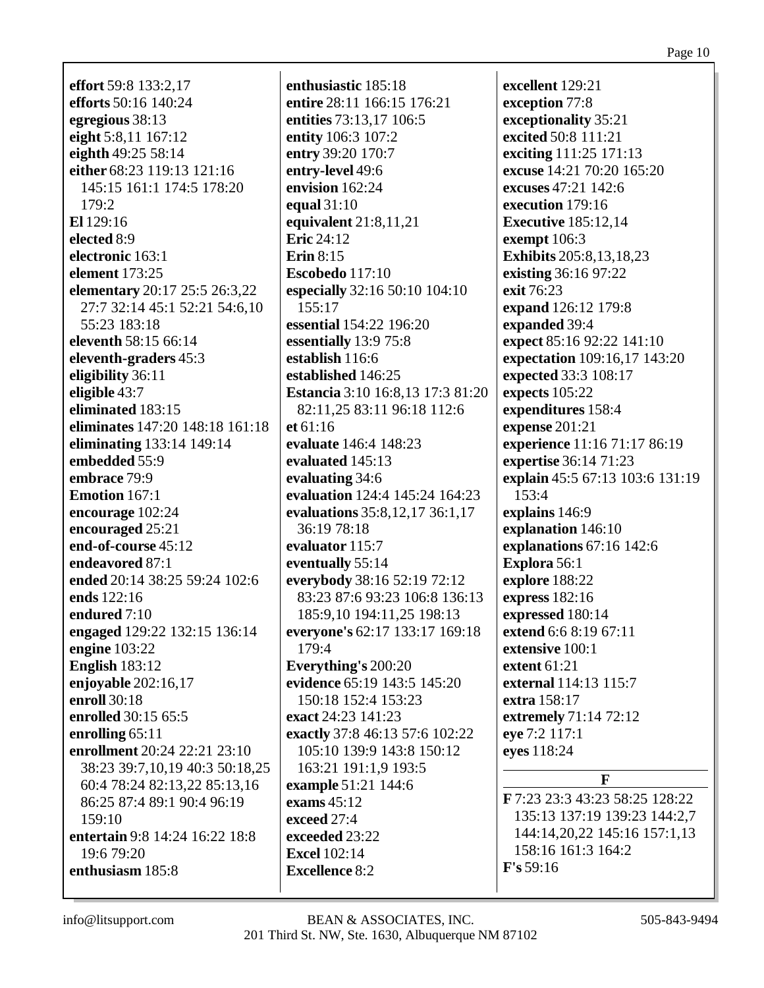**effort** 59:8 133:2,17 **efforts** 50:16 140:24 egregious 38:13 eight 5:8,11 167:12 eighth  $49:255:314$ either 68:23 119:13 121:16 145:15 161:1 174:5 178:20  $179:2$ El  $129:16$ elected 8:9 electronic 163:1 element  $173:25$ **elementary** 20:17 25:5 26:3,22 27:7 32:14 45:1 52:21 54:6,10 55:23 183:18 eleventh 58:15 66:14 eleventh-graders 45:3 eligibility 36:11 eligible  $43:7$ eliminated 183:15 eliminates 147:20 148:18 161:18 eliminating 133:14 149:14 embedded 55:9 embrace 79:9 Emotion 167:1 encourage 102:24 encouraged 25:21 end-of-course 45:12 endeavored 87:1 ended 20:14 38:25 59:24 102:6 ends 122:16 endured  $7:10$ engaged 129:22 132:15 136:14 engine  $103:22$ **English** 183:12 enjoyable  $202:16,17$ enroll 30:18 enrolled 30:15 65:5 enrolling 65:11 enrollment 20:24 22:21 23:10 38:23 39:7,10,19 40:3 50:18,25 60:4 78:24 82:13,22 85:13,16 86:25 87:4 89:1 90:4 96:19  $159:10$ entertain 9:8 14:24 16:22 18:8  $19:679:20$ enthusiasm 185:8

enthusiastic 185:18 entire 28:11 166:15 176:21 entities 73:13,17 106:5 entity 106:3 107:2 entry 39:20 170:7 entry-level 49:6 envision  $162:24$ equal 31:10 equivalent  $21:8,11,21$ Eric  $24:12$ Erin  $8:15$ Escobedo 117:10 especially 32:16 50:10 104:10  $155:17$ essential 154:22 196:20 essentially 13:9 75:8 establish  $116:6$ established 146:25 **Estancia** 3:10 16:8.13 17:3 81:20 82:11,25 83:11 96:18 112:6 et 61:16 evaluate 146:4 148:23 evaluated 145:13 evaluating 34:6 evaluation 124:4 145:24 164:23 evaluations 35:8,12,17 36:1,17 36:19 78:18 evaluator 115:7 eventually 55:14 everybody 38:16 52:19 72:12 83:23 87:6 93:23 106:8 136:13 185:9.10 194:11.25 198:13 everyone's 62:17 133:17 169:18 179:4 Everything's 200:20 evidence 65:19 143:5 145:20 150:18 152:4 153:23 exact 24:23 141:23 exactly 37:8 46:13 57:6 102:22 105:10 139:9 143:8 150:12 163:21 191:1,9 193:5 example 51:21 144:6 exams  $45:12$ exceed 27:4 exceeded 23:22 Excel  $102:14$ **Excellence 8:2** 

excellent 129:21 exception 77:8 exceptionality 35:21 excited 50:8 111:21 exciting 111:25 171:13 excuse 14:21 70:20 165:20 excuses  $47:21,142:6$ execution 179:16 **Executive** 185:12,14 exempt 106:3 **Exhibits** 205:8,13,18,23 existing 36:16 97:22 exit 76:23 expand 126:12 179:8 expanded 39:4 expect 85:16 92:22 141:10 expectation 109:16,17 143:20 expected 33:3 108:17 **expects** 105:22 expenditures 158:4 expense 201:21 experience 11:16 71:17 86:19 expertise 36:14 71:23 explain 45:5 67:13 103:6 131:19  $153:4$ explains 146:9 explanation 146:10 explanations  $67:16$  142:6 Explora 56:1 explore 188:22 express 182:16 expressed 180:14 extend 6:6 8:19 67:11 extensive 100:1 extent  $61:21$ external 114:13 115:7 extra 158:17 extremely 71:14 72:12 eye 7:2 117:1 eyes 118:24  $\mathbf{F}$ 

F 7:23 23:3 43:23 58:25 128:22 135:13 137:19 139:23 144:2.7 144:14,20,22 145:16 157:1,13 158:16 161:3 164:2  $F's 59:16$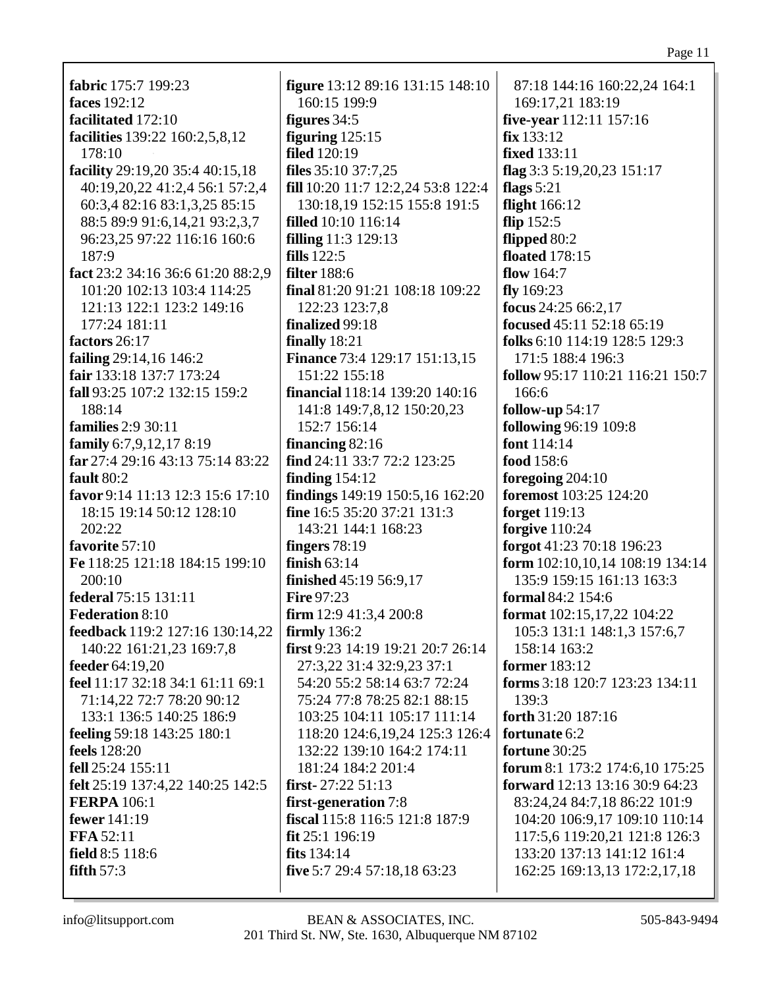| fabric 175:7 199:23               | <b>figure</b> 13:12 89:16 131:15 148:10 | 87:18 144:16 160:22,24 164:1     |
|-----------------------------------|-----------------------------------------|----------------------------------|
| faces 192:12                      | 160:15 199:9                            | 169:17,21 183:19                 |
| facilitated 172:10                | figures $34:5$                          | five-year 112:11 157:16          |
| facilities 139:22 160:2,5,8,12    | figuring $125:15$                       | fix 133:12                       |
| 178:10                            | <b>filed</b> 120:19                     | <b>fixed</b> 133:11              |
| facility 29:19,20 35:4 40:15,18   | files $35:10\,37:7,25$                  | flag $3:35:19,20,23151:17$       |
| 40:19,20,22 41:2,4 56:1 57:2,4    | fill 10:20 11:7 12:2,24 53:8 122:4      | flags $5:21$                     |
| 60:3,4 82:16 83:1,3,25 85:15      | 130:18,19 152:15 155:8 191:5            | flight 166:12                    |
| 88:5 89:9 91:6,14,21 93:2,3,7     | <b>filled</b> 10:10 116:14              | flip $152:5$                     |
| 96:23,25 97:22 116:16 160:6       | <b>filling</b> 11:3 129:13              | flipped 80:2                     |
| 187:9                             | fills $122:5$                           | <b>floated</b> 178:15            |
| fact 23:2 34:16 36:6 61:20 88:2,9 | filter $188:6$                          | flow $164:7$                     |
| 101:20 102:13 103:4 114:25        | final 81:20 91:21 108:18 109:22         | fly $169:23$                     |
| 121:13 122:1 123:2 149:16         | 122:23 123:7,8                          | focus $24:2566:2,17$             |
| 177:24 181:11                     | finalized 99:18                         | focused 45:11 52:18 65:19        |
| factors 26:17                     | finally $18:21$                         | folks 6:10 114:19 128:5 129:3    |
| failing 29:14,16 146:2            | <b>Finance 73:4 129:17 151:13,15</b>    | 171:5 188:4 196:3                |
| fair 133:18 137:7 173:24          | 151:22 155:18                           | follow 95:17 110:21 116:21 150:7 |
| fall 93:25 107:2 132:15 159:2     | financial 118:14 139:20 140:16          | 166:6                            |
| 188:14                            | 141:8 149:7,8,12 150:20,23              | follow-up $54:17$                |
| <b>families</b> 2:9 30:11         | 152:7 156:14                            | following 96:19 109:8            |
| family $6:7,9,12,178:19$          | financing $82:16$                       | font 114:14                      |
| far 27:4 29:16 43:13 75:14 83:22  | find 24:11 33:7 72:2 123:25             | food 158:6                       |
| fault 80:2                        | finding $154:12$                        | foregoing $204:10$               |
| favor 9:14 11:13 12:3 15:6 17:10  | findings 149:19 150:5,16 162:20         | foremost 103:25 124:20           |
| 18:15 19:14 50:12 128:10          | fine 16:5 35:20 37:21 131:3             | forget 119:13                    |
| 202:22                            | 143:21 144:1 168:23                     | forgive $110:24$                 |
| favorite 57:10                    | fingers 78:19                           | forgot 41:23 70:18 196:23        |
| Fe 118:25 121:18 184:15 199:10    | finish $63:14$                          | form 102:10,10,14 108:19 134:14  |
| 200:10                            | finished 45:19 56:9,17                  | 135:9 159:15 161:13 163:3        |
| federal 75:15 131:11              | <b>Fire 97:23</b>                       | formal 84:2 154:6                |
| <b>Federation 8:10</b>            | <b>firm</b> 12:9 41:3,4 200:8           | format 102:15,17,22 104:22       |
| feedback 119:2 127:16 130:14,22   | firmly $136:2$                          | 105:3 131:1 148:1,3 157:6,7      |
| 140:22 161:21,23 169:7,8          | first 9:23 14:19 19:21 20:7 26:14       | 158:14 163:2                     |
| feeder 64:19,20                   | 27:3,22 31:4 32:9,23 37:1               | <b>former</b> 183:12             |
| feel 11:17 32:18 34:1 61:11 69:1  | 54:20 55:2 58:14 63:7 72:24             | forms 3:18 120:7 123:23 134:11   |
| 71:14,22 72:7 78:20 90:12         | 75:24 77:8 78:25 82:1 88:15             | 139:3                            |
| 133:1 136:5 140:25 186:9          | 103:25 104:11 105:17 111:14             | forth 31:20 187:16               |
| feeling 59:18 143:25 180:1        | 118:20 124:6, 19, 24 125:3 126:4        | fortunate 6:2                    |
| <b>feels</b> 128:20               | 132:22 139:10 164:2 174:11              | fortune 30:25                    |
| fell 25:24 155:11                 | 181:24 184:2 201:4                      | forum 8:1 173:2 174:6,10 175:25  |
| felt 25:19 137:4,22 140:25 142:5  | first- $27:2251:13$                     | forward 12:13 13:16 30:9 64:23   |
| <b>FERPA</b> 106:1                | first-generation 7:8                    | 83:24,24 84:7,18 86:22 101:9     |
| <b>fewer</b> 141:19               | fiscal 115:8 116:5 121:8 187:9          | 104:20 106:9,17 109:10 110:14    |
| <b>FFA 52:11</b>                  | $fit 25:1$ 196:19                       | 117:5,6 119:20,21 121:8 126:3    |
| field 8:5 118:6                   | fits $134:14$                           | 133:20 137:13 141:12 161:4       |
| fifth $57:3$                      | five 5:7 29:4 57:18,18 63:23            | 162:25 169:13,13 172:2,17,18     |
|                                   |                                         |                                  |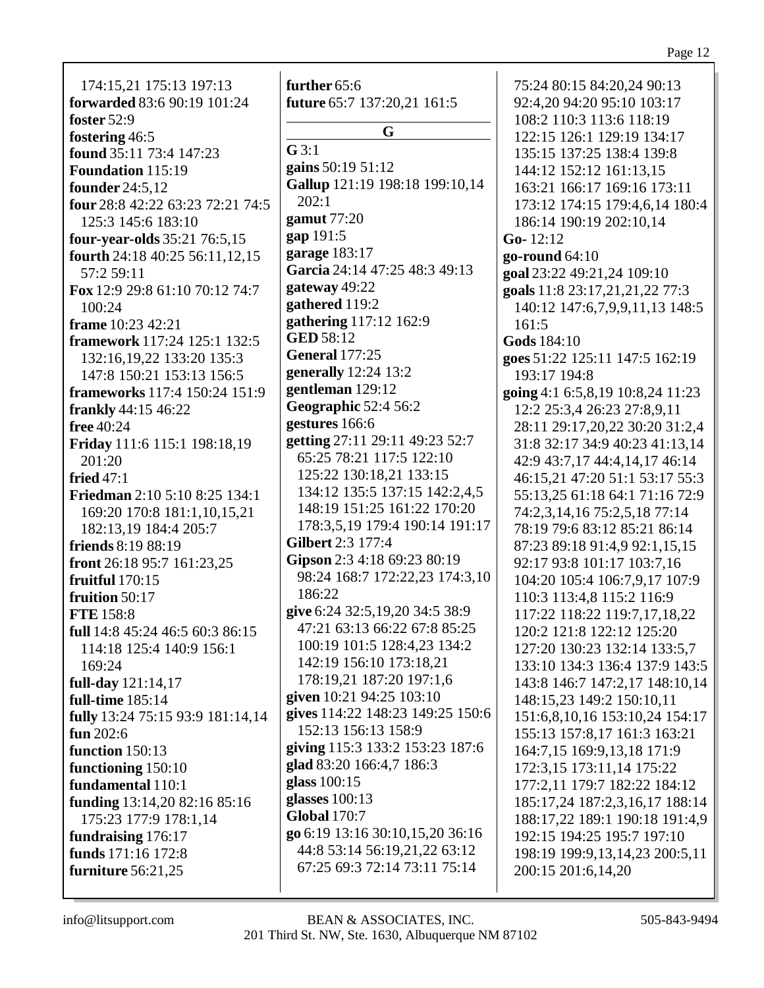174:15,21 175:13 197:13 **forwarded** 83:6 90:19 101:24 **foster** 52:9 **fostering** 46:5 **found** 35:11 73:4 147:23 **Foundation** 115:19 **founder** 24:5,12 **four** 28:8 42:22 63:23 72:21 74:5 125:3 145:6 183:10 **four-year-olds** 35:21 76:5,15 **fourth** 24:18 40:25 56:11,12,15 57:2 59:11 **Fox** 12:9 29:8 61:10 70:12 74:7 100:24 **frame** 10:23 42:21 **framework** 117:24 125:1 132:5 132:16,19,22 133:20 135:3 147:8 150:21 153:13 156:5 **frameworks** 117:4 150:24 151:9 **frankly** 44:15 46:22 **free** 40:24 **Friday** 111:6 115:1 198:18,19 201:20 **fried** 47:1 **Friedman** 2:10 5:10 8:25 134:1 169:20 170:8 181:1,10,15,21 182:13,19 184:4 205:7 **friends** 8:19 88:19 **front** 26:18 95:7 161:23,25 **fruitful** 170:15 **fruition** 50:17 **FTE** 158:8 **full** 14:8 45:24 46:5 60:3 86:15 114:18 125:4 140:9 156:1 169:24 **full-day** 121:14,17 **full-time** 185:14 **fully** 13:24 75:15 93:9 181:14,14 **fun** 202:6 **function** 150:13 **functioning** 150:10 **fundamental** 110:1 **funding** 13:14,20 82:16 85:16 175:23 177:9 178:1,14 **fundraising** 176:17 **funds** 171:16 172:8 **furniture** 56:21,25

**further** 65:6 **future** 65:7 137:20,21 161:5 **G G** 3:1 **gains** 50:19 51:12 **Gallup** 121:19 198:18 199:10,14 202:1 **gamut** 77:20 **gap** 191:5 **garage** 183:17 **Garcia** 24:14 47:25 48:3 49:13 **gateway** 49:22 **gathered** 119:2 **gathering** 117:12 162:9 **GED** 58:12 **General** 177:25 **generally** 12:24 13:2 **gentleman** 129:12 **Geographic** 52:4 56:2 **gestures** 166:6 **getting** 27:11 29:11 49:23 52:7 65:25 78:21 117:5 122:10 125:22 130:18,21 133:15 134:12 135:5 137:15 142:2,4,5 148:19 151:25 161:22 170:20 178:3,5,19 179:4 190:14 191:17 **Gilbert** 2:3 177:4 **Gipson** 2:3 4:18 69:23 80:19 98:24 168:7 172:22,23 174:3,10 186:22 **give** 6:24 32:5,19,20 34:5 38:9 47:21 63:13 66:22 67:8 85:25 100:19 101:5 128:4,23 134:2 142:19 156:10 173:18,21 178:19,21 187:20 197:1,6 **given** 10:21 94:25 103:10 **gives** 114:22 148:23 149:25 150:6 152:13 156:13 158:9 **giving** 115:3 133:2 153:23 187:6 **glad** 83:20 166:4,7 186:3 **glass** 100:15 **glasses** 100:13 **Global** 170:7 **go** 6:19 13:16 30:10,15,20 36:16 44:8 53:14 56:19,21,22 63:12 67:25 69:3 72:14 73:11 75:14

75:24 80:15 84:20,24 90:13 92:4,20 94:20 95:10 103:17 108:2 110:3 113:6 118:19 122:15 126:1 129:19 134:17 135:15 137:25 138:4 139:8 144:12 152:12 161:13,15 163:21 166:17 169:16 173:11 173:12 174:15 179:4,6,14 180:4 186:14 190:19 202:10,14 **Go-** 12:12 **go-round** 64:10 **goal** 23:22 49:21,24 109:10 **goals** 11:8 23:17,21,21,22 77:3 140:12 147:6,7,9,9,11,13 148:5 161:5 **Gods** 184:10 **goes** 51:22 125:11 147:5 162:19 193:17 194:8 **going** 4:1 6:5,8,19 10:8,24 11:23 12:2 25:3,4 26:23 27:8,9,11 28:11 29:17,20,22 30:20 31:2,4 31:8 32:17 34:9 40:23 41:13,14 42:9 43:7,17 44:4,14,17 46:14 46:15,21 47:20 51:1 53:17 55:3 55:13,25 61:18 64:1 71:16 72:9 74:2,3,14,16 75:2,5,18 77:14 78:19 79:6 83:12 85:21 86:14 87:23 89:18 91:4,9 92:1,15,15 92:17 93:8 101:17 103:7,16 104:20 105:4 106:7,9,17 107:9 110:3 113:4,8 115:2 116:9 117:22 118:22 119:7,17,18,22 120:2 121:8 122:12 125:20 127:20 130:23 132:14 133:5,7 133:10 134:3 136:4 137:9 143:5 143:8 146:7 147:2,17 148:10,14 148:15,23 149:2 150:10,11 151:6,8,10,16 153:10,24 154:17 155:13 157:8,17 161:3 163:21 164:7,15 169:9,13,18 171:9 172:3,15 173:11,14 175:22 177:2,11 179:7 182:22 184:12 185:17,24 187:2,3,16,17 188:14 188:17,22 189:1 190:18 191:4,9 192:15 194:25 195:7 197:10 198:19 199:9,13,14,23 200:5,11 200:15 201:6,14,20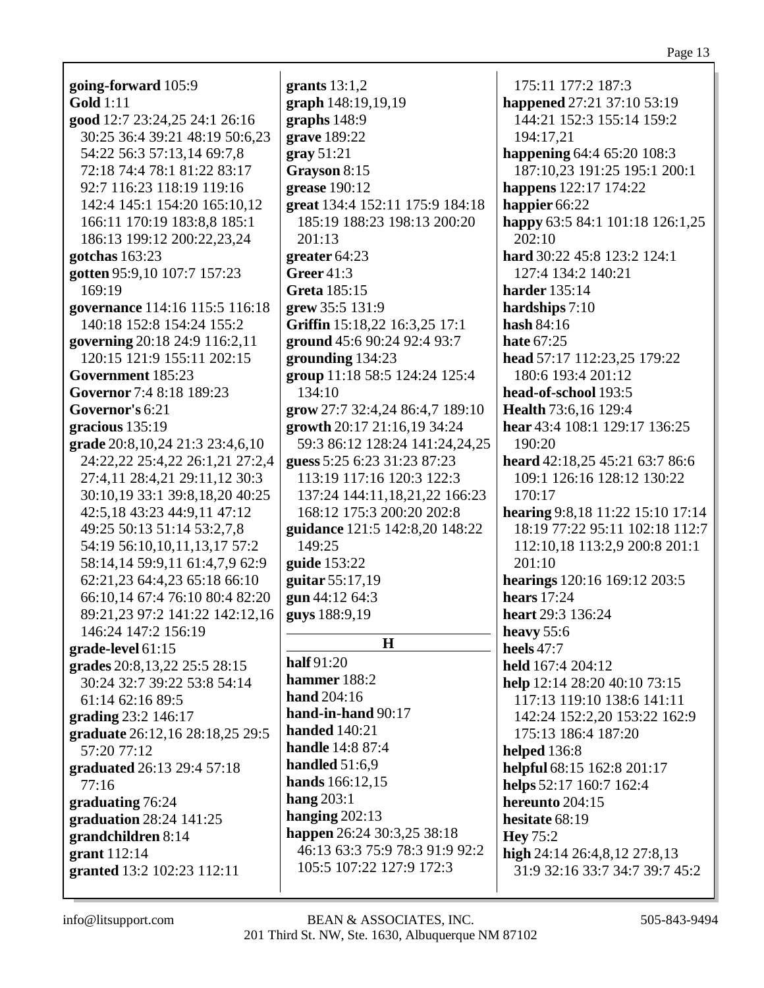| going-forward 105:9                 | grants $13:1,2$                 | 175:11 177:2 187:3                                             |
|-------------------------------------|---------------------------------|----------------------------------------------------------------|
| <b>Gold</b> 1:11                    | graph 148:19,19,19              | happened 27:21 37:10 53:19                                     |
| good 12:7 23:24,25 24:1 26:16       | graphs 148:9                    | 144:21 152:3 155:14 159:2                                      |
| 30:25 36:4 39:21 48:19 50:6,23      | grave 189:22                    | 194:17,21                                                      |
| 54:22 56:3 57:13,14 69:7,8          | gray 51:21                      | happening 64:4 65:20 108:3                                     |
| 72:18 74:4 78:1 81:22 83:17         | Grayson 8:15                    | 187:10,23 191:25 195:1 200:1                                   |
| 92:7 116:23 118:19 119:16           | grease 190:12                   | happens 122:17 174:22                                          |
| 142:4 145:1 154:20 165:10.12        | great 134:4 152:11 175:9 184:18 | happier 66:22                                                  |
| 166:11 170:19 183:8,8 185:1         | 185:19 188:23 198:13 200:20     | happy 63:5 84:1 101:18 126:1,25                                |
| 186:13 199:12 200:22,23,24          | 201:13                          | 202:10                                                         |
| gotchas 163:23                      | greater $64:23$                 | hard 30:22 45:8 123:2 124:1                                    |
| gotten 95:9,10 107:7 157:23         | <b>Greer 41:3</b>               | 127:4 134:2 140:21                                             |
| 169:19                              | <b>Greta</b> 185:15             | <b>harder</b> 135:14                                           |
| governance 114:16 115:5 116:18      | grew 35:5 131:9                 | hardships $7:10$                                               |
| 140:18 152:8 154:24 155:2           | Griffin 15:18,22 16:3,25 17:1   | hash 84:16                                                     |
| governing 20:18 24:9 116:2,11       | ground 45:6 90:24 92:4 93:7     | <b>hate 67:25</b>                                              |
| 120:15 121:9 155:11 202:15          | grounding 134:23                | head 57:17 112:23,25 179:22                                    |
| Government 185:23                   | group 11:18 58:5 124:24 125:4   | 180:6 193:4 201:12                                             |
| Governor 7:4 8:18 189:23            | 134:10                          | head-of-school 193:5                                           |
| Governor's 6:21                     | grow 27:7 32:4,24 86:4,7 189:10 | Health 73:6,16 129:4                                           |
| gracious 135:19                     | growth 20:17 21:16,19 34:24     | hear 43:4 108:1 129:17 136:25                                  |
| grade 20:8, 10, 24 21:3 23:4, 6, 10 | 59:3 86:12 128:24 141:24,24,25  | 190:20                                                         |
| 24:22,22 25:4,22 26:1,21 27:2,4     | guess 5:25 6:23 31:23 87:23     | heard 42:18,25 45:21 63:7 86:6                                 |
| 27:4,11 28:4,21 29:11,12 30:3       | 113:19 117:16 120:3 122:3       | 109:1 126:16 128:12 130:22                                     |
| 30:10,19 33:1 39:8,18,20 40:25      | 137:24 144:11,18,21,22 166:23   | 170:17                                                         |
| 42:5,18 43:23 44:9,11 47:12         | 168:12 175:3 200:20 202:8       | hearing 9:8,18 11:22 15:10 17:14                               |
| 49:25 50:13 51:14 53:2,7,8          | guidance 121:5 142:8,20 148:22  | 18:19 77:22 95:11 102:18 112:7                                 |
| 54:19 56:10,10,11,13,17 57:2        | 149:25                          | 112:10,18 113:2,9 200:8 201:1                                  |
| 58:14,14 59:9,11 61:4,7,9 62:9      | guide 153:22                    | 201:10                                                         |
| 62:21,23 64:4,23 65:18 66:10        | guitar 55:17,19                 | hearings 120:16 169:12 203:5                                   |
| 66:10,14 67:4 76:10 80:4 82:20      | gun 44:12 64:3                  | hears $17:24$                                                  |
| 89:21,23 97:2 141:22 142:12,16      | guys 188:9,19                   | heart 29:3 136:24                                              |
| 146:24 147:2 156:19                 |                                 | heavy $55:6$                                                   |
| grade-level 61:15                   | $\mathbf H$                     | <b>heels</b> 47:7                                              |
| grades 20:8,13,22 25:5 28:15        | half 91:20                      | held 167:4 204:12                                              |
| 30:24 32:7 39:22 53:8 54:14         | hammer 188:2                    | help 12:14 28:20 40:10 73:15                                   |
| 61:14 62:16 89:5                    | hand 204:16                     | 117:13 119:10 138:6 141:11                                     |
| grading 23:2 146:17                 | hand-in-hand 90:17              | 142:24 152:2,20 153:22 162:9                                   |
| graduate 26:12,16 28:18,25 29:5     | <b>handed</b> 140:21            | 175:13 186:4 187:20                                            |
| 57:20 77:12                         | <b>handle</b> 14:8 87:4         | <b>helped</b> 136:8                                            |
|                                     | handled $51:6,9$                |                                                                |
| graduated 26:13 29:4 57:18<br>77:16 | hands 166:12,15                 | helpful 68:15 162:8 201:17<br>helps 52:17 160:7 162:4          |
|                                     | hang $203:1$                    | hereunto 204:15                                                |
| graduating 76:24                    | hanging $202:13$                | hesitate 68:19                                                 |
| graduation 28:24 141:25             | happen 26:24 30:3,25 38:18      |                                                                |
| grandchildren 8:14                  | 46:13 63:3 75:9 78:3 91:9 92:2  | <b>Hey</b> 75:2                                                |
| grant 112:14                        | 105:5 107:22 127:9 172:3        | high 24:14 26:4,8,12 27:8,13<br>31:9 32:16 33:7 34:7 39:7 45:2 |
| granted 13:2 102:23 112:11          |                                 |                                                                |
|                                     |                                 |                                                                |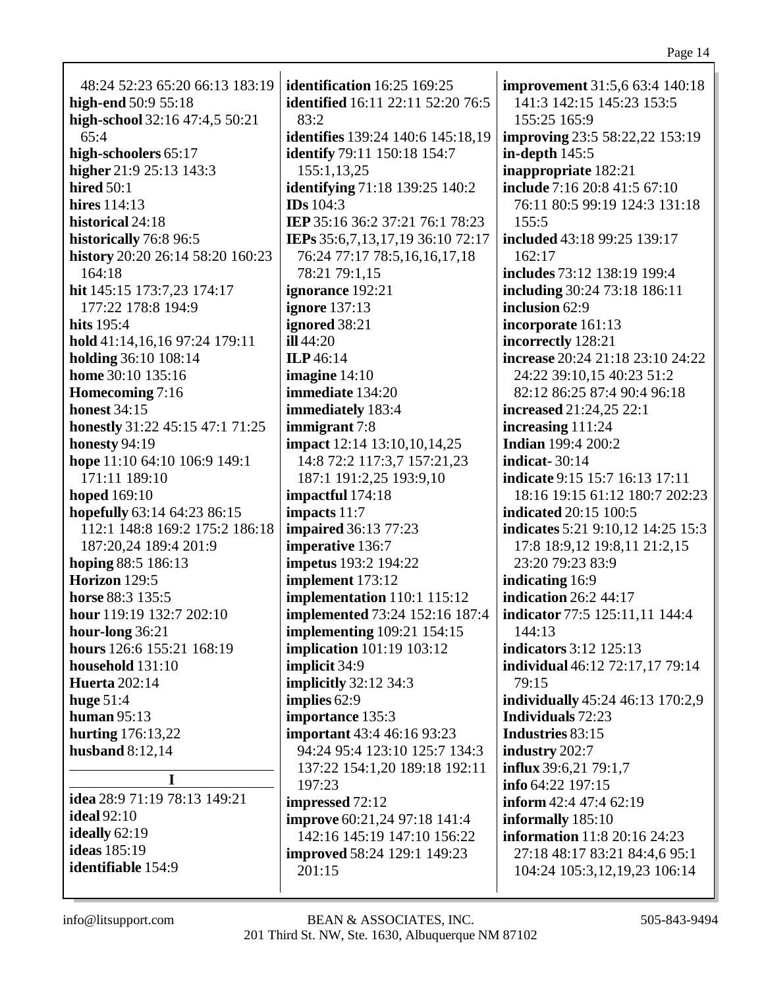| 48:24 52:23 65:20 66:13 183:19      | identification 16:25 169:25                                 | improvement 31:5,6 63:4 140:18          |
|-------------------------------------|-------------------------------------------------------------|-----------------------------------------|
| high-end 50:9 55:18                 | <b>identified</b> 16:11 22:11 52:20 76:5                    | 141:3 142:15 145:23 153:5               |
| high-school 32:16 47:4,5 50:21      | 83:2                                                        | 155:25 165:9                            |
| 65:4                                | <b>identifies</b> 139:24 140:6 145:18,19                    | <b>improving</b> 23:5 58:22,22 153:19   |
| high-schoolers 65:17                | identify 79:11 150:18 154:7                                 | in-depth $145:5$                        |
| higher 21:9 25:13 143:3             | 155:1,13,25                                                 | inappropriate 182:21                    |
| hired $50:1$                        |                                                             | include 7:16 20:8 41:5 67:10            |
| hires $114:13$                      | identifying 71:18 139:25 140:2<br><b>IDs</b> 104:3          |                                         |
| historical 24:18                    |                                                             | 76:11 80:5 99:19 124:3 131:18           |
|                                     | IEP 35:16 36:2 37:21 76:1 78:23                             | 155:5                                   |
| historically 76:8 96:5              | IEPs 35:6,7,13,17,19 36:10 72:17                            | included 43:18 99:25 139:17             |
| history 20:20 26:14 58:20 160:23    | 76:24 77:17 78:5,16,16,17,18                                | 162:17                                  |
| 164:18                              | 78:21 79:1,15                                               | includes 73:12 138:19 199:4             |
| hit 145:15 173:7,23 174:17          | ignorance 192:21                                            | including 30:24 73:18 186:11            |
| 177:22 178:8 194:9                  | <b>ignore</b> 137:13                                        | inclusion 62:9                          |
| hits 195:4                          | ignored 38:21                                               | incorporate 161:13                      |
| hold 41:14,16,16 97:24 179:11       | ill44:20                                                    | incorrectly 128:21                      |
| holding 36:10 108:14                | ILP 46:14                                                   | increase 20:24 21:18 23:10 24:22        |
| home 30:10 135:16                   | imagine $14:10$                                             | 24:22 39:10,15 40:23 51:2               |
| Homecoming 7:16                     | immediate 134:20                                            | 82:12 86:25 87:4 90:4 96:18             |
| <b>honest 34:15</b>                 | immediately 183:4                                           | increased 21:24,25 22:1                 |
| honestly 31:22 45:15 47:1 71:25     | immigrant 7:8                                               | increasing 111:24                       |
| <b>honesty 94:19</b>                | impact 12:14 13:10,10,14,25                                 | <b>Indian</b> 199:4 200:2               |
| hope 11:10 64:10 106:9 149:1        | 14:8 72:2 117:3,7 157:21,23                                 | <b>indicat-</b> 30:14                   |
| 171:11 189:10                       | 187:1 191:2,25 193:9,10                                     | indicate 9:15 15:7 16:13 17:11          |
| hoped 169:10                        | impactful 174:18                                            | 18:16 19:15 61:12 180:7 202:23          |
| hopefully 63:14 64:23 86:15         | impacts 11:7                                                | <b>indicated</b> 20:15 100:5            |
| 112:1 148:8 169:2 175:2 186:18      | <b>impaired</b> 36:13 77:23                                 | indicates 5:21 9:10,12 14:25 15:3       |
| 187:20,24 189:4 201:9               | imperative 136:7                                            | 17:8 18:9,12 19:8,11 21:2,15            |
| hoping 88:5 186:13                  | impetus 193:2 194:22                                        | 23:20 79:23 83:9                        |
| <b>Horizon</b> 129:5                | implement 173:12                                            | indicating 16:9                         |
| horse 88:3 135:5                    | implementation 110:1 115:12                                 | indication 26:2 44:17                   |
| hour 119:19 132:7 202:10            | <b>implemented</b> 73:24 152:16 187:4                       | indicator 77:5 125:11,11 144:4          |
| hour-long $36:21$                   | <b>implementing</b> 109:21 154:15                           | 144:13                                  |
| hours 126:6 155:21 168:19           | <b>implication</b> 101:19 103:12                            | indicators 3:12 125:13                  |
| household 131:10                    | implicit 34:9                                               | individual 46:12 72:17,17 79:14         |
| <b>Huerta</b> 202:14                | <b>implicitly</b> 32:12 34:3                                | 79:15                                   |
|                                     | implies 62:9                                                | <b>individually</b> 45:24 46:13 170:2,9 |
| <b>huge 51:4</b><br>human $95:13$   | importance 135:3                                            | <b>Individuals</b> 72:23                |
|                                     |                                                             | Industries 83:15                        |
| hurting 176:13,22                   | important 43:4 46:16 93:23<br>94:24 95:4 123:10 125:7 134:3 |                                         |
| husband $8:12,14$                   |                                                             | industry 202:7                          |
| I                                   | 137:22 154:1,20 189:18 192:11                               | influx 39:6,21 79:1,7                   |
| <b>idea</b> 28:9 71:19 78:13 149:21 | 197:23                                                      | info $64:22$ 197:15                     |
| <b>ideal</b> 92:10                  | impressed 72:12                                             | inform $42:4$ $47:4$ $62:19$            |
| ideally 62:19                       | <b>improve</b> 60:21,24 97:18 141:4                         | informally 185:10                       |
| <b>ideas</b> 185:19                 | 142:16 145:19 147:10 156:22                                 | <b>information</b> 11:8 20:16 24:23     |
|                                     | <b>improved</b> 58:24 129:1 149:23                          | 27:18 48:17 83:21 84:4,6 95:1           |
| <b>identifiable</b> 154:9           | 201:15                                                      | 104:24 105:3,12,19,23 106:14            |
|                                     |                                                             |                                         |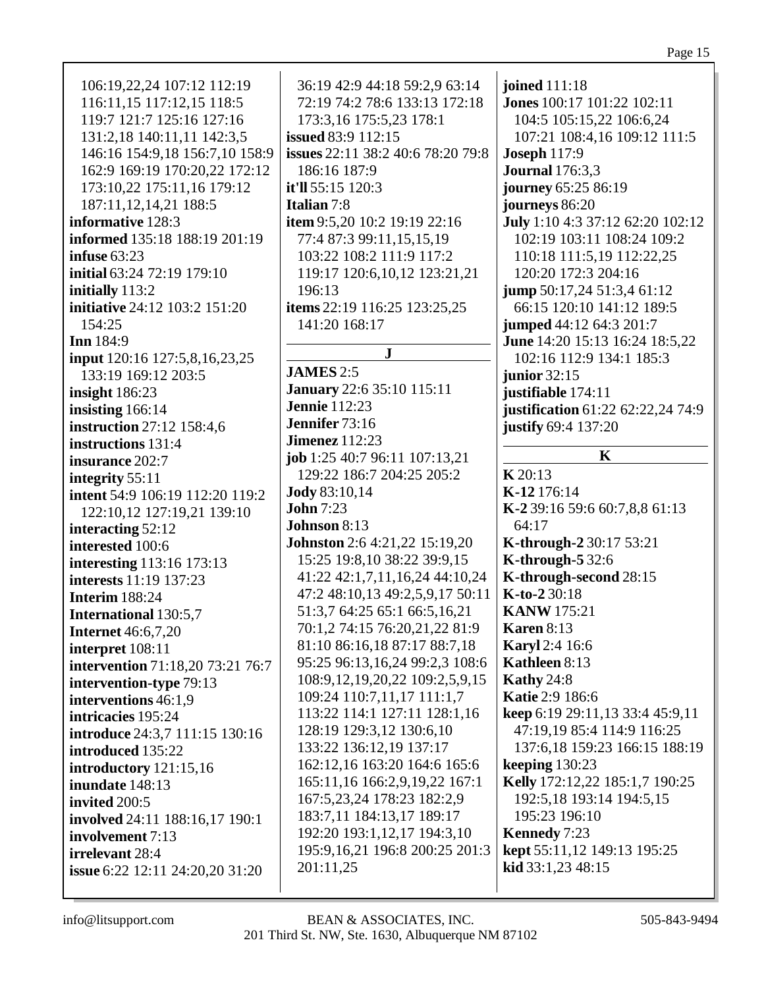| 187:11,12,14,21 188:5<br>journeys 86:20<br><b>Italian</b> 7:8<br>informative 128:3<br>item 9:5,20 10:2 19:19 22:16<br>July 1:10 4:3 37:12 62:20 102:12<br>informed 135:18 188:19 201:19<br>102:19 103:11 108:24 109:2<br>77:4 87:3 99:11,15,15,19<br>103:22 108:2 111:9 117:2<br>110:18 111:5,19 112:22,25<br>infuse $63:23$<br>initial 63:24 72:19 179:10<br>120:20 172:3 204:16<br>119:17 120:6,10,12 123:21,21<br>initially 113:2<br>196:13<br>jump 50:17,24 51:3,4 61:12<br>initiative 24:12 103:2 151:20<br>items 22:19 116:25 123:25,25<br>66:15 120:10 141:12 189:5<br>154:25<br>141:20 168:17<br>jumped 44:12 64:3 201:7<br><b>Inn</b> 184:9<br>June 14:20 15:13 16:24 18:5,22<br>${\bf J}$<br>input 120:16 127:5,8,16,23,25<br>102:16 112:9 134:1 185:3<br><b>JAMES</b> 2:5<br>133:19 169:12 203:5<br>junior $32:15$<br><b>January</b> 22:6 35:10 115:11<br>insight 186:23<br>justifiable 174:11<br><b>Jennie</b> 112:23<br>insisting 166:14<br>justification 61:22 62:22,24 74:9<br>Jennifer 73:16<br>instruction 27:12 158:4,6<br>justify 69:4 137:20<br><b>Jimenez</b> 112:23<br>instructions 131:4<br>$\mathbf K$<br>job 1:25 40:7 96:11 107:13,21<br>insurance 202:7<br>K20:13<br>129:22 186:7 204:25 205:2<br>integrity 55:11<br>K-12 176:14<br><b>Jody</b> 83:10,14<br>intent 54:9 106:19 112:20 119:2<br><b>John</b> 7:23<br>K-2 39:16 59:6 60:7,8,8 61:13<br>122:10,12 127:19,21 139:10<br><b>Johnson 8:13</b><br>64:17<br>interacting 52:12<br><b>Johnston</b> 2:6 4:21,22 15:19,20<br>K-through-2 30:17 53:21<br>interested 100:6<br><b>K-through-5 32:6</b><br>15:25 19:8,10 38:22 39:9,15<br><b>interesting</b> 113:16 173:13<br>K-through-second 28:15<br>41:22 42:1,7,11,16,24 44:10,24<br>interests 11:19 137:23<br>47:2 48:10,13 49:2,5,9,17 50:11<br>K-to-2 30:18<br><b>Interim 188:24</b><br>51:3,7 64:25 65:1 66:5,16,21<br><b>KANW</b> 175:21<br><b>International 130:5,7</b><br>70:1,2 74:15 76:20,21,22 81:9<br><b>Karen 8:13</b><br><b>Internet</b> 46:6,7,20<br>81:10 86:16,18 87:17 88:7,18<br>Karyl 2:4 16:6<br>interpret 108:11<br>95:25 96:13,16,24 99:2,3 108:6<br>Kathleen 8:13<br>intervention 71:18,20 73:21 76:7<br>108:9, 12, 19, 20, 22 109: 2, 5, 9, 15<br>Kathy $24:8$<br>intervention-type 79:13<br>109:24 110:7,11,17 111:1,7<br><b>Katie 2:9 186:6</b><br>interventions 46:1,9<br>113:22 114:1 127:11 128:1,16<br>keep 6:19 29:11,13 33:4 45:9,11<br>intricacies 195:24<br>47:19,19 85:4 114:9 116:25<br>128:19 129:3,12 130:6,10<br>introduce 24:3,7 111:15 130:16<br>133:22 136:12,19 137:17<br>137:6,18 159:23 166:15 188:19<br>introduced 135:22<br>162:12,16 163:20 164:6 165:6<br>keeping $130:23$<br>introductory 121:15,16<br>165:11,16 166:2,9,19,22 167:1<br>Kelly 172:12,22 185:1,7 190:25<br>inundate 148:13<br>167:5,23,24 178:23 182:2,9<br>192:5,18 193:14 194:5,15<br>invited 200:5<br>183:7,11 184:13,17 189:17<br>195:23 196:10<br>involved 24:11 188:16,17 190:1<br>192:20 193:1,12,17 194:3,10<br>Kennedy 7:23<br>involvement 7:13<br>kept 55:11,12 149:13 195:25<br>195:9,16,21 196:8 200:25 201:3<br>irrelevant 28:4<br>kid 33:1,23 48:15<br>201:11,25<br><b>issue</b> 6:22 12:11 24:20,20 31:20 |
|--------------------------------------------------------------------------------------------------------------------------------------------------------------------------------------------------------------------------------------------------------------------------------------------------------------------------------------------------------------------------------------------------------------------------------------------------------------------------------------------------------------------------------------------------------------------------------------------------------------------------------------------------------------------------------------------------------------------------------------------------------------------------------------------------------------------------------------------------------------------------------------------------------------------------------------------------------------------------------------------------------------------------------------------------------------------------------------------------------------------------------------------------------------------------------------------------------------------------------------------------------------------------------------------------------------------------------------------------------------------------------------------------------------------------------------------------------------------------------------------------------------------------------------------------------------------------------------------------------------------------------------------------------------------------------------------------------------------------------------------------------------------------------------------------------------------------------------------------------------------------------------------------------------------------------------------------------------------------------------------------------------------------------------------------------------------------------------------------------------------------------------------------------------------------------------------------------------------------------------------------------------------------------------------------------------------------------------------------------------------------------------------------------------------------------------------------------------------------------------------------------------------------------------------------------------------------------------------------------------------------------------------------------------------------------------------------------------------------------------------------------------------------------------------------------------------------------------------------------------------------------------------------------------------------------------------------------------------------------------------------------------------------------------------------------------------------------------------------------------------------------------------------------------------------|
|--------------------------------------------------------------------------------------------------------------------------------------------------------------------------------------------------------------------------------------------------------------------------------------------------------------------------------------------------------------------------------------------------------------------------------------------------------------------------------------------------------------------------------------------------------------------------------------------------------------------------------------------------------------------------------------------------------------------------------------------------------------------------------------------------------------------------------------------------------------------------------------------------------------------------------------------------------------------------------------------------------------------------------------------------------------------------------------------------------------------------------------------------------------------------------------------------------------------------------------------------------------------------------------------------------------------------------------------------------------------------------------------------------------------------------------------------------------------------------------------------------------------------------------------------------------------------------------------------------------------------------------------------------------------------------------------------------------------------------------------------------------------------------------------------------------------------------------------------------------------------------------------------------------------------------------------------------------------------------------------------------------------------------------------------------------------------------------------------------------------------------------------------------------------------------------------------------------------------------------------------------------------------------------------------------------------------------------------------------------------------------------------------------------------------------------------------------------------------------------------------------------------------------------------------------------------------------------------------------------------------------------------------------------------------------------------------------------------------------------------------------------------------------------------------------------------------------------------------------------------------------------------------------------------------------------------------------------------------------------------------------------------------------------------------------------------------------------------------------------------------------------------------------------------------|

info@litsupport.com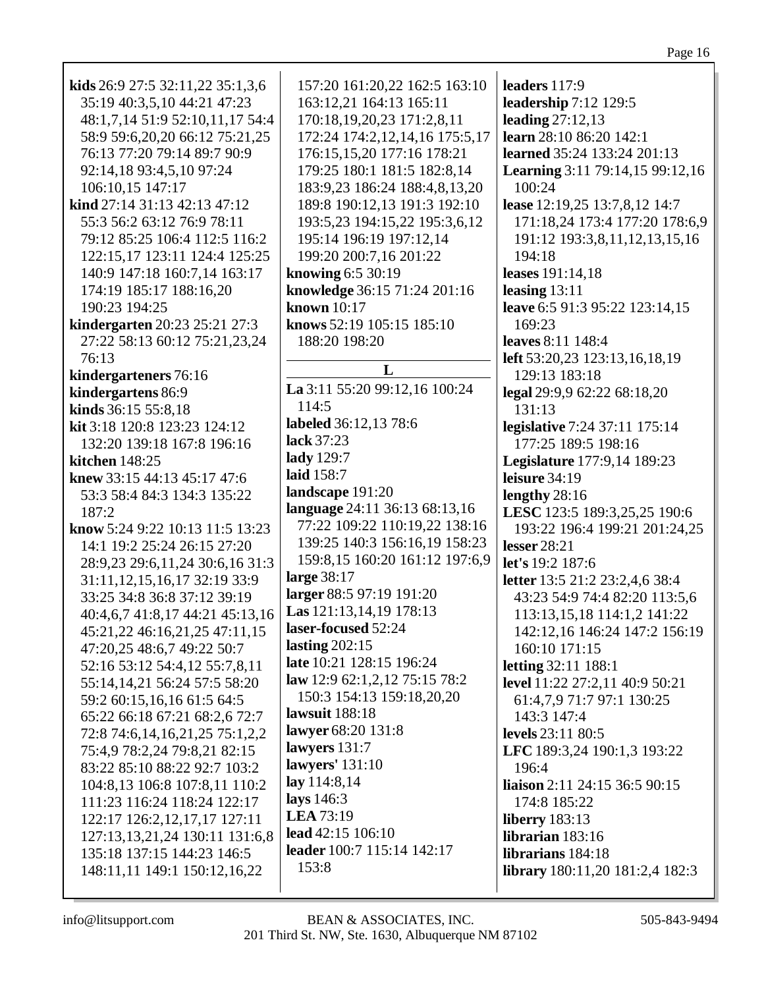| kids $26:9$ 27:5 32:11,22 35:1,3,6<br>35:19 40:3,5,10 44:21 47:23 | 157:20 161:20,22 162:5 163:10<br>163:12,21 164:13 165:11      | leaders 117:9<br>leadership 7:12 129:5                |
|-------------------------------------------------------------------|---------------------------------------------------------------|-------------------------------------------------------|
| 48:1,7,14 51:9 52:10,11,17 54:4                                   | 170:18,19,20,23 171:2,8,11                                    | leading $27:12,13$                                    |
| 58:9 59:6,20,20 66:12 75:21,25                                    | 172:24 174:2,12,14,16 175:5,17                                | learn 28:10 86:20 142:1                               |
| 76:13 77:20 79:14 89:7 90:9                                       | 176:15,15,20 177:16 178:21                                    | learned 35:24 133:24 201:13                           |
| 92:14,18 93:4,5,10 97:24<br>106:10,15 147:17                      | 179:25 180:1 181:5 182:8,14                                   | Learning 3:11 79:14,15 99:12,16<br>100:24             |
| kind 27:14 31:13 42:13 47:12                                      | 183:9,23 186:24 188:4,8,13,20<br>189:8 190:12,13 191:3 192:10 | lease 12:19,25 13:7,8,12 14:7                         |
| 55:3 56:2 63:12 76:9 78:11                                        | 193:5,23 194:15,22 195:3,6,12                                 | 171:18,24 173:4 177:20 178:6,9                        |
| 79:12 85:25 106:4 112:5 116:2                                     | 195:14 196:19 197:12,14                                       | 191:12 193:3,8,11,12,13,15,16                         |
| 122:15,17 123:11 124:4 125:25                                     | 199:20 200:7,16 201:22                                        | 194:18                                                |
| 140:9 147:18 160:7,14 163:17                                      | knowing 6:5 30:19                                             | leases 191:14,18                                      |
| 174:19 185:17 188:16,20                                           | knowledge 36:15 71:24 201:16                                  | leasing $13:11$                                       |
| 190:23 194:25                                                     | known 10:17                                                   | leave 6:5 91:3 95:22 123:14,15                        |
| kindergarten 20:23 25:21 27:3                                     | knows 52:19 105:15 185:10                                     | 169:23                                                |
| 27:22 58:13 60:12 75:21,23,24                                     | 188:20 198:20                                                 | leaves 8:11 148:4                                     |
| 76:13                                                             |                                                               | left 53:20,23 123:13,16,18,19                         |
| kindergarteners 76:16                                             | L                                                             | 129:13 183:18                                         |
| kindergartens 86:9                                                | La 3:11 55:20 99:12,16 100:24                                 | legal 29:9,9 62:22 68:18,20                           |
| kinds 36:15 55:8,18                                               | 114:5                                                         | 131:13                                                |
| kit 3:18 120:8 123:23 124:12                                      | labeled 36:12,13 78:6<br>lack 37:23                           | legislative 7:24 37:11 175:14                         |
| 132:20 139:18 167:8 196:16                                        | lady 129:7                                                    | 177:25 189:5 198:16                                   |
| <b>kitchen</b> 148:25                                             | laid 158:7                                                    | <b>Legislature</b> 177:9,14 189:23                    |
| knew 33:15 44:13 45:17 47:6<br>53:3 58:4 84:3 134:3 135:22        | landscape 191:20                                              | leisure $34:19$<br>lengthy 28:16                      |
| 187:2                                                             | language 24:11 36:13 68:13,16                                 | LESC 123:5 189:3,25,25 190:6                          |
| know 5:24 9:22 10:13 11:5 13:23                                   | 77:22 109:22 110:19,22 138:16                                 | 193:22 196:4 199:21 201:24,25                         |
| 14:1 19:2 25:24 26:15 27:20                                       | 139:25 140:3 156:16,19 158:23                                 | <b>lesser</b> 28:21                                   |
| 28:9,23 29:6,11,24 30:6,16 31:3                                   | 159:8,15 160:20 161:12 197:6,9                                | let's 19:2 187:6                                      |
| 31:11, 12, 15, 16, 17 32:19 33:9                                  | large 38:17                                                   | letter 13:5 21:2 23:2,4,6 38:4                        |
| 33:25 34:8 36:8 37:12 39:19                                       | larger 88:5 97:19 191:20                                      | 43:23 54:9 74:4 82:20 113:5,6                         |
| 40:4,6,7 41:8,17 44:21 45:13,16                                   | Las 121:13,14,19 178:13                                       | 113:13,15,18 114:1,2 141:22                           |
| 45:21,22 46:16,21,25 47:11,15                                     | laser-focused 52:24                                           | 142:12,16 146:24 147:2 156:19                         |
| 47:20,25 48:6,7 49:22 50:7                                        | lasting $202:15$                                              | 160:10 171:15                                         |
| 52:16 53:12 54:4,12 55:7,8,11                                     | late 10:21 128:15 196:24                                      | <b>letting 32:11 188:1</b>                            |
| 55:14,14,21 56:24 57:5 58:20                                      | law 12:9 62:1,2,12 75:15 78:2                                 | level 11:22 27:2,11 40:9 50:21                        |
| 59:2 60:15,16,16 61:5 64:5                                        | 150:3 154:13 159:18,20,20                                     | 61:4,7,9 71:7 97:1 130:25                             |
| 65:22 66:18 67:21 68:2,6 72:7                                     | lawsuit 188:18                                                | 143:3 147:4                                           |
| 72:8 74:6,14,16,21,25 75:1,2,2                                    | lawyer 68:20 131:8<br>lawyers 131:7                           | levels 23:11 80:5                                     |
| 75:4,9 78:2,24 79:8,21 82:15                                      | lawyers' 131:10                                               | LFC 189:3,24 190:1,3 193:22                           |
| 83:22 85:10 88:22 92:7 103:2                                      | lay 114:8,14                                                  | 196:4                                                 |
| 104:8,13 106:8 107:8,11 110:2<br>111:23 116:24 118:24 122:17      | lays $146:3$                                                  | liaison $2:11$ $24:15$ $36:5$ $90:15$<br>174:8 185:22 |
| 122:17 126:2,12,17,17 127:11                                      | <b>LEA</b> 73:19                                              | liberry $183:13$                                      |
| 127:13,13,21,24 130:11 131:6,8                                    | lead 42:15 106:10                                             | librarian 183:16                                      |
| 135:18 137:15 144:23 146:5                                        | leader 100:7 115:14 142:17                                    | librarians 184:18                                     |
| 148:11,11 149:1 150:12,16,22                                      | 153:8                                                         | <b>library</b> 180:11,20 181:2,4 182:3                |
|                                                                   |                                                               |                                                       |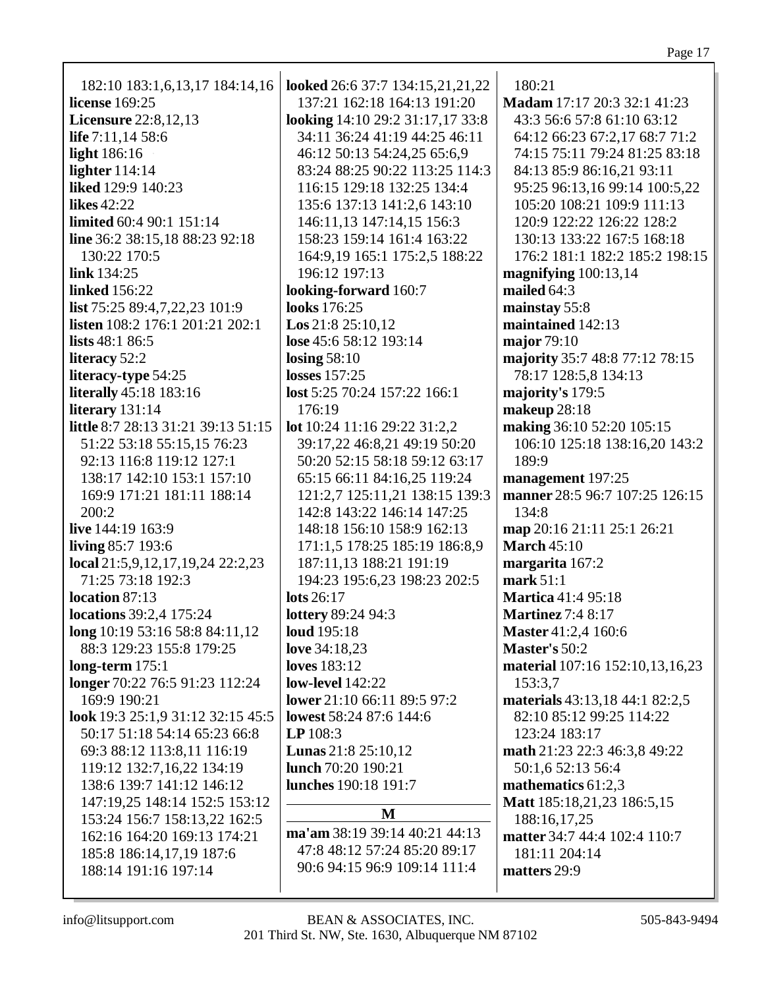| 182:10 183:1,6,13,17 184:14,16                                                                                                                                                                                                                                                                                                                                                                                                                                                                                                                                                                                                                       | looked 26:6 37:7 134:15,21,21,22                                                                                                                                                                                                                                                                                                                                                                                                                                                                                                                                                    | 180:21                                                                                                                                                                                                                                                                                                                                                                                                                                                                                                                                                |
|------------------------------------------------------------------------------------------------------------------------------------------------------------------------------------------------------------------------------------------------------------------------------------------------------------------------------------------------------------------------------------------------------------------------------------------------------------------------------------------------------------------------------------------------------------------------------------------------------------------------------------------------------|-------------------------------------------------------------------------------------------------------------------------------------------------------------------------------------------------------------------------------------------------------------------------------------------------------------------------------------------------------------------------------------------------------------------------------------------------------------------------------------------------------------------------------------------------------------------------------------|-------------------------------------------------------------------------------------------------------------------------------------------------------------------------------------------------------------------------------------------------------------------------------------------------------------------------------------------------------------------------------------------------------------------------------------------------------------------------------------------------------------------------------------------------------|
| license 169:25                                                                                                                                                                                                                                                                                                                                                                                                                                                                                                                                                                                                                                       | 137:21 162:18 164:13 191:20                                                                                                                                                                                                                                                                                                                                                                                                                                                                                                                                                         | Madam 17:17 20:3 32:1 41:23                                                                                                                                                                                                                                                                                                                                                                                                                                                                                                                           |
| <b>Licensure</b> 22:8,12,13                                                                                                                                                                                                                                                                                                                                                                                                                                                                                                                                                                                                                          | looking 14:10 29:2 31:17,17 33:8                                                                                                                                                                                                                                                                                                                                                                                                                                                                                                                                                    | 43:3 56:6 57:8 61:10 63:12                                                                                                                                                                                                                                                                                                                                                                                                                                                                                                                            |
| life 7:11,14 58:6                                                                                                                                                                                                                                                                                                                                                                                                                                                                                                                                                                                                                                    | 34:11 36:24 41:19 44:25 46:11                                                                                                                                                                                                                                                                                                                                                                                                                                                                                                                                                       | 64:12 66:23 67:2,17 68:7 71:2                                                                                                                                                                                                                                                                                                                                                                                                                                                                                                                         |
| <b>light</b> 186:16                                                                                                                                                                                                                                                                                                                                                                                                                                                                                                                                                                                                                                  | 46:12 50:13 54:24,25 65:6,9                                                                                                                                                                                                                                                                                                                                                                                                                                                                                                                                                         | 74:15 75:11 79:24 81:25 83:18                                                                                                                                                                                                                                                                                                                                                                                                                                                                                                                         |
| lighter $114:14$                                                                                                                                                                                                                                                                                                                                                                                                                                                                                                                                                                                                                                     | 83:24 88:25 90:22 113:25 114:3                                                                                                                                                                                                                                                                                                                                                                                                                                                                                                                                                      | 84:13 85:9 86:16,21 93:11                                                                                                                                                                                                                                                                                                                                                                                                                                                                                                                             |
| liked 129:9 140:23                                                                                                                                                                                                                                                                                                                                                                                                                                                                                                                                                                                                                                   | 116:15 129:18 132:25 134:4                                                                                                                                                                                                                                                                                                                                                                                                                                                                                                                                                          | 95:25 96:13,16 99:14 100:5,22                                                                                                                                                                                                                                                                                                                                                                                                                                                                                                                         |
| likes $42:22$                                                                                                                                                                                                                                                                                                                                                                                                                                                                                                                                                                                                                                        | 135:6 137:13 141:2,6 143:10                                                                                                                                                                                                                                                                                                                                                                                                                                                                                                                                                         | 105:20 108:21 109:9 111:13                                                                                                                                                                                                                                                                                                                                                                                                                                                                                                                            |
| <b>limited</b> 60:4 90:1 151:14                                                                                                                                                                                                                                                                                                                                                                                                                                                                                                                                                                                                                      | 146:11,13 147:14,15 156:3                                                                                                                                                                                                                                                                                                                                                                                                                                                                                                                                                           | 120:9 122:22 126:22 128:2                                                                                                                                                                                                                                                                                                                                                                                                                                                                                                                             |
| line 36:2 38:15,18 88:23 92:18                                                                                                                                                                                                                                                                                                                                                                                                                                                                                                                                                                                                                       | 158:23 159:14 161:4 163:22                                                                                                                                                                                                                                                                                                                                                                                                                                                                                                                                                          | 130:13 133:22 167:5 168:18                                                                                                                                                                                                                                                                                                                                                                                                                                                                                                                            |
| 130:22 170:5                                                                                                                                                                                                                                                                                                                                                                                                                                                                                                                                                                                                                                         | 164:9,19 165:1 175:2,5 188:22                                                                                                                                                                                                                                                                                                                                                                                                                                                                                                                                                       | 176:2 181:1 182:2 185:2 198:15                                                                                                                                                                                                                                                                                                                                                                                                                                                                                                                        |
| link $134:25$                                                                                                                                                                                                                                                                                                                                                                                                                                                                                                                                                                                                                                        | 196:12 197:13                                                                                                                                                                                                                                                                                                                                                                                                                                                                                                                                                                       | magnifying $100:13,14$                                                                                                                                                                                                                                                                                                                                                                                                                                                                                                                                |
| <b>linked</b> 156:22                                                                                                                                                                                                                                                                                                                                                                                                                                                                                                                                                                                                                                 | looking-forward 160:7                                                                                                                                                                                                                                                                                                                                                                                                                                                                                                                                                               | mailed $64:3$                                                                                                                                                                                                                                                                                                                                                                                                                                                                                                                                         |
| list 75:25 89:4,7,22,23 101:9                                                                                                                                                                                                                                                                                                                                                                                                                                                                                                                                                                                                                        | looks 176:25                                                                                                                                                                                                                                                                                                                                                                                                                                                                                                                                                                        | mainstay 55:8                                                                                                                                                                                                                                                                                                                                                                                                                                                                                                                                         |
| listen 108:2 176:1 201:21 202:1                                                                                                                                                                                                                                                                                                                                                                                                                                                                                                                                                                                                                      | <b>Los</b> $21:8$ $25:10,12$                                                                                                                                                                                                                                                                                                                                                                                                                                                                                                                                                        | maintained 142:13                                                                                                                                                                                                                                                                                                                                                                                                                                                                                                                                     |
| lists $48:186:5$                                                                                                                                                                                                                                                                                                                                                                                                                                                                                                                                                                                                                                     | lose 45:6 58:12 193:14                                                                                                                                                                                                                                                                                                                                                                                                                                                                                                                                                              | major $79:10$                                                                                                                                                                                                                                                                                                                                                                                                                                                                                                                                         |
| literacy 52:2                                                                                                                                                                                                                                                                                                                                                                                                                                                                                                                                                                                                                                        | losing $58:10$                                                                                                                                                                                                                                                                                                                                                                                                                                                                                                                                                                      | majority 35:7 48:8 77:12 78:15                                                                                                                                                                                                                                                                                                                                                                                                                                                                                                                        |
| literacy-type 54:25                                                                                                                                                                                                                                                                                                                                                                                                                                                                                                                                                                                                                                  | <b>losses</b> 157:25                                                                                                                                                                                                                                                                                                                                                                                                                                                                                                                                                                | 78:17 128:5,8 134:13                                                                                                                                                                                                                                                                                                                                                                                                                                                                                                                                  |
| <b>literally</b> 45:18 183:16                                                                                                                                                                                                                                                                                                                                                                                                                                                                                                                                                                                                                        | lost 5:25 70:24 157:22 166:1                                                                                                                                                                                                                                                                                                                                                                                                                                                                                                                                                        | majority's 179:5                                                                                                                                                                                                                                                                                                                                                                                                                                                                                                                                      |
| literary 131:14                                                                                                                                                                                                                                                                                                                                                                                                                                                                                                                                                                                                                                      | 176:19                                                                                                                                                                                                                                                                                                                                                                                                                                                                                                                                                                              | makeup 28:18                                                                                                                                                                                                                                                                                                                                                                                                                                                                                                                                          |
| little 8:7 28:13 31:21 39:13 51:15                                                                                                                                                                                                                                                                                                                                                                                                                                                                                                                                                                                                                   | lot 10:24 11:16 29:22 31:2,2                                                                                                                                                                                                                                                                                                                                                                                                                                                                                                                                                        | making 36:10 52:20 105:15                                                                                                                                                                                                                                                                                                                                                                                                                                                                                                                             |
| 51:22 53:18 55:15,15 76:23                                                                                                                                                                                                                                                                                                                                                                                                                                                                                                                                                                                                                           | 39:17,22 46:8,21 49:19 50:20                                                                                                                                                                                                                                                                                                                                                                                                                                                                                                                                                        | 106:10 125:18 138:16,20 143:2                                                                                                                                                                                                                                                                                                                                                                                                                                                                                                                         |
| 92:13 116:8 119:12 127:1                                                                                                                                                                                                                                                                                                                                                                                                                                                                                                                                                                                                                             | 50:20 52:15 58:18 59:12 63:17                                                                                                                                                                                                                                                                                                                                                                                                                                                                                                                                                       | 189:9                                                                                                                                                                                                                                                                                                                                                                                                                                                                                                                                                 |
| 138:17 142:10 153:1 157:10                                                                                                                                                                                                                                                                                                                                                                                                                                                                                                                                                                                                                           | 65:15 66:11 84:16,25 119:24                                                                                                                                                                                                                                                                                                                                                                                                                                                                                                                                                         | management 197:25                                                                                                                                                                                                                                                                                                                                                                                                                                                                                                                                     |
| 169:9 171:21 181:11 188:14<br>200:2<br>live 144:19 163:9<br>living 85:7 193:6<br>local $21:5,9,12,17,19,24$ $22:2,23$<br>71:25 73:18 192:3<br>location 87:13<br><b>locations</b> 39:2,4 175:24<br>long 10:19 53:16 58:8 84:11,12<br>88:3 129:23 155:8 179:25<br>long-term $175:1$<br>longer 70:22 76:5 91:23 112:24<br>169:9 190:21<br>look 19:3 25:1,9 31:12 32:15 45:5<br>50:17 51:18 54:14 65:23 66:8<br>69:3 88:12 113:8,11 116:19<br>119:12 132:7,16,22 134:19<br>138:6 139:7 141:12 146:12<br>147:19,25 148:14 152:5 153:12<br>153:24 156:7 158:13,22 162:5<br>162:16 164:20 169:13 174:21<br>185:8 186:14,17,19 187:6<br>188:14 191:16 197:14 | 121:2,7 125:11,21 138:15 139:3<br>142:8 143:22 146:14 147:25<br>148:18 156:10 158:9 162:13<br>171:1,5 178:25 185:19 186:8,9<br>187:11,13 188:21 191:19<br>194:23 195:6,23 198:23 202:5<br>lots $26:17$<br><b>lottery</b> 89:24 94:3<br>loud 195:18<br>love 34:18,23<br><b>loves</b> 183:12<br><b>low-level</b> 142:22<br>lower 21:10 66:11 89:5 97:2<br>lowest 58:24 87:6 144:6<br>$LP$ 108:3<br><b>Lunas</b> $21:8$ $25:10,12$<br>lunch 70:20 190:21<br>lunches 190:18 191:7<br>M<br>ma'am 38:19 39:14 40:21 44:13<br>47:8 48:12 57:24 85:20 89:17<br>90:6 94:15 96:9 109:14 111:4 | manner 28:5 96:7 107:25 126:15<br>134:8<br>map 20:16 21:11 25:1 26:21<br><b>March 45:10</b><br>margarita 167:2<br>mark $51:1$<br><b>Martica</b> 41:4 95:18<br><b>Martinez</b> 7:4 8:17<br>Master 41:2,4 160:6<br>Master's 50:2<br>material 107:16 152:10,13,16,23<br>153:3,7<br>materials 43:13,18 44:1 82:2,5<br>82:10 85:12 99:25 114:22<br>123:24 183:17<br>math 21:23 22:3 46:3,8 49:22<br>50:1,6 52:13 56:4<br>mathematics 61:2,3<br>Matt 185:18,21,23 186:5,15<br>188:16,17,25<br>matter 34:7 44:4 102:4 110:7<br>181:11 204:14<br>matters 29:9 |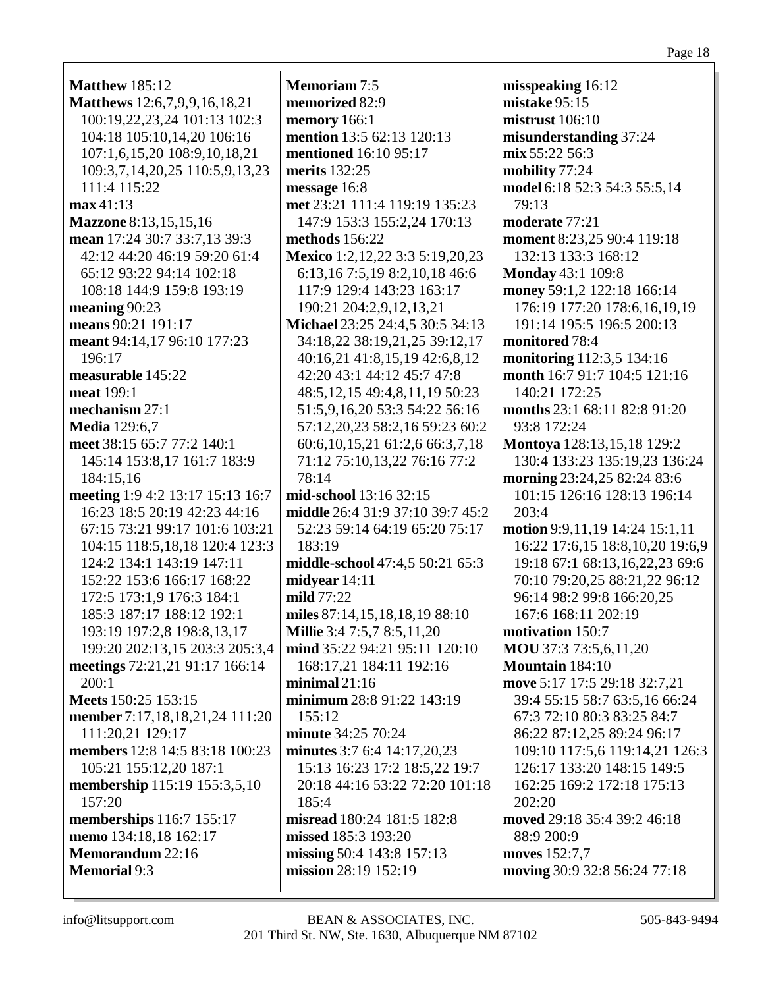| <b>Matthew 185:12</b>            | <b>Memoriam 7:5</b>                  |
|----------------------------------|--------------------------------------|
| Matthews 12:6,7,9,9,16,18,21     | memorized 82:9                       |
| 100:19,22,23,24 101:13 102:3     | memory $166:1$                       |
| 104:18 105:10,14,20 106:16       | mention 13:5 62:13 120:13            |
| 107:1,6,15,20 108:9,10,18,21     | <b>mentioned</b> 16:10 95:17         |
| 109:3,7,14,20,25 110:5,9,13,23   | merits 132:25                        |
| 111:4 115:22                     | message 16:8                         |
| max41:13                         | met 23:21 111:4 119:19 135:23        |
| <b>Mazzone</b> 8:13,15,15,16     | 147:9 153:3 155:2,24 170:13          |
| mean 17:24 30:7 33:7,13 39:3     | methods 156:22                       |
| 42:12 44:20 46:19 59:20 61:4     | Mexico 1:2,12,22 3:3 5:19,20,23      |
| 65:12 93:22 94:14 102:18         | 6:13,16 7:5,19 8:2,10,18 46:6        |
| 108:18 144:9 159:8 193:19        | 117:9 129:4 143:23 163:17            |
| meaning 90:23                    | 190:21 204:2,9,12,13,21              |
| means 90:21 191:17               | Michael 23:25 24:4,5 30:5 34:13      |
| meant 94:14,17 96:10 177:23      | 34:18,22 38:19,21,25 39:12,17        |
| 196:17                           | 40:16,21 41:8,15,19 42:6,8,12        |
| measurable 145:22                | 42:20 43:1 44:12 45:7 47:8           |
| meat 199:1                       | 48:5, 12, 15 49: 4, 8, 11, 19 50: 23 |
| mechanism 27:1                   | 51:5,9,16,20 53:3 54:22 56:16        |
| <b>Media</b> 129:6,7             | 57:12,20,23 58:2,16 59:23 60:2       |
| meet 38:15 65:7 77:2 140:1       | 60:6, 10, 15, 21 61:2, 6 66:3, 7, 18 |
| 145:14 153:8,17 161:7 183:9      | 71:12 75:10,13,22 76:16 77:2         |
| 184:15,16                        | 78:14                                |
| meeting 1:9 4:2 13:17 15:13 16:7 | mid-school 13:16 32:15               |
| 16:23 18:5 20:19 42:23 44:16     | middle 26:4 31:9 37:10 39:7 45:2     |
| 67:15 73:21 99:17 101:6 103:21   | 52:23 59:14 64:19 65:20 75:17        |
| 104:15 118:5,18,18 120:4 123:3   | 183:19                               |
| 124:2 134:1 143:19 147:11        | middle-school 47:4,5 50:21 65:3      |
| 152:22 153:6 166:17 168:22       | midyear 14:11                        |
| 172:5 173:1,9 176:3 184:1        | mild 77:22                           |
| 185:3 187:17 188:12 192:1        | miles 87:14,15,18,18,19 88:10        |
| 193:19 197:2,8 198:8,13,17       | Millie 3:4 7:5,7 8:5,11,20           |
| 199:20 202:13,15 203:3 205:3,4   | mind 35:22 94:21 95:11 120:10        |
| meetings 72:21,21 91:17 166:14   | 168:17,21 184:11 192:16              |
| 200:1                            | minimal $21:16$                      |
| Meets 150:25 153:15              | minimum 28:8 91:22 143:19            |
| member 7:17,18,18,21,24 111:20   | 155:12                               |
| 111:20,21 129:17                 | minute 34:25 70:24                   |
| members 12:8 14:5 83:18 100:23   | minutes 3:7 6:4 14:17,20,23          |
| 105:21 155:12,20 187:1           | 15:13 16:23 17:2 18:5,22 19:7        |
| membership 115:19 155:3,5,10     | 20:18 44:16 53:22 72:20 101:18       |
| 157:20                           | 185:4                                |
| memberships 116:7 155:17         | misread 180:24 181:5 182:8           |
| memo 134:18,18 162:17            | missed 185:3 193:20                  |
| Memorandum 22:16                 | missing 50:4 143:8 157:13            |
| <b>Memorial</b> 9:3              | mission 28:19 152:19                 |

info@litsupport.com

misspeaking  $16:12$ mistake 95:15 mistrust  $106:10$ misunderstanding 37:24  $mix 55:22 56:3$ mobility 77:24 model 6:18 52:3 54:3 55:5,14  $79:13$ moderate 77:21 moment 8:23,25 90:4 119:18 132:13 133:3 168:12 **Monday** 43:1 109:8 money 59:1,2 122:18 166:14 176:19 177:20 178:6,16,19,19 191:14 195:5 196:5 200:13 monitored 78:4 monitoring 112:3,5 134:16 month 16:7 91:7 104:5 121:16 140:21 172:25 months  $23:1\,68:11\,82:8\,91:20$ 93:8 172:24 **Montoya** 128:13,15,18 129:2 130:4 133:23 135:19,23 136:24 **morning** 23:24,25 82:24 83:6 101:15 126:16 128:13 196:14 203:4 motion 9:9.11.19 14:24 15:1.11 16:22 17:6,15 18:8,10,20 19:6,9 19:18 67:1 68:13,16,22,23 69:6 70:10 79:20,25 88:21,22 96:12 96:14 98:2 99:8 166:20,25 167:6 168:11 202:19 motivation 150:7 **MOU** 37:3 73:5,6,11,20 **Mountain** 184:10 move 5:17 17:5 29:18 32:7,21 39:4 55:15 58:7 63:5,16 66:24 67:3 72:10 80:3 83:25 84:7 86:22 87:12,25 89:24 96:17 109:10 117:5,6 119:14,21 126:3 126:17 133:20 148:15 149:5 162:25 169:2 172:18 175:13 202:20 moved 29:18 35:4 39:2 46:18 88:9 200:9 moves 152:7.7 moving 30:9 32:8 56:24 77:18

Page 18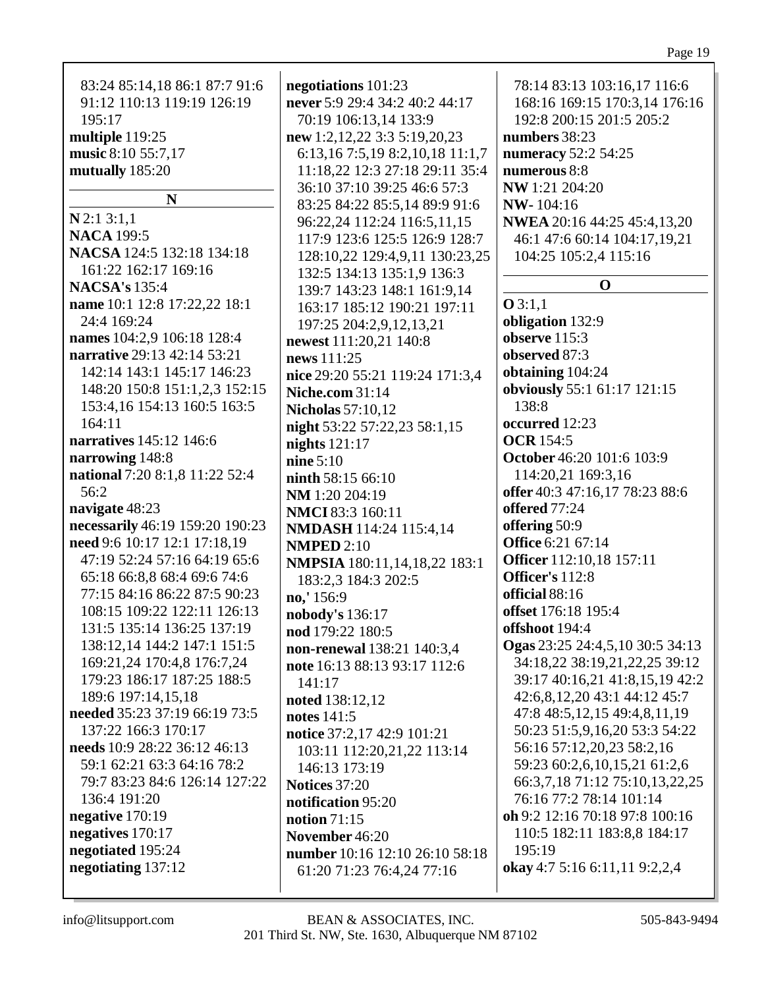| 83:24 85:14,18 86:1 87:7 91:6   | negotiations 101:23                                 | 78:14 83:13 103:16,17 116:6        |
|---------------------------------|-----------------------------------------------------|------------------------------------|
| 91:12 110:13 119:19 126:19      | never 5:9 29:4 34:2 40:2 44:17                      | 168:16 169:15 170:3,14 176:16      |
| 195:17                          | 70:19 106:13,14 133:9                               | 192:8 200:15 201:5 205:2           |
| multiple 119:25                 | new 1:2,12,22 3:3 5:19,20,23                        | numbers 38:23                      |
| music 8:10 55:7,17              | 6:13,16 7:5,19 8:2,10,18 11:1,7                     | numeracy 52:2 54:25                |
| mutually 185:20                 | 11:18,22 12:3 27:18 29:11 35:4                      | numerous 8:8                       |
|                                 | 36:10 37:10 39:25 46:6 57:3                         | NW 1:21 204:20                     |
| N                               | 83:25 84:22 85:5,14 89:9 91:6                       | <b>NW-104:16</b>                   |
| $N$ 2:1 3:1,1                   | 96:22,24 112:24 116:5,11,15                         | NWEA 20:16 44:25 45:4,13,20        |
| <b>NACA</b> 199:5               | 117:9 123:6 125:5 126:9 128:7                       | 46:1 47:6 60:14 104:17,19,21       |
| NACSA 124:5 132:18 134:18       | 128:10,22 129:4,9,11 130:23,25                      | 104:25 105:2,4 115:16              |
| 161:22 162:17 169:16            | 132:5 134:13 135:1,9 136:3                          |                                    |
| <b>NACSA's</b> 135:4            | 139:7 143:23 148:1 161:9,14                         | $\mathbf 0$                        |
| name 10:1 12:8 17:22,22 18:1    | 163:17 185:12 190:21 197:11                         | Q3:1,1                             |
| 24:4 169:24                     | 197:25 204:2,9,12,13,21                             | obligation 132:9                   |
| names 104:2,9 106:18 128:4      | newest 111:20,21 140:8                              | observe 115:3                      |
| narrative 29:13 42:14 53:21     | news 111:25                                         | observed 87:3                      |
| 142:14 143:1 145:17 146:23      | nice 29:20 55:21 119:24 171:3,4                     | obtaining 104:24                   |
| 148:20 150:8 151:1,2,3 152:15   | <b>Niche.com</b> 31:14                              | obviously 55:1 61:17 121:15        |
| 153:4,16 154:13 160:5 163:5     | <b>Nicholas</b> 57:10,12                            | 138:8                              |
| 164:11                          | night 53:22 57:22,23 58:1,15                        | occurred 12:23                     |
| narratives 145:12 146:6         | nights $121:17$                                     | <b>OCR</b> 154:5                   |
| narrowing 148:8                 | nine $5:10$                                         | October 46:20 101:6 103:9          |
| national 7:20 8:1,8 11:22 52:4  | ninth 58:15 66:10                                   | 114:20,21 169:3,16                 |
| 56:2                            |                                                     | offer 40:3 47:16,17 78:23 88:6     |
| navigate 48:23                  | NM 1:20 204:19                                      | offered 77:24                      |
| necessarily 46:19 159:20 190:23 | <b>NMCI</b> 83:3 160:11                             | offering 50:9                      |
| need 9:6 10:17 12:1 17:18,19    | <b>NMDASH</b> 114:24 115:4,14<br><b>NMPED 2:10</b>  | <b>Office</b> 6:21 67:14           |
| 47:19 52:24 57:16 64:19 65:6    |                                                     | Officer 112:10,18 157:11           |
| 65:18 66:8,8 68:4 69:6 74:6     | NMPSIA 180:11,14,18,22 183:1<br>183:2,3 184:3 202:5 | Officer's 112:8                    |
| 77:15 84:16 86:22 87:5 90:23    | no,' 156:9                                          | official 88:16                     |
| 108:15 109:22 122:11 126:13     | nobody's 136:17                                     | offset 176:18 195:4                |
| 131:5 135:14 136:25 137:19      | nod 179:22 180:5                                    | offshoot 194:4                     |
| 138:12,14 144:2 147:1 151:5     | non-renewal 138:21 140:3,4                          | Ogas 23:25 24:4,5,10 30:5 34:13    |
| 169:21,24 170:4,8 176:7,24      | note 16:13 88:13 93:17 112:6                        | 34:18,22 38:19,21,22,25 39:12      |
| 179:23 186:17 187:25 188:5      | 141:17                                              | 39:17 40:16,21 41:8,15,19 42:2     |
| 189:6 197:14,15,18              | noted 138:12,12                                     | 42:6,8,12,20 43:1 44:12 45:7       |
| needed 35:23 37:19 66:19 73:5   | notes 141:5                                         | 47:8 48:5, 12, 15 49: 4, 8, 11, 19 |
| 137:22 166:3 170:17             | notice 37:2,17 42:9 101:21                          | 50:23 51:5,9,16,20 53:3 54:22      |
| needs 10:9 28:22 36:12 46:13    | 103:11 112:20,21,22 113:14                          | 56:16 57:12,20,23 58:2,16          |
| 59:1 62:21 63:3 64:16 78:2      | 146:13 173:19                                       | 59:23 60:2,6,10,15,21 61:2,6       |
| 79:7 83:23 84:6 126:14 127:22   | <b>Notices</b> 37:20                                | 66:3,7,18 71:12 75:10,13,22,25     |
| 136:4 191:20                    | notification 95:20                                  | 76:16 77:2 78:14 101:14            |
| negative 170:19                 | notion $71:15$                                      | oh 9:2 12:16 70:18 97:8 100:16     |
| negatives 170:17                | November 46:20                                      | 110:5 182:11 183:8,8 184:17        |
| negotiated 195:24               | number 10:16 12:10 26:10 58:18                      | 195:19                             |
| negotiating 137:12              | 61:20 71:23 76:4,24 77:16                           | okay 4:7 5:16 6:11,11 9:2,2,4      |
|                                 |                                                     |                                    |
|                                 |                                                     |                                    |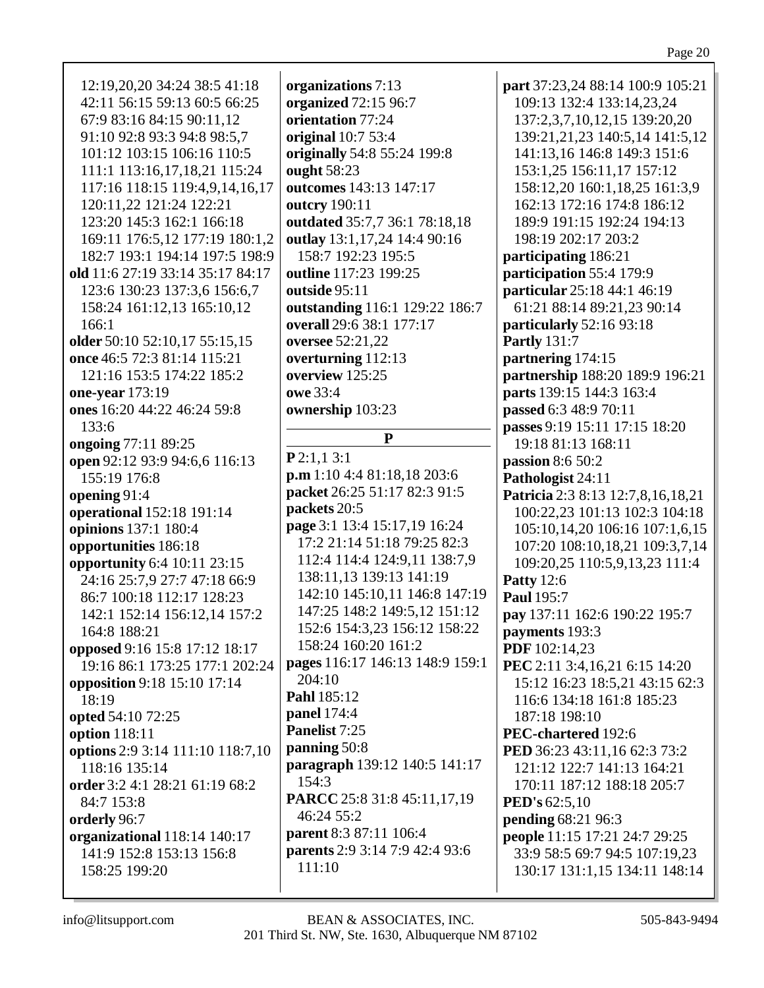| parents 2:9 3:14 7:9 42:4 93:6<br>141:9 152:8 153:13 156:8<br>33:9 58:5 69:7 94:5 107:19,23<br>111:10<br>130:17 131:1,15 134:11 148:14<br>158:25 199:20 | 12:19,20,20 34:24 38:5 41:18<br>42:11 56:15 59:13 60:5 66:25<br>67:9 83:16 84:15 90:11,12<br>91:10 92:8 93:3 94:8 98:5,7<br>101:12 103:15 106:16 110:5<br>111:1 113:16,17,18,21 115:24<br>117:16 118:15 119:4,9,14,16,17<br>120:11,22 121:24 122:21<br>123:20 145:3 162:1 166:18<br>169:11 176:5,12 177:19 180:1,2<br>182:7 193:1 194:14 197:5 198:9<br>old 11:6 27:19 33:14 35:17 84:17<br>123:6 130:23 137:3,6 156:6,7<br>158:24 161:12,13 165:10,12<br>166:1<br>older 50:10 52:10,17 55:15,15<br>once 46:5 72:3 81:14 115:21<br>121:16 153:5 174:22 185:2<br>one-year 173:19<br>ones 16:20 44:22 46:24 59:8<br>133:6<br>ongoing 77:11 89:25<br>open 92:12 93:9 94:6,6 116:13<br>155:19 176:8<br>opening 91:4<br>operational 152:18 191:14<br>opinions 137:1 180:4<br>opportunities 186:18<br>opportunity 6:4 10:11 23:15<br>24:16 25:7,9 27:7 47:18 66:9<br>86:7 100:18 112:17 128:23<br>142:1 152:14 156:12,14 157:2<br>164:8 188:21<br>opposed 9:16 15:8 17:12 18:17<br>19:16 86:1 173:25 177:1 202:24<br>opposition 9:18 15:10 17:14<br>18:19<br>opted 54:10 72:25<br>option 118:11<br>options 2:9 3:14 111:10 118:7,10<br>118:16 135:14<br>order 3:2 4:1 28:21 61:19 68:2<br>84:7 153:8<br>orderly 96:7<br>organizational 118:14 140:17 | organizations 7:13<br>organized 72:15 96:7<br>orientation 77:24<br>original 10:7 53:4<br>originally 54:8 55:24 199:8<br>ought 58:23<br>outcomes 143:13 147:17<br>outcry 190:11<br>outdated 35:7,7 36:1 78:18,18<br>outlay 13:1,17,24 14:4 90:16<br>158:7 192:23 195:5<br>outline 117:23 199:25<br>outside 95:11<br>outstanding 116:1 129:22 186:7<br>overall 29:6 38:1 177:17<br>oversee 52:21,22<br>overturning 112:13<br>overview 125:25<br>owe 33:4<br>ownership 103:23<br>${\bf P}$<br>P2:1,13:1<br>p.m 1:10 4:4 81:18,18 203:6<br>packet 26:25 51:17 82:3 91:5<br>packets 20:5<br>page 3:1 13:4 15:17,19 16:24<br>17:2 21:14 51:18 79:25 82:3<br>112:4 114:4 124:9,11 138:7,9<br>138:11,13 139:13 141:19<br>142:10 145:10,11 146:8 147:19<br>147:25 148:2 149:5,12 151:12<br>152:6 154:3,23 156:12 158:22<br>158:24 160:20 161:2<br>pages 116:17 146:13 148:9 159:1<br>204:10<br>Pahl 185:12<br><b>panel</b> 174:4<br>Panelist 7:25<br>panning 50:8<br>paragraph 139:12 140:5 141:17<br>154:3<br><b>PARCC</b> 25:8 31:8 45:11,17,19<br>46:24 55:2<br>parent 8:3 87:11 106:4 | part 37:23,24 88:14 100:9 105:21<br>109:13 132:4 133:14,23,24<br>137:2,3,7,10,12,15 139:20,20<br>139:21,21,23 140:5,14 141:5,12<br>141:13,16 146:8 149:3 151:6<br>153:1,25 156:11,17 157:12<br>158:12,20 160:1,18,25 161:3,9<br>162:13 172:16 174:8 186:12<br>189:9 191:15 192:24 194:13<br>198:19 202:17 203:2<br>participating 186:21<br>participation 55:4 179:9<br>particular 25:18 44:1 46:19<br>61:21 88:14 89:21,23 90:14<br>particularly 52:16 93:18<br><b>Partly</b> 131:7<br>partnering 174:15<br>partnership 188:20 189:9 196:21<br>parts 139:15 144:3 163:4<br>passed 6:3 48:9 70:11<br>passes 9:19 15:11 17:15 18:20<br>19:18 81:13 168:11<br>passion 8:6 50:2<br>Pathologist 24:11<br>Patricia 2:3 8:13 12:7,8,16,18,21<br>100:22,23 101:13 102:3 104:18<br>105:10,14,20 106:16 107:1,6,15<br>107:20 108:10,18,21 109:3,7,14<br>109:20,25 110:5,9,13,23 111:4<br><b>Patty 12:6</b><br><b>Paul</b> 195:7<br>pay 137:11 162:6 190:22 195:7<br>payments 193:3<br>PDF 102:14,23<br>PEC 2:11 3:4,16,21 6:15 14:20<br>15:12 16:23 18:5,21 43:15 62:3<br>116:6 134:18 161:8 185:23<br>187:18 198:10<br>PEC-chartered 192:6<br>PED 36:23 43:11,16 62:3 73:2<br>121:12 122:7 141:13 164:21<br>170:11 187:12 188:18 205:7<br><b>PED's</b> $62:5,10$<br><b>pending 68:21 96:3</b><br>people 11:15 17:21 24:7 29:25 |
|---------------------------------------------------------------------------------------------------------------------------------------------------------|------------------------------------------------------------------------------------------------------------------------------------------------------------------------------------------------------------------------------------------------------------------------------------------------------------------------------------------------------------------------------------------------------------------------------------------------------------------------------------------------------------------------------------------------------------------------------------------------------------------------------------------------------------------------------------------------------------------------------------------------------------------------------------------------------------------------------------------------------------------------------------------------------------------------------------------------------------------------------------------------------------------------------------------------------------------------------------------------------------------------------------------------------------------------------------------------------------------------------------------------|----------------------------------------------------------------------------------------------------------------------------------------------------------------------------------------------------------------------------------------------------------------------------------------------------------------------------------------------------------------------------------------------------------------------------------------------------------------------------------------------------------------------------------------------------------------------------------------------------------------------------------------------------------------------------------------------------------------------------------------------------------------------------------------------------------------------------------------------------------------------------------------------------------------------------------------------------------------------------------------------------------------------------------------------------------------------------------|-----------------------------------------------------------------------------------------------------------------------------------------------------------------------------------------------------------------------------------------------------------------------------------------------------------------------------------------------------------------------------------------------------------------------------------------------------------------------------------------------------------------------------------------------------------------------------------------------------------------------------------------------------------------------------------------------------------------------------------------------------------------------------------------------------------------------------------------------------------------------------------------------------------------------------------------------------------------------------------------------------------------------------------------------------------------------------------------------------------------------------------------------------------------------------------------------------------------------------------------------------------------------------------------------------------------------|
|---------------------------------------------------------------------------------------------------------------------------------------------------------|------------------------------------------------------------------------------------------------------------------------------------------------------------------------------------------------------------------------------------------------------------------------------------------------------------------------------------------------------------------------------------------------------------------------------------------------------------------------------------------------------------------------------------------------------------------------------------------------------------------------------------------------------------------------------------------------------------------------------------------------------------------------------------------------------------------------------------------------------------------------------------------------------------------------------------------------------------------------------------------------------------------------------------------------------------------------------------------------------------------------------------------------------------------------------------------------------------------------------------------------|----------------------------------------------------------------------------------------------------------------------------------------------------------------------------------------------------------------------------------------------------------------------------------------------------------------------------------------------------------------------------------------------------------------------------------------------------------------------------------------------------------------------------------------------------------------------------------------------------------------------------------------------------------------------------------------------------------------------------------------------------------------------------------------------------------------------------------------------------------------------------------------------------------------------------------------------------------------------------------------------------------------------------------------------------------------------------------|-----------------------------------------------------------------------------------------------------------------------------------------------------------------------------------------------------------------------------------------------------------------------------------------------------------------------------------------------------------------------------------------------------------------------------------------------------------------------------------------------------------------------------------------------------------------------------------------------------------------------------------------------------------------------------------------------------------------------------------------------------------------------------------------------------------------------------------------------------------------------------------------------------------------------------------------------------------------------------------------------------------------------------------------------------------------------------------------------------------------------------------------------------------------------------------------------------------------------------------------------------------------------------------------------------------------------|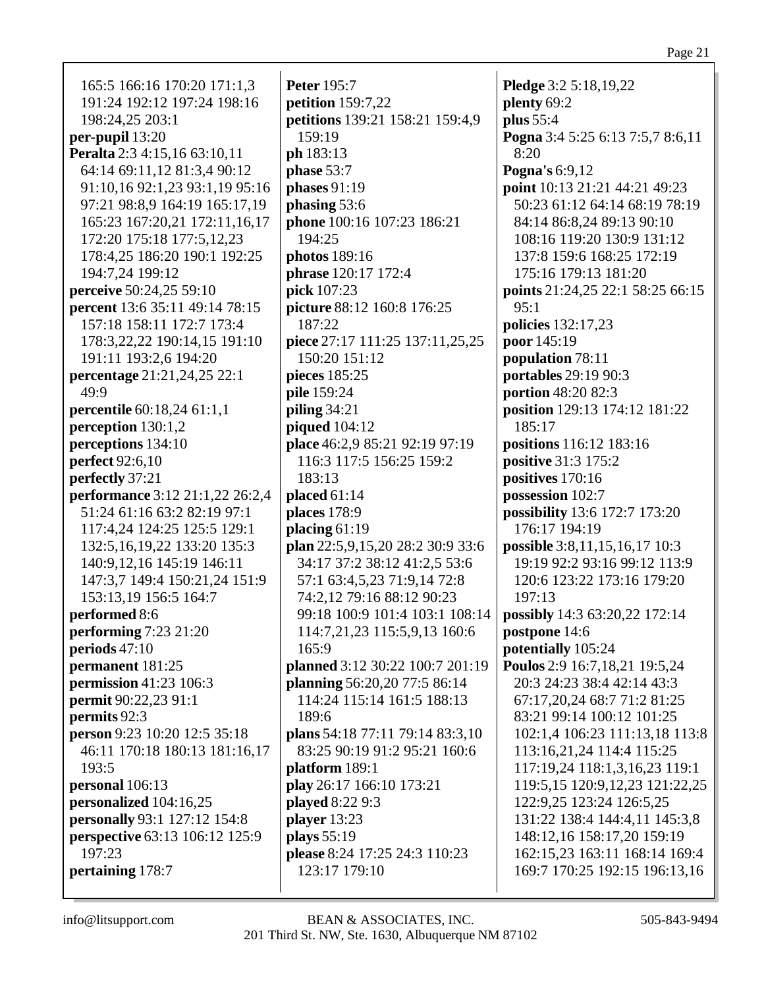| 165:5 166:16 170:20 171:1,3<br>191:24 192:12 197:24 198:16<br>198:24,25 203:1<br>per-pupil 13:20<br>Peralta 2:3 4:15,16 63:10,11<br>64:14 69:11,12 81:3,4 90:12<br>91:10,16 92:1,23 93:1,19 95:16<br>97:21 98:8,9 164:19 165:17,19<br>165:23 167:20,21 172:11,16,17<br>172:20 175:18 177:5,12,23<br>178:4,25 186:20 190:1 192:25<br>194:7,24 199:12<br>perceive 50:24,25 59:10<br>percent 13:6 35:11 49:14 78:15<br>157:18 158:11 172:7 173:4<br>178:3,22,22 190:14,15 191:10<br>191:11 193:2,6 194:20<br>percentage 21:21,24,25 22:1<br>49:9<br>percentile 60:18,24 61:1,1<br>perception 130:1,2<br>perceptions 134:10<br><b>perfect</b> 92:6,10<br>perfectly 37:21<br>performance 3:12 21:1,22 26:2,4<br>51:24 61:16 63:2 82:19 97:1<br>117:4,24 124:25 125:5 129:1<br>132:5, 16, 19, 22 133: 20 135: 3<br>140:9,12,16 145:19 146:11<br>147:3,7 149:4 150:21,24 151:9<br>153:13,19 156:5 164:7<br>performed 8:6<br>performing 7:23 21:20<br>periods $47:10$<br>permanent 181:25<br>permission 41:23 106:3<br><b>permit</b> 90:22,23 91:1<br>permits 92:3 | <b>Peter 195:7</b><br><b>petition</b> 159:7,22<br>petitions 139:21 158:21 159:4,9<br>159:19<br>ph 183:13<br>phase 53:7<br>phases 91:19<br>phasing 53:6<br>phone 100:16 107:23 186:21<br>194:25<br>photos 189:16<br><b>phrase</b> 120:17 172:4<br>pick 107:23<br>picture 88:12 160:8 176:25<br>187:22<br>piece 27:17 111:25 137:11,25,25<br>150:20 151:12<br>pieces 185:25<br>pile 159:24<br><b>piling 34:21</b><br>piqued 104:12<br>place 46:2,9 85:21 92:19 97:19<br>116:3 117:5 156:25 159:2<br>183:13<br>placed $61:14$<br>places 178:9<br>placing 61:19<br>plan 22:5,9,15,20 28:2 30:9 33:6<br>34:17 37:2 38:12 41:2,5 53:6<br>57:1 63:4,5,23 71:9,14 72:8<br>74:2,12 79:16 88:12 90:23<br>99:18 100:9 101:4 103:1 108:14<br>114:7,21,23 115:5,9,13 160:6<br>165:9<br>planned 3:12 30:22 100:7 201:19<br>planning 56:20,20 77:5 86:14<br>114:24 115:14 161:5 188:13<br>189:6 | Pledge 3:2 5:18,19,22<br>plenty 69:2<br>plus 55:4<br>Pogna 3:4 5:25 6:13 7:5,7 8:6,11<br>8:20<br>Pogna's 6:9,12<br>point 10:13 21:21 44:21 49:23<br>50:23 61:12 64:14 68:19 78:19<br>84:14 86:8,24 89:13 90:10<br>108:16 119:20 130:9 131:12<br>137:8 159:6 168:25 172:19<br>175:16 179:13 181:20<br>points 21:24,25 22:1 58:25 66:15<br>95:1<br>policies 132:17,23<br>poor 145:19<br>population 78:11<br>portables 29:19 90:3<br>portion 48:20 82:3<br>position 129:13 174:12 181:22<br>185:17<br>positions 116:12 183:16<br>positive 31:3 175:2<br>positives 170:16<br>possession 102:7<br>possibility 13:6 172:7 173:20<br>176:17 194:19<br>possible 3:8,11,15,16,17 10:3<br>19:19 92:2 93:16 99:12 113:9<br>120:6 123:22 173:16 179:20<br>197:13<br>possibly 14:3 63:20,22 172:14<br>postpone 14:6<br>potentially 105:24<br>Poulos 2:9 16:7,18,21 19:5,24<br>20:3 24:23 38:4 42:14 43:3<br>67:17,20,24 68:7 71:2 81:25<br>83:21 99:14 100:12 101:25 |
|------------------------------------------------------------------------------------------------------------------------------------------------------------------------------------------------------------------------------------------------------------------------------------------------------------------------------------------------------------------------------------------------------------------------------------------------------------------------------------------------------------------------------------------------------------------------------------------------------------------------------------------------------------------------------------------------------------------------------------------------------------------------------------------------------------------------------------------------------------------------------------------------------------------------------------------------------------------------------------------------------------------------------------------------------------|----------------------------------------------------------------------------------------------------------------------------------------------------------------------------------------------------------------------------------------------------------------------------------------------------------------------------------------------------------------------------------------------------------------------------------------------------------------------------------------------------------------------------------------------------------------------------------------------------------------------------------------------------------------------------------------------------------------------------------------------------------------------------------------------------------------------------------------------------------------------------------|---------------------------------------------------------------------------------------------------------------------------------------------------------------------------------------------------------------------------------------------------------------------------------------------------------------------------------------------------------------------------------------------------------------------------------------------------------------------------------------------------------------------------------------------------------------------------------------------------------------------------------------------------------------------------------------------------------------------------------------------------------------------------------------------------------------------------------------------------------------------------------------------------------------------------------------------------------|
|                                                                                                                                                                                                                                                                                                                                                                                                                                                                                                                                                                                                                                                                                                                                                                                                                                                                                                                                                                                                                                                            |                                                                                                                                                                                                                                                                                                                                                                                                                                                                                                                                                                                                                                                                                                                                                                                                                                                                                  |                                                                                                                                                                                                                                                                                                                                                                                                                                                                                                                                                                                                                                                                                                                                                                                                                                                                                                                                                         |
| person 9:23 10:20 12:5 35:18                                                                                                                                                                                                                                                                                                                                                                                                                                                                                                                                                                                                                                                                                                                                                                                                                                                                                                                                                                                                                               | plans 54:18 77:11 79:14 83:3,10                                                                                                                                                                                                                                                                                                                                                                                                                                                                                                                                                                                                                                                                                                                                                                                                                                                  | 102:1,4 106:23 111:13,18 113:8                                                                                                                                                                                                                                                                                                                                                                                                                                                                                                                                                                                                                                                                                                                                                                                                                                                                                                                          |
| 46:11 170:18 180:13 181:16,17<br>193:5                                                                                                                                                                                                                                                                                                                                                                                                                                                                                                                                                                                                                                                                                                                                                                                                                                                                                                                                                                                                                     | 83:25 90:19 91:2 95:21 160:6<br>platform 189:1                                                                                                                                                                                                                                                                                                                                                                                                                                                                                                                                                                                                                                                                                                                                                                                                                                   | 113:16,21,24 114:4 115:25<br>117:19,24 118:1,3,16,23 119:1                                                                                                                                                                                                                                                                                                                                                                                                                                                                                                                                                                                                                                                                                                                                                                                                                                                                                              |
| personal 106:13<br>personalized 104:16,25                                                                                                                                                                                                                                                                                                                                                                                                                                                                                                                                                                                                                                                                                                                                                                                                                                                                                                                                                                                                                  | play 26:17 166:10 173:21<br>played 8:22 9:3                                                                                                                                                                                                                                                                                                                                                                                                                                                                                                                                                                                                                                                                                                                                                                                                                                      | 119:5, 15 120:9, 12, 23 121: 22, 25<br>122:9,25 123:24 126:5,25                                                                                                                                                                                                                                                                                                                                                                                                                                                                                                                                                                                                                                                                                                                                                                                                                                                                                         |
| personally 93:1 127:12 154:8                                                                                                                                                                                                                                                                                                                                                                                                                                                                                                                                                                                                                                                                                                                                                                                                                                                                                                                                                                                                                               | player $13:23$                                                                                                                                                                                                                                                                                                                                                                                                                                                                                                                                                                                                                                                                                                                                                                                                                                                                   | 131:22 138:4 144:4,11 145:3,8                                                                                                                                                                                                                                                                                                                                                                                                                                                                                                                                                                                                                                                                                                                                                                                                                                                                                                                           |
| <b>perspective</b> 63:13 106:12 125:9                                                                                                                                                                                                                                                                                                                                                                                                                                                                                                                                                                                                                                                                                                                                                                                                                                                                                                                                                                                                                      | plays 55:19                                                                                                                                                                                                                                                                                                                                                                                                                                                                                                                                                                                                                                                                                                                                                                                                                                                                      | 148:12,16 158:17,20 159:19                                                                                                                                                                                                                                                                                                                                                                                                                                                                                                                                                                                                                                                                                                                                                                                                                                                                                                                              |
| 197:23                                                                                                                                                                                                                                                                                                                                                                                                                                                                                                                                                                                                                                                                                                                                                                                                                                                                                                                                                                                                                                                     | please 8:24 17:25 24:3 110:23                                                                                                                                                                                                                                                                                                                                                                                                                                                                                                                                                                                                                                                                                                                                                                                                                                                    | 162:15,23 163:11 168:14 169:4                                                                                                                                                                                                                                                                                                                                                                                                                                                                                                                                                                                                                                                                                                                                                                                                                                                                                                                           |
| pertaining 178:7                                                                                                                                                                                                                                                                                                                                                                                                                                                                                                                                                                                                                                                                                                                                                                                                                                                                                                                                                                                                                                           | 123:17 179:10                                                                                                                                                                                                                                                                                                                                                                                                                                                                                                                                                                                                                                                                                                                                                                                                                                                                    | 169:7 170:25 192:15 196:13,16                                                                                                                                                                                                                                                                                                                                                                                                                                                                                                                                                                                                                                                                                                                                                                                                                                                                                                                           |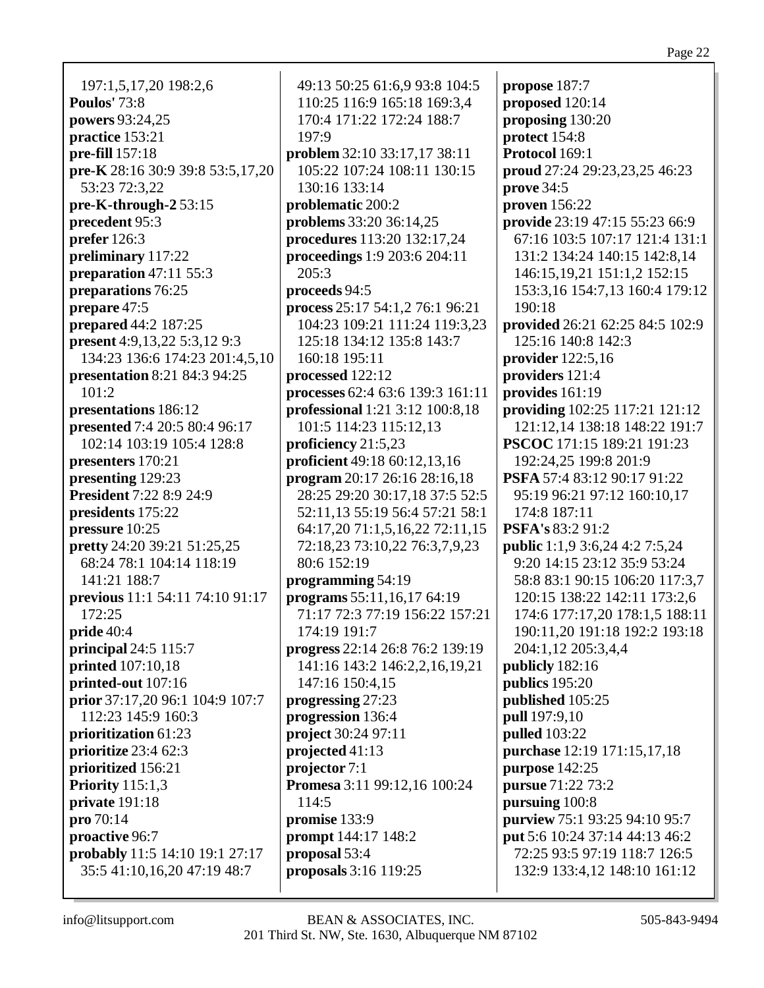197:1,5,17,20 198:2,6 **Poulos'** 73:8 **powers** 93:24,25 **practice** 153:21 **pre-fill** 157:18 **pre-K** 28:16 30:9 39:8 53:5,17,20 53:23 72:3,22 **pre-K-through-2** 53:15 **precedent** 95:3 **prefer** 126:3 **preliminary** 117:22 **preparation** 47:11 55:3 **preparations** 76:25 **prepare** 47:5 **prepared** 44:2 187:25 **present** 4:9,13,22 5:3,12 9:3 134:23 136:6 174:23 201:4,5,10 **presentation** 8:21 84:3 94:25 101:2 **presentations** 186:12 **presented** 7:4 20:5 80:4 96:17 102:14 103:19 105:4 128:8 **presenters** 170:21 **presenting** 129:23 **President** 7:22 8:9 24:9 **presidents** 175:22 **pressure** 10:25 **pretty** 24:20 39:21 51:25,25 68:24 78:1 104:14 118:19 141:21 188:7 **previous** 11:1 54:11 74:10 91:17 172:25 **pride** 40:4 **principal** 24:5 115:7 **printed** 107:10,18 **printed-out** 107:16 **prior** 37:17,20 96:1 104:9 107:7 112:23 145:9 160:3 **prioritization** 61:23 **prioritize** 23:4 62:3 **prioritized** 156:21 **Priority** 115:1,3 **private** 191:18 **pro** 70:14 **proactive** 96:7 **probably** 11:5 14:10 19:1 27:17 35:5 41:10,16,20 47:19 48:7

49:13 50:25 61:6,9 93:8 104:5 110:25 116:9 165:18 169:3,4 170:4 171:22 172:24 188:7 197:9 **problem** 32:10 33:17,17 38:11 105:22 107:24 108:11 130:15 130:16 133:14 **problematic** 200:2 **problems** 33:20 36:14,25 **procedures** 113:20 132:17,24 **proceedings** 1:9 203:6 204:11 205:3 **proceeds** 94:5 **process** 25:17 54:1,2 76:1 96:21 104:23 109:21 111:24 119:3,23 125:18 134:12 135:8 143:7 160:18 195:11 **processed** 122:12 **processes** 62:4 63:6 139:3 161:11 **professional** 1:21 3:12 100:8,18 101:5 114:23 115:12,13 **proficiency** 21:5,23 **proficient** 49:18 60:12,13,16 **program** 20:17 26:16 28:16,18 28:25 29:20 30:17,18 37:5 52:5 52:11,13 55:19 56:4 57:21 58:1 64:17,20 71:1,5,16,22 72:11,15 72:18,23 73:10,22 76:3,7,9,23 80:6 152:19 **programming** 54:19 **programs** 55:11,16,17 64:19 71:17 72:3 77:19 156:22 157:21 174:19 191:7 **progress** 22:14 26:8 76:2 139:19 141:16 143:2 146:2,2,16,19,21 147:16 150:4,15 **progressing** 27:23 **progression** 136:4 **project** 30:24 97:11 **projected** 41:13 **projector** 7:1 **Promesa** 3:11 99:12,16 100:24 114:5 **promise** 133:9 **prompt** 144:17 148:2 **proposal** 53:4 **proposals** 3:16 119:25

**propose** 187:7 **proposed** 120:14 **proposing** 130:20 **protect** 154:8 **Protocol** 169:1 **proud** 27:24 29:23,23,25 46:23 **prove** 34:5 **proven** 156:22 **provide** 23:19 47:15 55:23 66:9 67:16 103:5 107:17 121:4 131:1 131:2 134:24 140:15 142:8,14 146:15,19,21 151:1,2 152:15 153:3,16 154:7,13 160:4 179:12 190:18 **provided** 26:21 62:25 84:5 102:9 125:16 140:8 142:3 **provider** 122:5,16 **providers** 121:4 **provides** 161:19 **providing** 102:25 117:21 121:12 121:12,14 138:18 148:22 191:7 **PSCOC** 171:15 189:21 191:23 192:24,25 199:8 201:9 **PSFA** 57:4 83:12 90:17 91:22 95:19 96:21 97:12 160:10,17 174:8 187:11 **PSFA's** 83:2 91:2 **public** 1:1,9 3:6,24 4:2 7:5,24 9:20 14:15 23:12 35:9 53:24 58:8 83:1 90:15 106:20 117:3,7 120:15 138:22 142:11 173:2,6 174:6 177:17,20 178:1,5 188:11 190:11,20 191:18 192:2 193:18 204:1,12 205:3,4,4 **publicly** 182:16 **publics** 195:20 **published** 105:25 **pull** 197:9,10 **pulled** 103:22 **purchase** 12:19 171:15,17,18 **purpose** 142:25 **pursue** 71:22 73:2 **pursuing** 100:8 **purview** 75:1 93:25 94:10 95:7 **put** 5:6 10:24 37:14 44:13 46:2 72:25 93:5 97:19 118:7 126:5 132:9 133:4,12 148:10 161:12

Page 22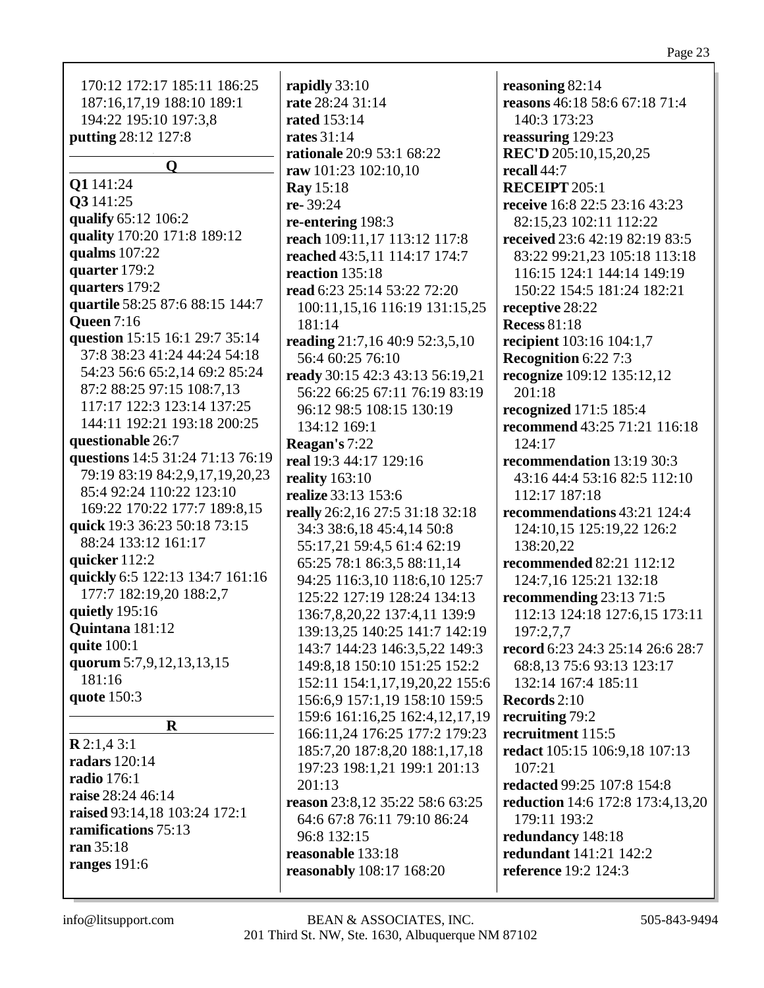| 170:12 172:17 185:11 186:25      | rapidly 33:10                   | reasoning 82:14                         |
|----------------------------------|---------------------------------|-----------------------------------------|
| 187:16,17,19 188:10 189:1        | rate 28:24 31:14                | reasons 46:18 58:6 67:18 71:4           |
| 194:22 195:10 197:3,8            | <b>rated</b> 153:14             | 140:3 173:23                            |
| putting 28:12 127:8              | <b>rates</b> 31:14              | reassuring 129:23                       |
|                                  | rationale 20:9 53:1 68:22       | REC'D 205:10,15,20,25                   |
| $\mathbf Q$                      | raw 101:23 102:10,10            | recall 44:7                             |
| Q1 141:24                        | Ray 15:18                       | <b>RECEIPT 205:1</b>                    |
| Q3 141:25                        | re-39:24                        | receive 16:8 22:5 23:16 43:23           |
| qualify 65:12 106:2              | re-entering 198:3               | 82:15,23 102:11 112:22                  |
| quality 170:20 171:8 189:12      | reach 109:11,17 113:12 117:8    | received 23:6 42:19 82:19 83:5          |
| qualms 107:22                    | reached 43:5,11 114:17 174:7    | 83:22 99:21,23 105:18 113:18            |
| quarter 179:2                    | reaction 135:18                 | 116:15 124:1 144:14 149:19              |
| quarters 179:2                   | read 6:23 25:14 53:22 72:20     | 150:22 154:5 181:24 182:21              |
| quartile 58:25 87:6 88:15 144:7  | 100:11,15,16 116:19 131:15,25   | receptive 28:22                         |
| <b>Queen 7:16</b>                | 181:14                          | <b>Recess 81:18</b>                     |
| question 15:15 16:1 29:7 35:14   | reading 21:7,16 40:9 52:3,5,10  | recipient 103:16 104:1,7                |
| 37:8 38:23 41:24 44:24 54:18     | 56:4 60:25 76:10                | Recognition 6:22 7:3                    |
| 54:23 56:6 65:2,14 69:2 85:24    | ready 30:15 42:3 43:13 56:19,21 | recognize 109:12 135:12,12              |
| 87:2 88:25 97:15 108:7,13        | 56:22 66:25 67:11 76:19 83:19   | 201:18                                  |
| 117:17 122:3 123:14 137:25       | 96:12 98:5 108:15 130:19        | recognized 171:5 185:4                  |
| 144:11 192:21 193:18 200:25      | 134:12 169:1                    | recommend 43:25 71:21 116:18            |
| questionable 26:7                | Reagan's 7:22                   | 124:17                                  |
| questions 14:5 31:24 71:13 76:19 | real 19:3 44:17 129:16          | recommendation 13:19 30:3               |
| 79:19 83:19 84:2,9,17,19,20,23   | reality $163:10$                | 43:16 44:4 53:16 82:5 112:10            |
| 85:4 92:24 110:22 123:10         | realize 33:13 153:6             | 112:17 187:18                           |
| 169:22 170:22 177:7 189:8,15     | really 26:2,16 27:5 31:18 32:18 | recommendations 43:21 124:4             |
| quick 19:3 36:23 50:18 73:15     | 34:3 38:6,18 45:4,14 50:8       | 124:10,15 125:19,22 126:2               |
| 88:24 133:12 161:17              | 55:17,21 59:4,5 61:4 62:19      | 138:20,22                               |
| quicker 112:2                    | 65:25 78:1 86:3,5 88:11,14      | recommended 82:21 112:12                |
| quickly 6:5 122:13 134:7 161:16  | 94:25 116:3,10 118:6,10 125:7   | 124:7,16 125:21 132:18                  |
| 177:7 182:19,20 188:2,7          | 125:22 127:19 128:24 134:13     | recommending 23:13 71:5                 |
| quietly 195:16                   | 136:7,8,20,22 137:4,11 139:9    |                                         |
| Quintana 181:12                  |                                 | 112:13 124:18 127:6,15 173:11           |
| quite 100:1                      | 139:13,25 140:25 141:7 142:19   | 197:2,7,7                               |
| quorum 5:7,9,12,13,13,15         | 143:7 144:23 146:3,5,22 149:3   | record 6:23 24:3 25:14 26:6 28:7        |
| 181:16                           | 149:8,18 150:10 151:25 152:2    | 68:8,13 75:6 93:13 123:17               |
| quote 150:3                      | 152:11 154:1,17,19,20,22 155:6  | 132:14 167:4 185:11                     |
|                                  | 156:6.9 157:1.19 158:10 159:5   | Records 2:10                            |
| $\mathbf R$                      | 159:6 161:16,25 162:4,12,17,19  | recruiting 79:2                         |
| R2:1,43:1                        | 166:11,24 176:25 177:2 179:23   | recruitment 115:5                       |
| radars 120:14                    | 185:7,20 187:8,20 188:1,17,18   | redact 105:15 106:9,18 107:13           |
| <b>radio</b> 176:1               | 197:23 198:1,21 199:1 201:13    | 107:21                                  |
| raise 28:24 46:14                | 201:13                          | redacted 99:25 107:8 154:8              |
| raised 93:14,18 103:24 172:1     | reason 23:8,12 35:22 58:6 63:25 | <b>reduction</b> 14:6 172:8 173:4,13,20 |
| ramifications 75:13              | 64:6 67:8 76:11 79:10 86:24     | 179:11 193:2                            |
| ran 35:18                        | 96:8 132:15                     | redundancy 148:18                       |
| ranges $191:6$                   | reasonable 133:18               | redundant 141:21 142:2                  |
|                                  | reasonably 108:17 168:20        | reference 19:2 124:3                    |
|                                  |                                 |                                         |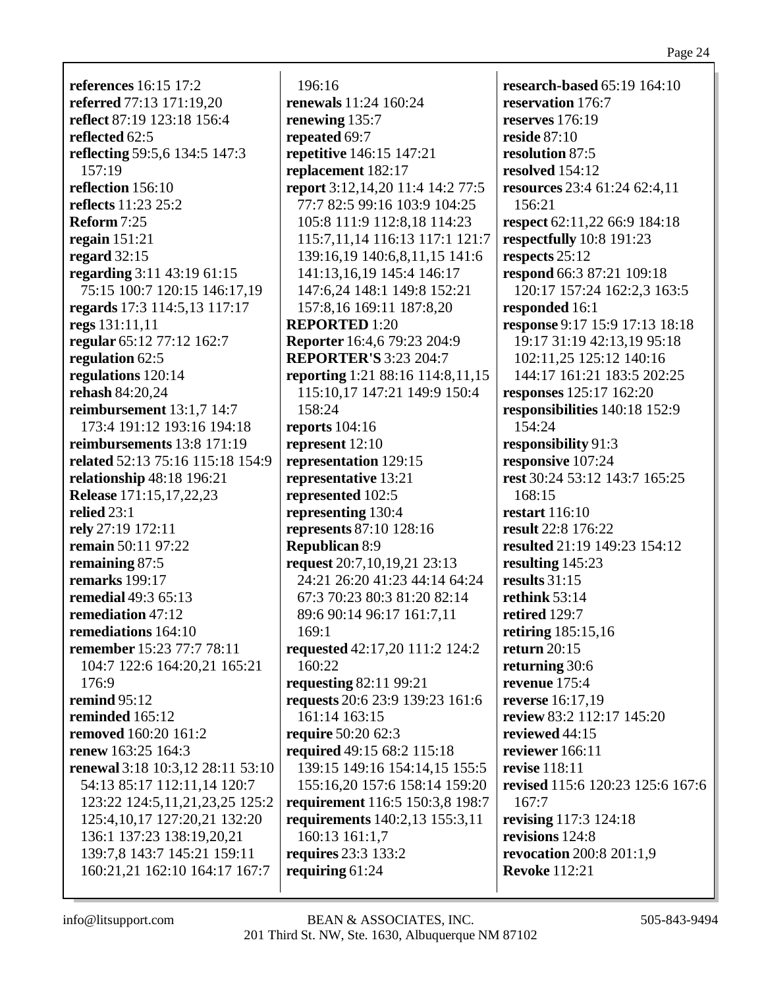**references** 16:15 17:2 **referred** 77:13 171:19,20 **reflect** 87:19 123:18 156:4 **reflected** 62:5 **reflecting** 59:5,6 134:5 147:3 157:19 **reflection** 156:10 **reflects** 11:23 25:2 **Reform** 7:25 **regain** 151:21 **regard** 32:15 **regarding** 3:11 43:19 61:15 75:15 100:7 120:15 146:17,19 **regards** 17:3 114:5,13 117:17 **regs** 131:11,11 **regular** 65:12 77:12 162:7 **regulation** 62:5 **regulations** 120:14 **rehash** 84:20,24 **reimbursement** 13:1,7 14:7 173:4 191:12 193:16 194:18 **reimbursements** 13:8 171:19 **related** 52:13 75:16 115:18 154:9 **relationship** 48:18 196:21 **Release** 171:15,17,22,23 **relied** 23:1 **rely** 27:19 172:11 **remain** 50:11 97:22 **remaining** 87:5 **remarks** 199:17 **remedial** 49:3 65:13 **remediation** 47:12 **remediations** 164:10 **remember** 15:23 77:7 78:11 104:7 122:6 164:20,21 165:21  $176.9$ **remind** 95:12 **reminded** 165:12 **removed** 160:20 161:2 **renew** 163:25 164:3 **renewal** 3:18 10:3,12 28:11 53:10 54:13 85:17 112:11,14 120:7 123:22 124:5,11,21,23,25 125:2 125:4,10,17 127:20,21 132:20 136:1 137:23 138:19,20,21 139:7,8 143:7 145:21 159:11 160:21,21 162:10 164:17 167:7

196:16 **renewals** 11:24 160:24 **renewing** 135:7 **repeated** 69:7 **repetitive** 146:15 147:21 **replacement** 182:17 **report** 3:12,14,20 11:4 14:2 77:5 77:7 82:5 99:16 103:9 104:25 105:8 111:9 112:8,18 114:23 115:7,11,14 116:13 117:1 121:7 139:16,19 140:6,8,11,15 141:6 141:13,16,19 145:4 146:17 147:6,24 148:1 149:8 152:21 157:8,16 169:11 187:8,20 **REPORTED** 1:20 **Reporter** 16:4,6 79:23 204:9 **REPORTER'S** 3:23 204:7 **reporting** 1:21 88:16 114:8,11,15 115:10,17 147:21 149:9 150:4 158:24 **reports** 104:16 **represent** 12:10 **representation** 129:15 **representative** 13:21 **represented** 102:5 **representing** 130:4 **represents** 87:10 128:16 **Republican** 8:9 **request** 20:7,10,19,21 23:13 24:21 26:20 41:23 44:14 64:24 67:3 70:23 80:3 81:20 82:14 89:6 90:14 96:17 161:7,11 169:1 **requested** 42:17,20 111:2 124:2 160:22 **requesting** 82:11 99:21 **requests** 20:6 23:9 139:23 161:6 161:14 163:15 **require** 50:20 62:3 **required** 49:15 68:2 115:18 139:15 149:16 154:14,15 155:5 155:16,20 157:6 158:14 159:20 **requirement** 116:5 150:3,8 198:7 **requirements** 140:2,13 155:3,11 160:13 161:1,7 **requires** 23:3 133:2 **requiring** 61:24

**research-based** 65:19 164:10 **reservation** 176:7 **reserves** 176:19 **reside** 87:10 **resolution** 87:5 **resolved** 154:12 **resources** 23:4 61:24 62:4,11 156:21 **respect** 62:11,22 66:9 184:18 **respectfully** 10:8 191:23 **respects** 25:12 **respond** 66:3 87:21 109:18 120:17 157:24 162:2,3 163:5 **responded** 16:1 **response** 9:17 15:9 17:13 18:18 19:17 31:19 42:13,19 95:18 102:11,25 125:12 140:16 144:17 161:21 183:5 202:25 **responses** 125:17 162:20 **responsibilities** 140:18 152:9 154:24 **responsibility** 91:3 **responsive** 107:24 **rest** 30:24 53:12 143:7 165:25 168:15 **restart** 116:10 **result** 22:8 176:22 **resulted** 21:19 149:23 154:12 **resulting** 145:23 **results** 31:15 **rethink** 53:14 **retired** 129:7 **retiring** 185:15,16 **return** 20:15 **returning** 30:6 **revenue** 175:4 **reverse** 16:17,19 **review** 83:2 112:17 145:20 **reviewed** 44:15 **reviewer** 166:11 **revise** 118:11 **revised** 115:6 120:23 125:6 167:6 167:7 **revising** 117:3 124:18 **revisions** 124:8 **revocation** 200:8 201:1,9 **Revoke** 112:21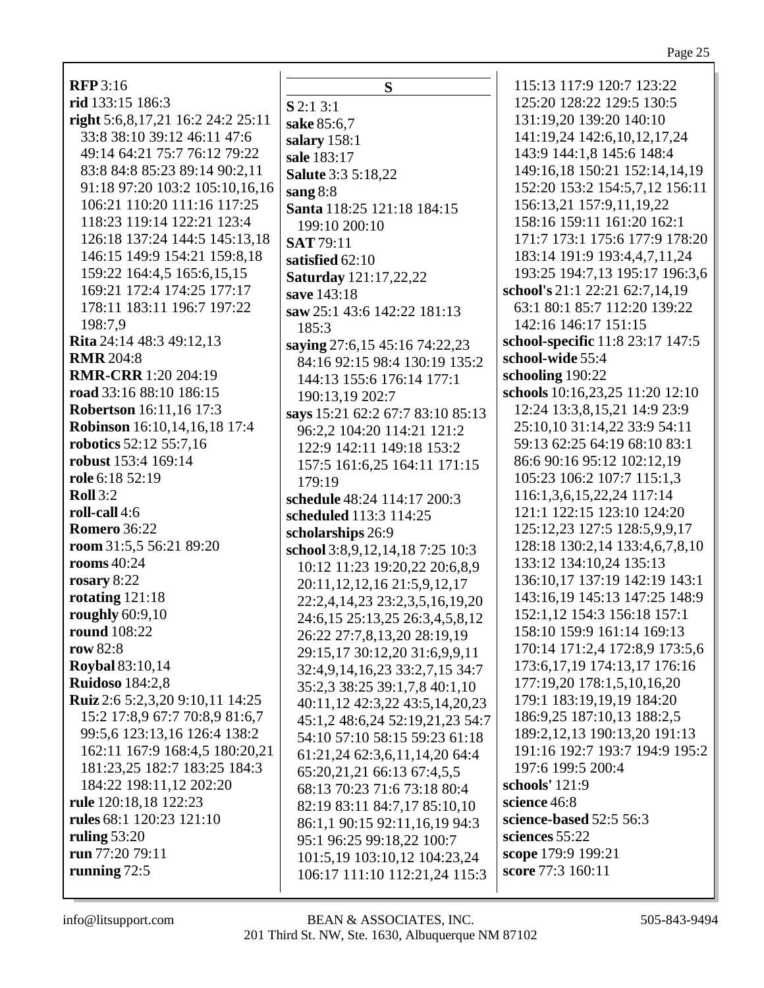| <b>RFP</b> 3:16                                                   |              |
|-------------------------------------------------------------------|--------------|
| rid 133:15 186:3                                                  |              |
| right 5:6,8,17,21 16:2 24:2 25:11                                 | S            |
| 33:8 38:10 39:12 46:11 47:6                                       | S.           |
| 49:14 64:21 75:7 76:12 79:22                                      | $S^{\prime}$ |
| 83:8 84:8 85:23 89:14 90:2,11                                     | S.           |
| 91:18 97:20 103:2 105:10,16,16                                    | S            |
| 106:21 110:20 111:16 117:25                                       | $S^{\prime}$ |
| 118:23 119:14 122:21 123:4                                        | S            |
| 126:18 137:24 144:5 145:13,18                                     |              |
| 146:15 149:9 154:21 159:8,18                                      | S            |
| 159:22 164:4,5 165:6,15,15                                        | S.           |
| 169:21 172:4 174:25 177:17                                        | S            |
| 178:11 183:11 196:7 197:22                                        | $S^{\prime}$ |
| 198:7,9                                                           | S.           |
| <b>Rita</b> 24:14 48:3 49:12,13                                   |              |
| <b>RMR</b> 204:8                                                  | S.           |
| <b>RMR-CRR</b> 1:20 204:19                                        |              |
| road 33:16 88:10 186:15                                           |              |
| <b>Robertson</b> 16:11,16 17:3                                    |              |
| Robinson 16:10,14,16,18 17:4                                      | S.           |
| robotics 52:12 55:7,16                                            |              |
| robust 153:4 169:14                                               |              |
| role 6:18 52:19                                                   |              |
|                                                                   |              |
|                                                                   |              |
| <b>Roll</b> 3:2                                                   | S١           |
| roll-call 4:6                                                     | S(           |
| <b>Romero</b> 36:22                                               | S(           |
| room 31:5,5 56:21 89:20                                           | S(           |
| rooms $40:24$                                                     |              |
| rosary 8:22                                                       |              |
| rotating $121:18$                                                 |              |
| roughly $60:9,10$                                                 |              |
| round 108:22                                                      |              |
| row 82:8                                                          |              |
| <b>Roybal 83:10,14</b>                                            |              |
| <b>Ruidoso</b> 184:2,8                                            |              |
| Ruiz 2:6 5:2,3,20 9:10,11 14:25<br>15:2 17:8,9 67:7 70:8,9 81:6,7 |              |
| 99:5,6 123:13,16 126:4 138:2                                      |              |
| 162:11 167:9 168:4,5 180:20,21                                    |              |
| 181:23,25 182:7 183:25 184:3                                      |              |
| 184:22 198:11,12 202:20                                           |              |
| rule 120:18,18 122:23                                             |              |
| rules 68:1 120:23 121:10                                          |              |
| ruling $53:20$                                                    |              |
| run $77:2079:11$                                                  |              |
| running $72:5$                                                    |              |

**S S** 2:1 3:1 **sake** 85:6,7 **salary** 158:1 **sale** 183:17 **Salute** 3:3 5:18,22 **sang** 8:8 **Santa** 118:25 121:18 184:15 199:10 200:10 **SAT** 79:11 **satisfied** 62:10 **Saturday** 121:17,22,22 **save** 143:18 **saw** 25:1 43:6 142:22 181:13 185:3 **saying** 27:6,15 45:16 74:22,23 84:16 92:15 98:4 130:19 135:2 144:13 155:6 176:14 177:1 190:13,19 202:7 **says** 15:21 62:2 67:7 83:10 85:13 96:2,2 104:20 114:21 121:2 122:9 142:11 149:18 153:2 157:5 161:6,25 164:11 171:15 179:19 **schedule** 48:24 114:17 200:3 **scheduled** 113:3 114:25 **scholarships** 26:9 **school** 3:8,9,12,14,18 7:25 10:3 10:12 11:23 19:20,22 20:6,8,9 20:11,12,12,16 21:5,9,12,17 22:2,4,14,23 23:2,3,5,16,19,20 24:6,15 25:13,25 26:3,4,5,8,12 26:22 27:7,8,13,20 28:19,19 29:15,17 30:12,20 31:6,9,9,11 32:4,9,14,16,23 33:2,7,15 34:7 35:2,3 38:25 39:1,7,8 40:1,10 40:11,12 42:3,22 43:5,14,20,23 45:1,2 48:6,24 52:19,21,23 54:7 54:10 57:10 58:15 59:23 61:18 61:21,24 62:3,6,11,14,20 64:4 65:20,21,21 66:13 67:4,5,5 68:13 70:23 71:6 73:18 80:4 82:19 83:11 84:7,17 85:10,10 86:1,1 90:15 92:11,16,19 94:3 95:1 96:25 99:18,22 100:7 101:5,19 103:10,12 104:23,24 106:17 111:10 112:21,24 115:3

115:13 117:9 120:7 123:22 125:20 128:22 129:5 130:5 131:19,20 139:20 140:10 141:19,24 142:6,10,12,17,24 143:9 144:1,8 145:6 148:4 149:16,18 150:21 152:14,14,19 152:20 153:2 154:5,7,12 156:11 156:13,21 157:9,11,19,22 158:16 159:11 161:20 162:1 171:7 173:1 175:6 177:9 178:20 183:14 191:9 193:4,4,7,11,24 193:25 194:7,13 195:17 196:3,6 **school's** 21:1 22:21 62:7,14,19 63:1 80:1 85:7 112:20 139:22 142:16 146:17 151:15 **school-specific** 11:8 23:17 147:5 **school-wide** 55:4 **schooling** 190:22 **schools** 10:16,23,25 11:20 12:10 12:24 13:3,8,15,21 14:9 23:9 25:10,10 31:14,22 33:9 54:11 59:13 62:25 64:19 68:10 83:1 86:6 90:16 95:12 102:12,19 105:23 106:2 107:7 115:1,3 116:1,3,6,15,22,24 117:14 121:1 122:15 123:10 124:20 125:12,23 127:5 128:5,9,9,17 128:18 130:2,14 133:4,6,7,8,10 133:12 134:10,24 135:13 136:10,17 137:19 142:19 143:1 143:16,19 145:13 147:25 148:9 152:1,12 154:3 156:18 157:1 158:10 159:9 161:14 169:13 170:14 171:2,4 172:8,9 173:5,6 173:6,17,19 174:13,17 176:16 177:19,20 178:1,5,10,16,20 179:1 183:19,19,19 184:20 186:9,25 187:10,13 188:2,5 189:2,12,13 190:13,20 191:13 191:16 192:7 193:7 194:9 195:2 197:6 199:5 200:4 **schools'** 121:9 **science** 46:8 **science-based** 52:5 56:3 **sciences** 55:22 **scope** 179:9 199:21 **score** 77:3 160:11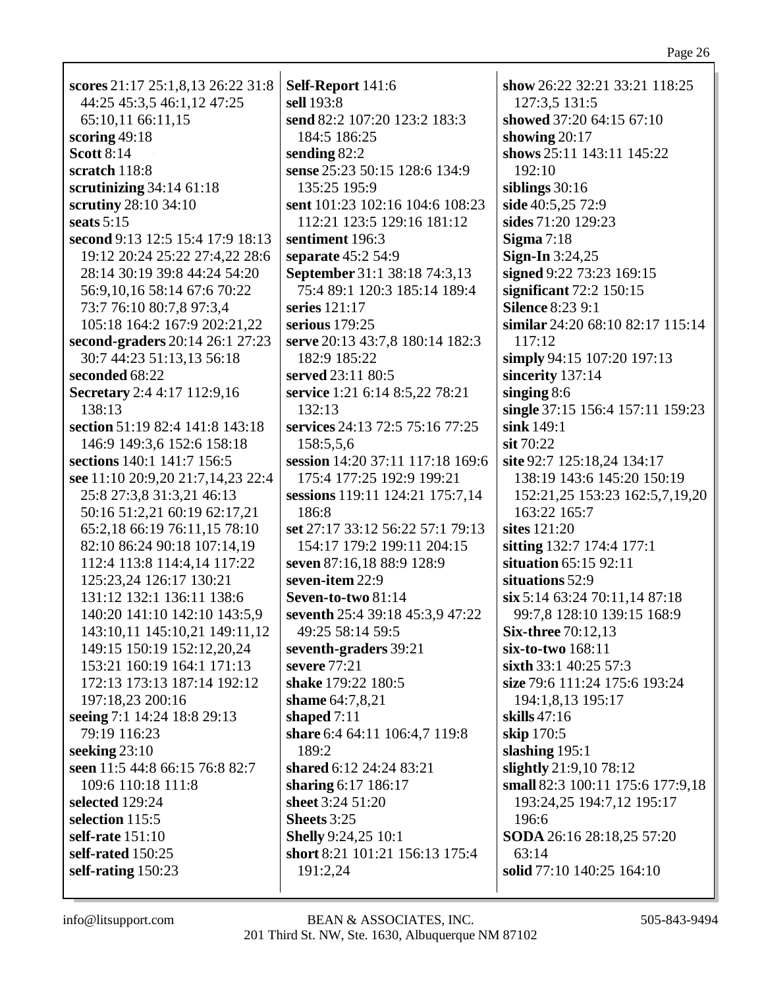| scores 21:17 25:1,8,13 26:22 31:8 | Self-Report 141:6                | show 26:22 32:21 33:21 118:25    |
|-----------------------------------|----------------------------------|----------------------------------|
| 44:25 45:3,5 46:1,12 47:25        | sell 193:8                       | 127:3,5 131:5                    |
| 65:10,11 66:11,15                 | send 82:2 107:20 123:2 183:3     | showed 37:20 64:15 67:10         |
| scoring $49:18$                   | 184:5 186:25                     | showing $20:17$                  |
| <b>Scott 8:14</b>                 | sending 82:2                     | shows 25:11 143:11 145:22        |
| scratch 118:8                     | sense 25:23 50:15 128:6 134:9    | 192:10                           |
| scrutinizing $34:14$ 61:18        | 135:25 195:9                     | siblings $30:16$                 |
| scrutiny 28:10 34:10              | sent 101:23 102:16 104:6 108:23  | side 40:5,25 72:9                |
| seats $5:15$                      | 112:21 123:5 129:16 181:12       | sides 71:20 129:23               |
| second 9:13 12:5 15:4 17:9 18:13  | sentiment 196:3                  | Sigma $7:18$                     |
| 19:12 20:24 25:22 27:4,22 28:6    | separate 45:2 54:9               | <b>Sign-In</b> 3:24,25           |
| 28:14 30:19 39:8 44:24 54:20      | September 31:1 38:18 74:3,13     | signed 9:22 73:23 169:15         |
| 56:9,10,16 58:14 67:6 70:22       | 75:4 89:1 120:3 185:14 189:4     | significant $72:2$ 150:15        |
| 73:7 76:10 80:7,8 97:3,4          | series 121:17                    | <b>Silence 8:23 9:1</b>          |
| 105:18 164:2 167:9 202:21,22      | serious $179:25$                 | similar 24:20 68:10 82:17 115:14 |
| second-graders 20:14 26:1 27:23   | serve 20:13 43:7,8 180:14 182:3  | 117:12                           |
| 30:7 44:23 51:13,13 56:18         | 182:9 185:22                     | simply 94:15 107:20 197:13       |
| seconded 68:22                    | served 23:11 80:5                | sincerity 137:14                 |
| Secretary 2:4 4:17 112:9,16       | service 1:21 6:14 8:5,22 78:21   | singing $8:6$                    |
| 138:13                            | 132:13                           | single 37:15 156:4 157:11 159:23 |
| section 51:19 82:4 141:8 143:18   | services 24:13 72:5 75:16 77:25  | sink 149:1                       |
| 146:9 149:3,6 152:6 158:18        | 158:5,5,6                        | $s$ it 70:22                     |
| sections 140:1 141:7 156:5        | session 14:20 37:11 117:18 169:6 | site 92:7 125:18,24 134:17       |
| see 11:10 20:9,20 21:7,14,23 22:4 | 175:4 177:25 192:9 199:21        | 138:19 143:6 145:20 150:19       |
| 25:8 27:3,8 31:3,21 46:13         | sessions 119:11 124:21 175:7,14  | 152:21,25 153:23 162:5,7,19,20   |
| 50:16 51:2,21 60:19 62:17,21      | 186:8                            | 163:22 165:7                     |
| 65:2,18 66:19 76:11,15 78:10      | set 27:17 33:12 56:22 57:1 79:13 | sites 121:20                     |
| 82:10 86:24 90:18 107:14,19       | 154:17 179:2 199:11 204:15       | sitting 132:7 174:4 177:1        |
| 112:4 113:8 114:4,14 117:22       | seven 87:16,18 88:9 128:9        | situation 65:15 92:11            |
| 125:23,24 126:17 130:21           | seven-item 22:9                  | situations 52:9                  |
| 131:12 132:1 136:11 138:6         | Seven-to-two 81:14               | $\sin 5:14$ 63:24 70:11,14 87:18 |
| 140:20 141:10 142:10 143:5,9      | seventh 25:4 39:18 45:3,9 47:22  | 99:7,8 128:10 139:15 168:9       |
| 143:10,11 145:10,21 149:11,12     | 49:25 58:14 59:5                 | <b>Six-three 70:12,13</b>        |
| 149:15 150:19 152:12,20,24        | seventh-graders 39:21            | six-to-two 168:11                |
| 153:21 160:19 164:1 171:13        | severe 77:21                     | sixth $33:1$ 40:25 57:3          |
| 172:13 173:13 187:14 192:12       | shake 179:22 180:5               | size 79:6 111:24 175:6 193:24    |
| 197:18,23 200:16                  | shame 64:7,8,21                  | 194:1,8,13 195:17                |
| seeing 7:1 14:24 18:8 29:13       | shaped $7:11$                    | skills $47:16$                   |
| 79:19 116:23                      | share 6:4 64:11 106:4,7 119:8    | skip 170:5                       |
| seeking $23:10$                   | 189:2                            | slashing 195:1                   |
| seen 11:5 44:8 66:15 76:8 82:7    | shared 6:12 24:24 83:21          | slightly 21:9,10 78:12           |
| 109:6 110:18 111:8                | sharing 6:17 186:17              | small 82:3 100:11 175:6 177:9,18 |
| selected 129:24                   | sheet 3:24 51:20                 | 193:24,25 194:7,12 195:17        |
| selection 115:5                   | Sheets 3:25                      | 196:6                            |
| self-rate 151:10                  | <b>Shelly</b> 9:24,25 10:1       | SODA 26:16 28:18,25 57:20        |
| self-rated 150:25                 | short 8:21 101:21 156:13 175:4   | 63:14                            |
| self-rating 150:23                | 191:2,24                         | solid 77:10 140:25 164:10        |
|                                   |                                  |                                  |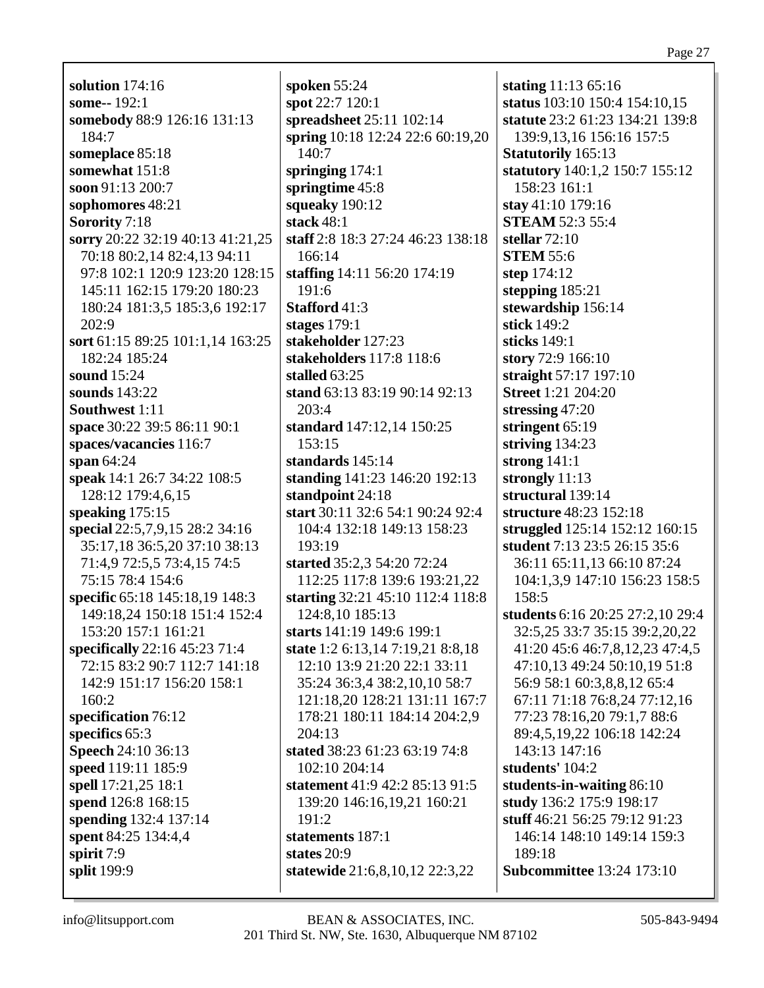**solution** 174:16 **some--** 192:1 **somebody** 88:9 126:16 131:13 184:7 **someplace** 85:18 **somewhat** 151:8 **soon** 91:13 200:7 **sophomores** 48:21 **Sorority** 7:18 **sorry** 20:22 32:19 40:13 41:21,25 70:18 80:2,14 82:4,13 94:11 97:8 102:1 120:9 123:20 128:15 145:11 162:15 179:20 180:23 180:24 181:3,5 185:3,6 192:17 202:9 **sort** 61:15 89:25 101:1,14 163:25 182:24 185:24 **sound** 15:24 **sounds** 143:22 **Southwest** 1:11 **space** 30:22 39:5 86:11 90:1 **spaces/vacancies** 116:7 **span** 64:24 **speak** 14:1 26:7 34:22 108:5 128:12 179:4,6,15 **speaking** 175:15 **special** 22:5,7,9,15 28:2 34:16 35:17,18 36:5,20 37:10 38:13 71:4,9 72:5,5 73:4,15 74:5 75:15 78:4 154:6 **specific** 65:18 145:18,19 148:3 149:18,24 150:18 151:4 152:4 153:20 157:1 161:21 **specifically** 22:16 45:23 71:4 72:15 83:2 90:7 112:7 141:18 142:9 151:17 156:20 158:1 160:2 **specification** 76:12 **specifics** 65:3 **Speech** 24:10 36:13 **speed** 119:11 185:9 **spell** 17:21,25 18:1 **spend** 126:8 168:15 **spending** 132:4 137:14 **spent** 84:25 134:4,4 **spirit** 7:9 **split** 199:9

**spoken** 55:24 **spot** 22:7 120:1 **spreadsheet** 25:11 102:14 **spring** 10:18 12:24 22:6 60:19,20 140:7 **springing** 174:1 **springtime** 45:8 **squeaky** 190:12 **stack** 48:1 **staff** 2:8 18:3 27:24 46:23 138:18 166:14 **staffing** 14:11 56:20 174:19 191:6 **Stafford** 41:3 **stages** 179:1 **stakeholder** 127:23 **stakeholders** 117:8 118:6 **stalled** 63:25 **stand** 63:13 83:19 90:14 92:13 203:4 **standard** 147:12,14 150:25 153:15 **standards** 145:14 **standing** 141:23 146:20 192:13 **standpoint** 24:18 **start** 30:11 32:6 54:1 90:24 92:4 104:4 132:18 149:13 158:23 193:19 **started** 35:2,3 54:20 72:24 112:25 117:8 139:6 193:21,22 **starting** 32:21 45:10 112:4 118:8 124:8,10 185:13 **starts** 141:19 149:6 199:1 **state** 1:2 6:13,14 7:19,21 8:8,18 12:10 13:9 21:20 22:1 33:11 35:24 36:3,4 38:2,10,10 58:7 121:18,20 128:21 131:11 167:7 178:21 180:11 184:14 204:2,9 204:13 **stated** 38:23 61:23 63:19 74:8 102:10 204:14 **statement** 41:9 42:2 85:13 91:5 139:20 146:16,19,21 160:21 191:2 **statements** 187:1 **states** 20:9 **statewide** 21:6,8,10,12 22:3,22

**stating** 11:13 65:16 **status** 103:10 150:4 154:10,15 **statute** 23:2 61:23 134:21 139:8 139:9,13,16 156:16 157:5 **Statutorily** 165:13 **statutory** 140:1,2 150:7 155:12 158:23 161:1 **stay** 41:10 179:16 **STEAM** 52:3 55:4 **stellar** 72:10 **STEM** 55:6 **step** 174:12 **stepping** 185:21 **stewardship** 156:14 **stick** 149:2 **sticks** 149:1 **story** 72:9 166:10 **straight** 57:17 197:10 **Street** 1:21 204:20 **stressing** 47:20 **stringent** 65:19 **striving** 134:23 **strong** 141:1 **strongly** 11:13 **structural** 139:14 **structure** 48:23 152:18 **struggled** 125:14 152:12 160:15 **student** 7:13 23:5 26:15 35:6 36:11 65:11,13 66:10 87:24 104:1,3,9 147:10 156:23 158:5 158:5 **students** 6:16 20:25 27:2,10 29:4 32:5,25 33:7 35:15 39:2,20,22 41:20 45:6 46:7,8,12,23 47:4,5 47:10,13 49:24 50:10,19 51:8 56:9 58:1 60:3,8,8,12 65:4 67:11 71:18 76:8,24 77:12,16 77:23 78:16,20 79:1,7 88:6 89:4,5,19,22 106:18 142:24 143:13 147:16 **students'** 104:2 **students-in-waiting** 86:10 **study** 136:2 175:9 198:17 **stuff** 46:21 56:25 79:12 91:23 146:14 148:10 149:14 159:3 189:18 **Subcommittee** 13:24 173:10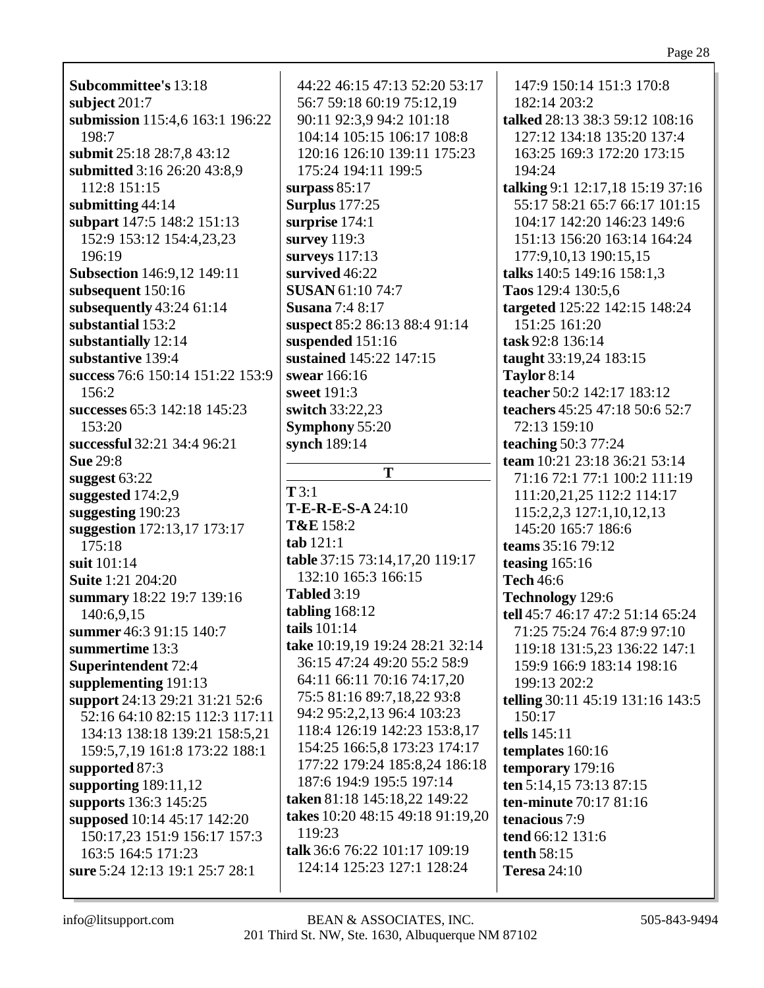| <b>Subcommittee's 13:18</b><br>subject $201:7$<br>submission 115:4,6 163:1 196:22<br>198:7<br>submit 25:18 28:7,8 43:12<br>submitted 3:16 26:20 43:8,9<br>112:8 151:15<br>submitting 44:14<br>subpart 147:5 148:2 151:13<br>152:9 153:12 154:4,23,23<br>196:19<br><b>Subsection</b> 146:9,12 149:11<br>subsequent 150:16<br>subsequently $43:2461:14$<br>substantial 153:2<br>substantially 12:14<br>substantive 139:4<br>success 76:6 150:14 151:22 153:9<br>156:2<br>successes 65:3 142:18 145:23 | 44:22 46:15 47:13 52:20 53:17<br>56:7 59:18 60:19 75:12,19<br>90:11 92:3,9 94:2 101:18<br>104:14 105:15 106:17 108:8<br>120:16 126:10 139:11 175:23<br>175:24 194:11 199:5<br>surpass $85:17$<br><b>Surplus</b> 177:25<br>surprise 174:1<br>survey 119:3<br>surveys 117:13<br>survived 46:22<br><b>SUSAN 61:10 74:7</b><br><b>Susana</b> 7:4 8:17<br>suspect 85:2 86:13 88:4 91:14<br>suspended 151:16<br>sustained 145:22 147:15<br>swear 166:16<br>sweet 191:3<br>switch 33:22,23 | 147:9 150:14 151:3 170:8<br>182:14 203:2<br>talked 28:13 38:3 59:12 108:16<br>127:12 134:18 135:20 137:4<br>163:25 169:3 172:20 173:15<br>194:24<br>talking 9:1 12:17,18 15:19 37:16<br>55:17 58:21 65:7 66:17 101:15<br>104:17 142:20 146:23 149:6<br>151:13 156:20 163:14 164:24<br>177:9,10,13 190:15,15<br>talks 140:5 149:16 158:1,3<br>Taos 129:4 130:5,6<br>targeted 125:22 142:15 148:24<br>151:25 161:20<br>task 92:8 136:14<br>taught 33:19,24 183:15<br>Taylor $8:14$<br>teacher 50:2 142:17 183:12<br>teachers 45:25 47:18 50:6 52:7 |  |
|-----------------------------------------------------------------------------------------------------------------------------------------------------------------------------------------------------------------------------------------------------------------------------------------------------------------------------------------------------------------------------------------------------------------------------------------------------------------------------------------------------|-------------------------------------------------------------------------------------------------------------------------------------------------------------------------------------------------------------------------------------------------------------------------------------------------------------------------------------------------------------------------------------------------------------------------------------------------------------------------------------|--------------------------------------------------------------------------------------------------------------------------------------------------------------------------------------------------------------------------------------------------------------------------------------------------------------------------------------------------------------------------------------------------------------------------------------------------------------------------------------------------------------------------------------------------|--|
| 153:20                                                                                                                                                                                                                                                                                                                                                                                                                                                                                              | <b>Symphony 55:20</b>                                                                                                                                                                                                                                                                                                                                                                                                                                                               | 72:13 159:10                                                                                                                                                                                                                                                                                                                                                                                                                                                                                                                                     |  |
| successful 32:21 34:4 96:21<br><b>Sue 29:8</b>                                                                                                                                                                                                                                                                                                                                                                                                                                                      | synch 189:14                                                                                                                                                                                                                                                                                                                                                                                                                                                                        | <b>teaching 50:3 77:24</b><br>team 10:21 23:18 36:21 53:14                                                                                                                                                                                                                                                                                                                                                                                                                                                                                       |  |
| suggest $63:22$                                                                                                                                                                                                                                                                                                                                                                                                                                                                                     | T                                                                                                                                                                                                                                                                                                                                                                                                                                                                                   | 71:16 72:1 77:1 100:2 111:19                                                                                                                                                                                                                                                                                                                                                                                                                                                                                                                     |  |
| suggested 174:2,9                                                                                                                                                                                                                                                                                                                                                                                                                                                                                   | T3:1                                                                                                                                                                                                                                                                                                                                                                                                                                                                                | 111:20,21,25 112:2 114:17                                                                                                                                                                                                                                                                                                                                                                                                                                                                                                                        |  |
| suggesting 190:23                                                                                                                                                                                                                                                                                                                                                                                                                                                                                   | T-E-R-E-S-A 24:10                                                                                                                                                                                                                                                                                                                                                                                                                                                                   | 115:2,2,3 127:1,10,12,13                                                                                                                                                                                                                                                                                                                                                                                                                                                                                                                         |  |
| suggestion 172:13,17 173:17                                                                                                                                                                                                                                                                                                                                                                                                                                                                         | T&E 158:2                                                                                                                                                                                                                                                                                                                                                                                                                                                                           | 145:20 165:7 186:6                                                                                                                                                                                                                                                                                                                                                                                                                                                                                                                               |  |
| 175:18                                                                                                                                                                                                                                                                                                                                                                                                                                                                                              | tab 121:1                                                                                                                                                                                                                                                                                                                                                                                                                                                                           | teams 35:16 79:12                                                                                                                                                                                                                                                                                                                                                                                                                                                                                                                                |  |
| suit 101:14                                                                                                                                                                                                                                                                                                                                                                                                                                                                                         | table 37:15 73:14,17,20 119:17                                                                                                                                                                                                                                                                                                                                                                                                                                                      | teasing $165:16$                                                                                                                                                                                                                                                                                                                                                                                                                                                                                                                                 |  |
| <b>Suite</b> 1:21 204:20                                                                                                                                                                                                                                                                                                                                                                                                                                                                            | 132:10 165:3 166:15                                                                                                                                                                                                                                                                                                                                                                                                                                                                 | <b>Tech 46:6</b>                                                                                                                                                                                                                                                                                                                                                                                                                                                                                                                                 |  |
| summary 18:22 19:7 139:16                                                                                                                                                                                                                                                                                                                                                                                                                                                                           | <b>Tabled 3:19</b>                                                                                                                                                                                                                                                                                                                                                                                                                                                                  | Technology 129:6                                                                                                                                                                                                                                                                                                                                                                                                                                                                                                                                 |  |
|                                                                                                                                                                                                                                                                                                                                                                                                                                                                                                     | tabling $168:12$                                                                                                                                                                                                                                                                                                                                                                                                                                                                    | tell 45:7 46:17 47:2 51:14 65:24                                                                                                                                                                                                                                                                                                                                                                                                                                                                                                                 |  |
| 140:6,9,15                                                                                                                                                                                                                                                                                                                                                                                                                                                                                          | tails $101:14$                                                                                                                                                                                                                                                                                                                                                                                                                                                                      |                                                                                                                                                                                                                                                                                                                                                                                                                                                                                                                                                  |  |
| summer 46:3 91:15 140:7                                                                                                                                                                                                                                                                                                                                                                                                                                                                             | take 10:19,19 19:24 28:21 32:14                                                                                                                                                                                                                                                                                                                                                                                                                                                     | 71:25 75:24 76:4 87:9 97:10                                                                                                                                                                                                                                                                                                                                                                                                                                                                                                                      |  |
| summertime 13:3                                                                                                                                                                                                                                                                                                                                                                                                                                                                                     | 36:15 47:24 49:20 55:2 58:9                                                                                                                                                                                                                                                                                                                                                                                                                                                         | 119:18 131:5,23 136:22 147:1                                                                                                                                                                                                                                                                                                                                                                                                                                                                                                                     |  |
| Superintendent 72:4                                                                                                                                                                                                                                                                                                                                                                                                                                                                                 | 64:11 66:11 70:16 74:17,20                                                                                                                                                                                                                                                                                                                                                                                                                                                          | 159:9 166:9 183:14 198:16                                                                                                                                                                                                                                                                                                                                                                                                                                                                                                                        |  |
| supplementing 191:13                                                                                                                                                                                                                                                                                                                                                                                                                                                                                | 75:5 81:16 89:7,18,22 93:8                                                                                                                                                                                                                                                                                                                                                                                                                                                          | 199:13 202:2                                                                                                                                                                                                                                                                                                                                                                                                                                                                                                                                     |  |
| support 24:13 29:21 31:21 52:6                                                                                                                                                                                                                                                                                                                                                                                                                                                                      |                                                                                                                                                                                                                                                                                                                                                                                                                                                                                     | <b>telling</b> 30:11 45:19 131:16 143:5                                                                                                                                                                                                                                                                                                                                                                                                                                                                                                          |  |
| 52:16 64:10 82:15 112:3 117:11                                                                                                                                                                                                                                                                                                                                                                                                                                                                      | 94:2 95:2,2,13 96:4 103:23                                                                                                                                                                                                                                                                                                                                                                                                                                                          | 150:17                                                                                                                                                                                                                                                                                                                                                                                                                                                                                                                                           |  |
| 134:13 138:18 139:21 158:5,21                                                                                                                                                                                                                                                                                                                                                                                                                                                                       | 118:4 126:19 142:23 153:8,17                                                                                                                                                                                                                                                                                                                                                                                                                                                        | tells 145:11                                                                                                                                                                                                                                                                                                                                                                                                                                                                                                                                     |  |
| 159:5,7,19 161:8 173:22 188:1                                                                                                                                                                                                                                                                                                                                                                                                                                                                       | 154:25 166:5,8 173:23 174:17                                                                                                                                                                                                                                                                                                                                                                                                                                                        | templates $160:16$                                                                                                                                                                                                                                                                                                                                                                                                                                                                                                                               |  |
| supported 87:3                                                                                                                                                                                                                                                                                                                                                                                                                                                                                      | 177:22 179:24 185:8,24 186:18                                                                                                                                                                                                                                                                                                                                                                                                                                                       | temporary 179:16                                                                                                                                                                                                                                                                                                                                                                                                                                                                                                                                 |  |
| supporting $189:11,12$                                                                                                                                                                                                                                                                                                                                                                                                                                                                              | 187:6 194:9 195:5 197:14                                                                                                                                                                                                                                                                                                                                                                                                                                                            | ten 5:14,15 73:13 87:15                                                                                                                                                                                                                                                                                                                                                                                                                                                                                                                          |  |
| supports 136:3 145:25                                                                                                                                                                                                                                                                                                                                                                                                                                                                               | taken 81:18 145:18,22 149:22                                                                                                                                                                                                                                                                                                                                                                                                                                                        | ten-minute 70:17 81:16                                                                                                                                                                                                                                                                                                                                                                                                                                                                                                                           |  |
| supposed 10:14 45:17 142:20                                                                                                                                                                                                                                                                                                                                                                                                                                                                         | takes 10:20 48:15 49:18 91:19,20                                                                                                                                                                                                                                                                                                                                                                                                                                                    | tenacious 7:9                                                                                                                                                                                                                                                                                                                                                                                                                                                                                                                                    |  |
| 150:17,23 151:9 156:17 157:3                                                                                                                                                                                                                                                                                                                                                                                                                                                                        | 119:23                                                                                                                                                                                                                                                                                                                                                                                                                                                                              | tend 66:12 131:6                                                                                                                                                                                                                                                                                                                                                                                                                                                                                                                                 |  |
| 163:5 164:5 171:23                                                                                                                                                                                                                                                                                                                                                                                                                                                                                  | talk 36:6 76:22 101:17 109:19                                                                                                                                                                                                                                                                                                                                                                                                                                                       | tenth 58:15                                                                                                                                                                                                                                                                                                                                                                                                                                                                                                                                      |  |
| sure 5:24 12:13 19:1 25:7 28:1                                                                                                                                                                                                                                                                                                                                                                                                                                                                      | 124:14 125:23 127:1 128:24                                                                                                                                                                                                                                                                                                                                                                                                                                                          | <b>Teresa</b> 24:10                                                                                                                                                                                                                                                                                                                                                                                                                                                                                                                              |  |
|                                                                                                                                                                                                                                                                                                                                                                                                                                                                                                     |                                                                                                                                                                                                                                                                                                                                                                                                                                                                                     |                                                                                                                                                                                                                                                                                                                                                                                                                                                                                                                                                  |  |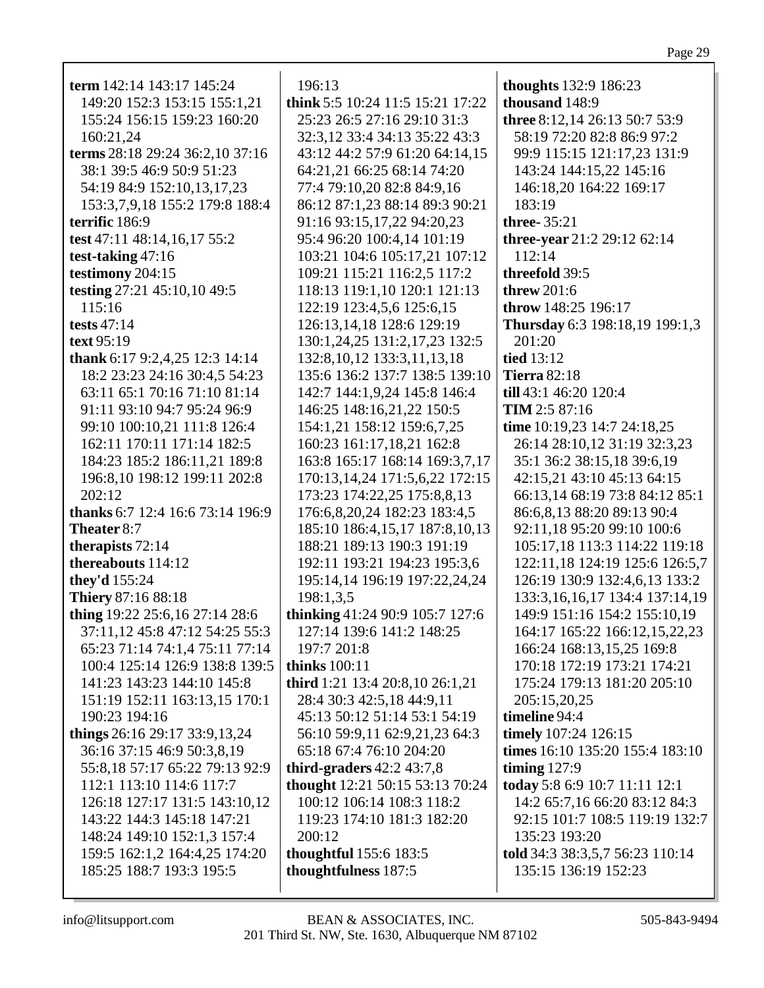| term 142:14 143:17 145:24        | 196:13                           | thoughts 132:9 186:23              |
|----------------------------------|----------------------------------|------------------------------------|
| 149:20 152:3 153:15 155:1,21     | think 5:5 10:24 11:5 15:21 17:22 | thousand 148:9                     |
| 155:24 156:15 159:23 160:20      | 25:23 26:5 27:16 29:10 31:3      | three 8:12,14 26:13 50:7 53:9      |
| 160:21,24                        | 32:3,12 33:4 34:13 35:22 43:3    | 58:19 72:20 82:8 86:9 97:2         |
| terms 28:18 29:24 36:2,10 37:16  | 43:12 44:2 57:9 61:20 64:14,15   | 99:9 115:15 121:17,23 131:9        |
| 38:1 39:5 46:9 50:9 51:23        | 64:21,21 66:25 68:14 74:20       | 143:24 144:15,22 145:16            |
| 54:19 84:9 152:10,13,17,23       | 77:4 79:10,20 82:8 84:9,16       | 146:18,20 164:22 169:17            |
| 153:3,7,9,18 155:2 179:8 188:4   | 86:12 87:1,23 88:14 89:3 90:21   | 183:19                             |
| terrific 186:9                   | 91:16 93:15,17,22 94:20,23       | three-35:21                        |
| test 47:11 48:14,16,17 55:2      | 95:4 96:20 100:4,14 101:19       | three-year 21:2 29:12 62:14        |
| test-taking 47:16                | 103:21 104:6 105:17,21 107:12    | 112:14                             |
|                                  |                                  |                                    |
| testimony 204:15                 | 109:21 115:21 116:2,5 117:2      | threefold 39:5                     |
| testing 27:21 45:10,10 49:5      | 118:13 119:1,10 120:1 121:13     | <b>threw</b> 201:6                 |
| 115:16                           | 122:19 123:4,5,6 125:6,15        | throw 148:25 196:17                |
| tests $47:14$                    | 126:13,14,18 128:6 129:19        | Thursday 6:3 198:18,19 199:1,3     |
| text 95:19                       | 130:1,24,25 131:2,17,23 132:5    | 201:20                             |
| thank 6:17 9:2,4,25 12:3 14:14   | 132:8, 10, 12 133:3, 11, 13, 18  | tied 13:12                         |
| 18:2 23:23 24:16 30:4,5 54:23    | 135:6 136:2 137:7 138:5 139:10   | <b>Tierra 82:18</b>                |
| 63:11 65:1 70:16 71:10 81:14     | 142:7 144:1,9,24 145:8 146:4     | till 43:1 46:20 120:4              |
| 91:11 93:10 94:7 95:24 96:9      | 146:25 148:16,21,22 150:5        | TIM 2:5 87:16                      |
| 99:10 100:10,21 111:8 126:4      | 154:1,21 158:12 159:6,7,25       | time 10:19,23 14:7 24:18,25        |
| 162:11 170:11 171:14 182:5       | 160:23 161:17,18,21 162:8        | 26:14 28:10,12 31:19 32:3,23       |
| 184:23 185:2 186:11,21 189:8     | 163:8 165:17 168:14 169:3,7,17   | 35:1 36:2 38:15,18 39:6,19         |
| 196:8, 10 198:12 199:11 202:8    | 170:13,14,24 171:5,6,22 172:15   | 42:15,21 43:10 45:13 64:15         |
| 202:12                           | 173:23 174:22,25 175:8,8,13      | 66:13,14 68:19 73:8 84:12 85:1     |
| thanks 6:7 12:4 16:6 73:14 196:9 | 176:6,8,20,24 182:23 183:4,5     | 86:6,8,13 88:20 89:13 90:4         |
| Theater 8:7                      | 185:10 186:4,15,17 187:8,10,13   | 92:11,18 95:20 99:10 100:6         |
| therapists 72:14                 | 188:21 189:13 190:3 191:19       | 105:17,18 113:3 114:22 119:18      |
| thereabouts 114:12               |                                  |                                    |
|                                  | 192:11 193:21 194:23 195:3,6     | 122:11,18 124:19 125:6 126:5,7     |
| they'd 155:24                    | 195:14,14 196:19 197:22,24,24    | 126:19 130:9 132:4,6,13 133:2      |
| <b>Thiery 87:16 88:18</b>        | 198:1,3,5                        | 133:3, 16, 16, 17 134:4 137:14, 19 |
| thing 19:22 25:6,16 27:14 28:6   | thinking 41:24 90:9 105:7 127:6  | 149:9 151:16 154:2 155:10,19       |
| 37:11,12 45:8 47:12 54:25 55:3   | 127:14 139:6 141:2 148:25        | 164:17 165:22 166:12,15,22,23      |
| 65:23 71:14 74:1,4 75:11 77:14   | 197:7 201:8                      | 166:24 168:13,15,25 169:8          |
| 100:4 125:14 126:9 138:8 139:5   | thinks $100:11$                  | 170:18 172:19 173:21 174:21        |
| 141:23 143:23 144:10 145:8       | third 1:21 13:4 20:8,10 26:1,21  | 175:24 179:13 181:20 205:10        |
| 151:19 152:11 163:13,15 170:1    | 28:4 30:3 42:5,18 44:9,11        | 205:15,20,25                       |
| 190:23 194:16                    | 45:13 50:12 51:14 53:1 54:19     | timeline 94:4                      |
| things 26:16 29:17 33:9,13,24    | 56:10 59:9,11 62:9,21,23 64:3    | timely 107:24 126:15               |
| 36:16 37:15 46:9 50:3,8,19       | 65:18 67:4 76:10 204:20          | times 16:10 135:20 155:4 183:10    |
| 55:8,18 57:17 65:22 79:13 92:9   | third-graders $42:2$ $43:7,8$    | timing $127:9$                     |
| 112:1 113:10 114:6 117:7         | thought 12:21 50:15 53:13 70:24  | today 5:8 6:9 10:7 11:11 12:1      |
| 126:18 127:17 131:5 143:10,12    | 100:12 106:14 108:3 118:2        | 14:2 65:7,16 66:20 83:12 84:3      |
| 143:22 144:3 145:18 147:21       | 119:23 174:10 181:3 182:20       | 92:15 101:7 108:5 119:19 132:7     |
| 148:24 149:10 152:1,3 157:4      | 200:12                           | 135:23 193:20                      |
| 159:5 162:1,2 164:4,25 174:20    |                                  | told 34:3 38:3,5,7 56:23 110:14    |
|                                  | thoughtful 155:6 183:5           |                                    |
| 185:25 188:7 193:3 195:5         | thoughtfulness 187:5             | 135:15 136:19 152:23               |
|                                  |                                  |                                    |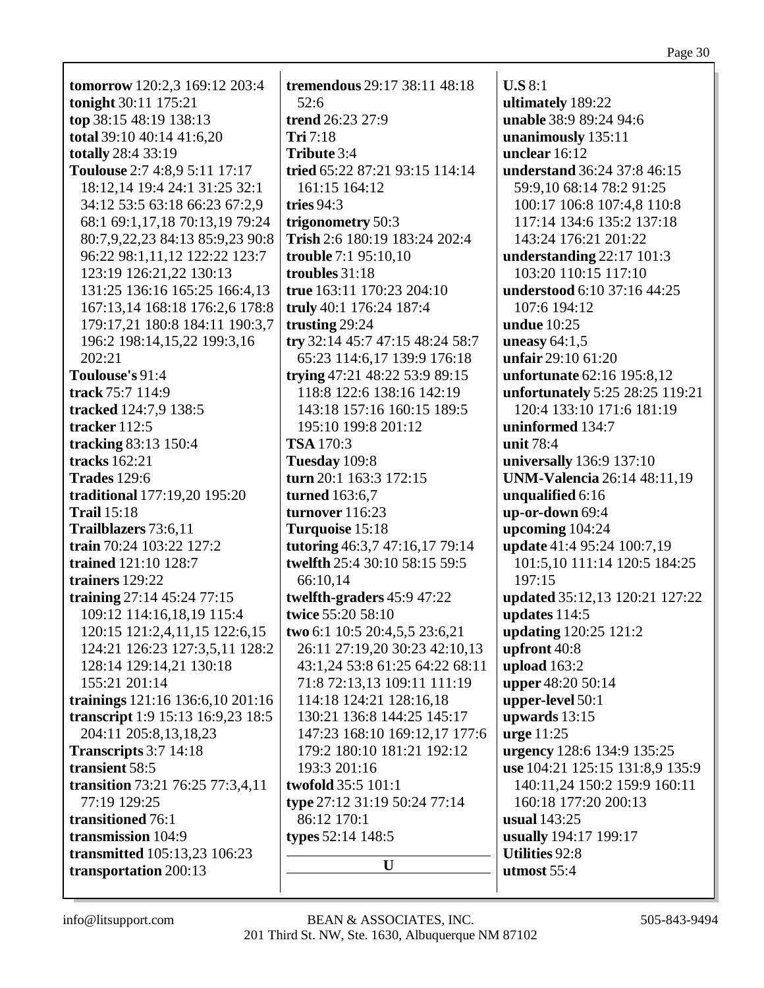| <b>tomorrow</b> 120:2,3 169:12 203:4 | tremendous 29:17 38:11 48:18    | U.S 8:1                             |
|--------------------------------------|---------------------------------|-------------------------------------|
| tonight 30:11 175:21                 | 52:6                            | ultimately 189:22                   |
| top 38:15 48:19 138:13               | trend 26:23 27:9                | unable 38:9 89:24 94:6              |
| total 39:10 40:14 41:6,20            | Tri 7:18                        |                                     |
|                                      | Tribute 3:4                     | unanimously 135:11<br>unclear 16:12 |
| totally 28:4 33:19                   |                                 |                                     |
| Toulouse 2:7 4:8,9 5:11 17:17        | tried 65:22 87:21 93:15 114:14  | understand 36:24 37:8 46:15         |
| 18:12,14 19:4 24:1 31:25 32:1        | 161:15 164:12                   | 59:9,10 68:14 78:2 91:25            |
| 34:12 53:5 63:18 66:23 67:2,9        | tries $94:3$                    | 100:17 106:8 107:4,8 110:8          |
| 68:1 69:1,17,18 70:13,19 79:24       | trigonometry 50:3               | 117:14 134:6 135:2 137:18           |
| 80:7,9,22,23 84:13 85:9,23 90:8      | Trish 2:6 180:19 183:24 202:4   | 143:24 176:21 201:22                |
| 96:22 98:1,11,12 122:22 123:7        | trouble 7:1 95:10,10            | understanding 22:17 101:3           |
| 123:19 126:21,22 130:13              | troubles 31:18                  | 103:20 110:15 117:10                |
| 131:25 136:16 165:25 166:4,13        | true 163:11 170:23 204:10       | understood 6:10 37:16 44:25         |
| 167:13,14 168:18 176:2,6 178:8       | truly 40:1 176:24 187:4         | 107:6 194:12                        |
| 179:17,21 180:8 184:11 190:3,7       | trusting 29:24                  | <b>undue</b> 10:25                  |
| 196:2 198:14,15,22 199:3,16          | try 32:14 45:7 47:15 48:24 58:7 | uneasy $64:1,5$                     |
| 202:21                               | 65:23 114:6,17 139:9 176:18     | unfair 29:10 61:20                  |
| Toulouse's 91:4                      | trying 47:21 48:22 53:9 89:15   | unfortunate 62:16 195:8,12          |
| track 75:7 114:9                     | 118:8 122:6 138:16 142:19       | unfortunately 5:25 28:25 119:21     |
| tracked 124:7,9 138:5                | 143:18 157:16 160:15 189:5      | 120:4 133:10 171:6 181:19           |
| tracker $112:5$                      | 195:10 199:8 201:12             | uninformed 134:7                    |
| tracking 83:13 150:4                 | <b>TSA</b> 170:3                | unit 78:4                           |
| tracks $162:21$                      | Tuesday 109:8                   | universally 136:9 137:10            |
| <b>Trades</b> 129:6                  | turn 20:1 163:3 172:15          | <b>UNM-Valencia</b> 26:14 48:11,19  |
| traditional 177:19,20 195:20         | turned 163:6,7                  | unqualified 6:16                    |
| <b>Trail</b> 15:18                   | turnover 116:23                 | up-or-down 69:4                     |
| Trailblazers 73:6,11                 | Turquoise 15:18                 | upcoming 104:24                     |
| train 70:24 103:22 127:2             | tutoring 46:3,7 47:16,17 79:14  | update 41:4 95:24 100:7,19          |
|                                      | twelfth 25:4 30:10 58:15 59:5   |                                     |
| trained 121:10 128:7                 |                                 | 101:5,10 111:14 120:5 184:25        |
| trainers 129:22                      | 66:10,14                        | 197:15                              |
| training $27:14$ 45:24 77:15         | twelfth-graders 45:9 47:22      | updated 35:12,13 120:21 127:22      |
| 109:12 114:16,18,19 115:4            | twice 55:20 58:10               | updates $114:5$                     |
| 120:15 121:2,4,11,15 122:6,15        | two 6:1 10:5 20:4,5,5 23:6,21   | updating 120:25 121:2               |
| 124:21 126:23 127:3,5,11 128:2       | 26:11 27:19,20 30:23 42:10,13   | upfront 40:8                        |
| 128:14 129:14,21 130:18              | 43:1,24 53:8 61:25 64:22 68:11  | upload $163:2$                      |
| 155:21 201:14                        | 71:8 72:13,13 109:11 111:19     | upper 48:20 50:14                   |
| trainings 121:16 136:6,10 201:16     | 114:18 124:21 128:16,18         | upper-level 50:1                    |
| transcript 1:9 15:13 16:9,23 18:5    | 130:21 136:8 144:25 145:17      | upwards $13:15$                     |
| 204:11 205:8,13,18,23                | 147:23 168:10 169:12,17 177:6   | urge $11:25$                        |
| Transcripts $3:7$ 14:18              | 179:2 180:10 181:21 192:12      | urgency 128:6 134:9 135:25          |
| transient 58:5                       | 193:3 201:16                    | use 104:21 125:15 131:8,9 135:9     |
| transition 73:21 76:25 77:3,4,11     | twofold 35:5 101:1              | 140:11,24 150:2 159:9 160:11        |
| 77:19 129:25                         | type 27:12 31:19 50:24 77:14    | 160:18 177:20 200:13                |
| transitioned 76:1                    | 86:12 170:1                     | usual 143:25                        |
| transmission 104:9                   | types 52:14 148:5               | usually 194:17 199:17               |
| transmitted 105:13,23 106:23         |                                 | <b>Utilities 92:8</b>               |
| transportation 200:13                | U                               | utmost 55:4                         |
|                                      |                                 |                                     |
|                                      |                                 |                                     |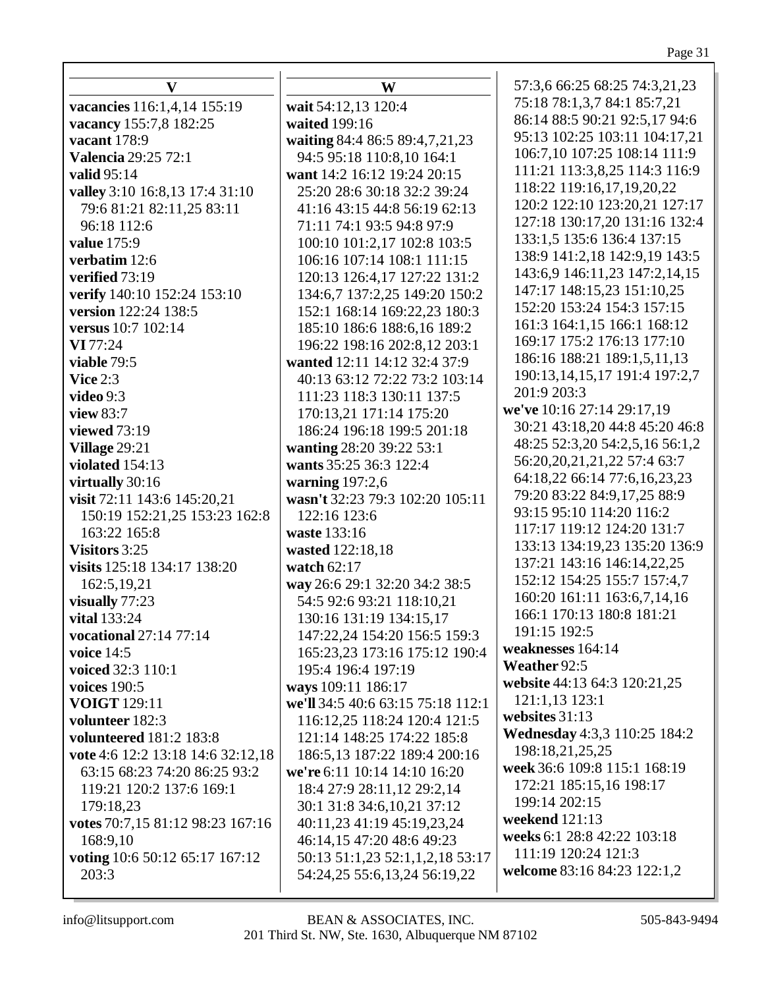| v                                 |   |
|-----------------------------------|---|
| vacancies 116:1,4,14 155:19       | J |
| vacancy 155:7,8 182:25            |   |
| vacant 178:9                      |   |
| <b>Valencia 29:25 72:1</b>        |   |
| <b>valid</b> 95:14                |   |
| valley 3:10 16:8,13 17:4 31:10    |   |
| 79:6 81:21 82:11,25 83:11         |   |
| 96:18 112:6                       |   |
| value 175:9                       |   |
| verbatim 12:6                     |   |
| verified 73:19                    |   |
| verify 140:10 152:24 153:10       |   |
| version 122:24 138:5              |   |
| versus 10:7 102:14                |   |
| VI 77:24                          |   |
| viable 79:5                       |   |
| Vice $2:3$                        |   |
| video $9:3$                       |   |
| view 83:7                         |   |
| viewed 73:19                      |   |
| Village 29:21                     |   |
| violated 154:13                   |   |
| virtually 30:16                   |   |
| visit 72:11 143:6 145:20,21       | Ī |
| 150:19 152:21,25 153:23 162:8     |   |
| 163:22 165:8                      | ١ |
| Visitors 3:25                     |   |
| visits 125:18 134:17 138:20       |   |
| 162:5, 19, 21<br>visually $77:23$ |   |
| vital 133:24                      |   |
| vocational 27:14 77:14            |   |
| voice $14:5$                      |   |
| <b>voiced</b> 32:3 110:1          |   |
| <b>voices</b> 190:5               |   |
| <b>VOIGT 129:11</b>               |   |
| volunteer 182:3                   |   |
| <b>volunteered</b> 181:2 183:8    |   |
| vote 4:6 12:2 13:18 14:6 32:12,18 |   |
| 63:15 68:23 74:20 86:25 93:2      |   |
| 119:21 120:2 137:6 169:1          |   |
| 179:18,23                         |   |
| votes 70:7,15 81:12 98:23 167:16  |   |
| 168:9,10                          |   |
| voting 10:6 50:12 65:17 167:12    |   |
| 203:3                             |   |
|                                   |   |

**W wait** 54:12,13 120:4 **waited** 199:16 **waiting** 84:4 86:5 89:4,7,21,23 94:5 95:18 110:8,10 164:1 **want** 14:2 16:12 19:24 20:15 25:20 28:6 30:18 32:2 39:24 41:16 43:15 44:8 56:19 62:13 71:11 74:1 93:5 94:8 97:9 100:10 101:2,17 102:8 103:5 106:16 107:14 108:1 111:15 120:13 126:4,17 127:22 131:2 134:6,7 137:2,25 149:20 150:2 152:1 168:14 169:22,23 180:3 185:10 186:6 188:6,16 189:2 196:22 198:16 202:8,12 203:1 **wanted** 12:11 14:12 32:4 37:9 40:13 63:12 72:22 73:2 103:14 111:23 118:3 130:11 137:5 170:13,21 171:14 175:20 186:24 196:18 199:5 201:18 **wanting** 28:20 39:22 53:1 **wants** 35:25 36:3 122:4 **warning** 197:2,6 **wasn't** 32:23 79:3 102:20 105:11 122:16 123:6 **waste** 133:16 **wasted** 122:18,18 **watch** 62:17 **way** 26:6 29:1 32:20 34:2 38:5 54:5 92:6 93:21 118:10,21 130:16 131:19 134:15,17 147:22,24 154:20 156:5 159:3 165:23,23 173:16 175:12 190:4 195:4 196:4 197:19 **ways** 109:11 186:17 **we'll** 34:5 40:6 63:15 75:18 112:1 116:12,25 118:24 120:4 121:5 121:14 148:25 174:22 185:8 186:5,13 187:22 189:4 200:16 **we're** 6:11 10:14 14:10 16:20 18:4 27:9 28:11,12 29:2,14 30:1 31:8 34:6,10,21 37:12 40:11,23 41:19 45:19,23,24 46:14,15 47:20 48:6 49:23 50:13 51:1,23 52:1,1,2,18 53:17 54:24,25 55:6,13,24 56:19,22

57:3,6 66:25 68:25 74:3,21,23 75:18 78:1,3,7 84:1 85:7,21 86:14 88:5 90:21 92:5,17 94:6 95:13 102:25 103:11 104:17,21 106:7,10 107:25 108:14 111:9 111:21 113:3,8,25 114:3 116:9 118:22 119:16,17,19,20,22 120:2 122:10 123:20,21 127:17 127:18 130:17,20 131:16 132:4 133:1,5 135:6 136:4 137:15 138:9 141:2,18 142:9,19 143:5 143:6,9 146:11,23 147:2,14,15 147:17 148:15,23 151:10,25 152:20 153:24 154:3 157:15 161:3 164:1,15 166:1 168:12 169:17 175:2 176:13 177:10 186:16 188:21 189:1,5,11,13 190:13,14,15,17 191:4 197:2,7 201:9 203:3 **we've** 10:16 27:14 29:17,19 30:21 43:18,20 44:8 45:20 46:8 48:25 52:3,20 54:2,5,16 56:1,2 56:20,20,21,21,22 57:4 63:7 64:18,22 66:14 77:6,16,23,23 79:20 83:22 84:9,17,25 88:9 93:15 95:10 114:20 116:2 117:17 119:12 124:20 131:7 133:13 134:19,23 135:20 136:9 137:21 143:16 146:14,22,25 152:12 154:25 155:7 157:4,7 160:20 161:11 163:6,7,14,16 166:1 170:13 180:8 181:21 191:15 192:5 **weaknesses** 164:14 **Weather** 92:5 **website** 44:13 64:3 120:21,25 121:1,13 123:1 **websites** 31:13 **Wednesday** 4:3,3 110:25 184:2 198:18,21,25,25 **week** 36:6 109:8 115:1 168:19 172:21 185:15,16 198:17 199:14 202:15 **weekend** 121:13 **weeks** 6:1 28:8 42:22 103:18 111:19 120:24 121:3 **welcome** 83:16 84:23 122:1,2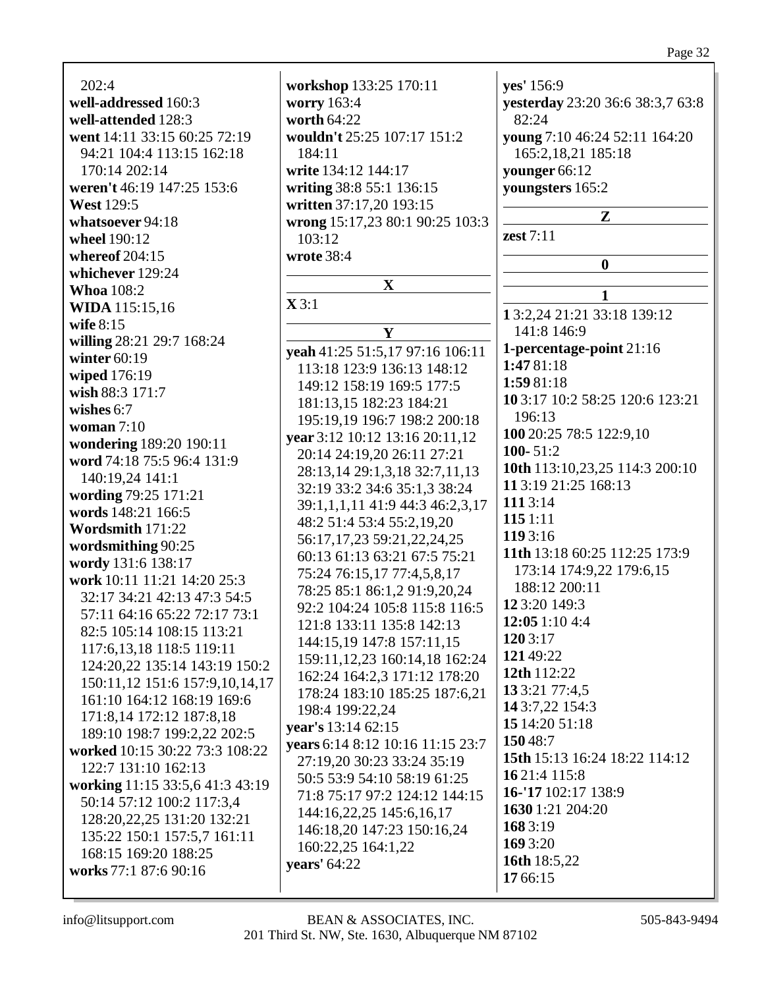| 202:4<br>workshop 133:25 170:11<br>yes' 156:9<br>well-addressed 160:3<br>worry 163:4<br>yesterday 23:20 36:6 38:3,7 63:8<br>worth 64:22<br>82:24<br>well-attended 128:3 |  |
|-------------------------------------------------------------------------------------------------------------------------------------------------------------------------|--|
|                                                                                                                                                                         |  |
|                                                                                                                                                                         |  |
| went 14:11 33:15 60:25 72:19<br>wouldn't 25:25 107:17 151:2<br>young 7:10 46:24 52:11 164:20                                                                            |  |
| 94:21 104:4 113:15 162:18<br>165:2,18,21 185:18<br>184:11                                                                                                               |  |
| write 134:12 144:17<br>170:14 202:14<br>younger 66:12                                                                                                                   |  |
| writing 38:8 55:1 136:15<br>youngsters 165:2<br>weren't 46:19 147:25 153:6                                                                                              |  |
| <b>West 129:5</b><br>written 37:17,20 193:15                                                                                                                            |  |
| Z<br>whatsoever 94:18                                                                                                                                                   |  |
| wrong 15:17,23 80:1 90:25 103:3<br>zest $7:11$<br>103:12                                                                                                                |  |
| wheel 190:12                                                                                                                                                            |  |
| wrote 38:4<br>whereof $204:15$<br>$\boldsymbol{0}$                                                                                                                      |  |
| whichever 129:24<br>$\mathbf X$                                                                                                                                         |  |
| <b>Whoa</b> 108:2<br>1<br>$\mathbf{X} 3:1$                                                                                                                              |  |
| <b>WIDA</b> 115:15,16<br>13:2,24 21:21 33:18 139:12                                                                                                                     |  |
| wife 8:15<br>141:8 146:9<br>Y                                                                                                                                           |  |
| willing 28:21 29:7 168:24<br>1-percentage-point 21:16<br>yeah 41:25 51:5,17 97:16 106:11                                                                                |  |
| winter $60:19$<br>1:47 81:18<br>113:18 123:9 136:13 148:12                                                                                                              |  |
| wiped 176:19<br>1:59 81:18<br>149:12 158:19 169:5 177:5                                                                                                                 |  |
| wish 88:3 171:7<br>10 3:17 10:2 58:25 120:6 123:21<br>181:13,15 182:23 184:21                                                                                           |  |
| wishes 6:7<br>196:13<br>195:19,19 196:7 198:2 200:18                                                                                                                    |  |
| woman $7:10$<br>100 20:25 78:5 122:9,10<br>year 3:12 10:12 13:16 20:11,12                                                                                               |  |
| wondering 189:20 190:11<br>100-51:2                                                                                                                                     |  |
| 20:14 24:19,20 26:11 27:21<br>word 74:18 75:5 96:4 131:9<br>10th 113:10,23,25 114:3 200:10                                                                              |  |
| 28:13,14 29:1,3,18 32:7,11,13<br>140:19,24 141:1<br>11 3:19 21:25 168:13                                                                                                |  |
| 32:19 33:2 34:6 35:1,3 38:24<br>wording 79:25 171:21<br>111 3:14                                                                                                        |  |
| 39:1,1,1,11 41:9 44:3 46:2,3,17<br>words 148:21 166:5<br>115 1:11                                                                                                       |  |
| 48:2 51:4 53:4 55:2,19,20<br>Wordsmith 171:22<br>119 3:16                                                                                                               |  |
| 56:17,17,23 59:21,22,24,25<br>wordsmithing 90:25<br>11th 13:18 60:25 112:25 173:9                                                                                       |  |
| 60:13 61:13 63:21 67:5 75:21<br>wordy 131:6 138:17<br>173:14 174:9,22 179:6,15                                                                                          |  |
| 75:24 76:15,17 77:4,5,8,17<br>work 10:11 11:21 14:20 25:3                                                                                                               |  |
| 188:12 200:11<br>78:25 85:1 86:1,2 91:9,20,24<br>32:17 34:21 42:13 47:3 54:5                                                                                            |  |
| 12 3:20 149:3<br>92:2 104:24 105:8 115:8 116:5<br>57:11 64:16 65:22 72:17 73:1                                                                                          |  |
| 12:051:104:4<br>121:8 133:11 135:8 142:13<br>82:5 105:14 108:15 113:21                                                                                                  |  |
| 120 3:17<br>144:15,19 147:8 157:11,15<br>117:6, 13, 18 118:5 119:11                                                                                                     |  |
| 12149:22<br>159:11, 12, 23 160:14, 18 162:24<br>124:20,22 135:14 143:19 150:2                                                                                           |  |
| 12th 112:22<br>162:24 164:2,3 171:12 178:20<br>150:11,12 151:6 157:9,10,14,17                                                                                           |  |
| 13 3:21 77:4,5<br>178:24 183:10 185:25 187:6,21<br>161:10 164:12 168:19 169:6                                                                                           |  |
| 14 3:7,22 154:3<br>198:4 199:22,24<br>171:8,14 172:12 187:8,18                                                                                                          |  |
| 15 14:20 51:18<br>year's 13:14 62:15<br>189:10 198:7 199:2.22 202:5                                                                                                     |  |
| 15048:7<br>years 6:14 8:12 10:16 11:15 23:7<br>worked 10:15 30:22 73:3 108:22                                                                                           |  |
| 15th 15:13 16:24 18:22 114:12<br>27:19,20 30:23 33:24 35:19<br>122:7 131:10 162:13                                                                                      |  |
| 16 21:4 115:8<br>50:5 53:9 54:10 58:19 61:25<br>working 11:15 33:5,6 41:3 43:19                                                                                         |  |
| 16-'17 102:17 138:9<br>71:8 75:17 97:2 124:12 144:15<br>50:14 57:12 100:2 117:3,4                                                                                       |  |
| 1630 1:21 204:20<br>144:16,22,25 145:6,16,17<br>128:20, 22, 25 131:20 132:21                                                                                            |  |
| 168 3:19<br>146:18,20 147:23 150:16,24<br>135:22 150:1 157:5,7 161:11                                                                                                   |  |
| 169 3:20<br>160:22,25 164:1,22<br>168:15 169:20 188:25                                                                                                                  |  |
| 16th 18:5,22<br>years' 64:22<br>works 77:1 87:6 90:16                                                                                                                   |  |
| 17 66:15                                                                                                                                                                |  |